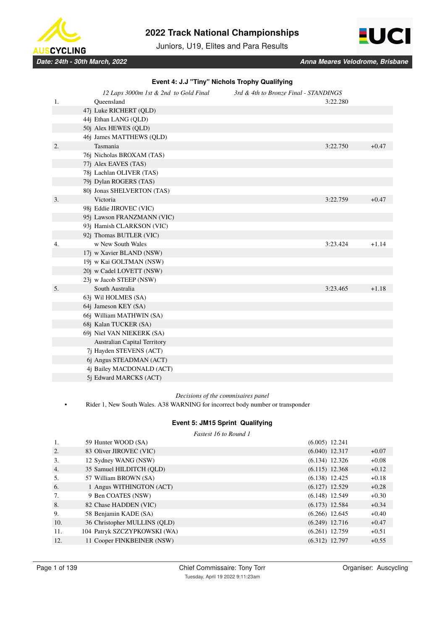

Juniors, U19, Elites and Para Results



| Event 4: J.J "Tiny" Nichols Trophy Qualifying |  |  |
|-----------------------------------------------|--|--|
|                                               |  |  |

|    | 12 Laps 3000m 1st & 2nd to Gold Final | 3rd & 4th to Bronze Final - STANDINGS |          |         |
|----|---------------------------------------|---------------------------------------|----------|---------|
| 1. | Queensland                            |                                       | 3:22.280 |         |
|    | 47j Luke RICHERT (QLD)                |                                       |          |         |
|    | 44j Ethan LANG (QLD)                  |                                       |          |         |
|    | 50j Alex HEWES (QLD)                  |                                       |          |         |
|    | 46j James MATTHEWS (QLD)              |                                       |          |         |
| 2. | Tasmania                              |                                       | 3:22.750 | $+0.47$ |
|    | 76j Nicholas BROXAM (TAS)             |                                       |          |         |
|    | 77j Alex EAVES (TAS)                  |                                       |          |         |
|    | 78j Lachlan OLIVER (TAS)              |                                       |          |         |
|    | 79j Dylan ROGERS (TAS)                |                                       |          |         |
|    | 80j Jonas SHELVERTON (TAS)            |                                       |          |         |
| 3. | Victoria                              |                                       | 3:22.759 | $+0.47$ |
|    | 98j Eddie JIROVEC (VIC)               |                                       |          |         |
|    | 95j Lawson FRANZMANN (VIC)            |                                       |          |         |
|    | 93j Hamish CLARKSON (VIC)             |                                       |          |         |
|    | 92j Thomas BUTLER (VIC)               |                                       |          |         |
| 4. | w New South Wales                     |                                       | 3:23.424 | $+1.14$ |
|    | 17j w Xavier BLAND (NSW)              |                                       |          |         |
|    | 19j w Kai GOLTMAN (NSW)               |                                       |          |         |
|    | 20j w Cadel LOVETT (NSW)              |                                       |          |         |
|    | 23j w Jacob STEEP (NSW)               |                                       |          |         |
| 5. | South Australia                       |                                       | 3:23.465 | $+1.18$ |
|    | 63j Wil HOLMES (SA)                   |                                       |          |         |
|    | 64j Jameson KEY (SA)                  |                                       |          |         |
|    | 66j William MATHWIN (SA)              |                                       |          |         |
|    | 68j Kalan TUCKER (SA)                 |                                       |          |         |
|    | 69j Niel VAN NIEKERK (SA)             |                                       |          |         |
|    | Australian Capital Territory          |                                       |          |         |
|    | 7j Hayden STEVENS (ACT)               |                                       |          |         |
|    | 6j Angus STEADMAN (ACT)               |                                       |          |         |
|    | 4j Bailey MACDONALD (ACT)             |                                       |          |         |
|    | 5j Edward MARCKS (ACT)                |                                       |          |         |

### *Decisions of the commisaires panel*

• Rider 1, New South Wales. A38 WARNING for incorrect body number or transponder

# **Event 5: JM15 Sprint Qualifying**

*Fastest 16 to Round 1*

| 1.  | 59 Hunter WOOD (SA)          | $(6.005)$ 12.241 |         |
|-----|------------------------------|------------------|---------|
| 2.  | 83 Oliver JIROVEC (VIC)      | $(6.040)$ 12.317 | $+0.07$ |
| 3.  | 12 Sydney WANG (NSW)         | $(6.134)$ 12.326 | $+0.08$ |
| 4.  | 35 Samuel HILDITCH (OLD)     | $(6.115)$ 12.368 | $+0.12$ |
| 5.  | 57 William BROWN (SA)        | $(6.138)$ 12.425 | $+0.18$ |
| 6.  | 1 Angus WITHINGTON (ACT)     | $(6.127)$ 12.529 | $+0.28$ |
| 7.  | 9 Ben COATES (NSW)           | $(6.148)$ 12.549 | $+0.30$ |
| 8.  | 82 Chase HADDEN (VIC)        | $(6.173)$ 12.584 | $+0.34$ |
| 9.  | 58 Benjamin KADE (SA)        | $(6.266)$ 12.645 | $+0.40$ |
| 10. | 36 Christopher MULLINS (OLD) | $(6.249)$ 12.716 | $+0.47$ |
| 11. | 104 Patryk SZCZYPKOWSKI (WA) | $(6.261)$ 12.759 | $+0.51$ |
| 12. | 11 Cooper FINKBEINER (NSW)   | $(6.312)$ 12.797 | $+0.55$ |
|     |                              |                  |         |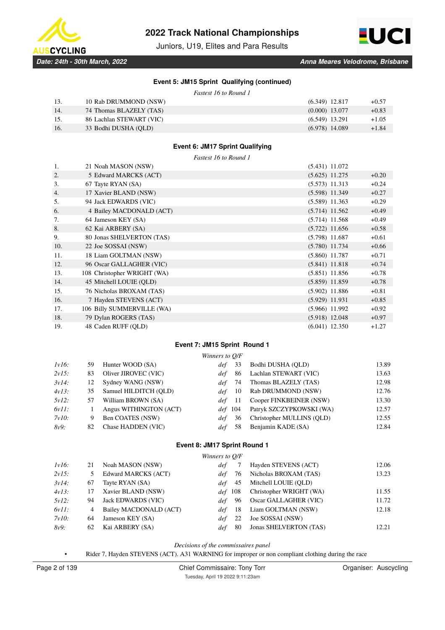

Juniors, U19, Elites and Para Results



### **Event 5: JM15 Sprint Qualifying (continued)**

*Fastest 16 to Round 1*

| 13.  | 10 Rab DRUMMOND (NSW)    | $(6.349)$ 12.817 | $+0.57$ |
|------|--------------------------|------------------|---------|
| -14. | 74 Thomas BLAZELY (TAS)  | $(0.000)$ 13.077 | $+0.83$ |
| 15.  | 86 Lachlan STEWART (VIC) | $(6.549)$ 13.291 | $+1.05$ |
| 16.  | 33 Bodhi DUSHA (OLD)     | $(6.978)$ 14.089 | $+1.84$ |

### **Event 6: JM17 Sprint Qualifying**

*Fastest 16 to Round 1*

| 1.  | 21 Noah MASON (NSW)         | $(5.431)$ 11.072 |         |
|-----|-----------------------------|------------------|---------|
| 2.  | 5 Edward MARCKS (ACT)       | $(5.625)$ 11.275 | $+0.20$ |
| 3.  | 67 Tayte RYAN (SA)          | $(5.573)$ 11.313 | $+0.24$ |
| 4.  | 17 Xavier BLAND (NSW)       | $(5.598)$ 11.349 | $+0.27$ |
| 5.  | 94 Jack EDWARDS (VIC)       | $(5.589)$ 11.363 | $+0.29$ |
| 6.  | 4 Bailey MACDONALD (ACT)    | $(5.714)$ 11.562 | $+0.49$ |
| 7.  | 64 Jameson KEY (SA)         | $(5.714)$ 11.568 | $+0.49$ |
| 8.  | 62 Kai ARBERY (SA)          | $(5.722)$ 11.656 | $+0.58$ |
| 9.  | 80 Jonas SHELVERTON (TAS)   | $(5.798)$ 11.687 | $+0.61$ |
| 10. | 22 Joe SOSSAI (NSW)         | $(5.780)$ 11.734 | $+0.66$ |
| 11. | 18 Liam GOLTMAN (NSW)       | $(5.860)$ 11.787 | $+0.71$ |
| 12. | 96 Oscar GALLAGHER (VIC)    | $(5.841)$ 11.818 | $+0.74$ |
| 13. | 108 Christopher WRIGHT (WA) | $(5.851)$ 11.856 | $+0.78$ |
| 14. | 45 Mitchell LOUIE (QLD)     | $(5.859)$ 11.859 | $+0.78$ |
| 15. | 76 Nicholas BROXAM (TAS)    | $(5.902)$ 11.886 | $+0.81$ |
| 16. | 7 Hayden STEVENS (ACT)      | $(5.929)$ 11.931 | $+0.85$ |
| 17. | 106 Billy SUMMERVILLE (WA)  | $(5.966)$ 11.992 | $+0.92$ |
| 18. | 79 Dylan ROGERS (TAS)       | $(5.918)$ 12.048 | $+0.97$ |
| 19. | 48 Caden RUFF (QLD)         | $(6.041)$ 12.350 | $+1.27$ |

### **Event 7: JM15 Sprint Round 1**

|       |     |                        | Winners to O/F |                           |       |
|-------|-----|------------------------|----------------|---------------------------|-------|
| lv16: | 59. | Hunter WOOD (SA)       | 33<br>def      | Bodhi DUSHA (OLD)         | 13.89 |
| 2v15: | 83  | Oliver JIROVEC (VIC)   | -86<br>def     | Lachlan STEWART (VIC)     | 13.63 |
| 3v14: | 12  | Sydney WANG (NSW)      | -74<br>def     | Thomas BLAZELY (TAS)      | 12.98 |
| 4v13: | 35  | Samuel HILDITCH (OLD)  | 10<br>def -    | Rab DRUMMOND (NSW)        | 12.76 |
| 5v12: | 57  | William BROWN (SA)     | def 11         | Cooper FINKBEINER (NSW)   | 13.30 |
| 6v11: |     | Angus WITHINGTON (ACT) | def 104        | Patryk SZCZYPKOWSKI (WA)  | 12.57 |
| 7v10: | 9   | Ben COATES (NSW)       | 36<br>def      | Christopher MULLINS (OLD) | 12.55 |
| 8v9:  | 82  | Chase HADDEN (VIC)     | 58             | Benjamin KADE (SA)        | 12.84 |
|       |     |                        |                |                           |       |

### **Event 8: JM17 Sprint Round 1**

| $1v16$ : | 21 | Noah MASON (NSW)          | det     |     | Hayden STEVENS (ACT)    | 12.06 |
|----------|----|---------------------------|---------|-----|-------------------------|-------|
| 2v15:    |    | Edward MARCKS (ACT)       | def     | 76  | Nicholas BROXAM (TAS)   | 13.23 |
| 3v14:    | 67 | Tayte RYAN (SA)           | def     | 45  | Mitchell LOUIE (OLD)    |       |
| 4v13:    | 17 | Xavier BLAND (NSW)        | def 108 |     | Christopher WRIGHT (WA) | 11.55 |
| 5v12:    | 94 | <b>Jack EDWARDS (VIC)</b> | def -   | 96  | Oscar GALLAGHER (VIC)   | 11.72 |
| 6v11:    | 4  | Bailey MACDONALD (ACT)    | def     | -18 | Liam GOLTMAN (NSW)      | 12.18 |
| 7v10:    | 64 | Jameson KEY (SA)          | def     | 22  | Joe SOSSAI (NSW)        |       |
| 8v9:     | 62 | Kai ARBERY (SA)           | def     | -80 | Jonas SHELVERTON (TAS)  | 12.21 |
|          |    |                           |         |     |                         |       |

*Decisions of the commissaires panel*

• Rider 7, Hayden STEVENS (ACT). A31 WARNING for improper or non compliant clothing during the race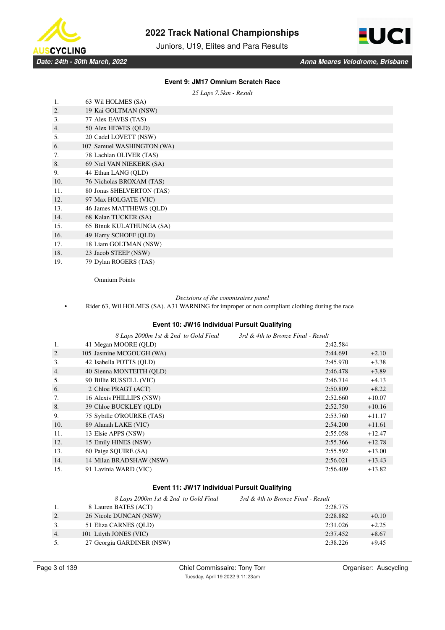

Juniors, U19, Elites and Para Results



### **Event 9: JM17 Omnium Scratch Race**

*25 Laps 7.5km - Result*

| 1.  | 63 Wil HOLMES (SA)         |
|-----|----------------------------|
| 2.  | 19 Kai GOLTMAN (NSW)       |
| 3.  | 77 Alex EAVES (TAS)        |
| 4.  | 50 Alex HEWES (QLD)        |
| 5.  | 20 Cadel LOVETT (NSW)      |
| 6.  | 107 Samuel WASHINGTON (WA) |
| 7.  | 78 Lachlan OLIVER (TAS)    |
| 8.  | 69 Niel VAN NIEKERK (SA)   |
| 9.  | 44 Ethan LANG (QLD)        |
| 10. | 76 Nicholas BROXAM (TAS)   |
| 11. | 80 Jonas SHELVERTON (TAS)  |
| 12. | 97 Max HOLGATE (VIC)       |
| 13. | 46 James MATTHEWS (OLD)    |
| 14. | 68 Kalan TUCKER (SA)       |
| 15. | 65 Binuk KULATHUNGA (SA)   |
| 16. | 49 Harry SCHOFF (QLD)      |
| 17. | 18 Liam GOLTMAN (NSW)      |
| 18. | 23 Jacob STEEP (NSW)       |
| 19. | 79 Dylan ROGERS (TAS)      |

Omnium Points

#### *Decisions of the commisaires panel*

• Rider 63, Wil HOLMES (SA). A31 WARNING for improper or non compliant clothing during the race

# **Event 10: JW15 Individual Pursuit Qualifying**

|     | 8 Laps 2000m 1st & 2nd to Gold Final | 3rd & 4th to Bronze Final - Result |          |          |
|-----|--------------------------------------|------------------------------------|----------|----------|
| 1.  | 41 Megan MOORE (QLD)                 |                                    | 2:42.584 |          |
| 2.  | 105 Jasmine MCGOUGH (WA)             |                                    | 2:44.691 | $+2.10$  |
| 3.  | 42 Isabella POTTS (OLD)              |                                    | 2:45.970 | $+3.38$  |
| 4.  | 40 Sienna MONTEITH (QLD)             |                                    | 2:46.478 | $+3.89$  |
| 5.  | 90 Billie RUSSELL (VIC)              |                                    | 2:46.714 | $+4.13$  |
| 6.  | 2 Chloe PRAGT (ACT)                  |                                    | 2:50.809 | $+8.22$  |
| 7.  | 16 Alexis PHILLIPS (NSW)             |                                    | 2:52.660 | $+10.07$ |
| 8.  | 39 Chloe BUCKLEY (QLD)               |                                    | 2:52.750 | $+10.16$ |
| 9.  | 75 Sybille O'ROURKE (TAS)            |                                    | 2:53.760 | $+11.17$ |
| 10. | 89 Alanah LAKE (VIC)                 |                                    | 2:54.200 | $+11.61$ |
| 11. | 13 Elsie APPS (NSW)                  |                                    | 2:55.058 | $+12.47$ |
| 12. | 15 Emily HINES (NSW)                 |                                    | 2:55.366 | $+12.78$ |
| 13. | 60 Paige SOUIRE (SA)                 |                                    | 2:55.592 | $+13.00$ |
| 14. | 14 Milan BRADSHAW (NSW)              |                                    | 2:56.021 | $+13.43$ |
| 15. | 91 Lavinia WARD (VIC)                |                                    | 2:56.409 | $+13.82$ |

# **Event 11: JW17 Individual Pursuit Qualifying**

|    | 8 Laps 2000m 1st & 2nd to Gold Final | 3rd & 4th to Bronze Final - Result |         |
|----|--------------------------------------|------------------------------------|---------|
|    | 8 Lauren BATES (ACT)                 | 2:28.775                           |         |
| 2. | 26 Nicole DUNCAN (NSW)               | 2:28.882                           | $+0.10$ |
| 3. | 51 Eliza CARNES (OLD)                | 2:31.026                           | $+2.25$ |
| 4. | 101 Lilyth JONES (VIC)               | 2:37.452                           | $+8.67$ |
| 5. | 27 Georgia GARDINER (NSW)            | 2:38.226                           | $+9.45$ |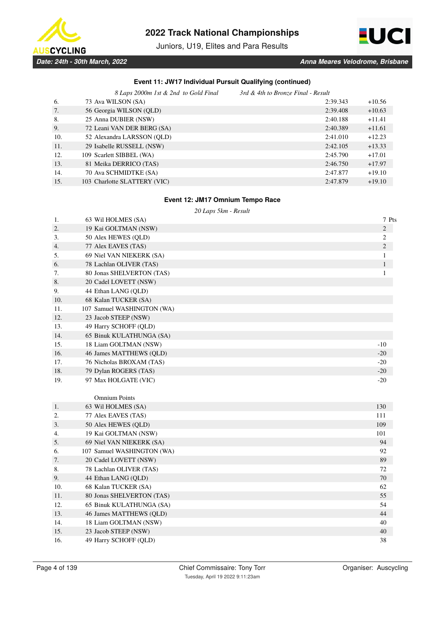

Juniors, U19, Elites and Para Results



# **Event 11: JW17 Individual Pursuit Qualifying (continued)**

|     | 8 Laps 2000m 1st & 2nd to Gold Final | 3rd & 4th to Bronze Final - Result |          |  |
|-----|--------------------------------------|------------------------------------|----------|--|
| 6.  | 73 Ava WILSON (SA)                   | 2:39.343                           | $+10.56$ |  |
| 7.  | 56 Georgia WILSON (OLD)              | 2:39.408                           | $+10.63$ |  |
| 8.  | 25 Anna DUBIER (NSW)                 | 2:40.188                           | $+11.41$ |  |
| 9.  | 72 Leani VAN DER BERG (SA)           | 2:40.389                           | $+11.61$ |  |
| 10. | 52 Alexandra LARSSON (OLD)           | 2:41.010                           | $+12.23$ |  |
| 11. | 29 Isabelle RUSSELL (NSW)            | 2:42.105                           | $+13.33$ |  |
| 12. | 109 Scarlett SIBBEL (WA)             | 2:45.790                           | $+17.01$ |  |
| 13. | 81 Meika DERRICO (TAS)               | 2:46.750                           | $+17.97$ |  |
| 14. | 70 Ava SCHMIDTKE (SA)                | 2:47.877                           | $+19.10$ |  |
| 15. | 103 Charlotte SLATTERY (VIC)         | 2:47.879                           | $+19.10$ |  |

### **Event 12: JM17 Omnium Tempo Race**

*20 Laps 5km - Result*

| 1.  | 63 Wil HOLMES (SA)         | 7 Pts          |
|-----|----------------------------|----------------|
| 2.  | 19 Kai GOLTMAN (NSW)       | $\mathbf{2}$   |
| 3.  | 50 Alex HEWES (QLD)        | $\mathfrak{2}$ |
| 4.  | 77 Alex EAVES (TAS)        | $\overline{c}$ |
| 5.  | 69 Niel VAN NIEKERK (SA)   | $\mathbf{1}$   |
| 6.  | 78 Lachlan OLIVER (TAS)    | $\mathbf{1}$   |
| 7.  | 80 Jonas SHELVERTON (TAS)  | 1              |
| 8.  | 20 Cadel LOVETT (NSW)      |                |
| 9.  | 44 Ethan LANG (QLD)        |                |
| 10. | 68 Kalan TUCKER (SA)       |                |
| 11. | 107 Samuel WASHINGTON (WA) |                |
| 12. | 23 Jacob STEEP (NSW)       |                |
| 13. | 49 Harry SCHOFF (QLD)      |                |
| 14. | 65 Binuk KULATHUNGA (SA)   |                |
| 15. | 18 Liam GOLTMAN (NSW)      | $-10$          |
| 16. | 46 James MATTHEWS (QLD)    | $-20$          |
| 17. | 76 Nicholas BROXAM (TAS)   | $-20$          |
| 18. | 79 Dylan ROGERS (TAS)      | $-20$          |
| 19. | 97 Max HOLGATE (VIC)       | $-20$          |
|     |                            |                |
|     | <b>Omnium Points</b>       |                |
| 1.  | 63 Wil HOLMES (SA)         | 130            |
| 2.  | 77 Alex EAVES (TAS)        | 111            |
| 3.  | 50 Alex HEWES (QLD)        | 109            |
| 4.  | 19 Kai GOLTMAN (NSW)       | 101            |
| 5.  | 69 Niel VAN NIEKERK (SA)   | 94             |
| 6.  | 107 Samuel WASHINGTON (WA) | 92             |
| 7.  | 20 Cadel LOVETT (NSW)      | 89             |
| 8.  | 78 Lachlan OLIVER (TAS)    | 72             |
| 9.  | 44 Ethan LANG (QLD)        | 70             |
| 10. | 68 Kalan TUCKER (SA)       | 62             |
| 11. | 80 Jonas SHELVERTON (TAS)  | 55             |
| 12. | 65 Binuk KULATHUNGA (SA)   | 54             |
| 13. | 46 James MATTHEWS (QLD)    | 44             |
| 14. | 18 Liam GOLTMAN (NSW)      | 40             |
| 15. | 23 Jacob STEEP (NSW)       | 40             |
| 16. | 49 Harry SCHOFF (QLD)      | 38             |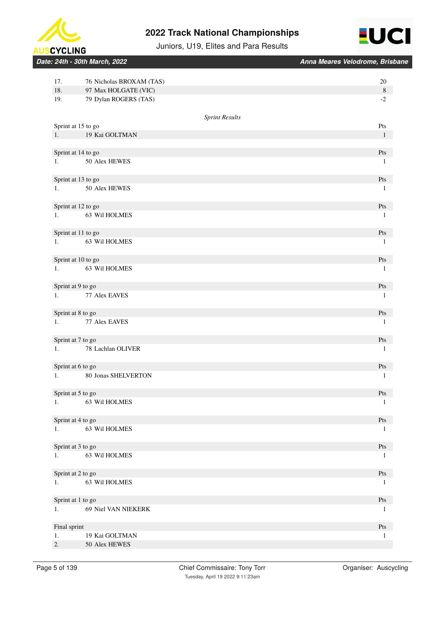



Juniors, U19, Elites and Para Results

*Date: 24th - 30th March, 2022 Anna Meares Velodrome, Brisbane*

| 17.          | 76 Nicholas BROXAM (TAS)            |                       | 20                               |
|--------------|-------------------------------------|-----------------------|----------------------------------|
| 18.          | 97 Max HOLGATE (VIC)                |                       | $\,8\,$                          |
| 19.          | 79 Dylan ROGERS (TAS)               |                       | $\textnormal{-}2$                |
|              |                                     |                       |                                  |
|              |                                     | <b>Sprint Results</b> |                                  |
|              | Sprint at 15 to go                  |                       | Pts                              |
|              | 1. 19 Kai GOLTMAN                   |                       | $\mathbf{1}$                     |
|              |                                     |                       |                                  |
|              | Sprint at 14 to go<br>50 Alex HEWES |                       | Pts                              |
| 1.           |                                     |                       | $\mathbf{1}$                     |
|              | Sprint at 13 to go                  |                       | Pts                              |
| 1.           | 50 Alex HEWES                       |                       | $\mathbf{1}$                     |
|              |                                     |                       |                                  |
|              | Sprint at 12 to go                  |                       | $\mathbf{P}\mathbf{t}\mathbf{s}$ |
| 1.           | 63 Wil HOLMES                       |                       | $\mathbf{1}$                     |
|              |                                     |                       |                                  |
|              | Sprint at 11 to go                  |                       | Pts                              |
| 1.           | 63 Wil HOLMES                       |                       | $\mathbf{1}$                     |
|              |                                     |                       |                                  |
|              | Sprint at 10 to go                  |                       | Pts                              |
| 1.           | 63 Wil HOLMES                       |                       | $\mathbf{1}$                     |
|              |                                     |                       |                                  |
|              | Sprint at 9 to go                   |                       | Pts                              |
| 1.           | 77 Alex EAVES                       |                       | $\mathbf{1}$                     |
|              |                                     |                       |                                  |
| 1.           | Sprint at 8 to go<br>77 Alex EAVES  |                       | Pts<br>$\mathbf{1}$              |
|              |                                     |                       |                                  |
|              | Sprint at 7 to go                   |                       | Pts                              |
| 1.           | 78 Lachlan OLIVER                   |                       | $\mathbf{1}$                     |
|              |                                     |                       |                                  |
|              | Sprint at 6 to go                   |                       | Pts                              |
| 1.           | 80 Jonas SHELVERTON                 |                       | $\mathbf{1}$                     |
|              |                                     |                       |                                  |
|              | Sprint at 5 to go                   |                       | Pts                              |
| 1.           | 63 Wil HOLMES                       |                       | $\mathbf{1}$                     |
|              |                                     |                       |                                  |
|              | Sprint at 4 to go                   |                       | Pts                              |
| 1.           | 63 Wil HOLMES                       |                       | -1                               |
|              |                                     |                       |                                  |
|              | Sprint at 3 to go                   |                       | Pts                              |
| 1.           | 63 Wil HOLMES                       |                       | -1                               |
|              | Sprint at 2 to go                   |                       | $\mathbf{P}\mathsf{t}\mathbf{s}$ |
| 1.           | 63 Wil HOLMES                       |                       | -1                               |
|              |                                     |                       |                                  |
|              | Sprint at 1 to go                   |                       | Pts                              |
| 1.           | 69 Niel VAN NIEKERK                 |                       | -1                               |
|              |                                     |                       |                                  |
| Final sprint |                                     |                       | Pts                              |
| 1.           | 19 Kai GOLTMAN                      |                       | 1                                |
| 2.           | 50 Alex HEWES                       |                       |                                  |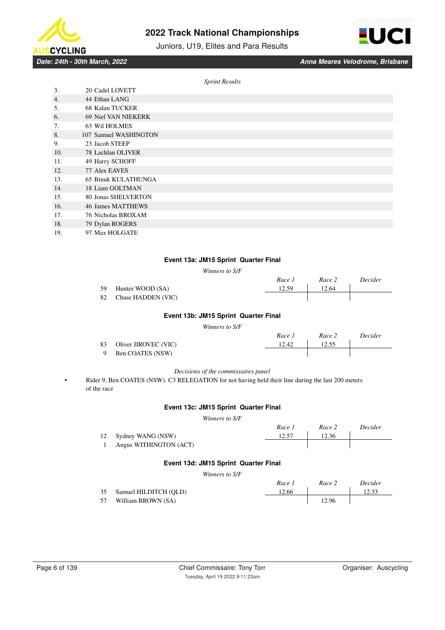

Juniors, U19, Elites and Para Results



*Date: 24th - 30th March, 2022 Anna Meares Velodrome, Brisbane*

*Sprint Results*

| 3.  | 20 Cadel LOVETT            |  |
|-----|----------------------------|--|
| 4.  | 44 Ethan LANG              |  |
| .5. | 68 Kalan TUCKER            |  |
| 6.  | 69 Niel VAN NIEKERK        |  |
| 7.  | 63 Wil HOLMES              |  |
| 8.  | 107 Samuel WASHINGTON      |  |
| 9.  | 23 Jacob STEEP             |  |
| 10. | 78 Lachlan OLIVER          |  |
| 11. | 49 Harry SCHOFF            |  |
| 12. | 77 Alex EAVES              |  |
| 13. | <b>65 Binuk KULATHUNGA</b> |  |
| 14. | 18 Liam GOLTMAN            |  |
| 15. | 80 Jonas SHELVERTON        |  |
| 16. | 46 James MATTHEWS          |  |
| 17. | 76 Nicholas BROXAM         |  |
| 18. | 79 Dylan ROGERS            |  |
| 19. | 97 Max HOLGATE             |  |

#### **Event 13a: JM15 Sprint Quarter Final**

*Winners to S/F*

|     |                       | Race 1 | Race 2 | Decider |
|-----|-----------------------|--------|--------|---------|
| 59. | Hunter WOOD (SA)      | 12.59  | 12.64  |         |
|     | 82 Chase HADDEN (VIC) |        |        |         |

# **Event 13b: JM15 Sprint Quarter Final**

*Winners to S/F*

|      |                      | Race 1 | Race 2 | Decider |
|------|----------------------|--------|--------|---------|
| 83 - | Oliver JIROVEC (VIC) | 12.42  | 12.55  |         |
| -9   | Ben COATES (NSW)     |        |        |         |

#### *Decisions of the commissaires panel*

• Rider 9, Ben COATES (NSW). C3 RELEGATION for not having held their line during the last 200 meters of the race

#### **Event 13c: JM15 Sprint Quarter Final**

*Winners to S/F*

|                        | Race 1 | Race 2 | Decider |
|------------------------|--------|--------|---------|
| 12 Sydney WANG (NSW)   | 12.57  | 12.36  |         |
| Angus WITHINGTON (ACT) |        |        |         |

### **Event 13d: JM15 Sprint Quarter Final**

*Winners to S/F*

|    |                       | Race 1 | Race 2 | Decider |
|----|-----------------------|--------|--------|---------|
| 35 | Samuel HILDITCH (OLD) | 12.66  |        | 12.33   |
| 57 | William BROWN (SA)    |        | 12.96  |         |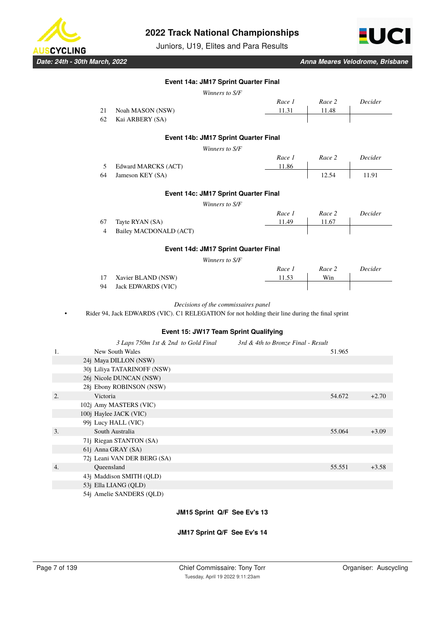

Juniors, U19, Elites and Para Results



*Date: 24th - 30th March, 2022 Anna Meares Velodrome, Brisbane*

### **Event 14a: JM17 Sprint Quarter Final**

|    |            |                                                                                                | Winners to S/F                               |                                    |        |         |
|----|------------|------------------------------------------------------------------------------------------------|----------------------------------------------|------------------------------------|--------|---------|
|    |            |                                                                                                |                                              | Race 1                             | Race 2 | Decider |
|    | 21         | Noah MASON (NSW)                                                                               |                                              | 11.31                              | 11.48  |         |
|    | 62         | Kai ARBERY (SA)                                                                                |                                              |                                    |        |         |
|    |            |                                                                                                |                                              |                                    |        |         |
|    |            |                                                                                                | Event 14b: JM17 Sprint Quarter Final         |                                    |        |         |
|    |            |                                                                                                | Winners to S/F                               |                                    |        |         |
|    |            |                                                                                                |                                              | Race 1                             | Race 2 | Decider |
|    | 5<br>64    | Edward MARCKS (ACT)                                                                            |                                              | 11.86                              | 12.54  | 11.91   |
|    |            | Jameson KEY (SA)                                                                               |                                              |                                    |        |         |
|    |            |                                                                                                | Event 14c: JM17 Sprint Quarter Final         |                                    |        |         |
|    |            |                                                                                                | Winners to S/F                               |                                    |        |         |
|    |            |                                                                                                |                                              | Race 1                             | Race 2 | Decider |
|    | 67         | Tayte RYAN (SA)                                                                                |                                              | 11.49                              | 11.67  |         |
|    | 4          | Bailey MACDONALD (ACT)                                                                         |                                              |                                    |        |         |
|    |            |                                                                                                | Event 14d: JM17 Sprint Quarter Final         |                                    |        |         |
|    |            |                                                                                                | Winners to S/F                               |                                    |        |         |
|    |            |                                                                                                |                                              | Race 1                             | Race 2 | Decider |
|    | 17         | Xavier BLAND (NSW)                                                                             |                                              | 11.53                              | Win    |         |
|    | 94         | <b>Jack EDWARDS (VIC)</b>                                                                      |                                              |                                    |        |         |
|    |            |                                                                                                |                                              |                                    |        |         |
|    |            | Rider 94, Jack EDWARDS (VIC). C1 RELEGATION for not holding their line during the final sprint | Decisions of the commissaires panel          |                                    |        |         |
|    |            |                                                                                                | <b>Event 15: JW17 Team Sprint Qualifying</b> |                                    |        |         |
|    |            |                                                                                                |                                              |                                    |        |         |
| 1. |            | 3 Laps 750m 1st & 2nd to Gold Final<br>New South Wales                                         |                                              | 3rd & 4th to Bronze Final - Result | 51.965 |         |
|    |            | 24j Maya DILLON (NSW)                                                                          |                                              |                                    |        |         |
|    |            | 30j Liliya TATARINOFF (NSW)                                                                    |                                              |                                    |        |         |
|    |            | 26j Nicole DUNCAN (NSW)                                                                        |                                              |                                    |        |         |
|    |            | 28j Ebony ROBINSON (NSW)                                                                       |                                              |                                    |        |         |
| 2. | Victoria   |                                                                                                |                                              |                                    | 54.672 | $+2.70$ |
|    |            | 102j Amy MASTERS (VIC)                                                                         |                                              |                                    |        |         |
|    |            | 100j Haylee JACK (VIC)                                                                         |                                              |                                    |        |         |
|    |            | 99j Lucy HALL (VIC)                                                                            |                                              |                                    |        |         |
| 3. |            | South Australia                                                                                |                                              |                                    | 55.064 | $+3.09$ |
|    |            | 71j Riegan STANTON (SA)                                                                        |                                              |                                    |        |         |
|    |            | 61j Anna GRAY (SA)                                                                             |                                              |                                    |        |         |
|    |            | 72j Leani VAN DER BERG (SA)                                                                    |                                              |                                    |        |         |
| 4. | Oueensland |                                                                                                |                                              |                                    | 55.551 | $+3.58$ |
|    |            | 43j Maddison SMITH (QLD)                                                                       |                                              |                                    |        |         |

### **JM15 Sprint Q/F See Ev's 13**

### **JM17 Sprint Q/F See Ev's 14**

53j Ella LIANG (QLD) 54j Amelie SANDERS (QLD)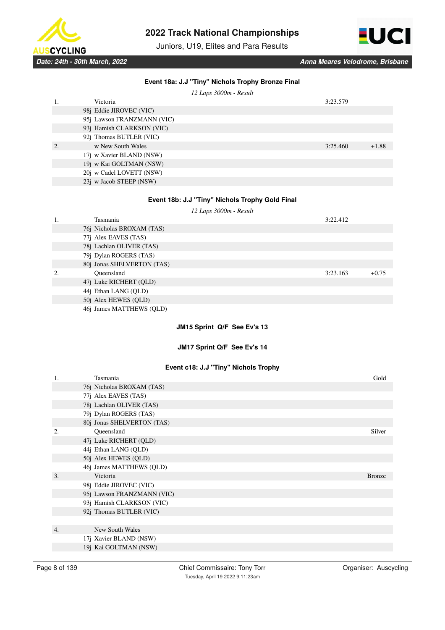

Juniors, U19, Elites and Para Results



|    |                            | Event 18a: J.J "Tiny" Nichols Trophy Bronze Final |          |               |
|----|----------------------------|---------------------------------------------------|----------|---------------|
|    |                            | 12 Laps 3000m - Result                            |          |               |
| 1. | Victoria                   |                                                   | 3:23.579 |               |
|    | 98j Eddie JIROVEC (VIC)    |                                                   |          |               |
|    | 95j Lawson FRANZMANN (VIC) |                                                   |          |               |
|    | 93j Hamish CLARKSON (VIC)  |                                                   |          |               |
|    | 92j Thomas BUTLER (VIC)    |                                                   |          |               |
| 2. | w New South Wales          |                                                   | 3:25.460 | $+1.88$       |
|    | 17j w Xavier BLAND (NSW)   |                                                   |          |               |
|    | 19j w Kai GOLTMAN (NSW)    |                                                   |          |               |
|    | 20j w Cadel LOVETT (NSW)   |                                                   |          |               |
|    | 23j w Jacob STEEP (NSW)    |                                                   |          |               |
|    |                            |                                                   |          |               |
|    |                            | Event 18b: J.J "Tiny" Nichols Trophy Gold Final   |          |               |
|    |                            | 12 Laps 3000m - Result                            |          |               |
| 1. | Tasmania                   |                                                   | 3:22.412 |               |
|    | 76j Nicholas BROXAM (TAS)  |                                                   |          |               |
|    |                            |                                                   |          |               |
|    | 77j Alex EAVES (TAS)       |                                                   |          |               |
|    | 78j Lachlan OLIVER (TAS)   |                                                   |          |               |
|    | 79j Dylan ROGERS (TAS)     |                                                   |          |               |
|    | 80j Jonas SHELVERTON (TAS) |                                                   |          |               |
| 2. | Queensland                 |                                                   | 3:23.163 | $+0.75$       |
|    | 47j Luke RICHERT (QLD)     |                                                   |          |               |
|    | 44j Ethan LANG (QLD)       |                                                   |          |               |
|    | 50j Alex HEWES (QLD)       |                                                   |          |               |
|    | 46j James MATTHEWS (QLD)   |                                                   |          |               |
|    |                            | JM15 Sprint Q/F See Ev's 13                       |          |               |
|    |                            |                                                   |          |               |
|    |                            | JM17 Sprint Q/F See Ev's 14                       |          |               |
|    |                            |                                                   |          |               |
|    |                            | Event c18: J.J "Tiny" Nichols Trophy              |          |               |
| 1. | Tasmania                   |                                                   |          | Gold          |
|    | 76j Nicholas BROXAM (TAS)  |                                                   |          |               |
|    | 77j Alex EAVES (TAS)       |                                                   |          |               |
|    | 78j Lachlan OLIVER (TAS)   |                                                   |          |               |
|    | 79j Dylan ROGERS (TAS)     |                                                   |          |               |
|    | 80j Jonas SHELVERTON (TAS) |                                                   |          |               |
| 2. | Queensland                 |                                                   |          | Silver        |
|    | 47j Luke RICHERT (QLD)     |                                                   |          |               |
|    | 44j Ethan LANG (QLD)       |                                                   |          |               |
|    | 50j Alex HEWES (QLD)       |                                                   |          |               |
|    | 46j James MATTHEWS (QLD)   |                                                   |          |               |
| 3. | Victoria                   |                                                   |          | <b>Bronze</b> |
|    | 98j Eddie JIROVEC (VIC)    |                                                   |          |               |
|    | 95j Lawson FRANZMANN (VIC) |                                                   |          |               |
|    | 93j Hamish CLARKSON (VIC)  |                                                   |          |               |
|    | 92j Thomas BUTLER (VIC)    |                                                   |          |               |
|    |                            |                                                   |          |               |
| 4. | New South Wales            |                                                   |          |               |
|    | 17j Xavier BLAND (NSW)     |                                                   |          |               |
|    |                            |                                                   |          |               |
|    | 19j Kai GOLTMAN (NSW)      |                                                   |          |               |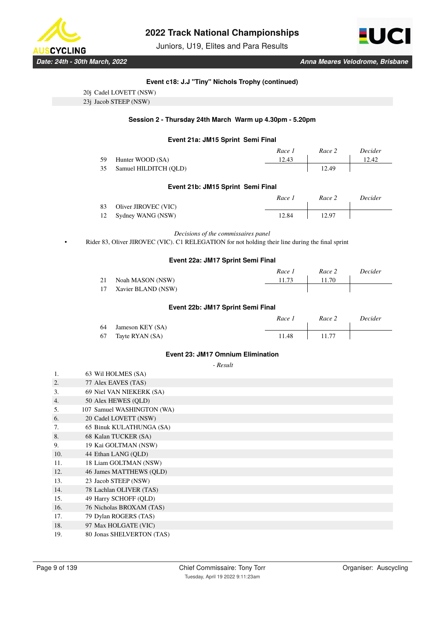

Juniors, U19, Elites and Para Results



### **Event c18: J.J "Tiny" Nichols Trophy (continued)**

| 20j Cadel LOVETT (NSW) |  |
|------------------------|--|
|                        |  |

23j Jacob STEEP (NSW)

### **Session 2 - Thursday 24th March Warm up 4.30pm - 5.20pm**

#### **Event 21a: JM15 Sprint Semi Final**

|    |                       | Race 1 | Race 2 | <i>Decider</i> |
|----|-----------------------|--------|--------|----------------|
| 59 | Hunter WOOD (SA)      | 12.43  |        | 12.42          |
| 35 | Samuel HILDITCH (OLD) |        | 12.49  |                |

### **Event 21b: JM15 Sprint Semi Final**

|                         | Race i | Race 2 | Decider |
|-------------------------|--------|--------|---------|
| 83 Oliver JIROVEC (VIC) |        |        |         |
| 12 Sydney WANG (NSW)    | 12.84  | 12.97  |         |

*Decisions of the commissaires panel*

• Rider 83, Oliver JIROVEC (VIC). C1 RELEGATION for not holding their line during the final sprint

#### **Event 22a: JM17 Sprint Semi Final**

|                    | Race . | Race 2 | Decider |
|--------------------|--------|--------|---------|
| Noah MASON (NSW)   | 11.73  | 11.70  |         |
| Xavier BLAND (NSW) |        |        |         |

### **Event 22b: JM17 Sprint Semi Final**

|    |                  | Race 1 | Race 2 | Decider |
|----|------------------|--------|--------|---------|
| 64 | Jameson KEY (SA) |        |        |         |
| 67 | Tayte RYAN (SA)  | 11.48  | 11.77  |         |

#### **Event 23: JM17 Omnium Elimination**

 *- Result*

| 1.  | 63 Wil HOLMES (SA)         |
|-----|----------------------------|
| 2.  | 77 Alex EAVES (TAS)        |
| 3.  | 69 Niel VAN NIEKERK (SA)   |
| 4.  | 50 Alex HEWES (QLD)        |
| 5.  | 107 Samuel WASHINGTON (WA) |
| 6.  | 20 Cadel LOVETT (NSW)      |
| 7.  | 65 Binuk KULATHUNGA (SA)   |
| 8.  | 68 Kalan TUCKER (SA)       |
| 9.  | 19 Kai GOLTMAN (NSW)       |
| 10. | 44 Ethan LANG (QLD)        |
| 11. | 18 Liam GOLTMAN (NSW)      |
| 12. | 46 James MATTHEWS (QLD)    |
| 13. | 23 Jacob STEEP (NSW)       |
| 14. | 78 Lachlan OLIVER (TAS)    |
| 15. | 49 Harry SCHOFF (QLD)      |
| 16. | 76 Nicholas BROXAM (TAS)   |
| 17. | 79 Dylan ROGERS (TAS)      |
| 18. | 97 Max HOLGATE (VIC)       |
| 19. | 80 Jonas SHELVERTON (TAS)  |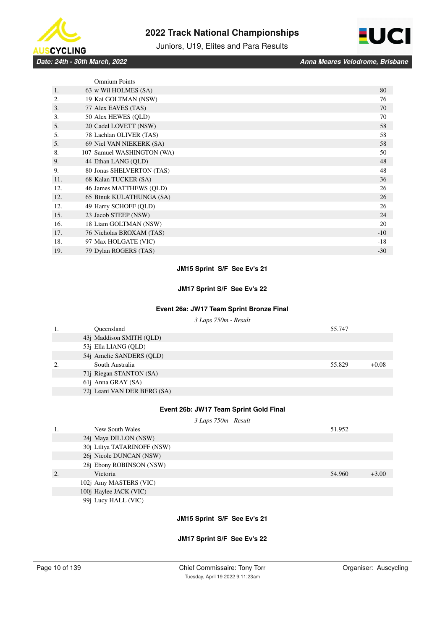



Juniors, U19, Elites and Para Results

*Date: 24th - 30th March, 2022 Anna Meares Velodrome, Brisbane*

| <b>Omnium Points</b>             |       |
|----------------------------------|-------|
| 63 w Wil HOLMES (SA)<br>1.       | 80    |
| 19 Kai GOLTMAN (NSW)<br>2.       | 76    |
| 3.<br>77 Alex EAVES (TAS)        | 70    |
| 3.<br>50 Alex HEWES (QLD)        | 70    |
| 20 Cadel LOVETT (NSW)<br>5.      | 58    |
| 78 Lachlan OLIVER (TAS)<br>5.    | 58    |
| 5.<br>69 Niel VAN NIEKERK (SA)   | 58    |
| 8.<br>107 Samuel WASHINGTON (WA) | 50    |
| 44 Ethan LANG (QLD)<br>9.        | 48    |
| 80 Jonas SHELVERTON (TAS)<br>9.  | 48    |
| 11.<br>68 Kalan TUCKER (SA)      | 36    |
| 46 James MATTHEWS (QLD)<br>12.   | 26    |
| 12.<br>65 Binuk KULATHUNGA (SA)  | 26    |
| 49 Harry SCHOFF (QLD)<br>12.     | 26    |
| 15.<br>23 Jacob STEEP (NSW)      | 24    |
| 18 Liam GOLTMAN (NSW)<br>16.     | 20    |
| 17.<br>76 Nicholas BROXAM (TAS)  | $-10$ |
| 18.<br>97 Max HOLGATE (VIC)      | $-18$ |
| 79 Dylan ROGERS (TAS)<br>19.     | $-30$ |

### **JM15 Sprint S/F See Ev's 21**

### **JM17 Sprint S/F See Ev's 22**

# **Event 26a: JW17 Team Sprint Bronze Final**

*3 Laps 750m - Result*

|    | Oueensland                  | 55.747 |         |
|----|-----------------------------|--------|---------|
|    | 43j Maddison SMITH (QLD)    |        |         |
|    | 53j Ella LIANG (QLD)        |        |         |
|    | 54j Amelie SANDERS (QLD)    |        |         |
| 2. | South Australia             | 55.829 | $+0.08$ |
|    | 71j Riegan STANTON (SA)     |        |         |
|    | 61 <i>j</i> Anna GRAY (SA)  |        |         |
|    | 72j Leani VAN DER BERG (SA) |        |         |

#### **Event 26b: JW17 Team Sprint Gold Final**

*3 Laps 750m - Result*

| 1. | New South Wales               | 51.952 |         |
|----|-------------------------------|--------|---------|
|    | 24 <i>j</i> Maya DILLON (NSW) |        |         |
|    | 30j Liliya TATARINOFF (NSW)   |        |         |
|    | 26j Nicole DUNCAN (NSW)       |        |         |
|    | 28j Ebony ROBINSON (NSW)      |        |         |
| 2. | Victoria                      | 54.960 | $+3.00$ |
|    | 102j Amy MASTERS (VIC)        |        |         |
|    | 100j Haylee JACK (VIC)        |        |         |
|    | 99i Lucy HALL (VIC)           |        |         |

# **JM15 Sprint S/F See Ev's 21**

### **JM17 Sprint S/F See Ev's 22**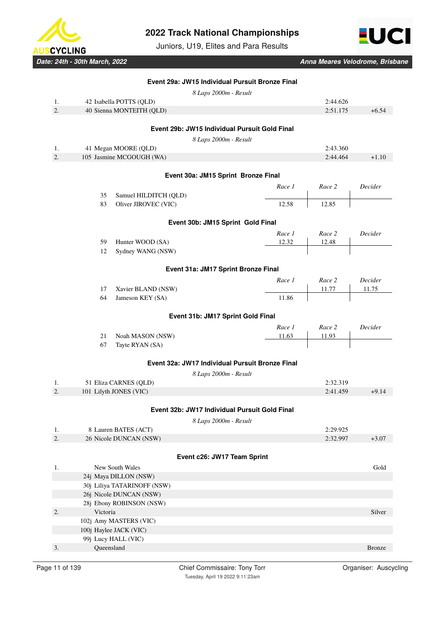

Juniors, U19, Elites and Para Results



*Date: 24th - 30th March, 2022 Anna Meares Velodrome, Brisbane*

|    | Event 29a: JW15 Individual Pursuit Bronze Final |        |          |               |
|----|-------------------------------------------------|--------|----------|---------------|
|    | 8 Laps 2000m - Result                           |        |          |               |
| 1. | 42 Isabella POTTS (QLD)                         |        | 2:44.626 |               |
| 2. | 40 Sienna MONTEITH (QLD)                        |        | 2:51.175 | $+6.54$       |
|    | Event 29b: JW15 Individual Pursuit Gold Final   |        |          |               |
|    |                                                 |        |          |               |
| 1. | 8 Laps 2000m - Result<br>41 Megan MOORE (QLD)   |        | 2:43.360 |               |
| 2. | 105 Jasmine MCGOUGH (WA)                        |        | 2:44.464 | $+1.10$       |
|    |                                                 |        |          |               |
|    | Event 30a: JM15 Sprint Bronze Final             |        |          |               |
|    |                                                 | Race 1 | Race 2   | Decider       |
|    | 35<br>Samuel HILDITCH (QLD)                     |        |          |               |
|    | 83<br>Oliver JIROVEC (VIC)                      | 12.58  | 12.85    |               |
|    | Event 30b: JM15 Sprint Gold Final               |        |          |               |
|    |                                                 | Race 1 | Race 2   | Decider       |
|    | 59<br>Hunter WOOD (SA)                          | 12.32  | 12.48    |               |
|    | Sydney WANG (NSW)<br>12                         |        |          |               |
|    |                                                 |        |          |               |
|    | Event 31a: JM17 Sprint Bronze Final             |        |          |               |
|    |                                                 | Race 1 | Race 2   | Decider       |
|    | 17<br>Xavier BLAND (NSW)                        |        | 11.77    | 11.75         |
|    | 64<br>Jameson KEY (SA)                          | 11.86  |          |               |
|    | Event 31b: JM17 Sprint Gold Final               |        |          |               |
|    |                                                 | Race 1 | Race 2   | Decider       |
|    | 21<br>Noah MASON (NSW)                          | 11.63  | 11.93    |               |
|    | 67<br>Tayte RYAN (SA)                           |        |          |               |
|    | Event 32a: JW17 Individual Pursuit Bronze Final |        |          |               |
|    | 8 Laps 2000m - Result                           |        |          |               |
| 1. | 51 Eliza CARNES (QLD)                           |        | 2:32.319 |               |
| 2. | 101 Lilyth JONES (VIC)                          |        | 2:41.459 | $+9.14$       |
|    |                                                 |        |          |               |
|    | Event 32b: JW17 Individual Pursuit Gold Final   |        |          |               |
|    | 8 Laps 2000m - Result                           |        |          |               |
| 1. | 8 Lauren BATES (ACT)                            |        | 2:29.925 |               |
| 2. | 26 Nicole DUNCAN (NSW)                          |        | 2:32.997 | $+3.07$       |
|    | Event c26: JW17 Team Sprint                     |        |          |               |
| 1. | New South Wales                                 |        |          | Gold          |
|    | 24j Maya DILLON (NSW)                           |        |          |               |
|    | 30j Liliya TATARINOFF (NSW)                     |        |          |               |
|    | 26j Nicole DUNCAN (NSW)                         |        |          |               |
|    | 28j Ebony ROBINSON (NSW)                        |        |          |               |
| 2. | Victoria                                        |        |          | Silver        |
|    | 102j Amy MASTERS (VIC)                          |        |          |               |
|    | 100j Haylee JACK (VIC)                          |        |          |               |
|    | 99j Lucy HALL (VIC)                             |        |          |               |
| 3. | Queensland                                      |        |          | <b>Bronze</b> |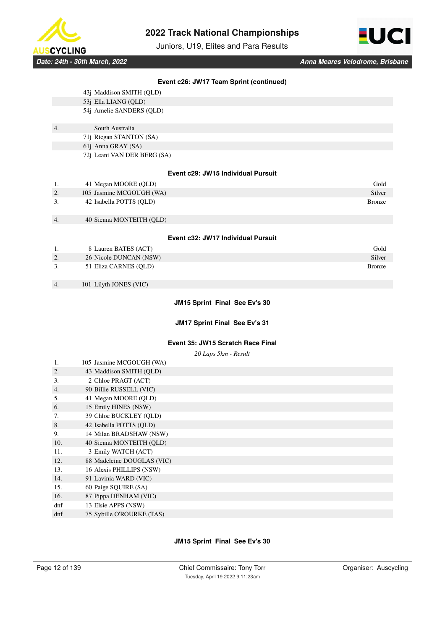

Juniors, U19, Elites and Para Results



|--|

- 53j Ella LIANG (QLD)
- 54j Amelie SANDERS (QLD)
- 4. South Australia
	- 71j Riegan STANTON (SA)
	- 61j Anna GRAY (SA)
		- 72j Leani VAN DER BERG (SA)

#### **Event c29: JW15 Individual Pursuit**

| -1.              | 41 Megan MOORE (QLD)     | Gold          |
|------------------|--------------------------|---------------|
| $\overline{2}$ . | 105 Jasmine MCGOUGH (WA) | Silver        |
| 3.               | 42 Isabella POTTS (OLD)  | <b>Bronze</b> |
|                  |                          |               |

4. 40 Sienna MONTEITH (QLD)

#### **Event c32: JW17 Individual Pursuit**

| -1. | 8 Lauren BATES (ACT)   | Gold   |
|-----|------------------------|--------|
| 2.  | 26 Nicole DUNCAN (NSW) | Silver |
|     | 51 Eliza CARNES (OLD)  | Bronze |

4. 101 Lilyth JONES (VIC)

### **JM15 Sprint Final See Ev's 30**

### **JM17 Sprint Final See Ev's 31**

### **Event 35: JW15 Scratch Race Final**

*20 Laps 5km - Result*

| 1.  | 105 Jasmine MCGOUGH (WA)   |
|-----|----------------------------|
| 2.  | 43 Maddison SMITH (OLD)    |
| 3.  | 2 Chloe PRAGT (ACT)        |
| 4.  | 90 Billie RUSSELL (VIC)    |
| 5.  | 41 Megan MOORE (QLD)       |
| 6.  | 15 Emily HINES (NSW)       |
| 7.  | 39 Chloe BUCKLEY (QLD)     |
| 8.  | 42 Isabella POTTS (OLD)    |
| 9.  | 14 Milan BRADSHAW (NSW)    |
| 10. | 40 Sienna MONTEITH (OLD)   |
| 11. | 3 Emily WATCH (ACT)        |
| 12. | 88 Madeleine DOUGLAS (VIC) |
| 13. | 16 Alexis PHILLIPS (NSW)   |
| 14. | 91 Lavinia WARD (VIC)      |
| 15. | 60 Paige SQUIRE (SA)       |
| 16. | 87 Pippa DENHAM (VIC)      |
| dnf | 13 Elsie APPS (NSW)        |
| dnf | 75 Sybille O'ROURKE (TAS)  |

### **JM15 Sprint Final See Ev's 30**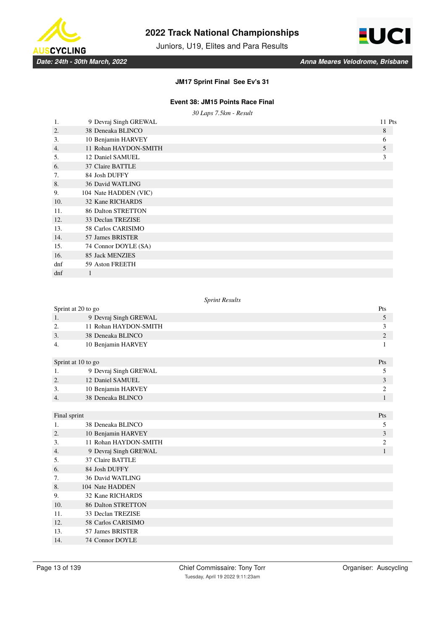

Juniors, U19, Elites and Para Results



### **JM17 Sprint Final See Ev's 31**

# **Event 38: JM15 Points Race Final**

*30 Laps 7.5km - Result*

| 1.               | 9 Devraj Singh GREWAL     | 11 Pts |
|------------------|---------------------------|--------|
| 2.               | 38 Deneaka BLINCO         | 8      |
| 3.               | 10 Benjamin HARVEY        | 6      |
| $\overline{4}$ . | 11 Rohan HAYDON-SMITH     | 5      |
| 5.               | 12 Daniel SAMUEL          | 3      |
| 6.               | 37 Claire BATTLE          |        |
| 7.               | 84 Josh DUFFY             |        |
| 8.               | 36 David WATLING          |        |
| 9.               | 104 Nate HADDEN (VIC)     |        |
| 10.              | 32 Kane RICHARDS          |        |
| 11.              | <b>86 Dalton STRETTON</b> |        |
| 12.              | 33 Declan TREZISE         |        |
| 13.              | 58 Carlos CARISIMO        |        |
| 14.              | 57 James BRISTER          |        |
| 15.              | 74 Connor DOYLE (SA)      |        |
| 16.              | 85 Jack MENZIES           |        |
| dnf              | 59 Aston FREETH           |        |
| dnf              |                           |        |

#### *Sprint Results*

| Sprint at 20 to go |                           | Pts            |
|--------------------|---------------------------|----------------|
| 1.                 | 9 Devraj Singh GREWAL     | 5              |
| 2.                 | 11 Rohan HAYDON-SMITH     | 3              |
| 3.                 | 38 Deneaka BLINCO         | $\mathfrak{2}$ |
| 4.                 | 10 Benjamin HARVEY        | 1              |
| Sprint at 10 to go |                           | Pts            |
| 1.                 | 9 Devraj Singh GREWAL     | 5              |
| 2.                 | 12 Daniel SAMUEL          | 3              |
| 3.                 | 10 Benjamin HARVEY        | $\overline{c}$ |
| $\overline{4}$ .   | 38 Deneaka BLINCO         | $\mathbf{1}$   |
|                    |                           |                |
| Final sprint       |                           | Pts            |
| 1.                 | 38 Deneaka BLINCO         | 5              |
| 2.                 | 10 Benjamin HARVEY        | 3              |
| 3.                 | 11 Rohan HAYDON-SMITH     | $\overline{c}$ |
| 4.                 | 9 Devraj Singh GREWAL     | $\mathbf{1}$   |
| 5.                 | 37 Claire BATTLE          |                |
| 6.                 | 84 Josh DUFFY             |                |
| 7.                 | <b>36 David WATLING</b>   |                |
| 8.                 | 104 Nate HADDEN           |                |
| 9.                 | 32 Kane RICHARDS          |                |
| 10.                | <b>86 Dalton STRETTON</b> |                |
| 11.                | 33 Declan TREZISE         |                |
| 12.                | 58 Carlos CARISIMO        |                |
| 13.                | 57 James BRISTER          |                |
| 14.                | 74 Connor DOYLE           |                |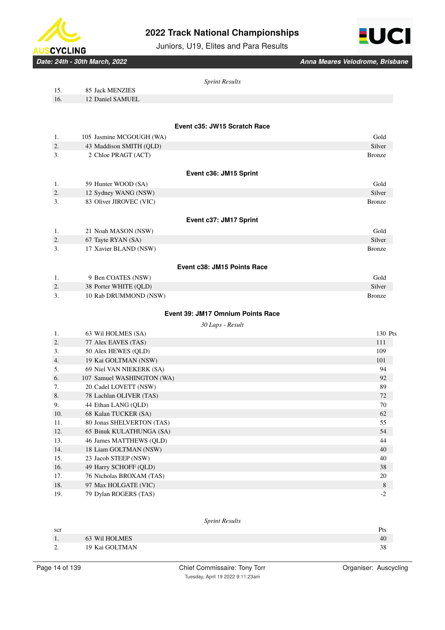

Juniors, U19, Elites and Para Results



*Date: 24th - 30th March, 2022 Anna Meares Velodrome, Brisbane*

|          | <b>Sprint Results</b>             |                         |  |  |  |
|----------|-----------------------------------|-------------------------|--|--|--|
| 15.      | 85 Jack MENZIES                   |                         |  |  |  |
| 16.      | 12 Daniel SAMUEL                  |                         |  |  |  |
|          |                                   |                         |  |  |  |
|          | Event c35: JW15 Scratch Race      |                         |  |  |  |
| 1.       | 105 Jasmine MCGOUGH (WA)          | Gold<br>Silver          |  |  |  |
| 2.<br>3. | 43 Maddison SMITH (QLD)           | <b>Bronze</b>           |  |  |  |
|          | 2 Chloe PRAGT (ACT)               |                         |  |  |  |
|          | Event c36: JM15 Sprint            |                         |  |  |  |
|          |                                   |                         |  |  |  |
| 1.       | 59 Hunter WOOD (SA)               | Gold                    |  |  |  |
| 2.<br>3. | 12 Sydney WANG (NSW)              | Silver<br><b>Bronze</b> |  |  |  |
|          | 83 Oliver JIROVEC (VIC)           |                         |  |  |  |
|          | Event c37: JM17 Sprint            |                         |  |  |  |
| 1.       | 21 Noah MASON (NSW)               | Gold                    |  |  |  |
| 2.       | 67 Tayte RYAN (SA)                | Silver                  |  |  |  |
| 3.       | 17 Xavier BLAND (NSW)             | <b>Bronze</b>           |  |  |  |
|          | Event c38: JM15 Points Race       |                         |  |  |  |
| 1.       | 9 Ben COATES (NSW)                | Gold                    |  |  |  |
| 2.       | 38 Porter WHITE (QLD)             | Silver                  |  |  |  |
| 3.       | 10 Rab DRUMMOND (NSW)             | <b>Bronze</b>           |  |  |  |
|          | Event 39: JM17 Omnium Points Race |                         |  |  |  |
|          | 30 Laps - Result                  |                         |  |  |  |
| 1.       | 63 Wil HOLMES (SA)                | 130 Pts                 |  |  |  |
| 2.       | 77 Alex EAVES (TAS)               | 111                     |  |  |  |
| 3.       | 50 Alex HEWES (QLD)               | 109                     |  |  |  |
| 4.       | 19 Kai GOLTMAN (NSW)              | 101                     |  |  |  |
| 5.       | 69 Niel VAN NIEKERK (SA)          | 94                      |  |  |  |
| 6.       | 107 Samuel WASHINGTON (WA)        | 92                      |  |  |  |
| 7.       | 20 Cadel LOVETT (NSW)             | 89                      |  |  |  |
| 8.       | 78 Lachlan OLIVER (TAS)           | 72                      |  |  |  |
| 9.       | 44 Ethan LANG (QLD)               | 70                      |  |  |  |
| 10.      | 68 Kalan TUCKER (SA)              | 62                      |  |  |  |
| 11.      | 80 Jonas SHELVERTON (TAS)         | 55                      |  |  |  |
| 12.      | 65 Binuk KULATHUNGA (SA)          | 54                      |  |  |  |
| 13.      | 46 James MATTHEWS (QLD)           | 44                      |  |  |  |
| 14.      | 18 Liam GOLTMAN (NSW)             | 40                      |  |  |  |
| 15.      | 23 Jacob STEEP (NSW)              | 40                      |  |  |  |
| 16.      | 49 Harry SCHOFF (QLD)             | 38<br>20                |  |  |  |
| 17.      | 76 Nicholas BROXAM (TAS)          |                         |  |  |  |

#### *Sprint Results*

18. 97 Max HOLGATE (VIC) 8 19. 79 Dylan ROGERS (TAS) <sup>-2</sup>

| scr      |                | Pts |
|----------|----------------|-----|
|          | 63 Wil HOLMES  | 40  |
| <u>.</u> | 19 Kai GOLTMAN | 38  |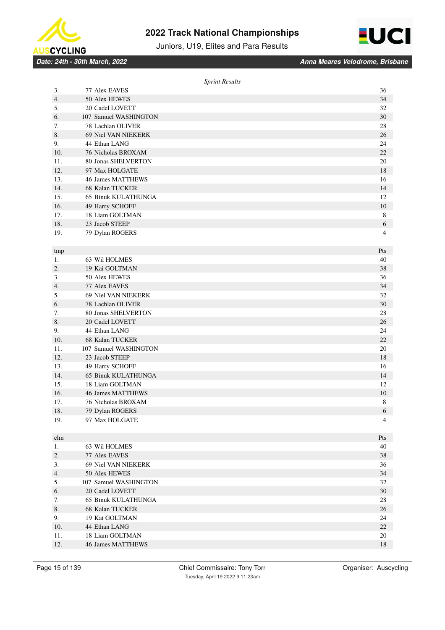



Juniors, U19, Elites and Para Results

*Date: 24th - 30th March, 2022 Anna Meares Velodrome, Brisbane*

|     | <b>Sprint Results</b>      |     |
|-----|----------------------------|-----|
| 3.  | 77 Alex EAVES              | 36  |
| 4.  | 50 Alex HEWES              | 34  |
| 5.  | 20 Cadel LOVETT            | 32  |
| 6.  | 107 Samuel WASHINGTON      | 30  |
| 7.  | 78 Lachlan OLIVER          | 28  |
| 8.  | 69 Niel VAN NIEKERK        | 26  |
| 9.  | 44 Ethan LANG              | 24  |
| 10. | 76 Nicholas BROXAM         | 22  |
| 11. | 80 Jonas SHELVERTON        | 20  |
| 12. | 97 Max HOLGATE             | 18  |
| 13. | <b>46 James MATTHEWS</b>   | 16  |
| 14. | 68 Kalan TUCKER            | 14  |
| 15. | 65 Binuk KULATHUNGA        | 12  |
| 16. | 49 Harry SCHOFF            | 10  |
| 17. | 18 Liam GOLTMAN            | 8   |
| 18. | 23 Jacob STEEP             | 6   |
| 19. | 79 Dylan ROGERS            | 4   |
|     |                            |     |
| tmp |                            | Pts |
| 1.  | 63 Wil HOLMES              | 40  |
| 2.  | 19 Kai GOLTMAN             | 38  |
| 3.  | 50 Alex HEWES              | 36  |
| 4.  | 77 Alex EAVES              | 34  |
| 5.  | 69 Niel VAN NIEKERK        | 32  |
| 6.  | 78 Lachlan OLIVER          | 30  |
| 7.  | 80 Jonas SHELVERTON        | 28  |
| 8.  | 20 Cadel LOVETT            | 26  |
| 9.  | 44 Ethan LANG              | 24  |
| 10. | <b>68 Kalan TUCKER</b>     | 22  |
| 11. | 107 Samuel WASHINGTON      | 20  |
| 12. | 23 Jacob STEEP             | 18  |
| 13. | 49 Harry SCHOFF            | 16  |
| 14. | <b>65 Binuk KULATHUNGA</b> | 14  |
| 15. | 18 Liam GOLTMAN            | 12  |
| 16. | 46 James MATTHEWS          | 10  |
| 17. | 76 Nicholas BROXAM         | 8   |
| 18. | 79 Dylan ROGERS            | 6   |
| 19. | 97 Max HOLGATE             | 4   |
|     |                            |     |
| elm |                            | Pts |
| 1.  | 63 Wil HOLMES              | 40  |
| 2.  | 77 Alex EAVES              | 38  |
| 3.  | 69 Niel VAN NIEKERK        | 36  |
| 4.  | 50 Alex HEWES              | 34  |
| 5.  | 107 Samuel WASHINGTON      | 32  |
| 6.  | 20 Cadel LOVETT            | 30  |
| 7.  | <b>65 Binuk KULATHUNGA</b> | 28  |
| 8.  | 68 Kalan TUCKER            | 26  |
| 9.  | 19 Kai GOLTMAN             | 24  |
| 10. | 44 Ethan LANG              | 22  |
| 11. | 18 Liam GOLTMAN            | 20  |
| 12. | 46 James MATTHEWS          | 18  |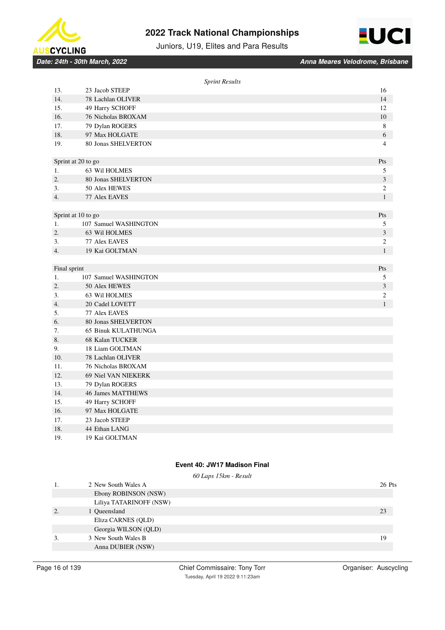



Juniors, U19, Elites and Para Results

*Date: 24th - 30th March, 2022 Anna Meares Velodrome, Brisbane*

|                  |                            | <b>Sprint Results</b> |
|------------------|----------------------------|-----------------------|
| 13.              | 23 Jacob STEEP             | 16                    |
| 14.              | 78 Lachlan OLIVER          | 14                    |
| 15.              | 49 Harry SCHOFF            | 12                    |
| 16.              | 76 Nicholas BROXAM         | 10                    |
| 17.              | 79 Dylan ROGERS            | 8                     |
| 18.              | 97 Max HOLGATE             | 6                     |
| 19.              | 80 Jonas SHELVERTON        | 4                     |
|                  | Sprint at 20 to go         | Pts                   |
| 1.               | 63 Wil HOLMES              | $\mathfrak s$         |
| $\overline{2}$ . | 80 Jonas SHELVERTON        | 3                     |
| 3.               | 50 Alex HEWES              | $\mathfrak{2}$        |
| 4.               | 77 Alex EAVES              | $\mathbf{1}$          |
|                  |                            |                       |
|                  | Sprint at 10 to go         | Pts                   |
| 1.               | 107 Samuel WASHINGTON      | $\mathfrak s$         |
| $\overline{2}$ . | 63 Wil HOLMES              | 3                     |
| 3.               | 77 Alex EAVES              | $\sqrt{2}$            |
| 4.               | 19 Kai GOLTMAN             | $\mathbf{1}$          |
|                  |                            |                       |
| Final sprint     |                            | Pts                   |
| 1.               | 107 Samuel WASHINGTON      | 5                     |
| 2.               | 50 Alex HEWES              | 3                     |
| 3.               | 63 Wil HOLMES              | $\mathfrak{2}$        |
| 4.               | 20 Cadel LOVETT            | $\mathbf{1}$          |
| 5.               | 77 Alex EAVES              |                       |
| 6.               | 80 Jonas SHELVERTON        |                       |
| 7.               | <b>65 Binuk KULATHUNGA</b> |                       |
| 8.               | 68 Kalan TUCKER            |                       |
| 9.               | 18 Liam GOLTMAN            |                       |
| 10.              | 78 Lachlan OLIVER          |                       |
| 11.              | 76 Nicholas BROXAM         |                       |
| 12.              | 69 Niel VAN NIEKERK        |                       |
| 13.              | 79 Dylan ROGERS            |                       |
| 14.              | 46 James MATTHEWS          |                       |
| 15.              | 49 Harry SCHOFF            |                       |
| 16.              | 97 Max HOLGATE             |                       |
| 17.              | 23 Jacob STEEP             |                       |
| 18.              | 44 Ethan LANG              |                       |
| 19.              | 19 Kai GOLTMAN             |                       |

# **Event 40: JW17 Madison Final**

|    |                         | 60 Laps 15km - Result |        |
|----|-------------------------|-----------------------|--------|
|    | 2 New South Wales A     |                       | 26 Pts |
|    | Ebony ROBINSON (NSW)    |                       |        |
|    | Liliya TATARINOFF (NSW) |                       |        |
| 2. | 1 Oueensland            |                       | 23     |
|    | Eliza CARNES (QLD)      |                       |        |
|    | Georgia WILSON (QLD)    |                       |        |
| 3. | 3 New South Wales B     |                       | 19     |
|    | Anna DUBIER (NSW)       |                       |        |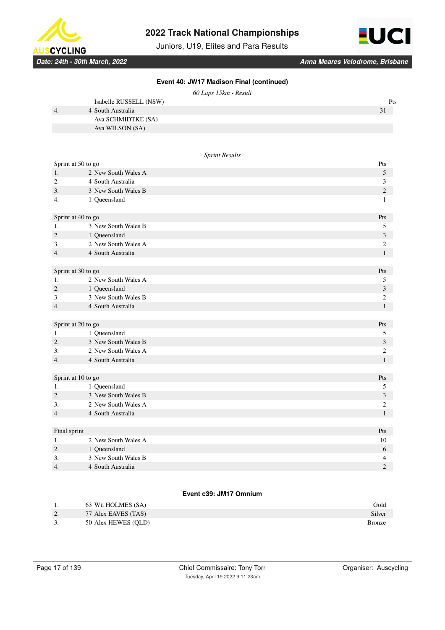

Juniors, U19, Elites and Para Results



*Date: 24th - 30th March, 2022 Anna Meares Velodrome, Brisbane*

|  |  | Event 40: JW17 Madison Final (continued) |
|--|--|------------------------------------------|
|  |  |                                          |

|    | Isabelle RUSSELL (NSW) | Pts   |
|----|------------------------|-------|
| 4. | 4 South Australia      | $-31$ |
|    | Ava SCHMIDTKE (SA)     |       |
|    | Ava WILSON (SA)        |       |

#### *Sprint Results*

| Sprint at 50 to go |                                          | Pts                 |
|--------------------|------------------------------------------|---------------------|
| 1.                 | 2 New South Wales A                      | 5                   |
| 2.                 | 4 South Australia                        | 3                   |
| 3.                 | 3 New South Wales B                      | $\sqrt{2}$          |
| 4.                 | 1 Queensland                             | $\mathbf{1}$        |
| Sprint at 40 to go |                                          | Pts                 |
| 1.                 | 3 New South Wales B                      | 5                   |
| 2.                 | 1 Queensland                             | 3                   |
| 3.                 | 2 New South Wales A                      | $\mathfrak{2}$      |
| 4.                 | 4 South Australia                        | $\mathbf{1}$        |
|                    |                                          |                     |
| Sprint at 30 to go |                                          | Pts                 |
| 1.                 | 2 New South Wales A                      | 5                   |
| 2.                 | 1 Queensland                             | 3                   |
| 3.                 | 3 New South Wales B                      | 2                   |
| 4.                 | 4 South Australia                        | $\mathbf{1}$        |
|                    |                                          |                     |
| Sprint at 20 to go |                                          | Pts                 |
| 1.                 | 1 Queensland                             | 5                   |
| 2.                 | 3 New South Wales B                      | 3                   |
| 3.                 | 2 New South Wales A                      | 2                   |
| 4.                 | 4 South Australia                        | $\mathbf{1}$        |
|                    |                                          |                     |
| Sprint at 10 to go |                                          | Pts                 |
| 1.                 | 1 Queensland                             | 5                   |
| 2.                 | 3 New South Wales B                      | 3                   |
| 3.                 | 2 New South Wales A                      | 2                   |
| 4.                 | 4 South Australia                        | $\mathbf{1}$        |
|                    |                                          |                     |
| Final sprint       |                                          | Pts                 |
| 1.                 | 2 New South Wales A                      | 10                  |
| 2.                 | 1 Queensland                             | 6                   |
| 3.                 |                                          |                     |
| 4.                 | 3 New South Wales B<br>4 South Australia | 4<br>$\overline{c}$ |

#### **Event c39: JM17 Omnium**

|    | 63 Wil HOLMES (SA)  | Gold   |
|----|---------------------|--------|
| 2. | 77 Alex EAVES (TAS) | Silver |
| 3. | 50 Alex HEWES (OLD) | Bronze |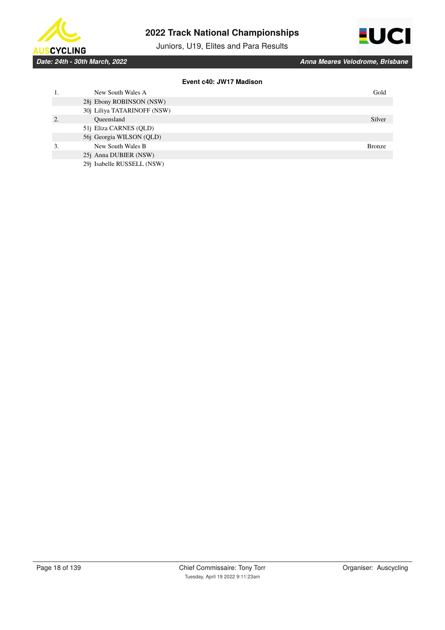

Juniors, U19, Elites and Para Results



**Event c40: JW17 Madison**

| Gold          |
|---------------|
|               |
|               |
|               |
| Silver        |
|               |
|               |
| <b>Bronze</b> |
|               |
|               |
|               |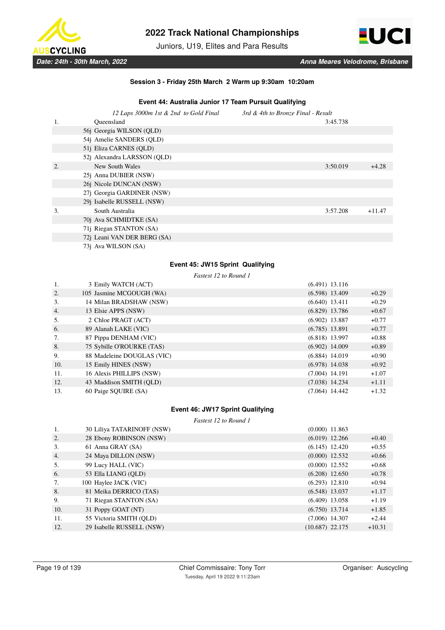

Juniors, U19, Elites and Para Results



### **Session 3 - Friday 25th March 2 Warm up 9:30am 10:20am**

### **Event 44: Australia Junior 17 Team Pursuit Qualifying**

|    | 12 Laps 3000m 1st & 2nd to Gold Final | 3rd & 4th to Bronze Final - Result |          |
|----|---------------------------------------|------------------------------------|----------|
| 1. | Oueensland                            | 3:45.738                           |          |
|    | 56j Georgia WILSON (QLD)              |                                    |          |
|    | 54j Amelie SANDERS (QLD)              |                                    |          |
|    | 51j Eliza CARNES (QLD)                |                                    |          |
|    | 52j Alexandra LARSSON (QLD)           |                                    |          |
| 2. | New South Wales                       | 3:50.019                           | $+4.28$  |
|    | 25 <i>j</i> Anna DUBIER (NSW)         |                                    |          |
|    | 26j Nicole DUNCAN (NSW)               |                                    |          |
|    | 27j Georgia GARDINER (NSW)            |                                    |          |
|    | 29j Isabelle RUSSELL (NSW)            |                                    |          |
| 3. | South Australia                       | 3:57.208                           | $+11.47$ |
|    | 70j Ava SCHMIDTKE (SA)                |                                    |          |
|    | 71j Riegan STANTON (SA)               |                                    |          |
|    | 72j Leani VAN DER BERG (SA)           |                                    |          |
|    | 73j Ava WILSON (SA)                   |                                    |          |

### **Event 45: JW15 Sprint Qualifying**

*Fastest 12 to Round 1*

| 1.  | 3 Emily WATCH (ACT)        | $(6.491)$ 13.116 |         |
|-----|----------------------------|------------------|---------|
| 2.  | 105 Jasmine MCGOUGH (WA)   | $(6.598)$ 13.409 | $+0.29$ |
| 3.  | 14 Milan BRADSHAW (NSW)    | $(6.640)$ 13.411 | $+0.29$ |
| 4.  | 13 Elsie APPS (NSW)        | $(6.829)$ 13.786 | $+0.67$ |
| 5.  | 2 Chloe PRAGT (ACT)        | $(6.902)$ 13.887 | $+0.77$ |
| 6.  | 89 Alanah LAKE (VIC)       | $(6.785)$ 13.891 | $+0.77$ |
| 7.  | 87 Pippa DENHAM (VIC)      | $(6.818)$ 13.997 | $+0.88$ |
| 8.  | 75 Sybille O'ROURKE (TAS)  | $(6.902)$ 14.009 | $+0.89$ |
| 9.  | 88 Madeleine DOUGLAS (VIC) | $(6.884)$ 14.019 | $+0.90$ |
| 10. | 15 Emily HINES (NSW)       | $(6.978)$ 14.038 | $+0.92$ |
| 11. | 16 Alexis PHILLIPS (NSW)   | $(7.004)$ 14.191 | $+1.07$ |
| 12. | 43 Maddison SMITH (OLD)    | $(7.038)$ 14.234 | $+1.11$ |
| 13. | 60 Paige SOUIRE (SA)       | $(7.064)$ 14.442 | $+1.32$ |

### **Event 46: JW17 Sprint Qualifying**

*Fastest 12 to Round 1*

| 1.  | 30 Liliya TATARINOFF (NSW) | $(0.000)$ 11.863  |          |
|-----|----------------------------|-------------------|----------|
| 2.  | 28 Ebony ROBINSON (NSW)    | $(6.019)$ 12.266  | $+0.40$  |
| 3.  | 61 Anna GRAY (SA)          | $(6.145)$ 12.420  | $+0.55$  |
| 4.  | 24 Maya DILLON (NSW)       | $(0.000)$ 12.532  | $+0.66$  |
| 5.  | 99 Lucy HALL (VIC)         | $(0.000)$ 12.552  | $+0.68$  |
| 6.  | 53 Ella LIANG (QLD)        | $(6.208)$ 12.650  | $+0.78$  |
| 7.  | 100 Haylee JACK (VIC)      | $(6.293)$ 12.810  | $+0.94$  |
| 8.  | 81 Meika DERRICO (TAS)     | $(6.548)$ 13.037  | $+1.17$  |
| 9.  | 71 Riegan STANTON (SA)     | $(6.409)$ 13.058  | $+1.19$  |
| 10. | 31 Poppy GOAT (NT)         | $(6.750)$ 13.714  | $+1.85$  |
| 11. | 55 Victoria SMITH (OLD)    | $(7.006)$ 14.307  | $+2.44$  |
| 12. | 29 Isabelle RUSSELL (NSW)  | $(10.687)$ 22.175 | $+10.31$ |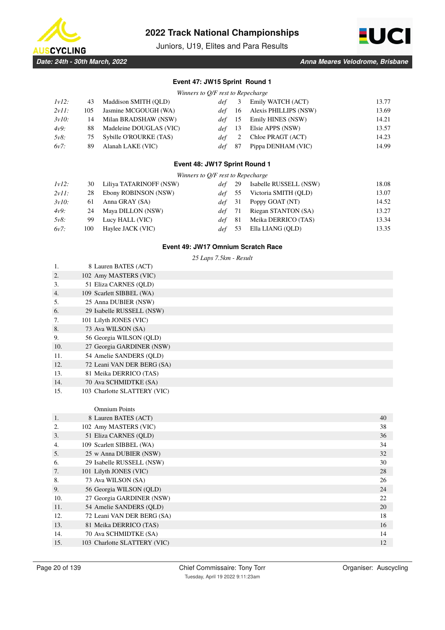

Juniors, U19, Elites and Para Results



# **Event 47: JW15 Sprint Round 1**

| Winners to Q/F rest to Repecharge |  |  |  |  |  |  |
|-----------------------------------|--|--|--|--|--|--|
|-----------------------------------|--|--|--|--|--|--|

| $1v12$ : | 43  | Maddison SMITH (OLD)    | def -      | 3   | Emily WATCH (ACT)     | 13.77 |
|----------|-----|-------------------------|------------|-----|-----------------------|-------|
| $2v11$ : | 105 | Jasmine MCGOUGH (WA)    | def 16     |     | Alexis PHILLIPS (NSW) | 13.69 |
| $3v10$ : | 14  | Milan BRADSHAW (NSW)    | $def = 15$ |     | Emily HINES (NSW)     | 14.21 |
| 4v9:     | 88  | Madeleine DOUGLAS (VIC) | $def = 13$ |     | Elsie APPS (NSW)      | 13.57 |
| $5v8$ :  | 75  | Sybille O'ROURKE (TAS)  | def        | 2   | Chloe PRAGT (ACT)     | 14.23 |
| 6v7:     | 89  | Alanah LAKE (VIC)       | def -      | -87 | Pippa DENHAM (VIC)    | 14.99 |
|          |     |                         |            |     |                       |       |

### **Event 48: JW17 Sprint Round 1**

| Winners to Q/F rest to Repecharge |      |                         |                  |     |                        |       |
|-----------------------------------|------|-------------------------|------------------|-----|------------------------|-------|
| $1v12$ :                          | 30   | Liliya TATARINOFF (NSW) | def              | 29  | Isabelle RUSSELL (NSW) | 18.08 |
| $2v11$ :                          | 28   | Ebony ROBINSON (NSW)    | def              | 55  | Victoria SMITH (OLD)   | 13.07 |
| $3v10$ :                          | 61   | Anna GRAY (SA)          | $def \quad 31$   |     | Poppy GOAT (NT)        | 14.52 |
| 4v9:                              | 24   | Maya DILLON (NSW)       | def 71           |     | Riegan STANTON (SA)    | 13.27 |
| $5v8$ :                           | 99   | Lucy HALL (VIC)         | def.             | -81 | Meika DERRICO (TAS)    | 13.34 |
| $6v7$ :                           | 100- | Haylee JACK (VIC)       | def <sup>-</sup> | 53  | Ella LIANG (QLD)       | 13.35 |

### **Event 49: JW17 Omnium Scratch Race**

*25 Laps 7.5km - Result*

| 1.               | 8 Lauren BATES (ACT)         |
|------------------|------------------------------|
| 2.               | 102 Amy MASTERS (VIC)        |
| 3.               | 51 Eliza CARNES (OLD)        |
| $\overline{4}$ . | 109 Scarlett SIBBEL (WA)     |
| 5.               | 25 Anna DUBIER (NSW)         |
| 6.               | 29 Isabelle RUSSELL (NSW)    |
| 7.               | 101 Lilyth JONES (VIC)       |
| 8.               | 73 Ava WILSON (SA)           |
| 9.               | 56 Georgia WILSON (QLD)      |
| 10.              | 27 Georgia GARDINER (NSW)    |
| 11.              | 54 Amelie SANDERS (OLD)      |
| 12.              | 72 Leani VAN DER BERG (SA)   |
| 13.              | 81 Meika DERRICO (TAS)       |
| 14.              | 70 Ava SCHMIDTKE (SA)        |
| 15.              | 103 Charlotte SLATTERY (VIC) |

|     | <b>Omnium Points</b>         |    |
|-----|------------------------------|----|
| 1.  | 8 Lauren BATES (ACT)         | 40 |
| 2.  | 102 Amy MASTERS (VIC)        | 38 |
| 3.  | 51 Eliza CARNES (OLD)        | 36 |
| 4.  | 109 Scarlett SIBBEL (WA)     | 34 |
| 5.  | 25 w Anna DUBIER (NSW)       | 32 |
| 6.  | 29 Isabelle RUSSELL (NSW)    | 30 |
| 7.  | 101 Lilyth JONES (VIC)       | 28 |
| 8.  | 73 Ava WILSON (SA)           | 26 |
| 9.  | 56 Georgia WILSON (QLD)      | 24 |
| 10. | 27 Georgia GARDINER (NSW)    | 22 |
| 11. | 54 Amelie SANDERS (OLD)      | 20 |
| 12. | 72 Leani VAN DER BERG (SA)   | 18 |
| 13. | 81 Meika DERRICO (TAS)       | 16 |
| 14. | 70 Ava SCHMIDTKE (SA)        | 14 |
| 15. | 103 Charlotte SLATTERY (VIC) | 12 |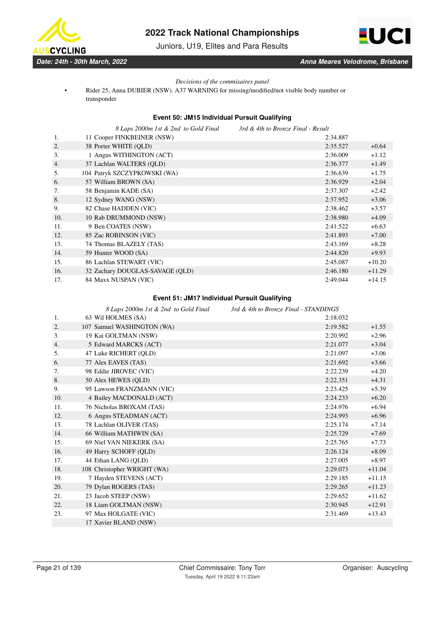

Juniors, U19, Elites and Para Results



### *Decisions of the commisaires panel*

• Rider 25, Anna DUBIER (NSW). A37 WARNING for missing/modified/not visible body number or transponder

### **Event 50: JM15 Individual Pursuit Qualifying**

|     | 8 Laps 2000m 1st & 2nd to Gold Final | 3rd & 4th to Bronze Final - Result |          |
|-----|--------------------------------------|------------------------------------|----------|
| 1.  | 11 Cooper FINKBEINER (NSW)           | 2:34.887                           |          |
| 2.  | 38 Porter WHITE (OLD)                | 2:35.527                           | $+0.64$  |
| 3.  | 1 Angus WITHINGTON (ACT)             | 2:36.009                           | $+1.12$  |
| 4.  | 37 Lachlan WALTERS (OLD)             | 2:36.377                           | $+1.49$  |
| 5.  | 104 Patryk SZCZYPKOWSKI (WA)         | 2:36.639                           | $+1.75$  |
| 6.  | 57 William BROWN (SA)                | 2:36.929                           | $+2.04$  |
| 7.  | 58 Benjamin KADE (SA)                | 2:37.307                           | $+2.42$  |
| 8.  | 12 Sydney WANG (NSW)                 | 2:37.952                           | $+3.06$  |
| 9.  | 82 Chase HADDEN (VIC)                | 2:38.462                           | $+3.57$  |
| 10. | 10 Rab DRUMMOND (NSW)                | 2:38.980                           | $+4.09$  |
| 11. | 9 Ben COATES (NSW)                   | 2:41.522                           | $+6.63$  |
| 12. | 85 Zac ROBINSON (VIC)                | 2:41.893                           | $+7.00$  |
| 13. | 74 Thomas BLAZELY (TAS)              | 2:43.169                           | $+8.28$  |
| 14. | 59 Hunter WOOD (SA)                  | 2:44.820                           | $+9.93$  |
| 15. | 86 Lachlan STEWART (VIC)             | 2:45.087                           | $+10.20$ |
| 16. | 32 Zachary DOUGLAS-SAVAGE (OLD)      | 2:46.180                           | $+11.29$ |
| 17. | 84 Maxx NUSPAN (VIC)                 | 2:49.044                           | $+14.15$ |

### **Event 51: JM17 Individual Pursuit Qualifying**

|     | 8 Laps 2000m 1st & 2nd to Gold Final | 3rd & 4th to Bronze Final - STANDINGS |          |
|-----|--------------------------------------|---------------------------------------|----------|
| 1.  | 63 Wil HOLMES (SA)                   | 2:18.032                              |          |
| 2.  | 107 Samuel WASHINGTON (WA)           | 2:19.582                              | $+1.55$  |
| 3.  | 19 Kai GOLTMAN (NSW)                 | 2:20.992                              | $+2.96$  |
| 4.  | 5 Edward MARCKS (ACT)                | 2:21.077                              | $+3.04$  |
| 5.  | 47 Luke RICHERT (QLD)                | 2:21.097                              | $+3.06$  |
| 6.  | 77 Alex EAVES (TAS)                  | 2:21.692                              | $+3.66$  |
| 7.  | 98 Eddie JIROVEC (VIC)               | 2:22.239                              | $+4.20$  |
| 8.  | 50 Alex HEWES (QLD)                  | 2:22.351                              | $+4.31$  |
| 9.  | 95 Lawson FRANZMANN (VIC)            | 2:23.425                              | $+5.39$  |
| 10. | 4 Bailey MACDONALD (ACT)             | 2:24.233                              | $+6.20$  |
| 11. | 76 Nicholas BROXAM (TAS)             | 2:24.976                              | $+6.94$  |
| 12. | 6 Angus STEADMAN (ACT)               | 2:24.993                              | $+6.96$  |
| 13. | 78 Lachlan OLIVER (TAS)              | 2:25.174                              | $+7.14$  |
| 14. | 66 William MATHWIN (SA)              | 2:25.729                              | $+7.69$  |
| 15. | 69 Niel VAN NIEKERK (SA)             | 2:25.765                              | $+7.73$  |
| 16. | 49 Harry SCHOFF (QLD)                | 2:26.124                              | $+8.09$  |
| 17. | 44 Ethan LANG (QLD)                  | 2:27.005                              | $+8.97$  |
| 18. | 108 Christopher WRIGHT (WA)          | 2:29.073                              | $+11.04$ |
| 19. | 7 Hayden STEVENS (ACT)               | 2:29.185                              | $+11.15$ |
| 20. | 79 Dylan ROGERS (TAS)                | 2:29.265                              | $+11.23$ |
| 21. | 23 Jacob STEEP (NSW)                 | 2:29.652                              | $+11.62$ |
| 22. | 18 Liam GOLTMAN (NSW)                | 2:30.945                              | $+12.91$ |
| 23. | 97 Max HOLGATE (VIC)                 | 2:31.469                              | $+13.43$ |
|     | 17 Xavier BLAND (NSW)                |                                       |          |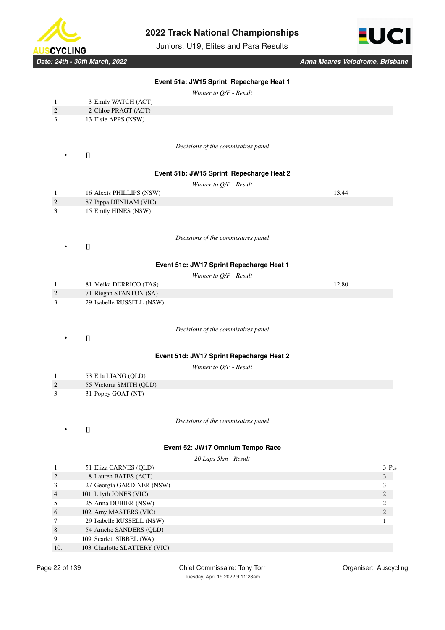

Juniors, U19, Elites and Para Results



*Winner to Q/F - Result*

|     |                     | -                                  |  |
|-----|---------------------|------------------------------------|--|
| -1. | 3 Emily WATCH (ACT) |                                    |  |
| 2.  | 2 Chloe PRAGT (ACT) |                                    |  |
| 3.  | 13 Elsie APPS (NSW) |                                    |  |
|     |                     |                                    |  |
|     |                     |                                    |  |
|     |                     | Decisions of the commisaires panel |  |

 $\bullet$  []

# **Event 51b: JW15 Sprint Repecharge Heat 2**

| ı. | 16 Alexis PHILLIPS (NSW) | 13.44 |
|----|--------------------------|-------|
| 2. | 87 Pippa DENHAM (VIC)    |       |
| 3. | 15 Emily HINES (NSW)     |       |
|    |                          |       |

*Decisions of the commisaires panel*

• []

### **Event 51c: JW17 Sprint Repecharge Heat 1**

|    |                        | Winner to O/F - Result |       |
|----|------------------------|------------------------|-------|
|    | 81 Meika DERRICO (TAS) |                        | 12.80 |
| z. | 71 Riegan STANTON (SA) |                        |       |
|    |                        |                        |       |

3. 29 Isabelle RUSSELL (NSW)

*Decisions of the commisaires panel*

 $\Box$ 

# **Event 51d: JW17 Sprint Repecharge Heat 2**

*Winner to Q/F - Result*

|    | $\sim$<br>53 Ella LIANG (OLD) |
|----|-------------------------------|
| 2. | 55 Victoria SMITH (OLD)       |
| 3. | 31 Poppy GOAT (NT)            |

• []

### *Decisions of the commisaires panel*

### **Event 52: JW17 Omnium Tempo Race**

|     | 20 Laps 5km - Result         |       |  |  |  |
|-----|------------------------------|-------|--|--|--|
| 1.  | 51 Eliza CARNES (QLD)        | 3 Pts |  |  |  |
| 2.  | 8 Lauren BATES (ACT)         | 3     |  |  |  |
| 3.  | 27 Georgia GARDINER (NSW)    |       |  |  |  |
| 4.  | 101 Lilyth JONES (VIC)       | 2     |  |  |  |
| 5.  | 25 Anna DUBIER (NSW)         |       |  |  |  |
| 6.  | 102 Amy MASTERS (VIC)        | 2     |  |  |  |
| 7.  | 29 Isabelle RUSSELL (NSW)    |       |  |  |  |
| 8.  | 54 Amelie SANDERS (QLD)      |       |  |  |  |
| 9.  | 109 Scarlett SIBBEL (WA)     |       |  |  |  |
| 10. | 103 Charlotte SLATTERY (VIC) |       |  |  |  |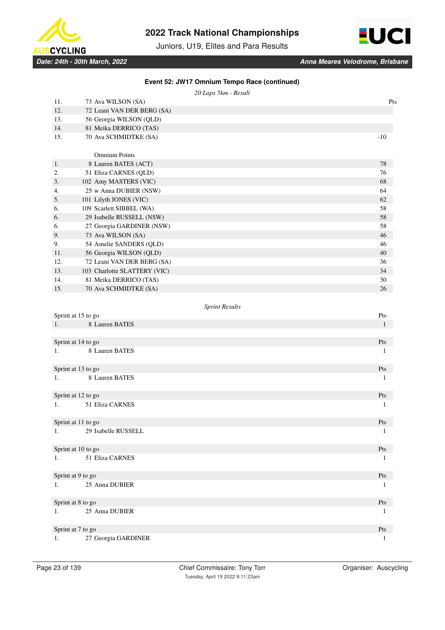

Juniors, U19, Elites and Para Results



|     | 20 Laps 5km - Result         |              |
|-----|------------------------------|--------------|
| 11. | 73 Ava WILSON (SA)           | Pts          |
| 12. | 72 Leani VAN DER BERG (SA)   |              |
| 13. | 56 Georgia WILSON (QLD)      |              |
| 14. | 81 Meika DERRICO (TAS)       |              |
| 15. | 70 Ava SCHMIDTKE (SA)        | $-10$        |
|     |                              |              |
|     | <b>Omnium Points</b>         |              |
| 1.  | 8 Lauren BATES (ACT)         | 78           |
| 2.  | 51 Eliza CARNES (QLD)        | 76           |
| 3.  | 102 Amy MASTERS (VIC)        | 68           |
| 4.  | 25 w Anna DUBIER (NSW)       | 64           |
| 5.  | 101 Lilyth JONES (VIC)       | 62           |
| 6.  | 109 Scarlett SIBBEL (WA)     | 58           |
| 6.  | 29 Isabelle RUSSELL (NSW)    | 58           |
| 6.  | 27 Georgia GARDINER (NSW)    | 58           |
| 9.  | 73 Ava WILSON (SA)           | 46           |
| 9.  | 54 Amelie SANDERS (QLD)      | 46           |
| 11. | 56 Georgia WILSON (QLD)      | 40           |
| 12. | 72 Leani VAN DER BERG (SA)   | 36           |
| 13. | 103 Charlotte SLATTERY (VIC) | 34           |
| 14. | 81 Meika DERRICO (TAS)       | 30           |
| 15. | 70 Ava SCHMIDTKE (SA)        | 26           |
|     |                              |              |
|     | <b>Sprint Results</b>        |              |
|     | Sprint at 15 to go           | Pts          |
| 1.  | 8 Lauren BATES               | $\mathbf{1}$ |
|     |                              |              |
|     | Sprint at 14 to go           | Pts          |
| 1.  | 8 Lauren BATES               | 1            |
|     |                              |              |
|     | Sprint at 13 to go           | Pts          |
| 1.  | 8 Lauren BATES               | 1            |
|     |                              |              |
|     | Sprint at 12 to go           | Pts          |
| 1.  | 51 Eliza CARNES              | 1            |
|     |                              |              |
|     | Sprint at 11 to go           | Pts          |
| 1.  | 29 Isabelle RUSSELL          | $\mathbf{1}$ |
|     |                              |              |
|     | Sprint at 10 to go           | Pts          |
| 1.  | 51 Eliza CARNES              | -1           |
|     |                              |              |
|     | Sprint at 9 to go            | Pts          |
| 1.  | 25 Anna DUBIER               | -1           |
|     |                              |              |
|     | Sprint at 8 to go            | Pts          |
| 1.  | 25 Anna DUBIER               | 1            |
|     |                              |              |
|     | Sprint at 7 to go            | Pts          |
| 1.  | 27 Georgia GARDINER          | 1            |

# **Event 52: JW17 Omnium Tempo Race (continued)**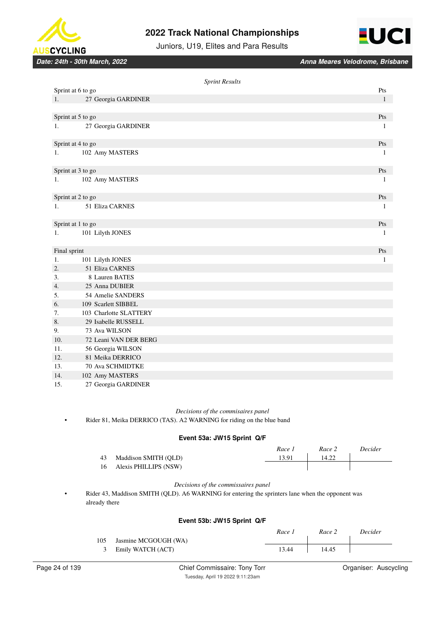



Juniors, U19, Elites and Para Results

*Date: 24th - 30th March, 2022 Anna Meares Velodrome, Brisbane*

|                  |                        | <b>Sprint Results</b> | Pts          |
|------------------|------------------------|-----------------------|--------------|
|                  | Sprint at 6 to go      |                       |              |
| 1.               | 27 Georgia GARDINER    |                       | $\mathbf{1}$ |
|                  |                        |                       |              |
|                  | Sprint at 5 to go      |                       | Pts          |
| 1.               | 27 Georgia GARDINER    |                       | 1            |
|                  | Sprint at 4 to go      |                       | Pts          |
| 1.               | 102 Amy MASTERS        |                       | 1            |
|                  |                        |                       |              |
|                  | Sprint at 3 to go      |                       | Pts          |
| 1.               | 102 Amy MASTERS        |                       | 1            |
|                  |                        |                       |              |
|                  | Sprint at 2 to go      |                       | Pts          |
| $1_{\cdot}$      | 51 Eliza CARNES        |                       | $\mathbf{1}$ |
|                  |                        |                       |              |
|                  | Sprint at 1 to go      |                       | Pts          |
| 1.               | 101 Lilyth JONES       |                       | 1            |
|                  |                        |                       |              |
| Final sprint     |                        |                       | Pts          |
| 1.               | 101 Lilyth JONES       |                       | $\mathbf{1}$ |
| $\overline{2}$ . | 51 Eliza CARNES        |                       |              |
| 3.               | 8 Lauren BATES         |                       |              |
| 4.               | 25 Anna DUBIER         |                       |              |
| 5.               | 54 Amelie SANDERS      |                       |              |
| 6.               | 109 Scarlett SIBBEL    |                       |              |
| 7.               | 103 Charlotte SLATTERY |                       |              |
| 8.               | 29 Isabelle RUSSELL    |                       |              |
| 9.               | 73 Ava WILSON          |                       |              |
| 10.              | 72 Leani VAN DER BERG  |                       |              |
| 11.              | 56 Georgia WILSON      |                       |              |
| 12.              | 81 Meika DERRICO       |                       |              |
| 13.              | 70 Ava SCHMIDTKE       |                       |              |
| 14.              | 102 Amy MASTERS        |                       |              |
| 15.              | 27 Georgia GARDINER    |                       |              |

#### *Decisions of the commisaires panel*

• Rider 81, Meika DERRICO (TAS). A2 WARNING for riding on the blue band

### **Event 53a: JW15 Sprint Q/F**

|    |                          | Race 1 | Race 2 | Decider |
|----|--------------------------|--------|--------|---------|
| 43 | Maddison SMITH (OLD)     | 13.91  | 14.22  |         |
|    | 16 Alexis PHILLIPS (NSW) |        |        |         |

#### *Decisions of the commissaires panel*

• Rider 43, Maddison SMITH (QLD). A6 WARNING for entering the sprinters lane when the opponent was already there

### **Event 53b: JW15 Sprint Q/F**

|     |                      | Race 1 | Race 2 | <i>Decider</i> |
|-----|----------------------|--------|--------|----------------|
| 105 | Jasmine MCGOUGH (WA) |        |        |                |
|     | 3 Emily WATCH (ACT)  | 13.44  | 14.45  |                |
|     |                      |        |        |                |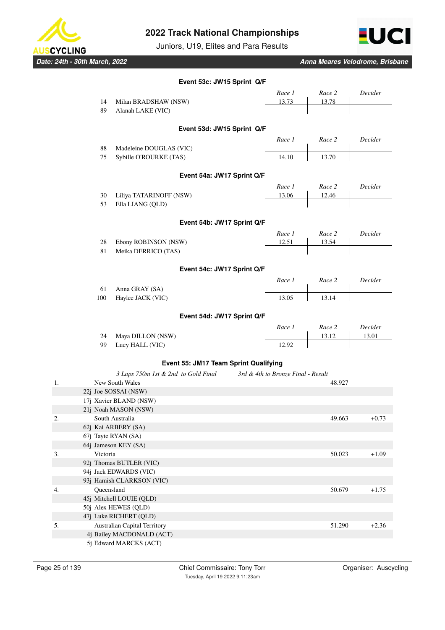

Juniors, U19, Elites and Para Results



*Date: 24th - 30th March, 2022 Anna Meares Velodrome, Brisbane*

|    |            |                                                        | Event 53c: JW15 Sprint Q/F            |                                    |        |         |
|----|------------|--------------------------------------------------------|---------------------------------------|------------------------------------|--------|---------|
|    |            |                                                        |                                       | Race 1                             | Race 2 | Decider |
|    | 14         | Milan BRADSHAW (NSW)                                   |                                       | 13.73                              | 13.78  |         |
|    | 89         | Alanah LAKE (VIC)                                      |                                       |                                    |        |         |
|    |            |                                                        |                                       |                                    |        |         |
|    |            |                                                        | Event 53d: JW15 Sprint Q/F            |                                    |        |         |
|    |            |                                                        |                                       | Race 1                             | Race 2 | Decider |
|    | 88         | Madeleine DOUGLAS (VIC)                                |                                       |                                    |        |         |
|    | 75         | Sybille O'ROURKE (TAS)                                 |                                       | 14.10                              | 13.70  |         |
|    |            |                                                        | Event 54a: JW17 Sprint Q/F            |                                    |        |         |
|    |            |                                                        |                                       | Race 1                             | Race 2 | Decider |
|    | 30         | Liliya TATARINOFF (NSW)                                |                                       | 13.06                              | 12.46  |         |
|    | 53         | Ella LIANG (QLD)                                       |                                       |                                    |        |         |
|    |            |                                                        | Event 54b: JW17 Sprint Q/F            |                                    |        |         |
|    |            |                                                        |                                       | Race 1                             | Race 2 | Decider |
|    | 28         | Ebony ROBINSON (NSW)                                   |                                       | 12.51                              | 13.54  |         |
|    | 81         | Meika DERRICO (TAS)                                    |                                       |                                    |        |         |
|    |            |                                                        |                                       |                                    |        |         |
|    |            |                                                        | Event 54c: JW17 Sprint Q/F            |                                    |        |         |
|    |            |                                                        |                                       | Race 1                             | Race 2 | Decider |
|    | 61         | Anna GRAY (SA)                                         |                                       |                                    |        |         |
|    | 100        | Haylee JACK (VIC)                                      |                                       | 13.05                              | 13.14  |         |
|    |            |                                                        | Event 54d: JW17 Sprint Q/F            |                                    |        |         |
|    |            |                                                        |                                       | Race 1                             | Race 2 | Decider |
|    | 24         | Maya DILLON (NSW)                                      |                                       |                                    | 13.12  | 13.01   |
|    | 99         | Lucy HALL (VIC)                                        |                                       | 12.92                              |        |         |
|    |            |                                                        |                                       |                                    |        |         |
|    |            |                                                        | Event 55: JM17 Team Sprint Qualifying |                                    |        |         |
| 1. |            | 3 Laps 750m 1st & 2nd to Gold Final<br>New South Wales |                                       | 3rd & 4th to Bronze Final - Result | 48.927 |         |
|    |            | 22j Joe SOSSAI (NSW)                                   |                                       |                                    |        |         |
|    |            | 17j Xavier BLAND (NSW)                                 |                                       |                                    |        |         |
|    |            | 21j Noah MASON (NSW)                                   |                                       |                                    |        |         |
| 2. |            | South Australia                                        |                                       |                                    | 49.663 | $+0.73$ |
|    |            | 62j Kai ARBERY (SA)                                    |                                       |                                    |        |         |
|    |            | 67j Tayte RYAN (SA)                                    |                                       |                                    |        |         |
|    |            | 64j Jameson KEY (SA)                                   |                                       |                                    |        |         |
| 3. | Victoria   |                                                        |                                       |                                    | 50.023 | $+1.09$ |
|    |            | 92j Thomas BUTLER (VIC)                                |                                       |                                    |        |         |
|    |            | 94j Jack EDWARDS (VIC)                                 |                                       |                                    |        |         |
|    |            | 93j Hamish CLARKSON (VIC)                              |                                       |                                    |        |         |
| 4. | Queensland |                                                        |                                       |                                    | 50.679 | $+1.75$ |
|    |            | 45j Mitchell LOUIE (QLD)                               |                                       |                                    |        |         |
|    |            | 50j Alex HEWES (QLD)                                   |                                       |                                    |        |         |
|    |            | 47j Luke RICHERT (QLD)                                 |                                       |                                    |        |         |
| 5. |            | Australian Capital Territory                           |                                       |                                    | 51.290 | $+2.36$ |
|    |            | 4j Bailey MACDONALD (ACT)                              |                                       |                                    |        |         |
|    |            | 5j Edward MARCKS (ACT)                                 |                                       |                                    |        |         |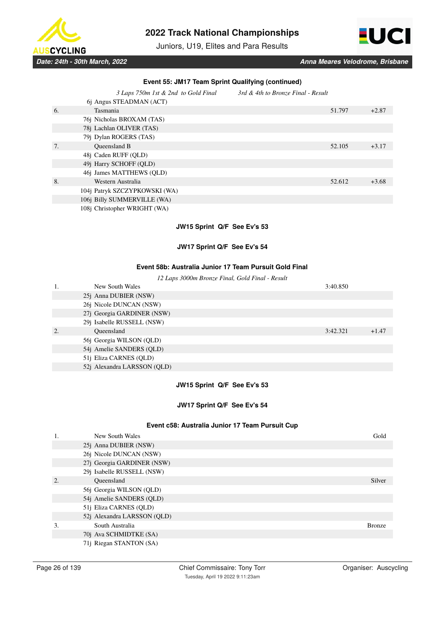

Juniors, U19, Elites and Para Results



|    | Event 55: JM17 Team Sprint Qualifying (continued) |                                    |         |  |  |  |
|----|---------------------------------------------------|------------------------------------|---------|--|--|--|
|    | 3 Laps 750m 1st & 2nd to Gold Final               | 3rd & 4th to Bronze Final - Result |         |  |  |  |
|    | 6j Angus STEADMAN (ACT)                           |                                    |         |  |  |  |
| 6. | Tasmania                                          | 51.797                             | $+2.87$ |  |  |  |
|    | 76j Nicholas BROXAM (TAS)                         |                                    |         |  |  |  |
|    | 78j Lachlan OLIVER (TAS)                          |                                    |         |  |  |  |
|    | 79i Dylan ROGERS (TAS)                            |                                    |         |  |  |  |
| 7. | <b>Oueensland B</b>                               | 52.105                             | $+3.17$ |  |  |  |
|    | 48j Caden RUFF (OLD)                              |                                    |         |  |  |  |
|    | 49j Harry SCHOFF (QLD)                            |                                    |         |  |  |  |
|    | 46j James MATTHEWS (QLD)                          |                                    |         |  |  |  |
| 8. | Western Australia                                 | 52.612                             | $+3.68$ |  |  |  |
|    | 104j Patryk SZCZYPKOWSKI (WA)                     |                                    |         |  |  |  |
|    | 106j Billy SUMMERVILLE (WA)                       |                                    |         |  |  |  |
|    | 108j Christopher WRIGHT (WA)                      |                                    |         |  |  |  |

# **JW15 Sprint Q/F See Ev's 53**

# **JW17 Sprint Q/F See Ev's 54**

## **Event 58b: Australia Junior 17 Team Pursuit Gold Final**

| 12 Laps 3000m Bronze Final, Gold Final - Result |  |
|-------------------------------------------------|--|
|-------------------------------------------------|--|

|    | New South Wales               | 3:40.850 |         |
|----|-------------------------------|----------|---------|
|    | 25 <i>j</i> Anna DUBIER (NSW) |          |         |
|    | 26j Nicole DUNCAN (NSW)       |          |         |
|    | 27j Georgia GARDINER (NSW)    |          |         |
|    | 29j Isabelle RUSSELL (NSW)    |          |         |
| 2. | Oueensland                    | 3:42.321 | $+1.47$ |
|    | 56j Georgia WILSON (QLD)      |          |         |
|    | 54j Amelie SANDERS (QLD)      |          |         |
|    | 51j Eliza CARNES (QLD)        |          |         |
|    | 52j Alexandra LARSSON (OLD)   |          |         |

# **JW15 Sprint Q/F See Ev's 53**

### **JW17 Sprint Q/F See Ev's 54**

#### **Event c58: Australia Junior 17 Team Pursuit Cup**

|                  | New South Wales             | Gold          |
|------------------|-----------------------------|---------------|
|                  | 25j Anna DUBIER (NSW)       |               |
|                  | 26j Nicole DUNCAN (NSW)     |               |
|                  | 27j Georgia GARDINER (NSW)  |               |
|                  | 29j Isabelle RUSSELL (NSW)  |               |
| $\overline{2}$ . | Oueensland                  | Silver        |
|                  | 56j Georgia WILSON (QLD)    |               |
|                  | 54j Amelie SANDERS (QLD)    |               |
|                  | 51j Eliza CARNES (QLD)      |               |
|                  | 52j Alexandra LARSSON (QLD) |               |
| 3.               | South Australia             | <b>Bronze</b> |
|                  | 70j Ava SCHMIDTKE (SA)      |               |
|                  | 71j Riegan STANTON (SA)     |               |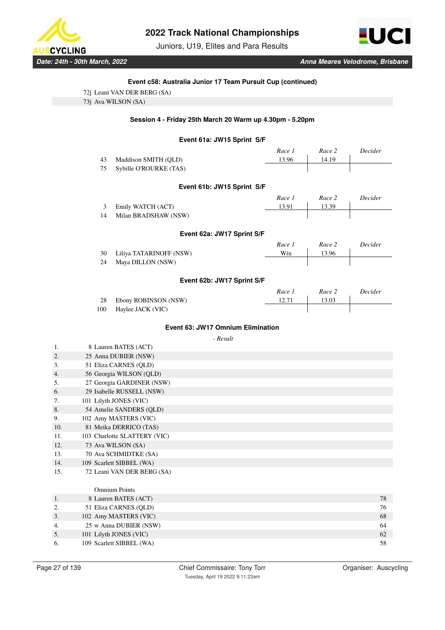

Juniors, U19, Elites and Para Results



### **Event c58: Australia Junior 17 Team Pursuit Cup (continued)**

| 72j Leani VAN DER BERG (SA) |  |  |
|-----------------------------|--|--|
| 73j Ava WILSON (SA)         |  |  |
|                             |  |  |

### **Session 4 - Friday 25th March 20 Warm up 4.30pm - 5.20pm**

# **Event 61a: JW15 Sprint S/F**

|     |                         | ווט טומן טוויוט טאוט ווויוס       |          |        |         |
|-----|-------------------------|-----------------------------------|----------|--------|---------|
|     |                         |                                   | Race 1   | Race 2 | Decider |
|     | 43                      | Maddison SMITH (QLD)              | 13.96    | 14.19  |         |
|     | 75                      | Sybille O'ROURKE (TAS)            |          |        |         |
|     |                         | Event 61b: JW15 Sprint S/F        |          |        |         |
|     |                         |                                   | Race 1   | Race 2 | Decider |
|     | 3                       | Emily WATCH (ACT)                 | 13.91    | 13.39  |         |
|     | 14                      | Milan BRADSHAW (NSW)              |          |        |         |
|     |                         | Event 62a: JW17 Sprint S/F        |          |        |         |
|     |                         |                                   | Race 1   | Race 2 | Decider |
|     | 30                      | Liliya TATARINOFF (NSW)           | Win      | 13.96  |         |
|     | 24                      | Maya DILLON (NSW)                 |          |        |         |
|     |                         | Event 62b: JW17 Sprint S/F        |          |        |         |
|     |                         |                                   | Race 1   | Race 2 | Decider |
|     | 28                      | Ebony ROBINSON (NSW)              | 12.71    | 13.03  |         |
|     | 100                     | Haylee JACK (VIC)                 |          |        |         |
|     |                         | Event 63: JW17 Omnium Elimination |          |        |         |
|     |                         |                                   | - Result |        |         |
| 1.  |                         | 8 Lauren BATES (ACT)              |          |        |         |
| 2.  |                         | 25 Anna DUBIER (NSW)              |          |        |         |
| 3.  |                         | 51 Eliza CARNES (QLD)             |          |        |         |
| 4.  |                         | 56 Georgia WILSON (QLD)           |          |        |         |
| 5.  |                         | 27 Georgia GARDINER (NSW)         |          |        |         |
| 6.  |                         | 29 Isabelle RUSSELL (NSW)         |          |        |         |
| 7.  |                         | 101 Lilyth JONES (VIC)            |          |        |         |
| 8.  | 54 Amelie SANDERS (QLD) |                                   |          |        |         |
| 9.  |                         | 102 Amy MASTERS (VIC)             |          |        |         |
| 10. |                         | 81 Meika DERRICO (TAS)            |          |        |         |
| 11. |                         | 103 Charlotte SLATTERY (VIC)      |          |        |         |
| 12. |                         | 73 Ava WILSON (SA)                |          |        |         |
| 13. |                         | 70 Ava SCHMIDTKE (SA)             |          |        |         |
| 14. |                         | 109 Scarlett SIBBEL (WA)          |          |        |         |
| 15. |                         | 72 Leani VAN DER BERG (SA)        |          |        |         |
|     |                         | <b>Omnium Points</b>              |          |        |         |
| 1.  |                         | 8 Lauren BATES (ACT)              |          |        | 78      |
| 2.  |                         | 51 Eliza CARNES (QLD)             |          |        | 76      |
| 3.  |                         | 102 Amy MASTERS (VIC)             |          |        | 68      |
| 4.  | 25 w Anna DUBIER (NSW)  |                                   |          |        |         |

5. 101 Lilyth JONES (VIC) 62 6. 109 Scarlett SIBBEL (WA) 58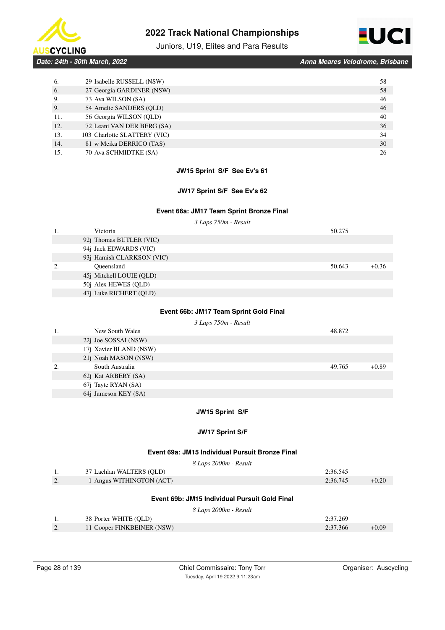



# Juniors, U19, Elites and Para Results

*Date: 24th - 30th March, 2022 Anna Meares Velodrome, Brisbane*

| 6.  | 29 Isabelle RUSSELL (NSW)    | 58 |
|-----|------------------------------|----|
| 6.  | 27 Georgia GARDINER (NSW)    | 58 |
| 9.  | 73 Ava WILSON (SA)           | 46 |
| 9.  | 54 Amelie SANDERS (OLD)      | 46 |
| 11. | 56 Georgia WILSON (QLD)      | 40 |
| 12. | 72 Leani VAN DER BERG (SA)   | 36 |
| 13. | 103 Charlotte SLATTERY (VIC) | 34 |
| 14. | 81 w Meika DERRICO (TAS)     | 30 |
| 15. | 70 Ava SCHMIDTKE (SA)        | 26 |

# **JW15 Sprint S/F See Ev's 61**

### **JW17 Sprint S/F See Ev's 62**

### **Event 66a: JM17 Team Sprint Bronze Final**

*3 Laps 750m - Result*

|    | Victoria                  | 50.275 |         |
|----|---------------------------|--------|---------|
|    | 92j Thomas BUTLER (VIC)   |        |         |
|    | 94j Jack EDWARDS (VIC)    |        |         |
|    | 93j Hamish CLARKSON (VIC) |        |         |
| 2. | Oueensland                | 50.643 | $+0.36$ |
|    | 45j Mitchell LOUIE (QLD)  |        |         |
|    | 50j Alex HEWES (QLD)      |        |         |
|    | 47j Luke RICHERT (QLD)    |        |         |
|    |                           |        |         |

# **Event 66b: JM17 Team Sprint Gold Final**

*3 Laps 750m - Result*

|    | New South Wales              | 48.872 |         |
|----|------------------------------|--------|---------|
|    | 22 <i>j</i> Joe SOSSAI (NSW) |        |         |
|    | 17j Xavier BLAND (NSW)       |        |         |
|    | 21j Noah MASON (NSW)         |        |         |
| 2. | South Australia              | 49.765 | $+0.89$ |
|    | 62j Kai ARBERY (SA)          |        |         |
|    | 67j Tayte RYAN (SA)          |        |         |
|    | 64j Jameson KEY (SA)         |        |         |

### **JW15 Sprint S/F**

### **JW17 Sprint S/F**

#### **Event 69a: JM15 Individual Pursuit Bronze Final**

|    | 8 Laps 2000m - Result                         |          |         |
|----|-----------------------------------------------|----------|---------|
| 1. | 37 Lachlan WALTERS (QLD)                      | 2:36.545 |         |
| 2. | 1 Angus WITHINGTON (ACT)                      | 2:36.745 | $+0.20$ |
|    | Event 69b: JM15 Individual Pursuit Gold Final |          |         |
|    | 8 Laps 2000m - Result                         |          |         |
|    | 38 Porter WHITE (QLD)                         | 2:37.269 |         |
| 2. | 11 Cooper FINKBEINER (NSW)                    | 2:37.366 | $+0.09$ |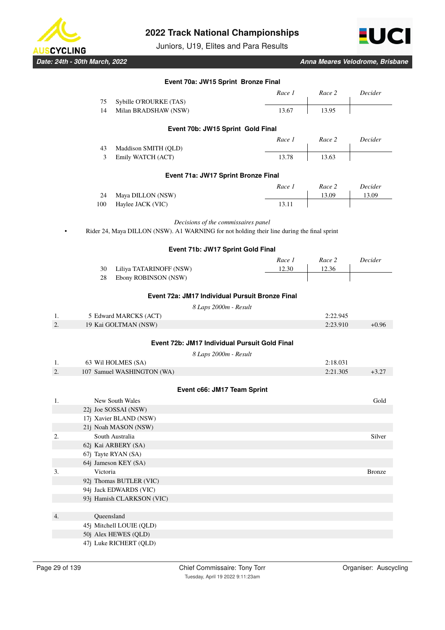

Juniors, U19, Elites and Para Results



*Date: 24th - 30th March, 2022 Anna Meares Velodrome, Brisbane*

|                  |            |                            | Event 70a: JW15 Sprint Bronze Final                                                        |          |               |
|------------------|------------|----------------------------|--------------------------------------------------------------------------------------------|----------|---------------|
|                  |            |                            | Race 1                                                                                     | Race 2   | Decider       |
|                  | 75         | Sybille O'ROURKE (TAS)     |                                                                                            |          |               |
|                  | 14         | Milan BRADSHAW (NSW)       | 13.67                                                                                      | 13.95    |               |
|                  |            |                            | Event 70b: JW15 Sprint Gold Final                                                          |          |               |
|                  |            |                            | Race 1                                                                                     | Race 2   | Decider       |
|                  | 43         | Maddison SMITH (QLD)       |                                                                                            |          |               |
|                  | 3          | Emily WATCH (ACT)          | 13.78                                                                                      | 13.63    |               |
|                  |            |                            | Event 71a: JW17 Sprint Bronze Final                                                        |          |               |
|                  |            |                            | Race 1                                                                                     | Race 2   | Decider       |
|                  | 24         | Maya DILLON (NSW)          |                                                                                            | 13.09    | 13.09         |
|                  | 100        | Haylee JACK (VIC)          | 13.11                                                                                      |          |               |
|                  |            |                            | Decisions of the commissaires panel                                                        |          |               |
|                  |            |                            | Rider 24, Maya DILLON (NSW). A1 WARNING for not holding their line during the final sprint |          |               |
|                  |            |                            | Event 71b: JW17 Sprint Gold Final                                                          |          |               |
|                  |            |                            | Race 1                                                                                     | Race 2   | Decider       |
|                  | 30         | Liliya TATARINOFF (NSW)    | 12.30                                                                                      | 12.36    |               |
|                  | 28         | Ebony ROBINSON (NSW)       |                                                                                            |          |               |
|                  |            |                            | Event 72a: JM17 Individual Pursuit Bronze Final                                            |          |               |
|                  |            |                            | 8 Laps 2000m - Result                                                                      |          |               |
| 1.               |            | 5 Edward MARCKS (ACT)      |                                                                                            | 2:22.945 |               |
| 2.               |            | 19 Kai GOLTMAN (NSW)       |                                                                                            | 2:23.910 | $+0.96$       |
|                  |            |                            |                                                                                            |          |               |
|                  |            |                            | Event 72b: JM17 Individual Pursuit Gold Final                                              |          |               |
|                  |            |                            | 8 Laps 2000m - Result                                                                      |          |               |
| 1.               |            | 63 Wil HOLMES (SA)         |                                                                                            | 2:18.031 |               |
| 2.               |            | 107 Samuel WASHINGTON (WA) |                                                                                            | 2:21.305 | $+3.27$       |
|                  |            |                            | Event c66: JM17 Team Sprint                                                                |          |               |
| 1.               |            | New South Wales            |                                                                                            |          | Gold          |
|                  |            | 22j Joe SOSSAI (NSW)       |                                                                                            |          |               |
|                  |            | 17j Xavier BLAND (NSW)     |                                                                                            |          |               |
|                  |            | 21j Noah MASON (NSW)       |                                                                                            |          |               |
| $\overline{2}$ . |            | South Australia            |                                                                                            |          | Silver        |
|                  |            | 62j Kai ARBERY (SA)        |                                                                                            |          |               |
|                  |            | 67j Tayte RYAN (SA)        |                                                                                            |          |               |
|                  |            | 64j Jameson KEY (SA)       |                                                                                            |          |               |
| 3.               | Victoria   |                            |                                                                                            |          | <b>Bronze</b> |
|                  |            | 92j Thomas BUTLER (VIC)    |                                                                                            |          |               |
|                  |            | 94j Jack EDWARDS (VIC)     |                                                                                            |          |               |
|                  |            | 93j Hamish CLARKSON (VIC)  |                                                                                            |          |               |
|                  |            |                            |                                                                                            |          |               |
| 4.               | Queensland |                            |                                                                                            |          |               |
|                  |            | 45j Mitchell LOUIE (QLD)   |                                                                                            |          |               |
|                  |            | 50j Alex HEWES (QLD)       |                                                                                            |          |               |

47j Luke RICHERT (QLD)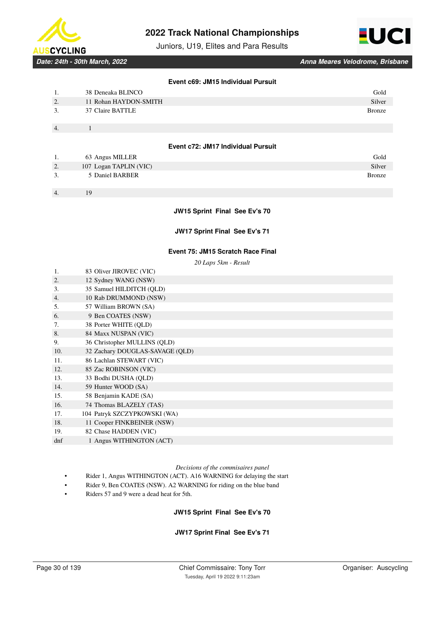

Juniors, U19, Elites and Para Results



*Date: 24th - 30th March, 2022 Anna Meares Velodrome, Brisbane*

### **Event c69: JM15 Individual Pursuit**

| 1. | 38 Deneaka BLINCO                  | Gold          |
|----|------------------------------------|---------------|
| 2. | 11 Rohan HAYDON-SMITH              | Silver        |
| 3. | 37 Claire BATTLE                   | <b>Bronze</b> |
| 4. | 1                                  |               |
|    | Event c72: JM17 Individual Pursuit |               |
| 1. | 63 Angus MILLER                    | Gold          |
| 2. | 107 Logan TAPLIN (VIC)             | Silver        |
| 3. | 5 Daniel BARBER                    | <b>Bronze</b> |
|    |                                    |               |

#### **JW15 Sprint Final See Ev's 70**

**JW17 Sprint Final See Ev's 71**

### **Event 75: JM15 Scratch Race Final**

*20 Laps 5km - Result*

|     | 20 Lups JKM - Result            |
|-----|---------------------------------|
| 1.  | 83 Oliver JIROVEC (VIC)         |
| 2.  | 12 Sydney WANG (NSW)            |
| 3.  | 35 Samuel HILDITCH (QLD)        |
| 4.  | 10 Rab DRUMMOND (NSW)           |
| 5.  | 57 William BROWN (SA)           |
| 6.  | 9 Ben COATES (NSW)              |
| 7.  | 38 Porter WHITE (QLD)           |
| 8.  | 84 Maxx NUSPAN (VIC)            |
| 9.  | 36 Christopher MULLINS (QLD)    |
| 10. | 32 Zachary DOUGLAS-SAVAGE (QLD) |
| 11. | 86 Lachlan STEWART (VIC)        |
| 12. | 85 Zac ROBINSON (VIC)           |
| 13. | 33 Bodhi DUSHA (OLD)            |
| 14. | 59 Hunter WOOD (SA)             |
| 15. | 58 Benjamin KADE (SA)           |
| 16. | 74 Thomas BLAZELY (TAS)         |
| 17. | 104 Patryk SZCZYPKOWSKI (WA)    |
| 18. | 11 Cooper FINKBEINER (NSW)      |
| 19. | 82 Chase HADDEN (VIC)           |
| dnf | 1 Angus WITHINGTON (ACT)        |

#### *Decisions of the commisaires panel*

- Rider 1, Angus WITHINGTON (ACT). A16 WARNING for delaying the start
- Rider 9, Ben COATES (NSW). A2 WARNING for riding on the blue band
- Riders 57 and 9 were a dead heat for 5th.

# **JW15 Sprint Final See Ev's 70**

### **JW17 Sprint Final See Ev's 71**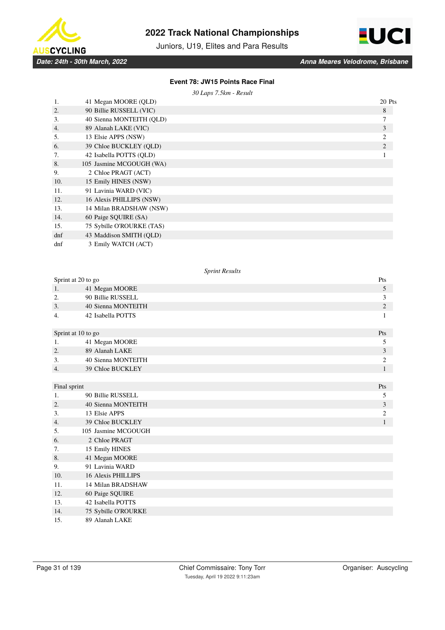



Juniors, U19, Elites and Para Results

### **Event 78: JW15 Points Race Final**

*30 Laps 7.5km - Result*

| 1.     | 41 Megan MOORE (QLD)      | 20 Pts         |
|--------|---------------------------|----------------|
| 2.     | 90 Billie RUSSELL (VIC)   | 8              |
| 3.     | 40 Sienna MONTEITH (QLD)  | 7              |
| 4.     | 89 Alanah LAKE (VIC)      | 3              |
| 5.     | 13 Elsie APPS (NSW)       | 2              |
| 6.     | 39 Chloe BUCKLEY (OLD)    | $\overline{2}$ |
| 7.     | 42 Isabella POTTS (OLD)   |                |
| 8.     | 105 Jasmine MCGOUGH (WA)  |                |
| 9.     | 2 Chloe PRAGT (ACT)       |                |
| 10.    | 15 Emily HINES (NSW)      |                |
| 11.    | 91 Lavinia WARD (VIC)     |                |
| 12.    | 16 Alexis PHILLIPS (NSW)  |                |
| 13.    | 14 Milan BRADSHAW (NSW)   |                |
| 14.    | 60 Paige SQUIRE (SA)      |                |
| 15.    | 75 Sybille O'ROURKE (TAS) |                |
| $d$ nf | 43 Maddison SMITH (QLD)   |                |
| dnf    | 3 Emily WATCH (ACT)       |                |

#### *Sprint Results*

| Sprint at 20 to go |                           |                |  |
|--------------------|---------------------------|----------------|--|
| 1.                 | 41 Megan MOORE            | 5              |  |
| 2.                 | 90 Billie RUSSELL         | 3              |  |
| 3.                 | 40 Sienna MONTEITH        | $\mathbf{2}$   |  |
| 4.                 | 42 Isabella POTTS         | 1              |  |
| Sprint at 10 to go |                           | Pts            |  |
| 1.                 | 41 Megan MOORE            | 5              |  |
| 2.                 | 89 Alanah LAKE            | 3              |  |
| 3.                 | 40 Sienna MONTEITH        | $\overline{c}$ |  |
| 4.                 | 39 Chloe BUCKLEY          | $\mathbf{1}$   |  |
|                    |                           |                |  |
| Final sprint       |                           | Pts            |  |
| 1.                 | 90 Billie RUSSELL         | 5              |  |
| 2.                 | 40 Sienna MONTEITH        | 3              |  |
| 3.                 | 13 Elsie APPS             | $\overline{c}$ |  |
| 4.                 | 39 Chloe BUCKLEY          | $\mathbf{1}$   |  |
| 5.                 | 105 Jasmine MCGOUGH       |                |  |
| 6.                 | 2 Chloe PRAGT             |                |  |
| 7.                 | 15 Emily HINES            |                |  |
| 8.                 | 41 Megan MOORE            |                |  |
| 9.                 | 91 Lavinia WARD           |                |  |
| 10.                | <b>16 Alexis PHILLIPS</b> |                |  |
| 11.                | 14 Milan BRADSHAW         |                |  |
| 12.                | 60 Paige SQUIRE           |                |  |
| 13.                | 42 Isabella POTTS         |                |  |
| 14.                | 75 Sybille O'ROURKE       |                |  |
| 15.                | 89 Alanah LAKE            |                |  |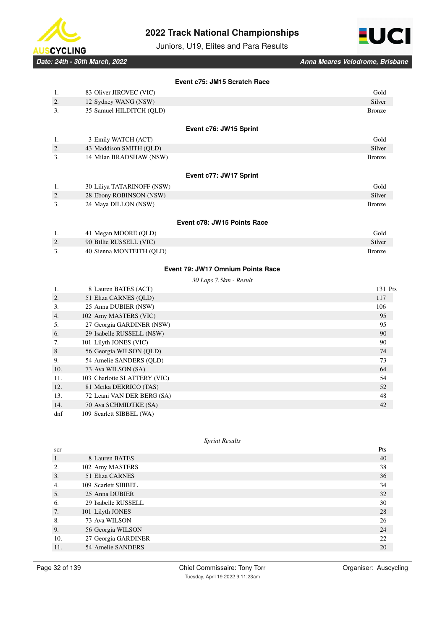



Juniors, U19, Elites and Para Results

*Date: 24th - 30th March, 2022 Anna Meares Velodrome, Brisbane*

|    |                            | Event c75: JM15 Scratch Race      |
|----|----------------------------|-----------------------------------|
| 1. | 83 Oliver JIROVEC (VIC)    | Gold                              |
| 2. | 12 Sydney WANG (NSW)       | Silver                            |
| 3. | 35 Samuel HILDITCH (QLD)   | <b>Bronze</b>                     |
|    |                            | Event c76: JW15 Sprint            |
| 1. | 3 Emily WATCH (ACT)        | Gold                              |
| 2. | 43 Maddison SMITH (QLD)    | Silver                            |
| 3. | 14 Milan BRADSHAW (NSW)    | <b>Bronze</b>                     |
|    |                            | Event c77: JW17 Sprint            |
| 1. | 30 Liliya TATARINOFF (NSW) | Gold                              |
| 2. | 28 Ebony ROBINSON (NSW)    | Silver                            |
| 3. | 24 Maya DILLON (NSW)       | <b>Bronze</b>                     |
|    |                            | Event c78: JW15 Points Race       |
| 1. | 41 Megan MOORE (QLD)       | Gold                              |
| 2. | 90 Billie RUSSELL (VIC)    | Silver                            |
| 3. | 40 Sienna MONTEITH (QLD)   | <b>Bronze</b>                     |
|    |                            | Event 79: JW17 Omnium Points Race |
|    |                            | 30 Laps 7.5km - Result            |
| 1. | 8 Lauren BATES (ACT)       | 131 Pts                           |
| 2  | 51 Eliza CARNES (OLD)      | 117                               |

| 2.  | 51 Eliza CARNES (QLD)        | 117 |
|-----|------------------------------|-----|
| 3.  | 25 Anna DUBIER (NSW)         | 106 |
| 4.  | 102 Amy MASTERS (VIC)        | 95  |
| .5. | 27 Georgia GARDINER (NSW)    | 95  |
| 6.  | 29 Isabelle RUSSELL (NSW)    | 90  |
| 7.  | 101 Lilyth JONES (VIC)       | 90  |
| 8.  | 56 Georgia WILSON (QLD)      | 74  |
| 9.  | 54 Amelie SANDERS (OLD)      | 73  |
| 10. | 73 Ava WILSON (SA)           | 64  |
| 11. | 103 Charlotte SLATTERY (VIC) | 54  |
| 12. | 81 Meika DERRICO (TAS)       | 52  |
| 13. | 72 Leani VAN DER BERG (SA)   | 48  |
| 14. | 70 Ava SCHMIDTKE (SA)        | 42  |
| dnf | 109 Scarlett SIBBEL (WA)     |     |

#### *Sprint Results*

| scr |                     | Pts |
|-----|---------------------|-----|
| 1.  | 8 Lauren BATES      | 40  |
| 2.  | 102 Amy MASTERS     | 38  |
| 3.  | 51 Eliza CARNES     | 36  |
| 4.  | 109 Scarlett SIBBEL | 34  |
| 5.  | 25 Anna DUBIER      | 32  |
| 6.  | 29 Isabelle RUSSELL | 30  |
| 7.  | 101 Lilyth JONES    | 28  |
| 8.  | 73 Ava WILSON       | 26  |
| 9.  | 56 Georgia WILSON   | 24  |
| 10. | 27 Georgia GARDINER | 22  |
| 11. | 54 Amelie SANDERS   | 20  |
|     |                     |     |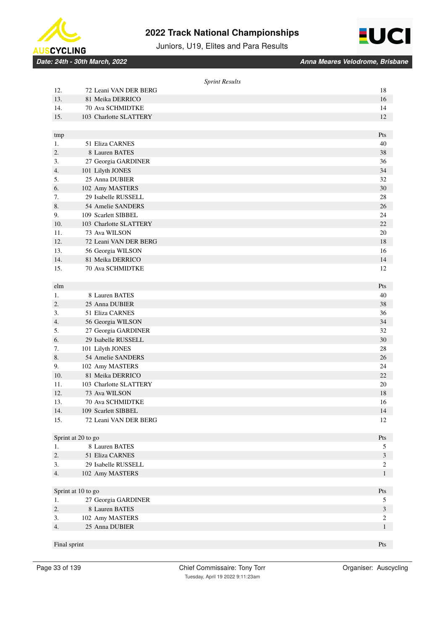



Juniors, U19, Elites and Para Results

*Date: 24th - 30th March, 2022 Anna Meares Velodrome, Brisbane*

|              |                                   | <b>Sprint Results</b> |                                  |
|--------------|-----------------------------------|-----------------------|----------------------------------|
| 12.          | 72 Leani VAN DER BERG             |                       | 18                               |
| 13.          | 81 Meika DERRICO                  |                       | 16                               |
| 14.          | 70 Ava SCHMIDTKE                  |                       | 14                               |
| 15.          | 103 Charlotte SLATTERY            |                       | 12                               |
|              |                                   |                       |                                  |
| tmp          |                                   |                       | Pts                              |
| 1.           | 51 Eliza CARNES                   |                       | 40                               |
| 2.           | 8 Lauren BATES                    |                       | 38                               |
| 3.           | 27 Georgia GARDINER               |                       | 36                               |
| 4.           | 101 Lilyth JONES                  |                       | 34                               |
| 5.           | 25 Anna DUBIER                    |                       | 32                               |
| 6.           | 102 Amy MASTERS                   |                       | 30                               |
| 7.           | 29 Isabelle RUSSELL               |                       | 28                               |
| 8.           | 54 Amelie SANDERS                 |                       | 26                               |
| 9.           | 109 Scarlett SIBBEL               |                       | 24                               |
| 10.          | 103 Charlotte SLATTERY            |                       | 22                               |
| 11.          | 73 Ava WILSON                     |                       | 20                               |
| 12.          | 72 Leani VAN DER BERG             |                       | 18                               |
| 13.          | 56 Georgia WILSON                 |                       | 16                               |
| 14.          | 81 Meika DERRICO                  |                       | 14                               |
| 15.          | 70 Ava SCHMIDTKE                  |                       | 12                               |
|              |                                   |                       |                                  |
| elm          |                                   |                       | Pts                              |
| 1.           | 8 Lauren BATES                    |                       | 40                               |
| 2.           | 25 Anna DUBIER                    |                       | 38                               |
| 3.           | 51 Eliza CARNES                   |                       | 36                               |
| 4.           | 56 Georgia WILSON                 |                       | 34                               |
| 5.           | 27 Georgia GARDINER               |                       | 32                               |
| 6.           | 29 Isabelle RUSSELL               |                       | 30                               |
| 7.           | 101 Lilyth JONES                  |                       | 28                               |
| 8.           | 54 Amelie SANDERS                 |                       | 26                               |
| 9.           | 102 Amy MASTERS                   |                       | 24                               |
| 10.          | 81 Meika DERRICO                  |                       | 22                               |
| 11.          | 103 Charlotte SLATTERY            |                       | 20                               |
| 12.          | 73 Ava WILSON                     |                       | 18                               |
| 13.          | 70 Ava SCHMIDTKE                  |                       | 16                               |
| 14.          | 109 Scarlett SIBBEL               |                       | 14                               |
| 15.          | 72 Leani VAN DER BERG             |                       | 12                               |
|              |                                   |                       |                                  |
|              | Sprint at 20 to go                |                       | Pts                              |
| 1.           | 8 Lauren BATES<br>51 Eliza CARNES |                       | 5                                |
| 2.<br>3.     | 29 Isabelle RUSSELL               |                       | $\mathfrak{Z}$                   |
| 4.           | 102 Amy MASTERS                   |                       | $\boldsymbol{2}$<br>$\mathbf{1}$ |
|              |                                   |                       |                                  |
|              | Sprint at 10 to go                |                       | Pts                              |
| 1.           | 27 Georgia GARDINER               |                       | 5                                |
| 2.           | 8 Lauren BATES                    |                       | $\mathfrak{Z}$                   |
| 3.           | 102 Amy MASTERS                   |                       | $\boldsymbol{2}$                 |
| 4.           | 25 Anna DUBIER                    |                       | $\mathbf{1}$                     |
|              |                                   |                       |                                  |
| Final sprint |                                   |                       | Pts                              |
|              |                                   |                       |                                  |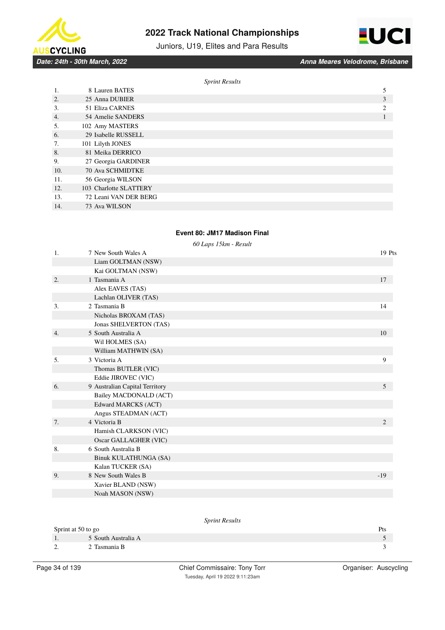





*Date: 24th - 30th March, 2022 Anna Meares Velodrome, Brisbane*

|     |                        | <b>Sprint Results</b> |   |
|-----|------------------------|-----------------------|---|
| 1.  | 8 Lauren BATES         |                       | 5 |
| 2.  | 25 Anna DUBIER         |                       | 3 |
| 3.  | 51 Eliza CARNES        |                       | 2 |
| 4.  | 54 Amelie SANDERS      |                       |   |
| 5.  | 102 Amy MASTERS        |                       |   |
| 6.  | 29 Isabelle RUSSELL    |                       |   |
| 7.  | 101 Lilyth JONES       |                       |   |
| 8.  | 81 Meika DERRICO       |                       |   |
| 9.  | 27 Georgia GARDINER    |                       |   |
| 10. | 70 Ava SCHMIDTKE       |                       |   |
| 11. | 56 Georgia WILSON      |                       |   |
| 12. | 103 Charlotte SLATTERY |                       |   |
| 13. | 72 Leani VAN DER BERG  |                       |   |
| 14. | 73 Ava WILSON          |                       |   |

### **Event 80: JM17 Madison Final**

*60 Laps 15km - Result*

| 1.               | 7 New South Wales A            | 19 Pts         |
|------------------|--------------------------------|----------------|
|                  | Liam GOLTMAN (NSW)             |                |
|                  | Kai GOLTMAN (NSW)              |                |
| 2.               | 1 Tasmania A                   | 17             |
|                  | Alex EAVES (TAS)               |                |
|                  | Lachlan OLIVER (TAS)           |                |
| 3.               | 2 Tasmania B                   | 14             |
|                  | Nicholas BROXAM (TAS)          |                |
|                  | Jonas SHELVERTON (TAS)         |                |
| $\overline{4}$ . | 5 South Australia A            | 10             |
|                  | Wil HOLMES (SA)                |                |
|                  | William MATHWIN (SA)           |                |
| 5.               | 3 Victoria A                   | 9              |
|                  | Thomas BUTLER (VIC)            |                |
|                  | Eddie JIROVEC (VIC)            |                |
| 6.               | 9 Australian Capital Territory | 5              |
|                  | Bailey MACDONALD (ACT)         |                |
|                  | Edward MARCKS (ACT)            |                |
|                  | Angus STEADMAN (ACT)           |                |
| 7.               | 4 Victoria B                   | $\overline{2}$ |
|                  | Hamish CLARKSON (VIC)          |                |
|                  | Oscar GALLAGHER (VIC)          |                |
| 8.               | 6 South Australia B            |                |
|                  | <b>Binuk KULATHUNGA (SA)</b>   |                |
|                  | Kalan TUCKER (SA)              |                |
| 9.               | 8 New South Wales B            | $-19$          |
|                  | Xavier BLAND (NSW)             |                |
|                  | Noah MASON (NSW)               |                |

# *Sprint Results* Sprint at 50 to go Pts 1. 5 South Australia A 5 South Australia A 5 South Australia A 5 South Australia A 5 South Australia A 5 South Australia A 5 South Australia A 5 South Australia A 5 South Australia A 5 South Australia A 5 South Australia A 2. 2 Tasmania B 3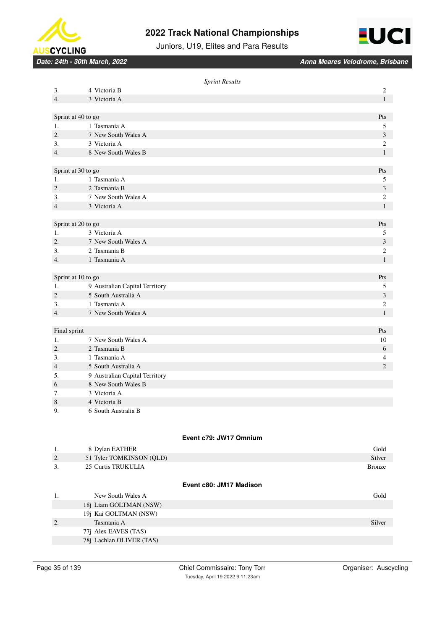



Juniors, U19, Elites and Para Results

*Date: 24th - 30th March, 2022 Anna Meares Velodrome, Brisbane*

|              |                                     | <b>Sprint Results</b>   |                       |
|--------------|-------------------------------------|-------------------------|-----------------------|
| 3.           | 4 Victoria B                        |                         | $\boldsymbol{2}$      |
| 4.           | 3 Victoria A                        |                         | $\mathbf{1}$          |
|              |                                     |                         |                       |
|              | Sprint at 40 to go                  |                         | Pts                   |
| 1.<br>2.     | 1 Tasmania A<br>7 New South Wales A |                         | 5<br>$\sqrt{3}$       |
| 3.           | 3 Victoria A                        |                         | $\boldsymbol{2}$      |
| 4.           | 8 New South Wales B                 |                         | $\mathbf{1}$          |
|              |                                     |                         |                       |
|              | Sprint at 30 to go                  |                         | Pts                   |
| 1.           | 1 Tasmania A                        |                         | $\sqrt{5}$            |
| 2.           | 2 Tasmania B                        |                         | $\mathfrak{Z}$        |
| 3.           | 7 New South Wales A                 |                         | $\boldsymbol{2}$      |
| 4.           | 3 Victoria A                        |                         | $\mathbf{1}$          |
|              |                                     |                         |                       |
|              | Sprint at 20 to go                  |                         | Pts                   |
| 1.           | 3 Victoria A                        |                         | 5                     |
| 2.           | 7 New South Wales A                 |                         | $\sqrt{3}$            |
| 3.           | 2 Tasmania B                        |                         | $\boldsymbol{2}$      |
| 4.           | 1 Tasmania A                        |                         | $\mathbf{1}$          |
|              |                                     |                         |                       |
|              | Sprint at 10 to go                  |                         | Pts                   |
| 1.           | 9 Australian Capital Territory      |                         | $\sqrt{5}$            |
| 2.           | 5 South Australia A                 |                         | $\sqrt{3}$            |
| 3.           | 1 Tasmania A                        |                         | $\boldsymbol{2}$      |
| 4.           | 7 New South Wales A                 |                         | $\mathbf{1}$          |
| Final sprint |                                     |                         | Pts                   |
| 1.           | 7 New South Wales A                 |                         | 10                    |
| 2.           | 2 Tasmania B                        |                         | 6                     |
| 3.           | 1 Tasmania A                        |                         | $\overline{4}$        |
| 4.           | 5 South Australia A                 |                         | 2                     |
| 5.           | 9 Australian Capital Territory      |                         |                       |
| 6.           | 8 New South Wales B                 |                         |                       |
| 7.           | 3 Victoria A                        |                         |                       |
| 8            | 4 Victoria B                        |                         |                       |
| 9.           | 6 South Australia B                 |                         |                       |
|              |                                     |                         |                       |
|              |                                     | Event c79: JW17 Omnium  |                       |
| 1.           | 8 Dylan EATHER                      |                         | $\operatorname{Gold}$ |
| 2.           | 51 Tyler TOMKINSON (QLD)            |                         | Silver                |
| 3.           | 25 Curtis TRUKULIA                  |                         | <b>Bronze</b>         |
|              |                                     |                         |                       |
|              |                                     | Event c80: JM17 Madison |                       |

1. New South Wales A Gold 18j Liam GOLTMAN (NSW) 19j Kai GOLTMAN (NSW) 2. Tasmania A Silver 77j Alex EAVES (TAS) 78j Lachlan OLIVER (TAS)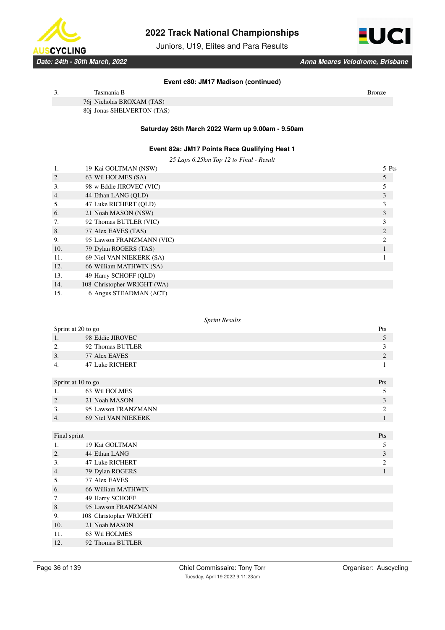

Juniors, U19, Elites and Para Results



*Date: 24th - 30th March, 2022 Anna Meares Velodrome, Brisbane*

#### **Event c80: JM17 Madison (continued)**

| Tasmania B                 | Bronze |  |
|----------------------------|--------|--|
| 76j Nicholas BROXAM (TAS)  |        |  |
| 80j Jonas SHELVERTON (TAS) |        |  |

### **Saturday 26th March 2022 Warm up 9.00am - 9.50am**

### **Event 82a: JM17 Points Race Qualifying Heat 1**

*25 Laps 6.25km Top 12 to Final - Result*

|                  | 19 Kai GOLTMAN (NSW)        | 5 Pts |
|------------------|-----------------------------|-------|
| 2.               | 63 Wil HOLMES (SA)          | 5     |
| 3.               | 98 w Eddie JIROVEC (VIC)    |       |
| $\overline{4}$ . | 44 Ethan LANG (OLD)         |       |
| 5.               | 47 Luke RICHERT (OLD)       |       |
| 6.               | 21 Noah MASON (NSW)         | 3     |
| 7.               | 92 Thomas BUTLER (VIC)      |       |
| 8.               | 77 Alex EAVES (TAS)         | 2     |
| 9.               | 95 Lawson FRANZMANN (VIC)   |       |
| 10.              | 79 Dylan ROGERS (TAS)       |       |
| 11.              | 69 Niel VAN NIEKERK (SA)    |       |
| 12.              | 66 William MATHWIN (SA)     |       |
| 13.              | 49 Harry SCHOFF (QLD)       |       |
| 14.              | 108 Christopher WRIGHT (WA) |       |

15. 6 Angus STEADMAN (ACT)

#### *Sprint Results*

| Sprint at 20 to go     |                |
|------------------------|----------------|
| 98 Eddie JIROVEC       | 5              |
| 92 Thomas BUTLER       | 3              |
| 77 Alex EAVES          | $\mathfrak{2}$ |
| <b>47 Luke RICHERT</b> | 1              |
| Sprint at 10 to go     | Pts            |
| 63 Wil HOLMES          | 5              |
| 21 Noah MASON          | 3              |
| 95 Lawson FRANZMANN    | $\overline{2}$ |
| 69 Niel VAN NIEKERK    | $\mathbf{1}$   |
|                        |                |
| Final sprint           | Pts            |
| 19 Kai GOLTMAN         | 5              |
| 44 Ethan LANG          | 3              |
| 47 Luke RICHERT        | $\overline{c}$ |
| 79 Dylan ROGERS        | $\mathbf{1}$   |
| 77 Alex EAVES          |                |
| 66 William MATHWIN     |                |
| 49 Harry SCHOFF        |                |
| 95 Lawson FRANZMANN    |                |
| 108 Christopher WRIGHT |                |
| 21 Noah MASON          |                |
| 63 Wil HOLMES          |                |
| 92 Thomas BUTLER       |                |
|                        |                |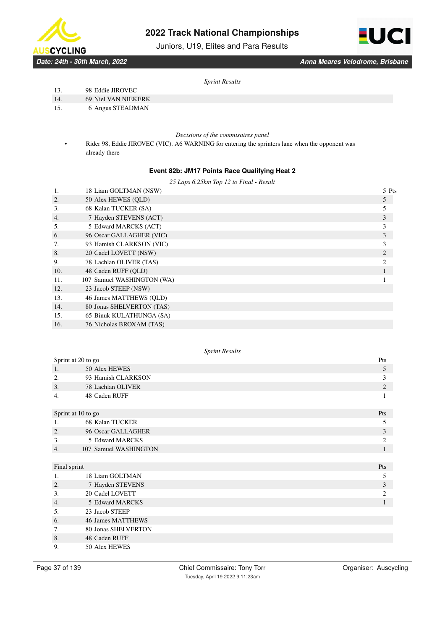

Juniors, U19, Elites and Para Results



*Date: 24th - 30th March, 2022 Anna Meares Velodrome, Brisbane*

*Sprint Results*

- 13. 98 Eddie JIROVEC
- 14. 69 Niel VAN NIEKERK
- 15. 6 Angus STEADMAN

*Decisions of the commisaires panel*

• Rider 98, Eddie JIROVEC (VIC). A6 WARNING for entering the sprinters lane when the opponent was already there

# **Event 82b: JM17 Points Race Qualifying Heat 2**

| 25 Laps 6.25km Top 12 to Final - Result |  |  |  |
|-----------------------------------------|--|--|--|
|                                         |  |  |  |

| 18 Liam GOLTMAN (NSW)      | 5 Pts |
|----------------------------|-------|
| 50 Alex HEWES (OLD)        | 5     |
| 68 Kalan TUCKER (SA)       |       |
| 7 Hayden STEVENS (ACT)     | 3     |
| 5 Edward MARCKS (ACT)      |       |
| 96 Oscar GALLAGHER (VIC)   | 3     |
| 93 Hamish CLARKSON (VIC)   | 3     |
| 20 Cadel LOVETT (NSW)      | 2     |
| 78 Lachlan OLIVER (TAS)    | 2     |
| 48 Caden RUFF (OLD)        |       |
| 107 Samuel WASHINGTON (WA) |       |
| 23 Jacob STEEP (NSW)       |       |
| 46 James MATTHEWS (OLD)    |       |
| 80 Jonas SHELVERTON (TAS)  |       |
| 65 Binuk KULATHUNGA (SA)   |       |
| 76 Nicholas BROXAM (TAS)   |       |
|                            |       |

### *Sprint Results*

|              | Sprint at 20 to go       | Pts            |
|--------------|--------------------------|----------------|
| 1.           | 50 Alex HEWES            | 5              |
| 2.           | 93 Hamish CLARKSON       | 3              |
| 3.           | 78 Lachlan OLIVER        | $\overline{2}$ |
| 4.           | 48 Caden RUFF            |                |
|              | Sprint at 10 to go       | Pts            |
| 1.           | 68 Kalan TUCKER          | 5              |
| 2.           | 96 Oscar GALLAGHER       | 3              |
| 3.           | 5 Edward MARCKS          | $\overline{c}$ |
| 4.           | 107 Samuel WASHINGTON    |                |
|              |                          |                |
| Final sprint |                          | Pts            |
| 1.           | 18 Liam GOLTMAN          | 5              |
| 2.           | 7 Hayden STEVENS         | 3              |
| 3.           | 20 Cadel LOVETT          | $\overline{c}$ |
| 4.           | 5 Edward MARCKS          | 1              |
| 5.           | 23 Jacob STEEP           |                |
| 6.           | <b>46 James MATTHEWS</b> |                |
| 7.           | 80 Jonas SHELVERTON      |                |
| 8.           | 48 Caden RUFF            |                |
| 9.           | 50 Alex HEWES            |                |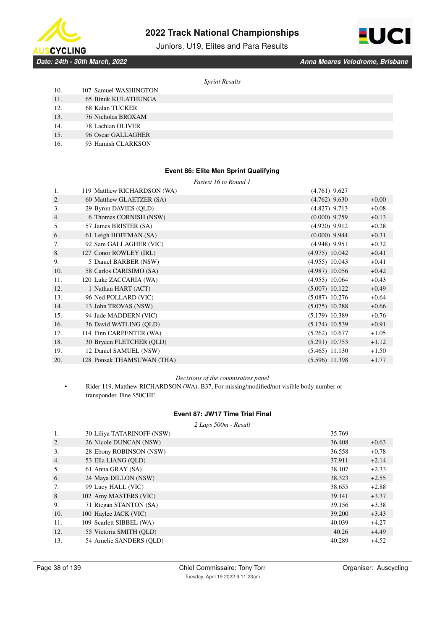

Juniors, U19, Elites and Para Results



*Date: 24th - 30th March, 2022 Anna Meares Velodrome, Brisbane*

*Sprint Results*

| 10. | 107 Samuel WASHINGTON      |
|-----|----------------------------|
| 11. | <b>65 Binuk KULATHUNGA</b> |
| 12. | 68 Kalan TUCKER            |
| 13. | 76 Nicholas BROXAM         |
| 14  | 78 Lachlan OLIVER          |

- 14. 78 Lachlan OLIVER
- 15. 96 Oscar GALLAGHER
- 16. 93 Hamish CLARKSON

# **Event 86: Elite Men Sprint Qualifying**

*Fastest 16 to Round 1*

| 1.  | 119 Matthew RICHARDSON (WA) | $(4.761)$ 9.627  |         |
|-----|-----------------------------|------------------|---------|
| 2.  | 60 Matthew GLAETZER (SA)    | $(4.762)$ 9.630  | $+0.00$ |
| 3.  | 29 Byron DAVIES (QLD)       | $(4.827)$ 9.713  | $+0.08$ |
| 4.  | 6 Thomas CORNISH (NSW)      | $(0.000)$ 9.759  | $+0.13$ |
| 5.  | 57 James BRISTER (SA)       | $(4.920)$ 9.912  | $+0.28$ |
| 6.  | 61 Leigh HOFFMAN (SA)       | $(0.000)$ 9.944  | $+0.31$ |
| 7.  | 92 Sam GALLAGHER (VIC)      | $(4.948)$ 9.951  | $+0.32$ |
| 8.  | 127 Conor ROWLEY (IRL)      | $(4.975)$ 10.042 | $+0.41$ |
| 9.  | 5 Daniel BARBER (NSW)       | $(4.955)$ 10.043 | $+0.41$ |
| 10. | 58 Carlos CARISIMO (SA)     | $(4.987)$ 10.056 | $+0.42$ |
| 11. | 120 Luke ZACCARIA (WA)      | $(4.955)$ 10.064 | $+0.43$ |
| 12. | 1 Nathan HART (ACT)         | $(5.007)$ 10.122 | $+0.49$ |
| 13. | 96 Ned POLLARD (VIC)        | $(5.087)$ 10.276 | $+0.64$ |
| 14. | 13 John TROVAS (NSW)        | $(5.075)$ 10.288 | $+0.66$ |
| 15. | 94 Jade MADDERN (VIC)       | $(5.179)$ 10.389 | $+0.76$ |
| 16. | 36 David WATLING (QLD)      | $(5.174)$ 10.539 | $+0.91$ |
| 17. | 114 Finn CARPENTER (WA)     | $(5.262)$ 10.677 | $+1.05$ |
| 18. | 30 Brycen FLETCHER (QLD)    | $(5.291)$ 10.753 | $+1.12$ |
| 19. | 12 Daniel SAMUEL (NSW)      | $(5.465)$ 11.130 | $+1.50$ |
| 20. | 128 Ponsak THAMSUWAN (THA)  | $(5.596)$ 11.398 | $+1.77$ |

#### *Decisions of the commisaires panel*

• Rider 119, Matthew RICHARDSON (WA). B37, For missing/modified/not visible body number or transponder. Fine \$50CHF

### **Event 87: JW17 Time Trial Final**

#### *2 Laps 500m - Result*

| 1.  | 30 Liliya TATARINOFF (NSW) | 35.769 |         |
|-----|----------------------------|--------|---------|
| 2.  | 26 Nicole DUNCAN (NSW)     | 36.408 | $+0.63$ |
| 3.  | 28 Ebony ROBINSON (NSW)    | 36.558 | $+0.78$ |
| 4.  | 53 Ella LIANG (OLD)        | 37.911 | $+2.14$ |
| 5.  | 61 Anna GRAY (SA)          | 38.107 | $+2.33$ |
| 6.  | 24 Maya DILLON (NSW)       | 38.323 | $+2.55$ |
| 7.  | 99 Lucy HALL (VIC)         | 38.655 | $+2.88$ |
| 8.  | 102 Amy MASTERS (VIC)      | 39.141 | $+3.37$ |
| 9.  | 71 Riegan STANTON (SA)     | 39.156 | $+3.38$ |
| 10. | 100 Haylee JACK (VIC)      | 39.200 | $+3.43$ |
| 11. | 109 Scarlett SIBBEL (WA)   | 40.039 | $+4.27$ |
| 12. | 55 Victoria SMITH (OLD)    | 40.26  | $+4.49$ |
| 13. | 54 Amelie SANDERS (OLD)    | 40.289 | $+4.52$ |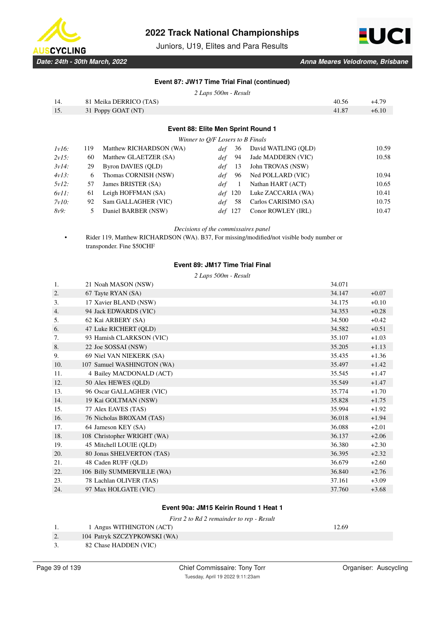

Juniors, U19, Elites and Para Results



### **Event 87: JW17 Time Trial Final (continued)**

*2 Laps 500m - Result*

| 14. | 81 Meika DERRICO (TAS) | 40.56 | +4.79   |
|-----|------------------------|-------|---------|
| 15. | 31 Poppy GOAT (NT)     | 41.87 | $+6.10$ |
|     |                        |       |         |

**Event 88: Elite Men Sprint Round 1**

*Winner to Q/F Losers to B Finals*

| $1v16$ : | 119 | Matthew RICHARDSON (WA) | 36<br>def  | David WATLING (QLD)  | 10.59 |
|----------|-----|-------------------------|------------|----------------------|-------|
| 2v15:    | 60  | Matthew GLAETZER (SA)   | 94<br>def  | Jade MADDERN (VIC)   | 10.58 |
| 3v14:    | 29  | Byron DAVIES (OLD)      | def<br>-13 | John TROVAS (NSW)    |       |
| 4v13:    | 6   | Thomas CORNISH (NSW)    | 96<br>def  | Ned POLLARD (VIC)    | 10.94 |
| 5v12:    | 57  | James BRISTER (SA)      | def        | Nathan HART (ACT)    | 10.65 |
| 6v11:    | 61  | Leigh HOFFMAN (SA)      | def 120    | Luke ZACCARIA (WA)   | 10.41 |
| 7v10:    | 92  | Sam GALLAGHER (VIC)     | -58<br>def | Carlos CARISIMO (SA) | 10.75 |
| 8v9:     |     | Daniel BARBER (NSW)     | def 127    | Conor ROWLEY (IRL)   | 10.47 |
|          |     |                         |            |                      |       |

*Decisions of the commissaires panel*

• Rider 119, Matthew RICHARDSON (WA). B37, For missing/modified/not visible body number or transponder. Fine \$50CHF

#### **Event 89: JM17 Time Trial Final**

*2 Laps 500m - Result*

| 1.  | 21 Noah MASON (NSW)         | 34.071 |         |
|-----|-----------------------------|--------|---------|
| 2.  | 67 Tayte RYAN (SA)          | 34.147 | $+0.07$ |
| 3.  | 17 Xavier BLAND (NSW)       | 34.175 | $+0.10$ |
| 4.  | 94 Jack EDWARDS (VIC)       | 34.353 | $+0.28$ |
| 5.  | 62 Kai ARBERY (SA)          | 34.500 | $+0.42$ |
| 6.  | 47 Luke RICHERT (QLD)       | 34.582 | $+0.51$ |
| 7.  | 93 Hamish CLARKSON (VIC)    | 35.107 | $+1.03$ |
| 8.  | 22 Joe SOSSAI (NSW)         | 35.205 | $+1.13$ |
| 9.  | 69 Niel VAN NIEKERK (SA)    | 35.435 | $+1.36$ |
| 10. | 107 Samuel WASHINGTON (WA)  | 35.497 | $+1.42$ |
| 11. | 4 Bailey MACDONALD (ACT)    | 35.545 | $+1.47$ |
| 12. | 50 Alex HEWES (OLD)         | 35.549 | $+1.47$ |
| 13. | 96 Oscar GALLAGHER (VIC)    | 35.774 | $+1.70$ |
| 14. | 19 Kai GOLTMAN (NSW)        | 35.828 | $+1.75$ |
| 15. | 77 Alex EAVES (TAS)         | 35.994 | $+1.92$ |
| 16. | 76 Nicholas BROXAM (TAS)    | 36.018 | $+1.94$ |
| 17. | 64 Jameson KEY (SA)         | 36.088 | $+2.01$ |
| 18. | 108 Christopher WRIGHT (WA) | 36.137 | $+2.06$ |
| 19. | 45 Mitchell LOUIE (QLD)     | 36.380 | $+2.30$ |
| 20. | 80 Jonas SHELVERTON (TAS)   | 36.395 | $+2.32$ |
| 21. | 48 Caden RUFF (QLD)         | 36.679 | $+2.60$ |
| 22. | 106 Billy SUMMERVILLE (WA)  | 36.840 | $+2.76$ |
| 23. | 78 Lachlan OLIVER (TAS)     | 37.161 | $+3.09$ |
| 24. | 97 Max HOLGATE (VIC)        | 37.760 | $+3.68$ |

### **Event 90a: JM15 Keirin Round 1 Heat 1**

*First 2 to Rd 2 remainder to rep - Result*

| 1 Angus WITHINGTON (ACT)     | 12.69 |
|------------------------------|-------|
| 104 Patryk SZCZYPKOWSKI (WA) |       |

3. 82 Chase HADDEN (VIC)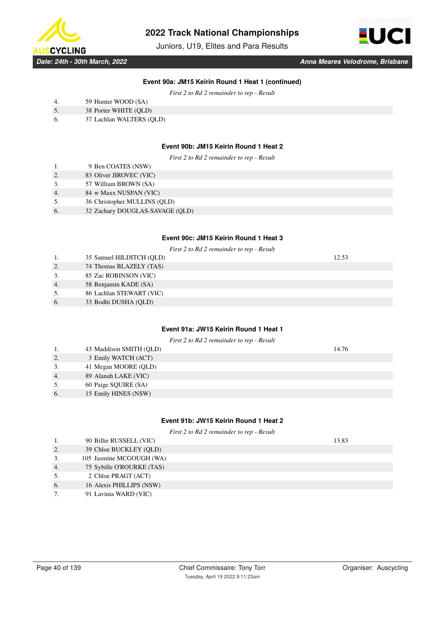

Juniors, U19, Elites and Para Results



### **Event 90a: JM15 Keirin Round 1 Heat 1 (continued)**

*First 2 to Rd 2 remainder to rep - Result*

| 4. |  | 59 Hunter WOOD (SA) |  |
|----|--|---------------------|--|
|    |  |                     |  |

- 5. 38 Porter WHITE (QLD)
- 6. 37 Lachlan WALTERS (QLD)

### **Event 90b: JM15 Keirin Round 1 Heat 2**

*First 2 to Rd 2 remainder to rep - Result*

| 1. | 9 Ben COATES (NSW)           |
|----|------------------------------|
| 2  | 83 Oliver JIROVEC (VIC)      |
| 3. | 57 William BROWN (SA)        |
|    | 84 w Maxx NUSPAN (VIC)       |
| 5. | 36 Christopher MULLINS (OLD) |
|    |                              |

6. 32 Zachary DOUGLAS-SAVAGE (QLD)

### **Event 90c: JM15 Keirin Round 1 Heat 3**

|    |                          | First 2 to Rd 2 remainder to rep - Result |  |
|----|--------------------------|-------------------------------------------|--|
| 1. | 35 Samuel HILDITCH (QLD) | 12.53                                     |  |
| 2. | 74 Thomas BLAZELY (TAS)  |                                           |  |
| 3. | 85 Zac ROBINSON (VIC)    |                                           |  |
| 4. | 58 Benjamin KADE (SA)    |                                           |  |
| 5. | 86 Lachlan STEWART (VIC) |                                           |  |
| 6. | 33 Bodhi DUSHA (OLD)     |                                           |  |
|    |                          |                                           |  |

# **Event 91a: JW15 Keirin Round 1 Heat 1**

|    |                         | First 2 to Rd 2 remainder to rep - Result |       |
|----|-------------------------|-------------------------------------------|-------|
| 1. | 43 Maddison SMITH (QLD) |                                           | 14.76 |
| 2. | 3 Emily WATCH (ACT)     |                                           |       |
| 3. | 41 Megan MOORE (QLD)    |                                           |       |
| 4. | 89 Alanah LAKE (VIC)    |                                           |       |
| 5. | 60 Paige SQUIRE (SA)    |                                           |       |
| 6. | 15 Emily HINES (NSW)    |                                           |       |

### **Event 91b: JW15 Keirin Round 1 Heat 2**

|    | First 2 to Rd 2 remainder to rep - Result |       |  |  |  |
|----|-------------------------------------------|-------|--|--|--|
| 1. | 90 Billie RUSSELL (VIC)                   | 13.83 |  |  |  |
| 2. | 39 Chloe BUCKLEY (OLD)                    |       |  |  |  |
| 3. | 105 Jasmine MCGOUGH (WA)                  |       |  |  |  |
| 4. | 75 Sybille O'ROURKE (TAS)                 |       |  |  |  |
| 5. | 2 Chloe PRAGT (ACT)                       |       |  |  |  |
| 6. | 16 Alexis PHILLIPS (NSW)                  |       |  |  |  |
| 7. | 91 Lavinia WARD (VIC)                     |       |  |  |  |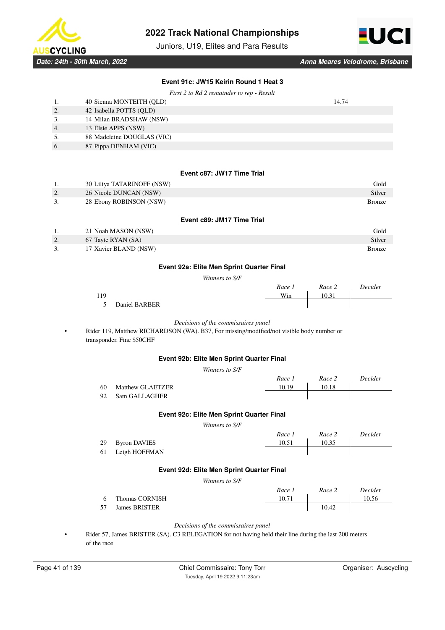

Juniors, U19, Elites and Para Results



# **Event 91c: JW15 Keirin Round 1 Heat 3**

|    | First 2 to Rd 2 remainder to rep - Result |       |
|----|-------------------------------------------|-------|
|    | 40 Sienna MONTEITH (OLD)                  | 14.74 |
| 2. | 42 Isabella POTTS (OLD)                   |       |
| 3. | 14 Milan BRADSHAW (NSW)                   |       |
| 4. | 13 Elsie APPS (NSW)                       |       |
| 5. | 88 Madeleine DOUGLAS (VIC)                |       |
| 6. | 87 Pippa DENHAM (VIC)                     |       |

#### **Event c87: JW17 Time Trial**

|    | 30 Liliya TATARINOFF (NSW) | Gold          |
|----|----------------------------|---------------|
| 2. | 26 Nicole DUNCAN (NSW)     | Silver        |
| 3. | 28 Ebony ROBINSON (NSW)    | <b>Bronze</b> |

#### **Event c89: JM17 Time Trial**

|    | 21 Noah MASON (NSW)   | Gold          |
|----|-----------------------|---------------|
| 2. | 67 Tayte RYAN (SA)    | Silver        |
| 3. | 17 Xavier BLAND (NSW) | <b>Bronze</b> |

### **Event 92a: Elite Men Sprint Quarter Final**

*Winners to S/F*

|     |               | Race 1 | Race 2 | Decider |
|-----|---------------|--------|--------|---------|
| 119 |               | Win    | 10.31  |         |
|     | Daniel BARBER |        |        |         |

#### *Decisions of the commissaires panel*

• Rider 119, Matthew RICHARDSON (WA). B37, For missing/modified/not visible body number or transponder. Fine \$50CHF

### **Event 92b: Elite Men Sprint Quarter Final**

*Winners to S/F*

|     |                         | Race 1 | Race 2 | Decider |
|-----|-------------------------|--------|--------|---------|
| -60 | <b>Matthew GLAETZER</b> | 10.19  | 10.18  |         |
| 92  | Sam GALLAGHER           |        |        |         |

### **Event 92c: Elite Men Sprint Quarter Final**

*Winners to S/F*

| Race 1 | Race 2 | Decider |
|--------|--------|---------|
| 10.51  | 10.35  |         |
|        |        |         |

### **Event 92d: Elite Men Sprint Quarter Final**

*Winners to S/F*

|    |                      | Race 1 | Race 2 | Decider |
|----|----------------------|--------|--------|---------|
| -6 | Thomas CORNISH       | 10.71  |        | 10.56   |
| 57 | <b>James BRISTER</b> |        | 10.42  |         |

*Decisions of the commissaires panel*

• Rider 57, James BRISTER (SA). C3 RELEGATION for not having held their line during the last 200 meters of the race

29 Byron DAVIES 61 Leigh HOFFMAN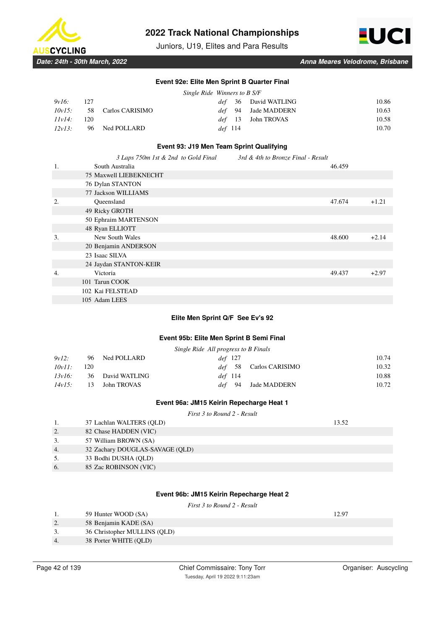



Juniors, U19, Elites and Para Results

### **Event 92e: Elite Men Sprint B Quarter Final**

|        |       |                              | Single Ride Winners to B S/F |       |
|--------|-------|------------------------------|------------------------------|-------|
| 9v16:  | - 127 |                              | <i>def</i> 36 David WATLING  | 10.86 |
|        |       | $10v15$ : 58 Carlos CARISIMO | <i>def</i> 94 Jade MADDERN   | 10.63 |
| 11v14: | -120  |                              | <i>def</i> 13 John TROVAS    | 10.58 |
| 12v13: |       | 96 Ned POLLARD               | def 114                      | 10.70 |

### **Event 93: J19 Men Team Sprint Qualifying**

|    | 3 Laps 750m 1st & 2nd to Gold Final | 3rd & 4th to Bronze Final - Result |        |         |
|----|-------------------------------------|------------------------------------|--------|---------|
| 1. | South Australia                     |                                    | 46.459 |         |
|    | <b>75 Maxwell LIEBEKNECHT</b>       |                                    |        |         |
|    | 76 Dylan STANTON                    |                                    |        |         |
|    | 77 Jackson WILLIAMS                 |                                    |        |         |
| 2. | Queensland                          |                                    | 47.674 | $+1.21$ |
|    | 49 Ricky GROTH                      |                                    |        |         |
|    | 50 Ephraim MARTENSON                |                                    |        |         |
|    | 48 Ryan ELLIOTT                     |                                    |        |         |
| 3. | New South Wales                     |                                    | 48.600 | $+2.14$ |
|    | 20 Benjamin ANDERSON                |                                    |        |         |
|    | 23 Isaac SILVA                      |                                    |        |         |
|    | 24 Jaydan STANTON-KEIR              |                                    |        |         |
| 4. | Victoria                            |                                    | 49.437 | $+2.97$ |
|    | 101 Tarun COOK                      |                                    |        |         |
|    | 102 Kai FELSTEAD                    |                                    |        |         |
|    | 105 Adam LEES                       |                                    |        |         |

### **Elite Men Sprint Q/F See Ev's 92**

#### **Event 95b: Elite Men Sprint B Semi Final**

|           |     |                | Single Ride All progress to B Finals |       |
|-----------|-----|----------------|--------------------------------------|-------|
| 9v12:     |     | 96 Ned POLLARD | def 127                              | 10.74 |
| $10v11$ : | 120 |                | Carlos CARISIMO<br>def 58            | 10.32 |
| 13v16:    | 36  | David WATLING  | def 114                              | 10.88 |
| 14v15:    | 13  | John TROVAS    | Jade MADDERN<br>def 94               | 10.72 |

### **Event 96a: JM15 Keirin Repecharge Heat 1**

#### *First 3 to Round 2 - Result*

|    | 37 Lachlan WALTERS (QLD)        | 13.52 |
|----|---------------------------------|-------|
| 2. | 82 Chase HADDEN (VIC)           |       |
| 3. | 57 William BROWN (SA)           |       |
| 4. | 32 Zachary DOUGLAS-SAVAGE (QLD) |       |
| 5. | 33 Bodhi DUSHA (OLD)            |       |
| 6. | 85 Zac ROBINSON (VIC)           |       |
|    |                                 |       |

### **Event 96b: JM15 Keirin Repecharge Heat 2**

|  |  | First 3 to Round 2 - Result |  |  |  |
|--|--|-----------------------------|--|--|--|
|--|--|-----------------------------|--|--|--|

 $(QLD)$ 

1. 59 Hunter WOOD (SA) 12.97

| 2. | 58 Benjamin KADE (SA)  |
|----|------------------------|
| 3. | 36 Christopher MULLINS |

4. 38 Porter WHITE (QLD)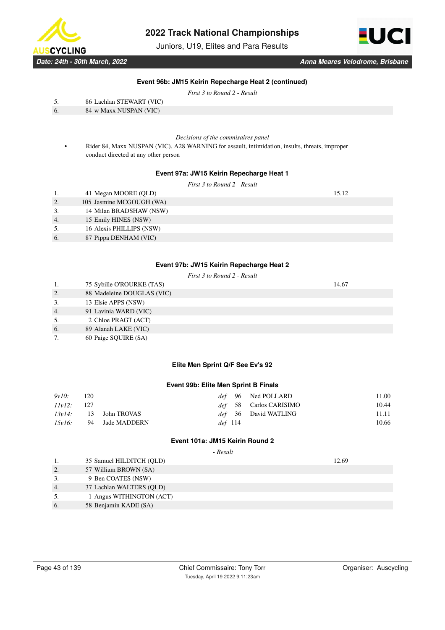

Juniors, U19, Elites and Para Results



*Date: 24th - 30th March, 2022 Anna Meares Velodrome, Brisbane*

### **Event 96b: JM15 Keirin Repecharge Heat 2 (continued)**

*First 3 to Round 2 - Result*

| -5. | 86 Lachlan STEWART (VIC)                        |
|-----|-------------------------------------------------|
|     | $0.4 \rightarrow M \rightarrow M H H N A M H N$ |

| 6. |  | 84 w Maxx NUSPAN (VIC) |  |
|----|--|------------------------|--|
|    |  |                        |  |

*Decisions of the commisaires panel*

• Rider 84, Maxx NUSPAN (VIC). A28 WARNING for assault, intimidation, insults, threats, improper conduct directed at any other person

### **Event 97a: JW15 Keirin Repecharge Heat 1**

*First 3 to Round 2 - Result*

|                  | 41 Megan MOORE (QLD)     | 15.12 |
|------------------|--------------------------|-------|
| 2.               | 105 Jasmine MCGOUGH (WA) |       |
| 3.               | 14 Milan BRADSHAW (NSW)  |       |
| $\overline{4}$ . | 15 Emily HINES (NSW)     |       |
| 5.               | 16 Alexis PHILLIPS (NSW) |       |
| 6.               | 87 Pippa DENHAM (VIC)    |       |

### **Event 97b: JW15 Keirin Repecharge Heat 2**

|                  | First 3 to Round 2 - Result  |       |
|------------------|------------------------------|-------|
|                  | 75 Sybille O'ROURKE (TAS)    | 14.67 |
| 2.               | 88 Madeleine DOUGLAS (VIC)   |       |
| 3.               | 13 Elsie APPS (NSW)          |       |
| $\overline{4}$ . | 91 Lavinia WARD (VIC)        |       |
| 5.               | 2 Chloe PRAGT (ACT)          |       |
| 6.               | 89 Alanah LAKE (VIC)         |       |
| $\overline{ }$   | $(0, 0.1, 0.01$ HDE $(0, 1)$ |       |

7. 60 Paige SQUIRE (SA)

### **Elite Men Sprint Q/F See Ev's 92**

### **Event 99b: Elite Men Sprint B Finals**

| 9v10:  | 120 |                          |           | <i>def</i> 96 Ned POLLARD     | 11.00 |
|--------|-----|--------------------------|-----------|-------------------------------|-------|
| 11v12: | 127 |                          |           | <i>def</i> 58 Carlos CARISIMO | 10.44 |
|        |     | $13v14$ : 13 John TROVAS |           | <i>def</i> 36 David WATLING   | 11.11 |
| 15v16: |     | 94 Jade MADDERN          | $def$ 114 |                               | 10.66 |

### **Event 101a: JM15 Keirin Round 2**

 *- Result*

|    | 35 Samuel HILDITCH (QLD) | 12.69 |
|----|--------------------------|-------|
| 2. | 57 William BROWN (SA)    |       |
| 3. | 9 Ben COATES (NSW)       |       |
| 4. | 37 Lachlan WALTERS (OLD) |       |
| 5. | 1 Angus WITHINGTON (ACT) |       |
| 6. | 58 Benjamin KADE (SA)    |       |
|    |                          |       |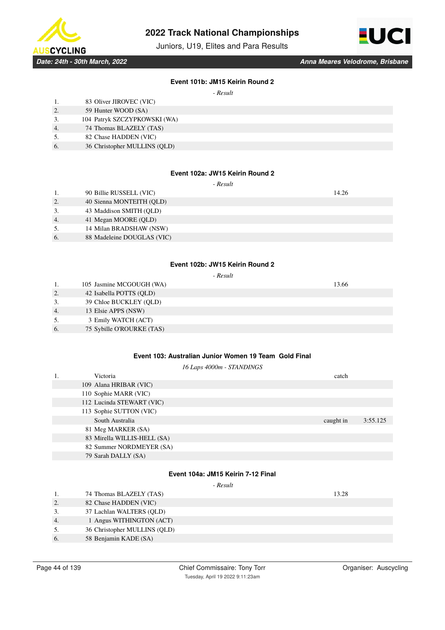

Juniors, U19, Elites and Para Results



### **Event 101b: JM15 Keirin Round 2**

 $D_{\text{acc}}$ 

|    | - Kesuu                      |
|----|------------------------------|
|    | 83 Oliver JIROVEC (VIC)      |
| 2. | 59 Hunter WOOD (SA)          |
| 3. | 104 Patryk SZCZYPKOWSKI (WA) |
| 4. | 74 Thomas BLAZELY (TAS)      |
| 5. | 82 Chase HADDEN (VIC)        |
| 6. | 36 Christopher MULLINS (QLD) |

### **Event 102a: JW15 Keirin Round 2**

 *- Result*

|                  | 90 Billie RUSSELL (VIC)    | 14.26 |
|------------------|----------------------------|-------|
| $\overline{2}$ . | 40 Sienna MONTEITH (OLD)   |       |
| 3.               | 43 Maddison SMITH (OLD)    |       |
| 4.               | 41 Megan MOORE (QLD)       |       |
| 5.               | 14 Milan BRADSHAW (NSW)    |       |
| 6.               | 88 Madeleine DOUGLAS (VIC) |       |
|                  |                            |       |

### **Event 102b: JW15 Keirin Round 2**

 *- Result*

|    | 105 Jasmine MCGOUGH (WA)  | 13.66 |
|----|---------------------------|-------|
| 2. | 42 Isabella POTTS (QLD)   |       |
| 3. | 39 Chloe BUCKLEY (OLD)    |       |
| 4. | 13 Elsie APPS (NSW)       |       |
| 5. | 3 Emily WATCH (ACT)       |       |
| 6. | 75 Sybille O'ROURKE (TAS) |       |

# **Event 103: Australian Junior Women 19 Team Gold Final**

*16 Laps 4000m - STANDINGS*

| 3:55.125 |
|----------|
|          |
|          |
|          |
|          |
|          |

# **Event 104a: JM15 Keirin 7-12 Final**

|    | 74 Thomas BLAZELY (TAS)      | 13.28 |
|----|------------------------------|-------|
| 2. | 82 Chase HADDEN (VIC)        |       |
|    | 37 Lachlan WALTERS (OLD)     |       |
| 4. | 1 Angus WITHINGTON (ACT)     |       |
| 5. | 36 Christopher MULLINS (OLD) |       |
| 6. | 58 Benjamin KADE (SA)        |       |
|    |                              |       |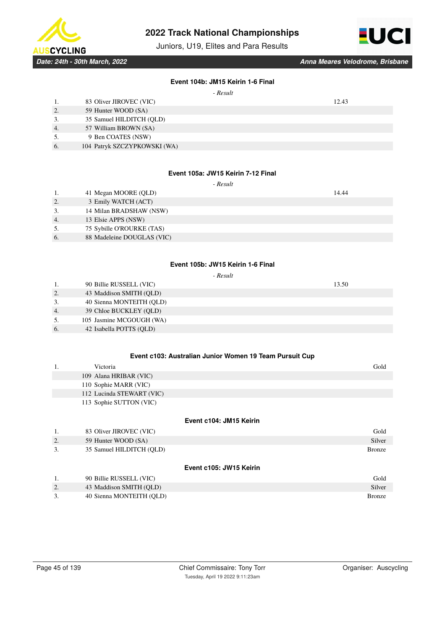

Juniors, U19, Elites and Para Results



### **Event 104b: JM15 Keirin 1-6 Final**

| Result |
|--------|
|--------|

### **Event 105a: JW15 Keirin 7-12 Final**

 *- Result*

|    | 41 Megan MOORE (QLD)       | 14.44 |
|----|----------------------------|-------|
| 2. | 3 Emily WATCH (ACT)        |       |
|    | 14 Milan BRADSHAW (NSW)    |       |
| 4. | 13 Elsie APPS (NSW)        |       |
| 5. | 75 Sybille O'ROURKE (TAS)  |       |
| 6. | 88 Madeleine DOUGLAS (VIC) |       |
|    |                            |       |

### **Event 105b: JW15 Keirin 1-6 Final**

| Result |
|--------|
|--------|

|                  | 90 Billie RUSSELL (VIC)  | 13.50 |
|------------------|--------------------------|-------|
| 2.               | 43 Maddison SMITH (OLD)  |       |
| 3.               | 40 Sienna MONTEITH (OLD) |       |
| $\overline{4}$ . | 39 Chloe BUCKLEY (OLD)   |       |
| 5.               | 105 Jasmine MCGOUGH (WA) |       |
| 6.               | 42 Isabella POTTS (OLD)  |       |

### **Event c103: Australian Junior Women 19 Team Pursuit Cup**

|                         | Victoria                  | Gold          |  |
|-------------------------|---------------------------|---------------|--|
|                         | 109 Alana HRIBAR (VIC)    |               |  |
|                         | 110 Sophie MARR (VIC)     |               |  |
|                         | 112 Lucinda STEWART (VIC) |               |  |
|                         | 113 Sophie SUTTON (VIC)   |               |  |
|                         |                           |               |  |
| Event c104: JM15 Keirin |                           |               |  |
| 1.                      | 83 Oliver JIROVEC (VIC)   | Gold          |  |
| 2.                      | 59 Hunter WOOD (SA)       | Silver        |  |
| 3.                      | 35 Samuel HILDITCH (OLD)  | <b>Bronze</b> |  |

### **Event c105: JW15 Keirin**

|           | 90 Billie RUSSELL (VIC)  | Gold   |
|-----------|--------------------------|--------|
| <u>L.</u> | 43 Maddison SMITH (OLD)  | Silver |
|           | 40 Sienna MONTEITH (OLD) | Bronze |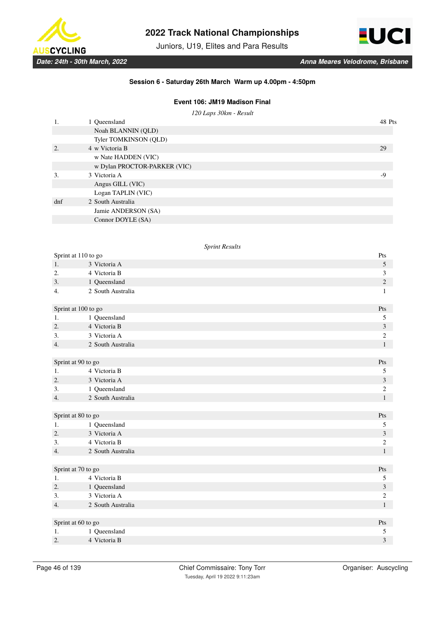

Juniors, U19, Elites and Para Results



### **Session 6 - Saturday 26th March Warm up 4.00pm - 4:50pm**

# **Event 106: JM19 Madison Final**

*120 Laps 30km - Result*

|     | 1 Queensland                 | 48 Pts |
|-----|------------------------------|--------|
|     | Noah BLANNIN (QLD)           |        |
|     | Tyler TOMKINSON (QLD)        |        |
| 2.  | 4 w Victoria B               | 29     |
|     | w Nate HADDEN (VIC)          |        |
|     | w Dylan PROCTOR-PARKER (VIC) |        |
| 3.  | 3 Victoria A                 | -9     |
|     | Angus GILL (VIC)             |        |
|     | Logan TAPLIN (VIC)           |        |
| dnf | 2 South Australia            |        |
|     | Jamie ANDERSON (SA)          |        |
|     | Connor DOYLE (SA)            |        |
|     |                              |        |

### *Sprint Results*

| Sprint at 110 to go |                   | Pts                     |
|---------------------|-------------------|-------------------------|
| 1.                  | 3 Victoria A      | 5                       |
| 2.                  | 4 Victoria B      | 3                       |
| 3.                  | 1 Queensland      | $\sqrt{2}$              |
| 4.                  | 2 South Australia | $\mathbf{1}$            |
| Sprint at 100 to go |                   | Pts                     |
| 1.                  | 1 Queensland      | 5                       |
| 2.                  | 4 Victoria B      | $\mathfrak{Z}$          |
| 3.                  | 3 Victoria A      | $\overline{c}$          |
| 4.                  | 2 South Australia | $\mathbf{1}$            |
|                     |                   |                         |
| Sprint at 90 to go  |                   | Pts                     |
| 1.                  | 4 Victoria B      | 5                       |
| 2.                  | 3 Victoria A      | $\mathfrak{Z}$          |
| 3.                  | 1 Queensland      | $\mathfrak{2}$          |
| 4.                  | 2 South Australia | $\mathbf{1}$            |
|                     |                   |                         |
| Sprint at 80 to go  |                   | Pts                     |
| 1.                  | 1 Queensland      | 5                       |
| 2.                  | 3 Victoria A      | $\mathfrak{Z}$          |
| 3.                  | 4 Victoria B      | $\sqrt{2}$              |
| 4.                  | 2 South Australia | $\mathbf{1}$            |
|                     |                   |                         |
| Sprint at 70 to go  |                   | Pts                     |
| 1.                  | 4 Victoria B      | $\sqrt{5}$              |
| 2.                  | 1 Queensland      | $\overline{\mathbf{3}}$ |
| 3.                  | 3 Victoria A      | $\mathbf{2}$            |
| 4.                  | 2 South Australia | $\mathbf{1}$            |
|                     |                   |                         |
| Sprint at 60 to go  |                   | Pts                     |
| 1.                  | 1 Queensland      | 5                       |
| 2.                  | 4 Victoria B      | 3                       |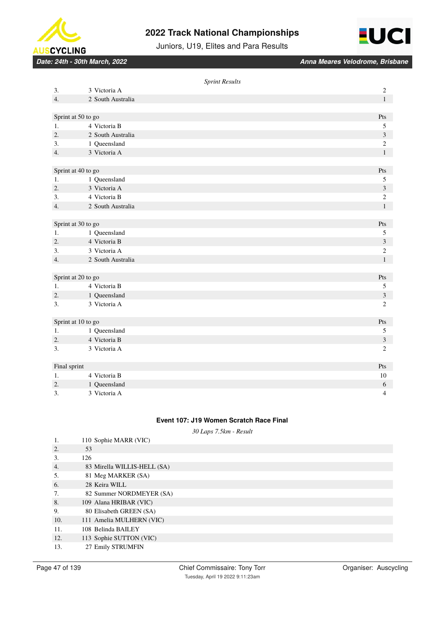



Juniors, U19, Elites and Para Results

*Date: 24th - 30th March, 2022 Anna Meares Velodrome, Brisbane*

|                  |                    | <b>Sprint Results</b> |                  |
|------------------|--------------------|-----------------------|------------------|
| 3.               | 3 Victoria A       |                       | $\boldsymbol{2}$ |
| 4.               | 2 South Australia  |                       | $\mathbf{1}$     |
|                  |                    |                       |                  |
|                  | Sprint at 50 to go |                       | Pts              |
| 1.               | 4 Victoria B       |                       | $\sqrt{5}$       |
| $\overline{2}$ . | 2 South Australia  |                       | 3                |
| 3.               | 1 Queensland       |                       | $\overline{c}$   |
| 4.               | 3 Victoria A       |                       | $\mathbf{1}$     |
|                  |                    |                       |                  |
|                  | Sprint at 40 to go |                       | Pts              |
| 1.               | 1 Queensland       |                       | 5                |
| 2.               | 3 Victoria A       |                       | $\mathfrak{Z}$   |
| 3.               | 4 Victoria B       |                       | 2                |
| 4.               | 2 South Australia  |                       | $\mathbf{1}$     |
|                  |                    |                       |                  |
|                  | Sprint at 30 to go |                       | Pts              |
| 1.               | 1 Queensland       |                       | 5                |
| 2.               | 4 Victoria B       |                       | $\mathfrak{Z}$   |
| 3.               | 3 Victoria A       |                       | $\sqrt{2}$       |
| 4.               | 2 South Australia  |                       | $\mathbf{1}$     |
|                  |                    |                       |                  |
|                  | Sprint at 20 to go |                       | Pts              |
| 1.               | 4 Victoria B       |                       | $\mathfrak s$    |
| 2.               | 1 Queensland       |                       | $\sqrt{3}$       |
| 3.               | 3 Victoria A       |                       | $\sqrt{2}$       |
|                  |                    |                       |                  |
|                  | Sprint at 10 to go |                       | Pts              |
| 1.               | 1 Queensland       |                       | 5                |
| 2.               | 4 Victoria B       |                       | $\mathfrak{Z}$   |
| 3.               | 3 Victoria A       |                       | 2                |
|                  |                    |                       |                  |
| Final sprint     |                    |                       | Pts              |
| 1.               | 4 Victoria B       |                       | 10               |
| 2.               | 1 Queensland       |                       | $\sqrt{6}$       |
| 3.               | 3 Victoria A       |                       | $\overline{4}$   |

### **Event 107: J19 Women Scratch Race Final**

*30 Laps 7.5km - Result*

| 1.  | 110 Sophie MARR (VIC)       |
|-----|-----------------------------|
| 2.  | 53                          |
| 3.  | 126                         |
| 4.  | 83 Mirella WILLIS-HELL (SA) |
| 5.  | 81 Meg MARKER (SA)          |
| 6.  | 28 Keira WILL               |
| 7.  | 82 Summer NORDMEYER (SA)    |
| 8.  | 109 Alana HRIBAR (VIC)      |
| 9.  | 80 Elisabeth GREEN (SA)     |
| 10. | 111 Amelia MULHERN (VIC)    |
| 11. | 108 Belinda BAILEY          |
| 12. | 113 Sophie SUTTON (VIC)     |
| 13. | 27 Emily STRUMFIN           |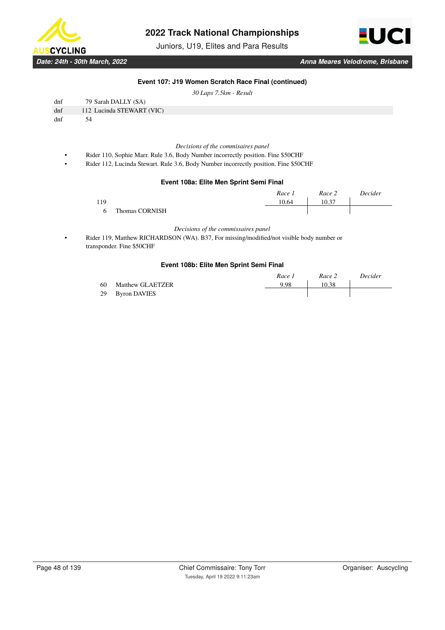

Juniors, U19, Elites and Para Results



*Date: 24th - 30th March, 2022 Anna Meares Velodrome, Brisbane*

### **Event 107: J19 Women Scratch Race Final (continued)**

*30 Laps 7.5km - Result*

| dnf | 79 Sarah DALLY (SA)       |
|-----|---------------------------|
| dnf | 112 Lucinda STEWART (VIC) |
| dnf | 54                        |

*Decisions of the commisaires panel*

- Rider 110, Sophie Marr. Rule 3.6, Body Number incorrectly position. Fine \$50CHF
- Rider 112, Lucinda Stewart. Rule 3.6, Body Number incorrectly position. Fine \$50CHF

### **Event 108a: Elite Men Sprint Semi Final**

|     |                       | Race 1 | Race 2 | Decider |
|-----|-----------------------|--------|--------|---------|
| 119 |                       | 10.64  | 10.37  |         |
|     | <b>Thomas CORNISH</b> |        |        |         |

*Decisions of the commissaires panel*

• Rider 119, Matthew RICHARDSON (WA). B37, For missing/modified/not visible body number or transponder. Fine \$50CHF

#### **Event 108b: Elite Men Sprint Semi Final**

|    |                  | Race 1 | Race 2 | Decider |
|----|------------------|--------|--------|---------|
| 60 | Matthew GLAETZER | 9.98   | 10.38  |         |
|    | 29 Byron DAVIES  |        |        |         |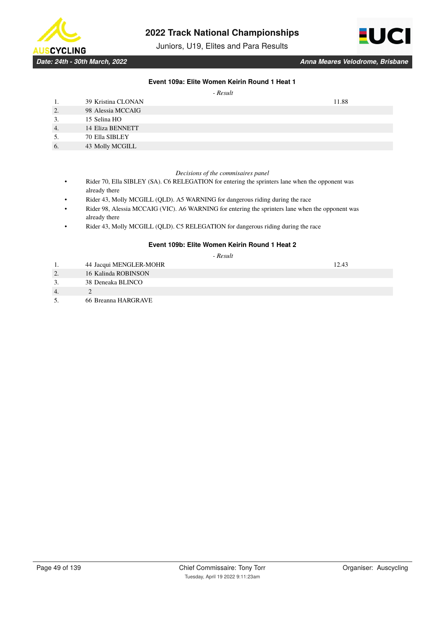

Juniors, U19, Elites and Para Results



### **Event 109a: Elite Women Keirin Round 1 Heat 1**

 *- Result*

|    | 39 Kristina CLONAN | 11.88 |
|----|--------------------|-------|
| 2. | 98 Alessia MCCAIG  |       |
| 3. | 15 Selina HO       |       |
| 4. | 14 Eliza BENNETT   |       |
| 5. | 70 Ella SIBLEY     |       |
| 6. | 43 Molly MCGILL    |       |

#### *Decisions of the commisaires panel*

- Rider 70, Ella SIBLEY (SA). C6 RELEGATION for entering the sprinters lane when the opponent was already there
- Rider 43, Molly MCGILL (QLD). A5 WARNING for dangerous riding during the race
- Rider 98, Alessia MCCAIG (VIC). A6 WARNING for entering the sprinters lane when the opponent was already there
- Rider 43, Molly MCGILL (QLD). C5 RELEGATION for dangerous riding during the race

### **Event 109b: Elite Women Keirin Round 1 Heat 2**

 *- Result*

- 1. 44 Jacqui MENGLER-MOHR 12.43
- 2. 16 Kalinda ROBINSON
- 3. 38 Deneaka BLINCO
- 4. 2
- 5. 66 Breanna HARGRAVE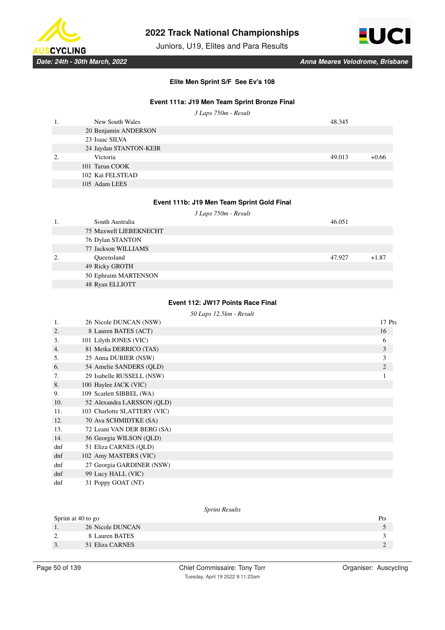

Juniors, U19, Elites and Para Results



**Elite Men Sprint S/F See Ev's 108**

# **Event 111a: J19 Men Team Sprint Bronze Final**

|    |                        | 3 Laps 750m - Result |        |         |
|----|------------------------|----------------------|--------|---------|
|    | New South Wales        |                      | 48.345 |         |
|    | 20 Benjamin ANDERSON   |                      |        |         |
|    | 23 Isaac SILVA         |                      |        |         |
|    | 24 Jaydan STANTON-KEIR |                      |        |         |
| 2. | Victoria               |                      | 49.013 | $+0.66$ |
|    | 101 Tarun COOK         |                      |        |         |
|    | 102 Kai FELSTEAD       |                      |        |         |
|    | 105 Adam LEES          |                      |        |         |

# **Event 111b: J19 Men Team Sprint Gold Final**

*3 Laps 750m - Result*

|    | South Australia               | 46.051 |         |
|----|-------------------------------|--------|---------|
|    | <b>75 Maxwell LIEBEKNECHT</b> |        |         |
|    | 76 Dylan STANTON              |        |         |
|    | 77 Jackson WILLIAMS           |        |         |
| 2. | Oueensland                    | 47.927 | $+1.87$ |
|    | 49 Ricky GROTH                |        |         |
|    | 50 Ephraim MARTENSON          |        |         |
|    | 48 Ryan ELLIOTT               |        |         |

### **Event 112: JW17 Points Race Final**

### *50 Laps 12.5km - Result*

| 1.  | 26 Nicole DUNCAN (NSW)       | 17 Pts         |
|-----|------------------------------|----------------|
| 2.  | 8 Lauren BATES (ACT)         | 16             |
| 3.  | 101 Lilyth JONES (VIC)       | 6              |
| 4.  | 81 Meika DERRICO (TAS)       | $\mathfrak{Z}$ |
| 5.  | 25 Anna DUBIER (NSW)         | 3              |
| 6.  | 54 Amelie SANDERS (QLD)      | 2              |
| 7.  | 29 Isabelle RUSSELL (NSW)    |                |
| 8.  | 100 Haylee JACK (VIC)        |                |
| 9.  | 109 Scarlett SIBBEL (WA)     |                |
| 10. | 52 Alexandra LARSSON (QLD)   |                |
| 11. | 103 Charlotte SLATTERY (VIC) |                |
| 12. | 70 Ava SCHMIDTKE (SA)        |                |
| 13. | 72 Leani VAN DER BERG (SA)   |                |
| 14. | 56 Georgia WILSON (QLD)      |                |
| dnf | 51 Eliza CARNES (QLD)        |                |
| dnf | 102 Amy MASTERS (VIC)        |                |
| dnf | 27 Georgia GARDINER (NSW)    |                |
| dnf | 99 Lucy HALL (VIC)           |                |
| dnf | 31 Poppy GOAT (NT)           |                |

#### *Sprint Results*

| Sprint at 40 to go |                  | Pts |
|--------------------|------------------|-----|
|                    | 26 Nicole DUNCAN |     |
| ـ ت                | 8 Lauren BATES   |     |
| <u>.</u>           | 51 Eliza CARNES  |     |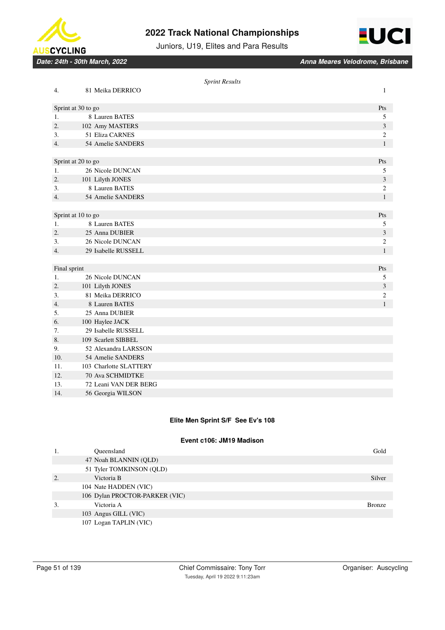



Juniors, U19, Elites and Para Results

*Date: 24th - 30th March, 2022 Anna Meares Velodrome, Brisbane*

|                  |                        | <b>Sprint Results</b> |                |
|------------------|------------------------|-----------------------|----------------|
| 4.               | 81 Meika DERRICO       |                       | $\mathbf{1}$   |
|                  | Sprint at 30 to go     |                       | Pts            |
| 1.               | 8 Lauren BATES         |                       | 5              |
| 2.               | 102 Amy MASTERS        |                       | 3              |
| 3.               | 51 Eliza CARNES        |                       | $\overline{c}$ |
| $\overline{4}$ . | 54 Amelie SANDERS      |                       | $\mathbf{1}$   |
|                  |                        |                       |                |
|                  | Sprint at 20 to go     |                       | Pts            |
| 1.               | 26 Nicole DUNCAN       |                       | 5              |
| $\overline{2}$ . | 101 Lilyth JONES       |                       | 3              |
| 3.               | 8 Lauren BATES         |                       | $\mathbf{2}$   |
| 4.               | 54 Amelie SANDERS      |                       | $\mathbf{1}$   |
|                  |                        |                       |                |
|                  | Sprint at 10 to go     |                       | Pts            |
| 1.               | 8 Lauren BATES         |                       | 5              |
| 2.               | 25 Anna DUBIER         |                       | 3              |
| 3.               | 26 Nicole DUNCAN       |                       | $\mathfrak{2}$ |
| 4.               | 29 Isabelle RUSSELL    |                       | $\mathbf{1}$   |
|                  |                        |                       |                |
| Final sprint     |                        |                       | Pts            |
| 1.               | 26 Nicole DUNCAN       |                       | 5              |
| 2.               | 101 Lilyth JONES       |                       | 3              |
| 3.               | 81 Meika DERRICO       |                       | $\overline{2}$ |
| 4.               | 8 Lauren BATES         |                       | $\mathbf{1}$   |
| 5.               | 25 Anna DUBIER         |                       |                |
| 6.               | 100 Haylee JACK        |                       |                |
| 7.               | 29 Isabelle RUSSELL    |                       |                |
| 8.               | 109 Scarlett SIBBEL    |                       |                |
| 9.               | 52 Alexandra LARSSON   |                       |                |
| 10.              | 54 Amelie SANDERS      |                       |                |
| 11.              | 103 Charlotte SLATTERY |                       |                |
| 12.              | 70 Ava SCHMIDTKE       |                       |                |
| 13.              | 72 Leani VAN DER BERG  |                       |                |
| 14.              | 56 Georgia WILSON      |                       |                |

### **Elite Men Sprint S/F See Ev's 108**

### **Event c106: JM19 Madison**

| 1. | Oueensland                     | Gold          |
|----|--------------------------------|---------------|
|    | 47 Noah BLANNIN (QLD)          |               |
|    | 51 Tyler TOMKINSON (QLD)       |               |
| 2. | Victoria B                     | Silver        |
|    | 104 Nate HADDEN (VIC)          |               |
|    | 106 Dylan PROCTOR-PARKER (VIC) |               |
| 3. | Victoria A                     | <b>Bronze</b> |
|    | 103 Angus GILL (VIC)           |               |
|    | 107 Logan TAPLIN (VIC)         |               |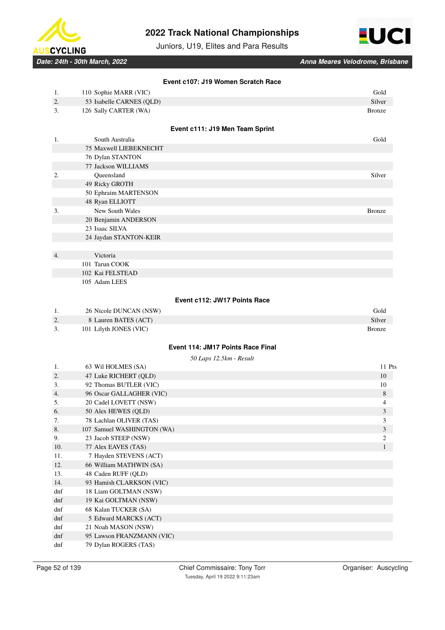



Juniors, U19, Elites and Para Results

*Date: 24th - 30th March, 2022 Anna Meares Velodrome, Brisbane*

|             | Event c107: J19 Women Scratch Race       |                         |
|-------------|------------------------------------------|-------------------------|
| 1.          | 110 Sophie MARR (VIC)                    | Gold                    |
| 2.          | 53 Isabelle CARNES (QLD)                 | Silver                  |
| 3.          | 126 Sally CARTER (WA)                    | <b>Bronze</b>           |
|             |                                          |                         |
|             | Event c111: J19 Men Team Sprint          |                         |
| 1.          | South Australia                          | Gold                    |
|             | 75 Maxwell LIEBEKNECHT                   |                         |
|             | 76 Dylan STANTON                         |                         |
|             | 77 Jackson WILLIAMS                      |                         |
| 2.          | Queensland                               | Silver                  |
|             | 49 Ricky GROTH                           |                         |
|             | 50 Ephraim MARTENSON                     |                         |
|             | 48 Ryan ELLIOTT                          |                         |
| 3.          | New South Wales                          | <b>Bronze</b>           |
|             | 20 Benjamin ANDERSON                     |                         |
|             | 23 Isaac SILVA                           |                         |
|             | 24 Jaydan STANTON-KEIR                   |                         |
|             |                                          |                         |
| 4.          | Victoria                                 |                         |
|             | 101 Tarun COOK                           |                         |
|             | 102 Kai FELSTEAD                         |                         |
|             | 105 Adam LEES                            |                         |
|             |                                          |                         |
|             | Event c112: JW17 Points Race             |                         |
| 1.          | 26 Nicole DUNCAN (NSW)                   | Gold                    |
| 2.          | 8 Lauren BATES (ACT)                     | Silver                  |
| 3.          | 101 Lilyth JONES (VIC)                   | <b>Bronze</b>           |
|             |                                          |                         |
|             | <b>Event 114: JM17 Points Race Final</b> |                         |
|             | 50 Laps 12.5km - Result                  |                         |
| 1.          | 63 Wil HOLMES (SA)                       | 11 Pts                  |
| 2.          | 47 Luke RICHERT (QLD)                    | 10                      |
| 3.          | 92 Thomas BUTLER (VIC)                   | 10                      |
| 4.          | 96 Oscar GALLAGHER (VIC)                 | 8                       |
| 5.          | 20 Cadel LOVETT (NSW)                    | 4                       |
| 6.          | 50 Alex HEWES (QLD)                      | $\mathfrak{Z}$          |
| 7.          | 78 Lachlan OLIVER (TAS)                  | 3                       |
| 8.          | 107 Samuel WASHINGTON (WA)               | $\overline{\mathbf{3}}$ |
| 9.          | 23 Jacob STEEP (NSW)                     | $\overline{c}$          |
| 10.         | 77 Alex EAVES (TAS)                      | 1                       |
| 11.         | 7 Hayden STEVENS (ACT)                   |                         |
| 12.         | 66 William MATHWIN (SA)                  |                         |
| 13.         | 48 Caden RUFF (QLD)                      |                         |
| 14.         | 93 Hamish CLARKSON (VIC)                 |                         |
| dnf         | 18 Liam GOLTMAN (NSW)                    |                         |
| dnf         | 19 Kai GOLTMAN (NSW)                     |                         |
| dnf         | 68 Kalan TUCKER (SA)                     |                         |
| dnf         | 5 Edward MARCKS (ACT)                    |                         |
| dnf         | 21 Noah MASON (NSW)                      |                         |
| ${\rm dnf}$ | 95 Lawson FRANZMANN (VIC)                |                         |

dnf 79 Dylan ROGERS (TAS)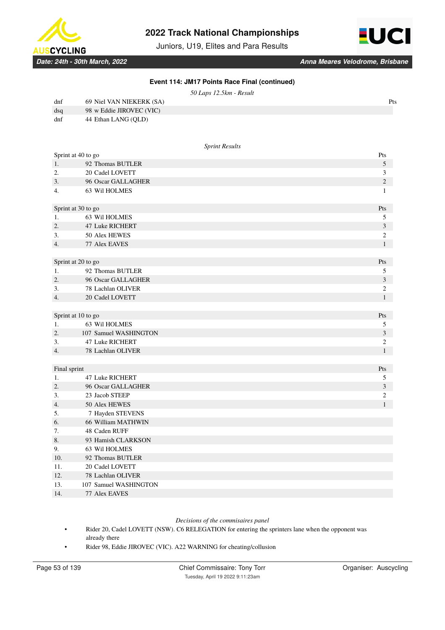

Juniors, U19, Elites and Para Results



**Event 114: JM17 Points Race Final (continued)**

*50 Laps 12.5km - Result*

| dnf | 69 Niel VAN NIEKERK (SA) | Pts |
|-----|--------------------------|-----|
| dsq | 98 w Eddie JIROVEC (VIC) |     |
| dnf | 44 Ethan LANG (OLD)      |     |

#### *Sprint Results*

| Sprint at 40 to go |                        | Pts            |
|--------------------|------------------------|----------------|
| 1.                 | 92 Thomas BUTLER       | $\sqrt{5}$     |
| 2.                 | 20 Cadel LOVETT        | 3              |
| 3.                 | 96 Oscar GALLAGHER     | $\sqrt{2}$     |
| 4.                 | 63 Wil HOLMES          | $\mathbf{1}$   |
| Sprint at 30 to go |                        | Pts            |
| 1.                 | 63 Wil HOLMES          | 5              |
| 2.                 | 47 Luke RICHERT        | 3              |
| 3.                 | 50 Alex HEWES          | $\mathfrak{2}$ |
| 4.                 | 77 Alex EAVES          | $\mathbf{1}$   |
|                    |                        |                |
| Sprint at 20 to go |                        | Pts            |
| 1.                 | 92 Thomas BUTLER       | 5              |
| 2.                 | 96 Oscar GALLAGHER     | $\mathfrak{Z}$ |
| 3.                 | 78 Lachlan OLIVER      | $\mathfrak{2}$ |
| 4.                 | 20 Cadel LOVETT        | $\mathbf{1}$   |
|                    |                        |                |
| Sprint at 10 to go |                        | Pts            |
| 1.                 | 63 Wil HOLMES          | 5              |
| 2.                 | 107 Samuel WASHINGTON  | $\mathfrak{Z}$ |
| 3.                 | 47 Luke RICHERT        | 2              |
| 4.                 | 78 Lachlan OLIVER      | $\mathbf{1}$   |
|                    |                        |                |
| Final sprint       |                        | Pts            |
| 1.                 | <b>47 Luke RICHERT</b> | 5              |
| 2.                 | 96 Oscar GALLAGHER     | $\mathfrak{Z}$ |
| 3.                 | 23 Jacob STEEP         | $\mathfrak{2}$ |
| 4.                 | 50 Alex HEWES          | $\mathbf{1}$   |
| 5.                 | 7 Hayden STEVENS       |                |
| 6.                 | 66 William MATHWIN     |                |
| 7.                 | 48 Caden RUFF          |                |
| 8.                 | 93 Hamish CLARKSON     |                |
| 9.                 | 63 Wil HOLMES          |                |
| 10.                | 92 Thomas BUTLER       |                |
| 11.                | 20 Cadel LOVETT        |                |
| 12.                | 78 Lachlan OLIVER      |                |
| 13.                | 107 Samuel WASHINGTON  |                |
| 14.                | 77 Alex EAVES          |                |

### *Decisions of the commisaires panel*

• Rider 20, Cadel LOVETT (NSW). C6 RELEGATION for entering the sprinters lane when the opponent was already there

• Rider 98, Eddie JIROVEC (VIC). A22 WARNING for cheating/collusion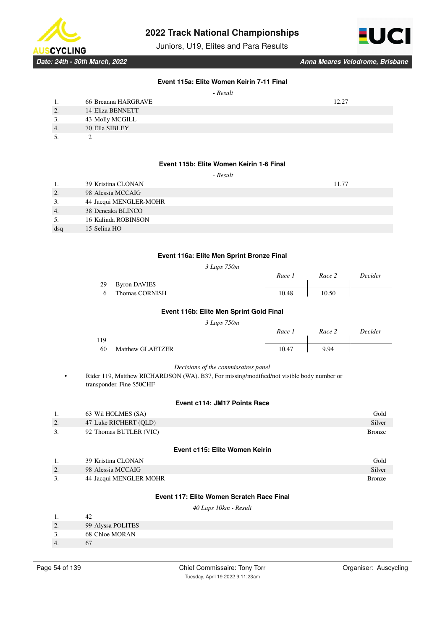

Juniors, U19, Elites and Para Results



*Date: 24th - 30th March, 2022 Anna Meares Velodrome, Brisbane*

### **Event 115a: Elite Women Keirin 7-11 Final**

| 1.                   | 66 Breanna HARGRAVE     | 1 າ າ າ |
|----------------------|-------------------------|---------|
| $\gamma$<br><u>.</u> | <b>14 Eliza BENNETT</b> |         |
| 3.                   | 43 Molly MCGILL         |         |
| 4.                   | 70 Ella SIBLEY          |         |
| $\epsilon$           |                         |         |

5. 2

### **Event 115b: Elite Women Keirin 1-6 Final**

|     | 39 Kristina CLONAN     | 11.77 |
|-----|------------------------|-------|
| 2.  | 98 Alessia MCCAIG      |       |
| 3.  | 44 Jacqui MENGLER-MOHR |       |
| 4.  | 38 Deneaka BLINCO      |       |
| 5.  | 16 Kalinda ROBINSON    |       |
| dsq | 15 Selina HO           |       |
|     |                        |       |

#### **Event 116a: Elite Men Sprint Bronze Final**

*3 Laps 750m*

|    |                 | Race 1 | Race 2 | Decider |
|----|-----------------|--------|--------|---------|
|    | 29 Byron DAVIES |        |        |         |
| -6 | Thomas CORNISH  | 10.48  | 10.50  |         |

### **Event 116b: Elite Men Sprint Gold Final**

*3 Laps 750m*

|     | . .                     | Race 1 | Race 2 | Decider |
|-----|-------------------------|--------|--------|---------|
| 119 |                         |        |        |         |
| -60 | <b>Matthew GLAETZER</b> | 10.47  | 9.94   |         |

#### *Decisions of the commissaires panel*

• Rider 119, Matthew RICHARDSON (WA). B37, For missing/modified/not visible body number or transponder. Fine \$50CHF

### **Event c114: JM17 Points Race**

| 1. | 63 Wil HOLMES (SA)     | Gold          |
|----|------------------------|---------------|
| Z. | 47 Luke RICHERT (OLD)  | Silver        |
| 3. | 92 Thomas BUTLER (VIC) | <b>Bronze</b> |

#### **Event c115: Elite Women Keirin**

|    | 39 Kristina CLONAN     | Gold          |
|----|------------------------|---------------|
| 2. | 98 Alessia MCCAIG      | Silver        |
| 3. | 44 Jacqui MENGLER-MOHR | <b>Bronze</b> |

# **Event 117: Elite Women Scratch Race Final**

*40 Laps 10km - Result*

| 99 Alyssa POLITES |  |
|-------------------|--|
| 68 Chloe MORAN    |  |
|                   |  |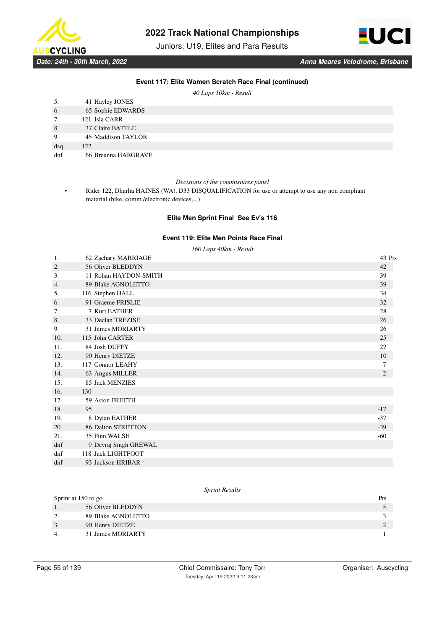

Juniors, U19, Elites and Para Results



### **Event 117: Elite Women Scratch Race Final (continued)**

*40 Laps 10km - Result*

| 5.  | 41 Hayley JONES     |
|-----|---------------------|
| 6.  | 65 Sophie EDWARDS   |
| 7.  | 121 Isla CARR       |
| 8.  | 37 Claire BATTLE    |
| 9.  | 45 Maddison TAYLOR  |
| dsq | 122                 |
| dnf | 66 Breanna HARGRAVE |

#### *Decisions of the commisaires panel*

• Rider 122, Dharlia HAINES (WA). D33 DISQUALIFICATION for use or attempt to use any non compliant material (bike, comm./electronic devices,...)

### **Elite Men Sprint Final See Ev's 116**

### **Event 119: Elite Men Points Race Final**

*160 Laps 40km - Result*

| 1.  | 62 Zachary MARRIAGE       | 43 Pts |
|-----|---------------------------|--------|
| 2.  | 56 Oliver BLEDDYN         | 42     |
| 3.  | 11 Rohan HAYDON-SMITH     | 39     |
| 4.  | 89 Blake AGNOLETTO        | 39     |
| 5.  | 116 Stephen HALL          | 34     |
| 6.  | 91 Graeme FRISLIE         | 32     |
| 7.  | 7 Kurt EATHER             | 28     |
| 8.  | 33 Declan TREZISE         | 26     |
| 9.  | 31 James MORIARTY         | 26     |
| 10. | 115 John CARTER           | 25     |
| 11. | 84 Josh DUFFY             | 22     |
| 12. | 90 Henry DIETZE           | 10     |
| 13. | 117 Connor LEAHY          | 7      |
| 14. | 63 Angus MILLER           | 2      |
| 15. | 85 Jack MENZIES           |        |
| 16. | 130                       |        |
| 17. | 59 Aston FREETH           |        |
| 18. | 95                        | $-17$  |
| 19. | 8 Dylan EATHER            | $-37$  |
| 20. | <b>86 Dalton STRETTON</b> | $-39$  |
| 21. | 35 Finn WALSH             | $-60$  |
| dnf | 9 Devraj Singh GREWAL     |        |
| dnf | 118 Jack LIGHTFOOT        |        |
| dnf | 93 Jackson HRIBAR         |        |

### *Sprint Results*

|    | Sprint at 150 to go | Pts |
|----|---------------------|-----|
|    | 56 Oliver BLEDDYN   |     |
|    | 89 Blake AGNOLETTO  |     |
| J. | 90 Henry DIETZE     |     |
|    | 31 James MORIARTY   |     |
|    |                     |     |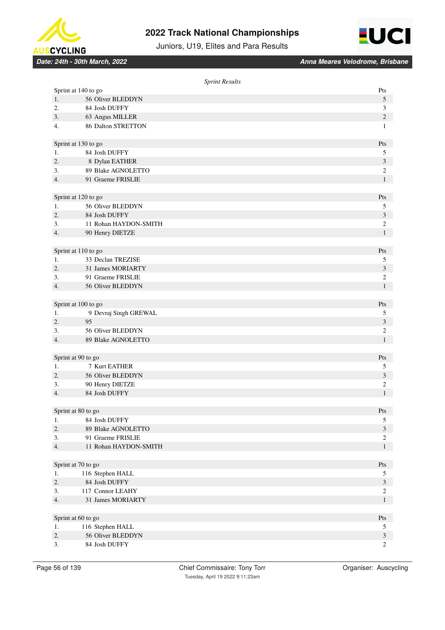



Juniors, U19, Elites and Para Results

|                     | <b>Sprint Results</b> |                             |
|---------------------|-----------------------|-----------------------------|
| Sprint at 140 to go |                       | Pts                         |
| 1.                  | 56 Oliver BLEDDYN     | 5                           |
| 2.                  | 84 Josh DUFFY         | 3                           |
| 3.                  | 63 Angus MILLER       | $\sqrt{2}$                  |
| 4.                  | 86 Dalton STRETTON    | $\mathbf{1}$                |
|                     |                       |                             |
| Sprint at 130 to go |                       | Pts                         |
| 1.                  | 84 Josh DUFFY         | 5                           |
| 2.                  | 8 Dylan EATHER        | $\mathfrak{Z}$              |
| 3.                  | 89 Blake AGNOLETTO    | $\boldsymbol{2}$            |
| 4.                  | 91 Graeme FRISLIE     | $\mathbf{1}$                |
|                     |                       |                             |
| Sprint at 120 to go |                       | Pts                         |
| 1.                  | 56 Oliver BLEDDYN     | 5                           |
| 2.                  | 84 Josh DUFFY         | $\mathfrak{Z}$              |
| 3.                  | 11 Rohan HAYDON-SMITH | $\boldsymbol{2}$            |
| 4.                  | 90 Henry DIETZE       | $\mathbf{1}$                |
|                     |                       |                             |
| Sprint at 110 to go |                       | Pts                         |
| 1.                  | 33 Declan TREZISE     | 5                           |
| 2.                  | 31 James MORIARTY     | $\ensuremath{\mathfrak{Z}}$ |
| 3.                  | 91 Graeme FRISLIE     | $\boldsymbol{2}$            |
| 4.                  | 56 Oliver BLEDDYN     | $\mathbf{1}$                |
|                     |                       |                             |
| Sprint at 100 to go |                       | Pts                         |
| 1.                  | 9 Devraj Singh GREWAL | 5                           |
| 2.                  | 95                    | $\mathfrak{Z}$              |
| 3.                  | 56 Oliver BLEDDYN     | $\boldsymbol{2}$            |
| 4.                  | 89 Blake AGNOLETTO    | $\mathbf{1}$                |
|                     |                       |                             |
| Sprint at 90 to go  |                       | Pts                         |
| 1.                  | 7 Kurt EATHER         | 5                           |
| 2.                  | 56 Oliver BLEDDYN     | $\ensuremath{\mathfrak{Z}}$ |
| 3.                  | 90 Henry DIETZE       | $\boldsymbol{2}$            |
| 4.                  | 84 Josh DUFFY         | $\mathbf{1}$                |
|                     |                       |                             |
| Sprint at 80 to go  |                       | Pts                         |
| 1.                  | 84 Josh DUFFY         | 5                           |
| 2.                  | 89 Blake AGNOLETTO    | $\mathfrak{Z}$              |
| 3.                  | 91 Graeme FRISLIE     | $\boldsymbol{2}$            |
| 4.                  | 11 Rohan HAYDON-SMITH | $\mathbf{1}$                |
|                     |                       |                             |
| Sprint at 70 to go  |                       | Pts                         |
| 1.                  | 116 Stephen HALL      | 5                           |
| 2.                  | 84 Josh DUFFY         | $\mathfrak{Z}$              |
| 3.                  | 117 Connor LEAHY      | $\overline{c}$              |
| 4.                  | 31 James MORIARTY     | $\mathbf{1}$                |
|                     |                       |                             |
| Sprint at 60 to go  |                       | Pts                         |
| 1.                  | 116 Stephen HALL      | 5                           |
| 2.                  | 56 Oliver BLEDDYN     | $\mathfrak{Z}$              |
| 3.                  | 84 Josh DUFFY         | $\boldsymbol{2}$            |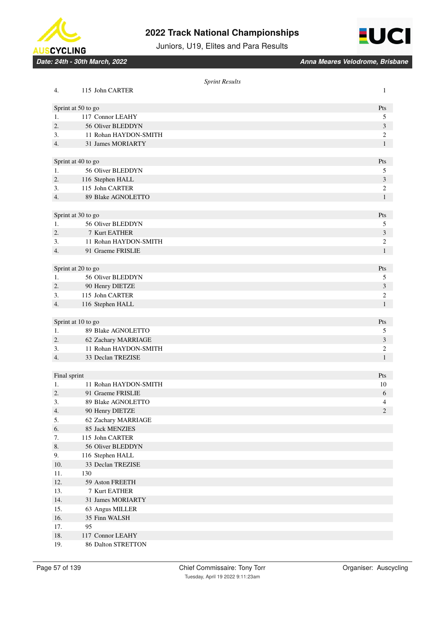



Juniors, U19, Elites and Para Results

|              |                                         | <b>Sprint Results</b> |                |
|--------------|-----------------------------------------|-----------------------|----------------|
| 4.           | 115 John CARTER                         |                       | 1              |
|              | Sprint at 50 to go                      |                       | Pts            |
| 1.           | 117 Connor LEAHY                        |                       | 5              |
| 2.           | 56 Oliver BLEDDYN                       |                       | $\mathfrak{Z}$ |
| 3.           | 11 Rohan HAYDON-SMITH                   |                       | $\sqrt{2}$     |
| 4.           | 31 James MORIARTY                       |                       | $\mathbf{1}$   |
|              |                                         |                       |                |
|              | Sprint at 40 to go                      |                       | Pts            |
| 1.           | 56 Oliver BLEDDYN                       |                       | 5              |
| 2.           | 116 Stephen HALL                        |                       | $\mathfrak{Z}$ |
| 3.           | 115 John CARTER                         |                       | $\mathbf{2}$   |
| 4.           | 89 Blake AGNOLETTO                      |                       | $\mathbf{1}$   |
|              |                                         |                       |                |
|              | Sprint at 30 to go                      |                       | Pts            |
| 1.           | 56 Oliver BLEDDYN                       |                       | 5              |
| 2.           | 7 Kurt EATHER                           |                       | 3              |
| 3.           | 11 Rohan HAYDON-SMITH                   |                       | $\sqrt{2}$     |
| 4.           | 91 Graeme FRISLIE                       |                       | $\mathbf{1}$   |
|              |                                         |                       |                |
|              | Sprint at 20 to go                      |                       | Pts            |
| 1.           | 56 Oliver BLEDDYN                       |                       | 5              |
| 2.           | 90 Henry DIETZE                         |                       | 3              |
| 3.           | 115 John CARTER                         |                       | 2              |
| 4.           | 116 Stephen HALL                        |                       | $\mathbf{1}$   |
|              |                                         |                       |                |
|              | Sprint at 10 to go                      |                       | Pts            |
| 1.           | 89 Blake AGNOLETTO                      |                       | 5              |
| 2.           | 62 Zachary MARRIAGE                     |                       | 3              |
| 3.           | 11 Rohan HAYDON-SMITH                   |                       | $\mathbf{2}$   |
| 4.           | 33 Declan TREZISE                       |                       | 1              |
|              |                                         |                       |                |
| Final sprint |                                         |                       | Pts            |
| 1.           | 11 Rohan HAYDON-SMITH                   |                       | 10             |
| 2.<br>3.     | 91 Graeme FRISLIE<br>89 Blake AGNOLETTO |                       | 6<br>4         |
| 4.           | 90 Henry DIETZE                         |                       | 2              |
| 5.           | 62 Zachary MARRIAGE                     |                       |                |
| 6.           | 85 Jack MENZIES                         |                       |                |
| 7.           | 115 John CARTER                         |                       |                |
| 8.           | 56 Oliver BLEDDYN                       |                       |                |
| 9.           | 116 Stephen HALL                        |                       |                |
| 10.          | 33 Declan TREZISE                       |                       |                |
| 11.          | 130                                     |                       |                |
| 12.          | 59 Aston FREETH                         |                       |                |
| 13.          | 7 Kurt EATHER                           |                       |                |
| 14.          | 31 James MORIARTY                       |                       |                |
| 15.          | 63 Angus MILLER                         |                       |                |
| 16.          | 35 Finn WALSH                           |                       |                |
| 17.          | 95                                      |                       |                |
| 18.          | 117 Connor LEAHY                        |                       |                |
| 19.          | 86 Dalton STRETTON                      |                       |                |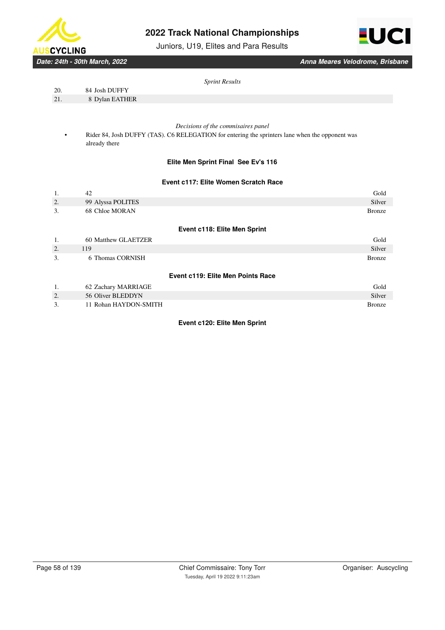

Juniors, U19, Elites and Para Results



*Date: 24th - 30th March, 2022 Anna Meares Velodrome, Brisbane*

| Sprint Results |
|----------------|
|                |

| 20. |  |  | 84 Josh DUFFY |  |
|-----|--|--|---------------|--|
|     |  |  |               |  |

21. 8 Dylan EATHER

### *Decisions of the commisaires panel*

Rider 84, Josh DUFFY (TAS). C6 RELEGATION for entering the sprinters lane when the opponent was already there

### **Elite Men Sprint Final See Ev's 116**

### **Event c117: Elite Women Scratch Race**

| 1. | 42                    | Gold                                |
|----|-----------------------|-------------------------------------|
| 2. | 99 Alyssa POLITES     | Silver                              |
| 3. | 68 Chloe MORAN        | <b>Bronze</b>                       |
|    |                       | <b>Event c118: Elite Men Sprint</b> |
| 1. | 60 Matthew GLAETZER   | Gold                                |
| 2. | 119                   | Silver                              |
| 3. | 6 Thomas CORNISH      | <b>Bronze</b>                       |
|    |                       |                                     |
|    |                       | Event c119: Elite Men Points Race   |
| 1. | 62 Zachary MARRIAGE   | Gold                                |
| 2. | 56 Oliver BLEDDYN     | Silver                              |
| 3. | 11 Rohan HAYDON-SMITH | <b>Bronze</b>                       |

### **Event c120: Elite Men Sprint**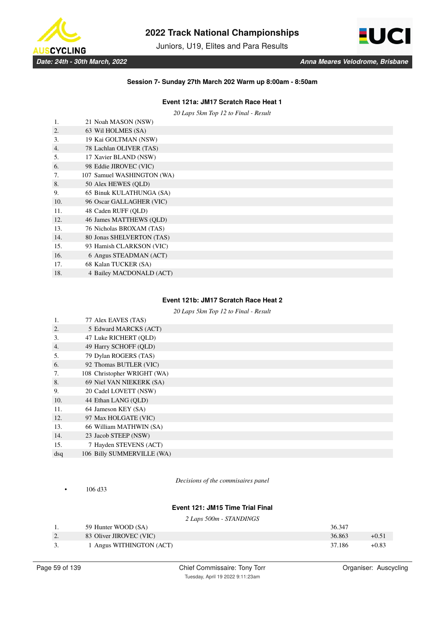

Juniors, U19, Elites and Para Results



### **Session 7- Sunday 27th March 202 Warm up 8:00am - 8:50am**

### **Event 121a: JM17 Scratch Race Heat 1**

*20 Laps 5km Top 12 to Final - Result*

| 1.  | 21 Noah MASON (NSW)        |
|-----|----------------------------|
| 2.  | 63 Wil HOLMES (SA)         |
| 3.  | 19 Kai GOLTMAN (NSW)       |
| 4.  | 78 Lachlan OLIVER (TAS)    |
| 5.  | 17 Xavier BLAND (NSW)      |
| 6.  | 98 Eddie JIROVEC (VIC)     |
| 7.  | 107 Samuel WASHINGTON (WA) |
| 8.  | 50 Alex HEWES (OLD)        |
| 9.  | 65 Binuk KULATHUNGA (SA)   |
| 10. | 96 Oscar GALLAGHER (VIC)   |
| 11. | 48 Caden RUFF (OLD)        |
| 12. | 46 James MATTHEWS (OLD)    |
| 13. | 76 Nicholas BROXAM (TAS)   |
| 14. | 80 Jonas SHELVERTON (TAS)  |
| 15. | 93 Hamish CLARKSON (VIC)   |
| 16. | 6 Angus STEADMAN (ACT)     |
| 17. | 68 Kalan TUCKER (SA)       |
| 18. | 4 Bailey MACDONALD (ACT)   |

### **Event 121b: JM17 Scratch Race Heat 2**

*20 Laps 5km Top 12 to Final - Result*

| 1.  | 77 Alex EAVES (TAS)         |
|-----|-----------------------------|
| 2.  | 5 Edward MARCKS (ACT)       |
| 3.  | 47 Luke RICHERT (OLD)       |
| 4.  | 49 Harry SCHOFF (QLD)       |
| 5.  | 79 Dylan ROGERS (TAS)       |
| 6.  | 92 Thomas BUTLER (VIC)      |
| 7.  | 108 Christopher WRIGHT (WA) |
| 8.  | 69 Niel VAN NIEKERK (SA)    |
| 9.  | 20 Cadel LOVETT (NSW)       |
| 10. | 44 Ethan LANG (OLD)         |
| 11. | 64 Jameson KEY (SA)         |
| 12. | 97 Max HOLGATE (VIC)        |
| 13. | 66 William MATHWIN (SA)     |
| 14. | 23 Jacob STEEP (NSW)        |
| 15. | 7 Hayden STEVENS (ACT)      |
| dsq | 106 Billy SUMMERVILLE (WA)  |
|     |                             |

• 106 d33

*Decisions of the commisaires panel*

### **Event 121: JM15 Time Trial Final**

*2 Laps 500m - STANDINGS*

|           | 59 Hunter WOOD (SA)      | 36.347 |         |
|-----------|--------------------------|--------|---------|
| <u>L.</u> | 83 Oliver JIROVEC (VIC)  | 36.863 | $+0.51$ |
|           | 1 Angus WITHINGTON (ACT) | 37.186 | $+0.83$ |

Chief Commissaire: Tony Torr **Chief Commissaire: Tony Torr** Organiser: Auscycling Tuesday, April 19 2022 9:11:23am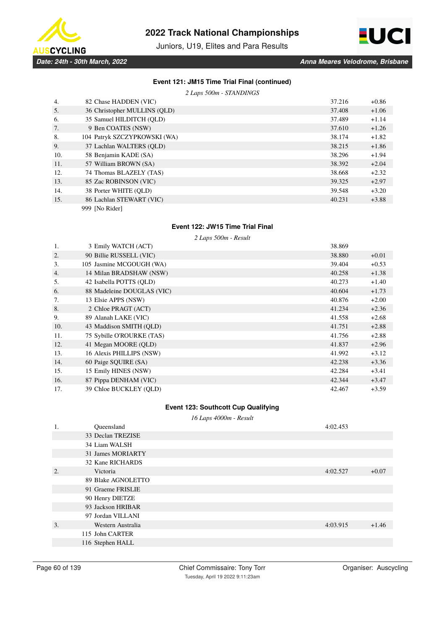

Juniors, U19, Elites and Para Results



*Date: 24th - 30th March, 2022 Anna Meares Velodrome, Brisbane*

### **Event 121: JM15 Time Trial Final (continued)**

*2 Laps 500m - STANDINGS*

| 4.  | 82 Chase HADDEN (VIC)        | 37.216 | $+0.86$ |
|-----|------------------------------|--------|---------|
| 5.  | 36 Christopher MULLINS (QLD) | 37.408 | $+1.06$ |
| 6.  | 35 Samuel HILDITCH (OLD)     | 37.489 | $+1.14$ |
| 7.  | 9 Ben COATES (NSW)           | 37.610 | $+1.26$ |
| 8.  | 104 Patryk SZCZYPKOWSKI (WA) | 38.174 | $+1.82$ |
| 9.  | 37 Lachlan WALTERS (OLD)     | 38.215 | $+1.86$ |
| 10. | 58 Benjamin KADE (SA)        | 38.296 | $+1.94$ |
| 11. | 57 William BROWN (SA)        | 38.392 | $+2.04$ |
| 12. | 74 Thomas BLAZELY (TAS)      | 38.668 | $+2.32$ |
| 13. | 85 Zac ROBINSON (VIC)        | 39.325 | $+2.97$ |
| 14. | 38 Porter WHITE (OLD)        | 39.548 | $+3.20$ |
| 15. | 86 Lachlan STEWART (VIC)     | 40.231 | $+3.88$ |
|     | 999 [No Rider]               |        |         |

# **Event 122: JW15 Time Trial Final**

*2 Laps 500m - Result*

| 1.  | 3 Emily WATCH (ACT)        | 38.869 |         |
|-----|----------------------------|--------|---------|
| 2.  | 90 Billie RUSSELL (VIC)    | 38.880 | $+0.01$ |
| 3.  | 105 Jasmine MCGOUGH (WA)   | 39.404 | $+0.53$ |
| 4.  | 14 Milan BRADSHAW (NSW)    | 40.258 | $+1.38$ |
| 5.  | 42 Isabella POTTS (OLD)    | 40.273 | $+1.40$ |
| 6.  | 88 Madeleine DOUGLAS (VIC) | 40.604 | $+1.73$ |
| 7.  | 13 Elsie APPS (NSW)        | 40.876 | $+2.00$ |
| 8.  | 2 Chloe PRAGT (ACT)        | 41.234 | $+2.36$ |
| 9.  | 89 Alanah LAKE (VIC)       | 41.558 | $+2.68$ |
| 10. | 43 Maddison SMITH (OLD)    | 41.751 | $+2.88$ |
| 11. | 75 Sybille O'ROURKE (TAS)  | 41.756 | $+2.88$ |
| 12. | 41 Megan MOORE (QLD)       | 41.837 | $+2.96$ |
| 13. | 16 Alexis PHILLIPS (NSW)   | 41.992 | $+3.12$ |
| 14. | 60 Paige SQUIRE (SA)       | 42.238 | $+3.36$ |
| 15. | 15 Emily HINES (NSW)       | 42.284 | $+3.41$ |
| 16. | 87 Pippa DENHAM (VIC)      | 42.344 | $+3.47$ |
| 17. | 39 Chloe BUCKLEY (OLD)     | 42.467 | $+3.59$ |

### **Event 123: Southcott Cup Qualifying**

*16 Laps 4000m - Result*

| 1.               | Queensland         | 4:02.453 |         |
|------------------|--------------------|----------|---------|
|                  | 33 Declan TREZISE  |          |         |
|                  | 34 Liam WALSH      |          |         |
|                  | 31 James MORIARTY  |          |         |
|                  | 32 Kane RICHARDS   |          |         |
| $\overline{2}$ . | Victoria           | 4:02.527 | $+0.07$ |
|                  | 89 Blake AGNOLETTO |          |         |
|                  | 91 Graeme FRISLIE  |          |         |
|                  | 90 Henry DIETZE    |          |         |
|                  | 93 Jackson HRIBAR  |          |         |
|                  | 97 Jordan VILLANI  |          |         |
| 3.               | Western Australia  | 4:03.915 | $+1.46$ |
|                  | 115 John CARTER    |          |         |
|                  | 116 Stephen HALL   |          |         |
|                  |                    |          |         |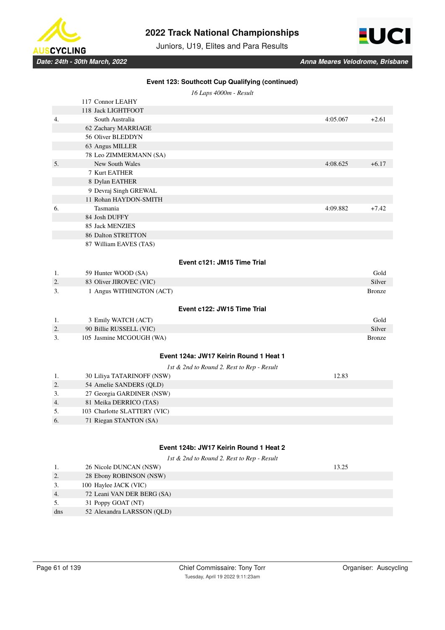

Juniors, U19, Elites and Para Results



| Event 123: Southcott Cup Qualifying (continued) |                                                   |          |               |  |  |  |
|-------------------------------------------------|---------------------------------------------------|----------|---------------|--|--|--|
|                                                 | 16 Laps 4000m - Result                            |          |               |  |  |  |
|                                                 | 117 Connor LEAHY                                  |          |               |  |  |  |
|                                                 | 118 Jack LIGHTFOOT                                |          |               |  |  |  |
| 4.                                              | South Australia                                   | 4:05.067 | $+2.61$       |  |  |  |
|                                                 | 62 Zachary MARRIAGE                               |          |               |  |  |  |
|                                                 | 56 Oliver BLEDDYN                                 |          |               |  |  |  |
|                                                 | 63 Angus MILLER                                   |          |               |  |  |  |
|                                                 | 78 Leo ZIMMERMANN (SA)                            |          |               |  |  |  |
| 5.                                              | New South Wales                                   | 4:08.625 | $+6.17$       |  |  |  |
|                                                 | 7 Kurt EATHER                                     |          |               |  |  |  |
|                                                 | 8 Dylan EATHER                                    |          |               |  |  |  |
|                                                 | 9 Devraj Singh GREWAL                             |          |               |  |  |  |
|                                                 | 11 Rohan HAYDON-SMITH                             |          |               |  |  |  |
| 6.                                              | Tasmania                                          | 4:09.882 | $+7.42$       |  |  |  |
|                                                 | 84 Josh DUFFY                                     |          |               |  |  |  |
|                                                 | 85 Jack MENZIES                                   |          |               |  |  |  |
|                                                 | 86 Dalton STRETTON                                |          |               |  |  |  |
|                                                 | 87 William EAVES (TAS)                            |          |               |  |  |  |
|                                                 |                                                   |          |               |  |  |  |
|                                                 | Event c121: JM15 Time Trial                       |          |               |  |  |  |
| 1.                                              | 59 Hunter WOOD (SA)                               |          | Gold          |  |  |  |
| 2.                                              | 83 Oliver JIROVEC (VIC)                           |          | Silver        |  |  |  |
| 3.                                              | 1 Angus WITHINGTON (ACT)                          |          | <b>Bronze</b> |  |  |  |
|                                                 |                                                   |          |               |  |  |  |
|                                                 | Event c122: JW15 Time Trial                       |          |               |  |  |  |
| 1.                                              | 3 Emily WATCH (ACT)                               |          | Gold          |  |  |  |
| 2.                                              | 90 Billie RUSSELL (VIC)                           |          | Silver        |  |  |  |
| 3.                                              | 105 Jasmine MCGOUGH (WA)                          |          | <b>Bronze</b> |  |  |  |
|                                                 |                                                   |          |               |  |  |  |
|                                                 | Event 124a: JW17 Keirin Round 1 Heat 1            |          |               |  |  |  |
|                                                 | 1st & 2nd to Round 2. Rest to Rep - Result        |          |               |  |  |  |
| 1.                                              | 30 Liliya TATARINOFF (NSW)                        | 12.83    |               |  |  |  |
| 2.                                              | 54 Amelie SANDERS (QLD)                           |          |               |  |  |  |
| 3.                                              | 27 Georgia GARDINER (NSW)                         |          |               |  |  |  |
| 4.                                              | 81 Meika DERRICO (TAS)                            |          |               |  |  |  |
| 5.                                              | 103 Charlotte SLATTERY (VIC)                      |          |               |  |  |  |
| 6.                                              | 71 Riegan STANTON (SA)                            |          |               |  |  |  |
|                                                 |                                                   |          |               |  |  |  |
|                                                 | Event 124b: JW17 Keirin Round 1 Heat 2            |          |               |  |  |  |
|                                                 |                                                   |          |               |  |  |  |
|                                                 | 1st & 2nd to Round 2. Rest to Rep - Result        |          |               |  |  |  |
| 1.<br>2.                                        | 26 Nicole DUNCAN (NSW)<br>28 Ebony ROBINSON (NSW) | 13.25    |               |  |  |  |
|                                                 |                                                   |          |               |  |  |  |
| 3.                                              | 100 Haylee JACK (VIC)                             |          |               |  |  |  |
| 4.                                              | 72 Leani VAN DER BERG (SA)                        |          |               |  |  |  |

5. 31 Poppy GOAT (NT)

dns 52 Alexandra LARSSON (QLD)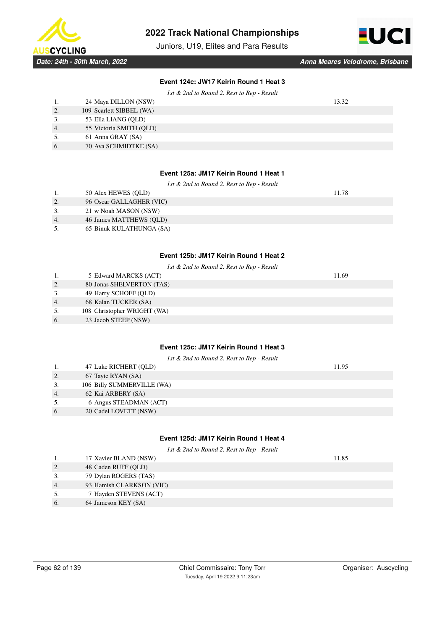

Juniors, U19, Elites and Para Results



| Event 124c: JW17 Keirin Round 1 Heat 3 |  |                      |  |  |  |  |  |
|----------------------------------------|--|----------------------|--|--|--|--|--|
| $\cdots$                               |  | $\sim$ $\sim$ $\sim$ |  |  |  |  |  |

|    |                          | 1st $\&$ 2nd to Round 2. Rest to Rep - Result |  |
|----|--------------------------|-----------------------------------------------|--|
| 1. | 24 Maya DILLON (NSW)     | 13.32                                         |  |
| 2. | 109 Scarlett SIBBEL (WA) |                                               |  |
| 3. | 53 Ella LIANG (OLD)      |                                               |  |
| 4. | 55 Victoria SMITH (QLD)  |                                               |  |
| 5. | 61 Anna GRAY (SA)        |                                               |  |
| 6. | 70 Ava SCHMIDTKE (SA)    |                                               |  |
|    |                          |                                               |  |

# **Event 125a: JM17 Keirin Round 1 Heat 1**

| 1st $\&$ 2nd to Round 2. Rest to Rep - Result |                          |       |  |  |  |
|-----------------------------------------------|--------------------------|-------|--|--|--|
| 1.                                            | 50 Alex HEWES (OLD)      | 11.78 |  |  |  |
| 2.                                            | 96 Oscar GALLAGHER (VIC) |       |  |  |  |
| 3.                                            | 21 w Noah MASON (NSW)    |       |  |  |  |
| 4.                                            | 46 James MATTHEWS (OLD)  |       |  |  |  |
|                                               | 65 Binuk KULATHUNGA (SA) |       |  |  |  |
|                                               |                          |       |  |  |  |
|                                               |                          |       |  |  |  |

### **Event 125b: JM17 Keirin Round 1 Heat 2**

|    | 1st & 2nd to Round 2. Rest to Rep - Result |       |  |  |  |  |
|----|--------------------------------------------|-------|--|--|--|--|
|    | 5 Edward MARCKS (ACT)                      | 11.69 |  |  |  |  |
| 2. | 80 Jonas SHELVERTON (TAS)                  |       |  |  |  |  |
| 3. | 49 Harry SCHOFF (QLD)                      |       |  |  |  |  |
| 4. | 68 Kalan TUCKER (SA)                       |       |  |  |  |  |
| 5. | 108 Christopher WRIGHT (WA)                |       |  |  |  |  |
| 6. | 23 Jacob STEEP (NSW)                       |       |  |  |  |  |
|    |                                            |       |  |  |  |  |

# **Event 125c: JM17 Keirin Round 1 Heat 3**

| 1st $\&$ 2nd to Round 2. Rest to Rep - Result |                            |       |  |  |  |
|-----------------------------------------------|----------------------------|-------|--|--|--|
| 1.                                            | 47 Luke RICHERT (QLD)      | 11.95 |  |  |  |
| 2.                                            | 67 Tayte RYAN (SA)         |       |  |  |  |
| 3.                                            | 106 Billy SUMMERVILLE (WA) |       |  |  |  |
| 4.                                            | 62 Kai ARBERY (SA)         |       |  |  |  |
| 5.                                            | 6 Angus STEADMAN (ACT)     |       |  |  |  |
| 6.                                            | 20 Cadel LOVETT (NSW)      |       |  |  |  |
|                                               |                            |       |  |  |  |

# **Event 125d: JM17 Keirin Round 1 Heat 4**

*1st & 2nd to Round 2. Rest to Rep - Result*

|    | 17 Xavier BLAND (NSW)    | 11.85 |
|----|--------------------------|-------|
| 2. | 48 Caden RUFF (QLD)      |       |
| 3. | 79 Dylan ROGERS (TAS)    |       |
| 4. | 93 Hamish CLARKSON (VIC) |       |
| 5. | 7 Hayden STEVENS (ACT)   |       |
| 6. | 64 Jameson KEY (SA)      |       |
|    |                          |       |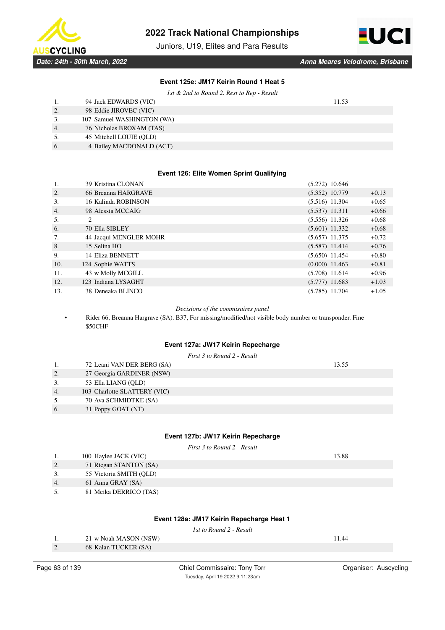

Juniors, U19, Elites and Para Results



# **Event 125e: JM17 Keirin Round 1 Heat 5**

*1st & 2nd to Round 2. Rest to Rep - Result*

|    | 94 Jack EDWARDS (VIC)      | 11.53 |
|----|----------------------------|-------|
| 2. | 98 Eddie JIROVEC (VIC)     |       |
| 3. | 107 Samuel WASHINGTON (WA) |       |
| 4. | 76 Nicholas BROXAM (TAS)   |       |
| 5. | 45 Mitchell LOUIE (OLD)    |       |
| 6. | 4 Bailey MACDONALD (ACT)   |       |

### **Event 126: Elite Women Sprint Qualifying**

| 1.  | 39 Kristina CLONAN     | $(5.272)$ 10.646 |         |
|-----|------------------------|------------------|---------|
| 2.  | 66 Breanna HARGRAVE    | $(5.352)$ 10.779 | $+0.13$ |
| 3.  | 16 Kalinda ROBINSON    | $(5.516)$ 11.304 | $+0.65$ |
| 4.  | 98 Alessia MCCAIG      | $(5.537)$ 11.311 | $+0.66$ |
| 5.  | 2                      | $(5.556)$ 11.326 | $+0.68$ |
| 6.  | 70 Ella SIBLEY         | $(5.601)$ 11.332 | $+0.68$ |
| 7.  | 44 Jacqui MENGLER-MOHR | $(5.657)$ 11.375 | $+0.72$ |
| 8.  | 15 Selina HO           | $(5.587)$ 11.414 | $+0.76$ |
| 9.  | 14 Eliza BENNETT       | $(5.650)$ 11.454 | $+0.80$ |
| 10. | 124 Sophie WATTS       | $(0.000)$ 11.463 | $+0.81$ |
| 11. | 43 w Molly MCGILL      | $(5.708)$ 11.614 | $+0.96$ |
| 12. | 123 Indiana LYSAGHT    | $(5.777)$ 11.683 | $+1.03$ |
| 13. | 38 Deneaka BLINCO      | $(5.785)$ 11.704 | $+1.05$ |

### *Decisions of the commisaires panel*

• Rider 66, Breanna Hargrave (SA). B37, For missing/modified/not visible body number or transponder. Fine \$50CHF

### **Event 127a: JW17 Keirin Repecharge**

|    |                              | First 3 to Round 2 - Result |  |
|----|------------------------------|-----------------------------|--|
| 1. | 72 Leani VAN DER BERG (SA)   | 13.55                       |  |
| 2. | 27 Georgia GARDINER (NSW)    |                             |  |
| 3. | 53 Ella LIANG (OLD)          |                             |  |
| 4. | 103 Charlotte SLATTERY (VIC) |                             |  |
| 5. | 70 Ava SCHMIDTKE (SA)        |                             |  |
| 6. | 31 Poppy GOAT (NT)           |                             |  |
|    |                              |                             |  |
|    |                              |                             |  |

### **Event 127b: JW17 Keirin Repecharge**

*First 3 to Round 2 - Result*

|                  | 100 Haylee JACK (VIC)   | 13.88 |
|------------------|-------------------------|-------|
| 2.               | 71 Riegan STANTON (SA)  |       |
| 3.               | 55 Victoria SMITH (OLD) |       |
| $\overline{4}$ . | 61 Anna GRAY (SA)       |       |
| 5.               | 81 Meika DERRICO (TAS)  |       |

### **Event 128a: JM17 Keirin Repecharge Heat 1**

*1st to Round 2 - Result*

| -1.              | 21 w Noah MASON (NSW) | 11.44 |
|------------------|-----------------------|-------|
| $\overline{2}$ . | 68 Kalan TUCKER (SA)  |       |
|                  |                       |       |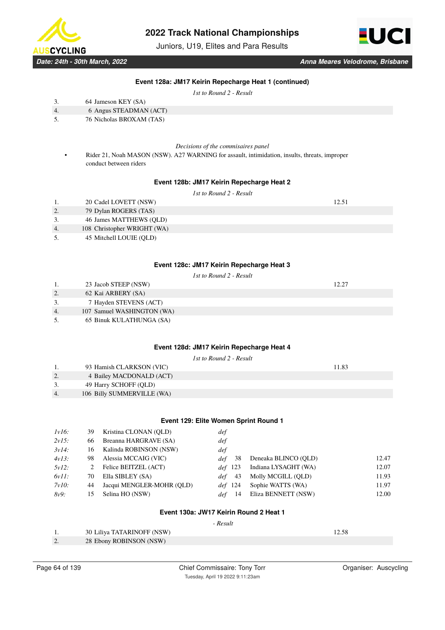

Juniors, U19, Elites and Para Results



### **Event 128a: JM17 Keirin Repecharge Heat 1 (continued)**

*1st to Round 2 - Result*

| 3. | 64 Jameson KEY (SA)    |
|----|------------------------|
| 4. | 6 Angus STEADMAN (ACT) |

- 5. 76 Nicholas BROXAM (TAS)
- 

*Decisions of the commisaires panel*

• Rider 21, Noah MASON (NSW). A27 WARNING for assault, intimidation, insults, threats, improper conduct between riders

#### **Event 128b: JM17 Keirin Repecharge Heat 2**

|                  |                             | 1st to Round 2 - Result |       |
|------------------|-----------------------------|-------------------------|-------|
|                  | 20 Cadel LOVETT (NSW)       |                         | 12.51 |
| 2.               | 79 Dylan ROGERS (TAS)       |                         |       |
| 3.               | 46 James MATTHEWS (OLD)     |                         |       |
| $\overline{4}$ . | 108 Christopher WRIGHT (WA) |                         |       |
| 5.               | 45 Mitchell LOUIE (OLD)     |                         |       |

#### **Event 128c: JM17 Keirin Repecharge Heat 3**

|    |                            | 1st to Round 2 - Result |       |
|----|----------------------------|-------------------------|-------|
|    | 23 Jacob STEEP (NSW)       |                         | 12.27 |
| 2. | 62 Kai ARBERY (SA)         |                         |       |
| 3. | 7 Hayden STEVENS (ACT)     |                         |       |
| 4. | 107 Samuel WASHINGTON (WA) |                         |       |
| 5. | 65 Binuk KULATHUNGA (SA)   |                         |       |

### **Event 128d: JM17 Keirin Repecharge Heat 4**

|               |                            | 1st to Round 2 - Result |  |
|---------------|----------------------------|-------------------------|--|
|               | 93 Hamish CLARKSON (VIC)   | 11.83                   |  |
| ۷.            | 4 Bailey MACDONALD (ACT)   |                         |  |
| $\rightarrow$ | 49 Harry SCHOFF (OLD)      |                         |  |
| 4.            | 106 Billy SUMMERVILLE (WA) |                         |  |

### **Event 129: Elite Women Sprint Round 1**

| $1v16$ : | 39 | Kristina CLONAN (QLD)     | def       |                      |       |
|----------|----|---------------------------|-----------|----------------------|-------|
| $2v15$ : | 66 | Breanna HARGRAVE (SA)     | def       |                      |       |
| $3v14$ : | 16 | Kalinda ROBINSON (NSW)    | def       |                      |       |
| $4v13$ : | 98 | Alessia MCCAIG (VIC)      | 38<br>def | Deneaka BLINCO (OLD) | 12.47 |
| $5v12$ : | 2  | Felice BEITZEL (ACT)      | def 123   | Indiana LYSAGHT (WA) | 12.07 |
| $6v11$ : | 70 | Ella SIBLEY (SA)          | 43        | Molly MCGILL (OLD)   | 11.93 |
| $7v10$ : | 44 | Jacqui MENGLER-MOHR (OLD) | def 124   | Sophie WATTS (WA)    | 11.97 |
| 8v9:     | 15 | Selina HO (NSW)           | -14       | Eliza BENNETT (NSW)  | 12.00 |
|          |    |                           |           |                      |       |

#### **Event 130a: JW17 Keirin Round 2 Heat 1**

 *- Result*

|          | <b>30 Liliya TATARINOFF (NSW)</b> |  |
|----------|-----------------------------------|--|
| <u>.</u> | 28 Ebony ROBINSON (NSW)           |  |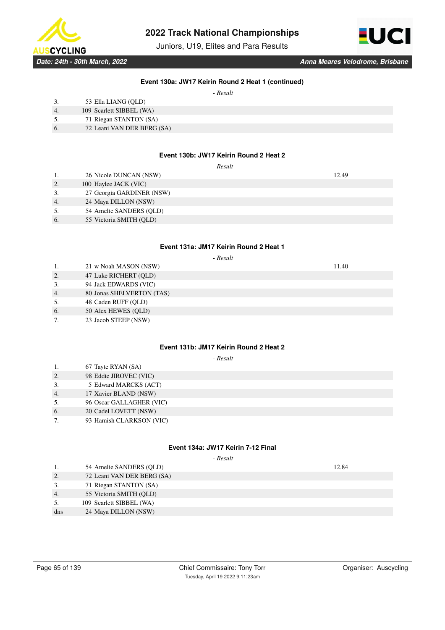

Juniors, U19, Elites and Para Results



### **Event 130a: JW17 Keirin Round 2 Heat 1 (continued)**

 $\mathbf{r}$   $\ldots$   $\mathbf{r}$ 

|    | - Kesuu                    |
|----|----------------------------|
|    | 53 Ella LIANG (QLD)        |
| 4. | 109 Scarlett SIBBEL (WA)   |
| 5. | 71 Riegan STANTON (SA)     |
| 6. | 72 Leani VAN DER BERG (SA) |
|    |                            |

### **Event 130b: JW17 Keirin Round 2 Heat 2**

|    | - Result                  |       |
|----|---------------------------|-------|
|    | 26 Nicole DUNCAN (NSW)    | 12.49 |
| 2. | 100 Haylee JACK (VIC)     |       |
| 3. | 27 Georgia GARDINER (NSW) |       |
| 4. | 24 Maya DILLON (NSW)      |       |
| 5. | 54 Amelie SANDERS (QLD)   |       |
| 6. | 55 Victoria SMITH (QLD)   |       |

### **Event 131a: JM17 Keirin Round 2 Heat 1**

|    | - Result                  |       |  |  |
|----|---------------------------|-------|--|--|
| 1. | 21 w Noah MASON (NSW)     | 11.40 |  |  |
| 2. | 47 Luke RICHERT (QLD)     |       |  |  |
| 3. | 94 Jack EDWARDS (VIC)     |       |  |  |
| 4. | 80 Jonas SHELVERTON (TAS) |       |  |  |
| 5. | 48 Caden RUFF (OLD)       |       |  |  |
| 6. | 50 Alex HEWES (QLD)       |       |  |  |
| 7. | 23 Jacob STEEP (NSW)      |       |  |  |

### **Event 131b: JM17 Keirin Round 2 Heat 2**

# *- Result*

| 1.       | 67 Tayte RYAN (SA)         |
|----------|----------------------------|
| $\Omega$ | $\Omega$ EAS IIDOVEC (VIC) |

- 2. 98 Eddie JIROVEC (VIC)
- 3. 5 Edward MARCKS (ACT)
- 4. 17 Xavier BLAND (NSW) 5. 96 Oscar GALLAGHER (VIC)
- 6. 20 Cadel LOVETT (NSW)
- 7. 93 Hamish CLARKSON (VIC)

### **Event 134a: JW17 Keirin 7-12 Final**

 *- Result*

1. 54 Amelie SANDERS (QLD) 12.84 2. 72 Leani VAN DER BERG (SA) 3. 71 Riegan STANTON (SA) 4. 55 Victoria SMITH (QLD) 5. 109 Scarlett SIBBEL (WA) dns 24 Maya DILLON (NSW)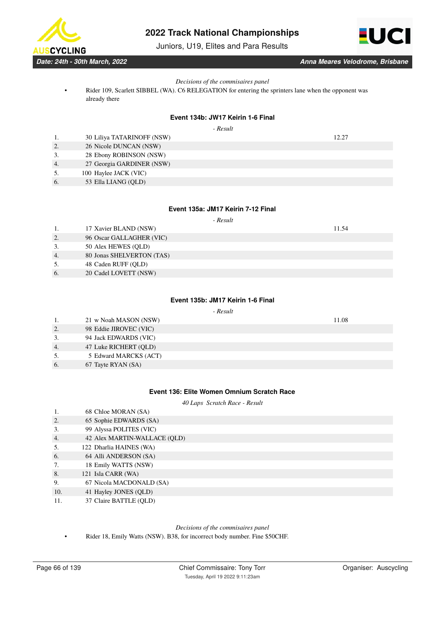Juniors, U19, Elites and Para Results

*Decisions of the commisaires panel*

• Rider 109, Scarlett SIBBEL (WA). C6 RELEGATION for entering the sprinters lane when the opponent was already there

### **Event 134b: JW17 Keirin 1-6 Final**

 *- Result*

|    | 30 Liliya TATARINOFF (NSW) | 12.27 |
|----|----------------------------|-------|
| 2. | 26 Nicole DUNCAN (NSW)     |       |
|    | 28 Ebony ROBINSON (NSW)    |       |
| 4. | 27 Georgia GARDINER (NSW)  |       |
| 5. | 100 Haylee JACK (VIC)      |       |
|    |                            |       |

6. 53 Ella LIANG (QLD)

# **Event 135a: JM17 Keirin 7-12 Final**

 *- Result*

1. 17 Xavier BLAND (NSW) 11.54

3. 50 Alex HEWES (QLD) 4. 80 Jonas SHELVERTON (TAS)

2. 96 Oscar GALLAGHER (VIC)

- 5. 48 Caden RUFF (QLD)
- 6. 20 Cadel LOVETT (NSW)

### **Event 135b: JM17 Keirin 1-6 Final**

### *- Result*

|                  | 21 w Noah MASON (NSW)  | 11.08 |
|------------------|------------------------|-------|
| 2.               | 98 Eddie JIROVEC (VIC) |       |
| 3.               | 94 Jack EDWARDS (VIC)  |       |
| $\overline{4}$ . | 47 Luke RICHERT (OLD)  |       |
| 5.               | 5 Edward MARCKS (ACT)  |       |
| 6.               | 67 Tayte RYAN (SA)     |       |

### **Event 136: Elite Women Omnium Scratch Race**

*40 Laps Scratch Race - Result*

| .   | $\sigma$ can be more in $\sigma$ |
|-----|----------------------------------|
| 2.  | 65 Sophie EDWARDS (SA)           |
| 3.  | 99 Alyssa POLITES (VIC)          |
| 4.  | 42 Alex MARTIN-WALLACE (QLD)     |
| 5.  | 122 Dharlia HAINES (WA)          |
| 6.  | 64 Alli ANDERSON (SA)            |
| 7.  | 18 Emily WATTS (NSW)             |
| 8.  | 121 Isla CARR (WA)               |
| 9.  | 67 Nicola MACDONALD (SA)         |
| 10. | 41 Hayley JONES (QLD)            |
| .   |                                  |

11. 37 Claire BATTLE (QLD)

1 68 Chloe MORAN (SA)

### *Decisions of the commisaires panel*

• Rider 18, Emily Watts (NSW). B38, for incorrect body number. Fine \$50CHF.



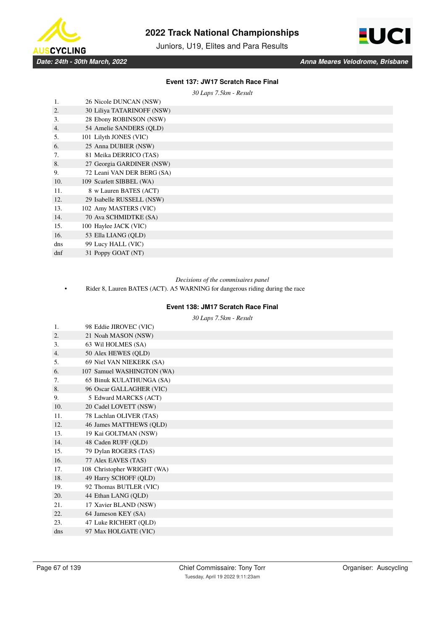

Juniors, U19, Elites and Para Results



### **Event 137: JW17 Scratch Race Final**

*30 Laps 7.5km - Result*

| 1.               | 26 Nicole DUNCAN (NSW)     |
|------------------|----------------------------|
| 2.               | 30 Liliya TATARINOFF (NSW) |
| 3.               | 28 Ebony ROBINSON (NSW)    |
| $\overline{4}$ . | 54 Amelie SANDERS (OLD)    |
| 5.               | 101 Lilyth JONES (VIC)     |
| 6.               | 25 Anna DUBIER (NSW)       |
| 7.               | 81 Meika DERRICO (TAS)     |
| 8.               | 27 Georgia GARDINER (NSW)  |
| 9.               | 72 Leani VAN DER BERG (SA) |
| 10.              | 109 Scarlett SIBBEL (WA)   |
| 11.              | 8 w Lauren BATES (ACT)     |
| 12.              | 29 Isabelle RUSSELL (NSW)  |
| 13.              | 102 Amy MASTERS (VIC)      |
| 14.              | 70 Ava SCHMIDTKE (SA)      |
| 15.              | 100 Haylee JACK (VIC)      |
| 16.              | 53 Ella LIANG (QLD)        |
| dns              | 99 Lucy HALL (VIC)         |
| dnf              | 31 Poppy GOAT (NT)         |
|                  |                            |

### *Decisions of the commisaires panel*

• Rider 8, Lauren BATES (ACT). A5 WARNING for dangerous riding during the race

### **Event 138: JM17 Scratch Race Final**

*30 Laps 7.5km - Result*

| 1.  | 98 Eddie JIROVEC (VIC)      |
|-----|-----------------------------|
| 2.  | 21 Noah MASON (NSW)         |
| 3.  | 63 Wil HOLMES (SA)          |
| 4.  | 50 Alex HEWES (QLD)         |
| 5.  | 69 Niel VAN NIEKERK (SA)    |
| 6.  | 107 Samuel WASHINGTON (WA)  |
| 7.  | 65 Binuk KULATHUNGA (SA)    |
| 8.  | 96 Oscar GALLAGHER (VIC)    |
| 9.  | 5 Edward MARCKS (ACT)       |
| 10. | 20 Cadel LOVETT (NSW)       |
| 11. | 78 Lachlan OLIVER (TAS)     |
| 12. | 46 James MATTHEWS (QLD)     |
| 13. | 19 Kai GOLTMAN (NSW)        |
| 14. | 48 Caden RUFF (QLD)         |
| 15. | 79 Dylan ROGERS (TAS)       |
| 16. | 77 Alex EAVES (TAS)         |
| 17. | 108 Christopher WRIGHT (WA) |
| 18. | 49 Harry SCHOFF (QLD)       |
| 19. | 92 Thomas BUTLER (VIC)      |
| 20. | 44 Ethan LANG (QLD)         |
| 21. | 17 Xavier BLAND (NSW)       |
| 22. | 64 Jameson KEY (SA)         |
| 23. | 47 Luke RICHERT (QLD)       |
| dns | 97 Max HOLGATE (VIC)        |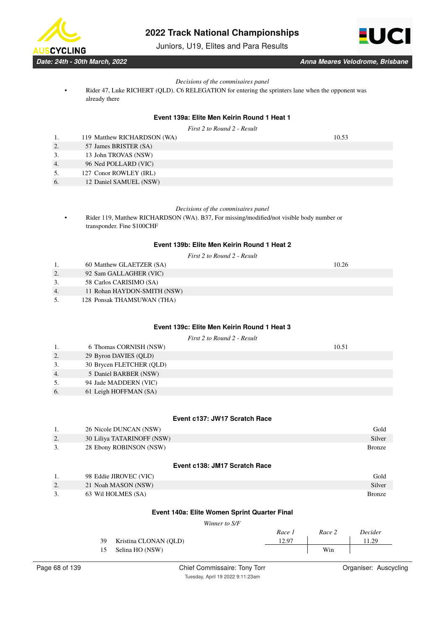

Juniors, U19, Elites and Para Results



### *Decisions of the commisaires panel*

• Rider 47, Luke RICHERT (QLD). C6 RELEGATION for entering the sprinters lane when the opponent was already there

### **Event 139a: Elite Men Keirin Round 1 Heat 1**

*First 2 to Round 2 - Result*

|    | 119 Matthew RICHARDSON (WA) | 10.53 |
|----|-----------------------------|-------|
| 2. | 57 James BRISTER (SA)       |       |
| 3. | 13 John TROVAS (NSW)        |       |
| 4. | 96 Ned POLLARD (VIC)        |       |
| 5. | 127 Conor ROWLEY (IRL)      |       |

6. 12 Daniel SAMUEL (NSW)

### *Decisions of the commisaires panel*

• Rider 119, Matthew RICHARDSON (WA). B37, For missing/modified/not visible body number or transponder. Fine \$100CHF

### **Event 139b: Elite Men Keirin Round 1 Heat 2**

|  |  |  | First 2 to Round 2 - Result |  |  |  |
|--|--|--|-----------------------------|--|--|--|
|--|--|--|-----------------------------|--|--|--|

- 1. 60 Matthew GLAETZER (SA) 10.26
- 2. 92 Sam GALLAGHER (VIC)
- 3. 58 Carlos CARISIMO (SA)
- 4. 11 Rohan HAYDON-SMITH (NSW)
- 5. 128 Ponsak THAMSUWAN (THA)

### **Event 139c: Elite Men Keirin Round 1 Heat 3**

*First 2 to Round 2 - Result*

|    | 6 Thomas CORNISH (NSW)   | 10.51 |
|----|--------------------------|-------|
| 2. | 29 Byron DAVIES (QLD)    |       |
| 3. | 30 Brycen FLETCHER (QLD) |       |
| 4. | 5 Daniel BARBER (NSW)    |       |
| 5. | 94 Jade MADDERN (VIC)    |       |
| 6. | 61 Leigh HOFFMAN (SA)    |       |
|    |                          |       |

### **Event c137: JW17 Scratch Race**

|    | 26 Nicole DUNCAN (NSW)        | Gold          |
|----|-------------------------------|---------------|
| 2. | 30 Liliya TATARINOFF (NSW)    | Silver        |
| 3. | 28 Ebony ROBINSON (NSW)       | <b>Bronze</b> |
|    |                               |               |
|    | Event c138: JM17 Scratch Race |               |
|    | 98 Eddie JIROVEC (VIC)        | Gold          |

|           | 98 Eddie JIROVEC (VIC) | Gold          |
|-----------|------------------------|---------------|
| <u>L.</u> | 21 Noah MASON (NSW)    | Silver        |
|           | 63 Wil HOLMES (SA)     | <b>Bronze</b> |

### **Event 140a: Elite Women Sprint Quarter Final**

*Winner to S/F*

|    |                       | Race 1 | Race 2 | Decider |
|----|-----------------------|--------|--------|---------|
| 39 | Kristina CLONAN (OLD) | 12.97  |        | 1.29    |
| 15 | Selina HO (NSW)       |        | Win    |         |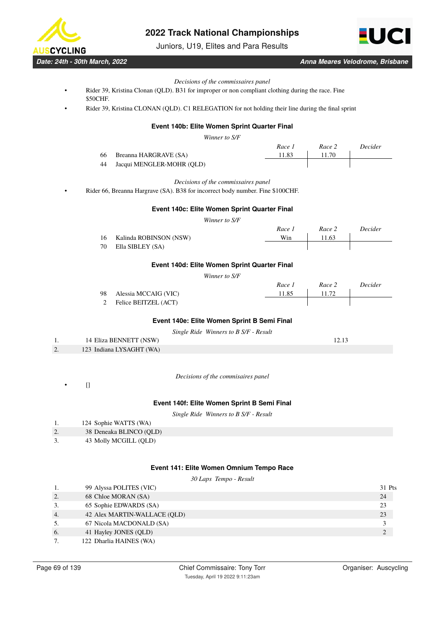

Juniors, U19, Elites and Para Results



*Date: 24th - 30th March, 2022 Anna Meares Velodrome, Brisbane*

#### *Decisions of the commissaires panel*

- Rider 39, Kristina Clonan (QLD). B31 for improper or non compliant clothing during the race. Fine \$50CHF.
- Rider 39, Kristina CLONAN (QLD). C1 RELEGATION for not holding their line during the final sprint

# **Event 140b: Elite Women Sprint Quarter Final**

*Winner to S/F*

|    |                           | Race 1 |       | Race 2 | Decider |
|----|---------------------------|--------|-------|--------|---------|
| 66 | Breanna HARGRAVE (SA)     |        | 11.83 |        |         |
| 44 | Jacqui MENGLER-MOHR (OLD) |        |       |        |         |

*Decisions of the commissaires panel*

• Rider 66, Breanna Hargrave (SA). B38 for incorrect body number. Fine \$100CHF.

### **Event 140c: Elite Women Sprint Quarter Final**

*Winner to S/F*

|     |                           | Race 1 | Race 2 | Decider |
|-----|---------------------------|--------|--------|---------|
|     | 16 Kalinda ROBINSON (NSW) | Win    | 11.63  |         |
| 70- | Ella SIBLEY (SA)          |        |        |         |

#### **Event 140d: Elite Women Sprint Quarter Final**

*Winner to S/F*

|                         | Race 1 | Race 2 | Decider |
|-------------------------|--------|--------|---------|
| 98 Alessia MCCAIG (VIC) | 11.85  |        |         |
| 2 Felice BEITZEL (ACT)  |        |        |         |

### **Event 140e: Elite Women Sprint B Semi Final**

| Single Ride Winners to B S/F - Result |  |  |  |
|---------------------------------------|--|--|--|
|---------------------------------------|--|--|--|

|          | 14 Eliza BENNETT (NSW)   |  |
|----------|--------------------------|--|
| <u>.</u> | 123 Indiana LYSAGHT (WA) |  |

*Decisions of the commisaires panel*

 $[] \centering \subfloat[0]{{\includegraphics[width=0.24\textwidth]{figs-pi-100}}}% \qquad \subfloat[1]{{\includegraphics[width=0.24\textwidth]{figs-pi-100}}}% \qquad \subfloat[1]{{\includegraphics[width=0.24\textwidth]{figs-pi-100}}}% \qquad \subfloat[1]{{\includegraphics[width=0.24\textwidth]{figs-pi-100}}}% \qquad \subfloat[1]{{\includegraphics[width=0.24\textwidth]{figs-pi-100}}}% \qquad \subfloat[1]{{\includegraphics[width=0.24\textwidth]{figs-pi-100}}}% \qquad \subfloat[1]{{\includegraphics[width$ 

#### **Event 140f: Elite Women Sprint B Semi Final**

*Single Ride Winners to B S/F - Result*

|  | 124 Sophie WATTS (WA) |  |
|--|-----------------------|--|
|  |                       |  |

- 2. 38 Deneaka BLINCO (QLD)
- 3. 43 Molly MCGILL (QLD)

#### **Event 141: Elite Women Omnium Tempo Race**

*30 Laps Tempo - Result*

|    | 99 Alyssa POLITES (VIC)      | 31 Pts         |
|----|------------------------------|----------------|
| 2. | 68 Chloe MORAN (SA)          | 24             |
|    | 65 Sophie EDWARDS (SA)       | 23             |
| 4. | 42 Alex MARTIN-WALLACE (OLD) | 23             |
|    | 67 Nicola MACDONALD (SA)     |                |
| 6. | 41 Hayley JONES (QLD)        | $\overline{2}$ |
|    | 122 Dharlia HAINES (WA)      |                |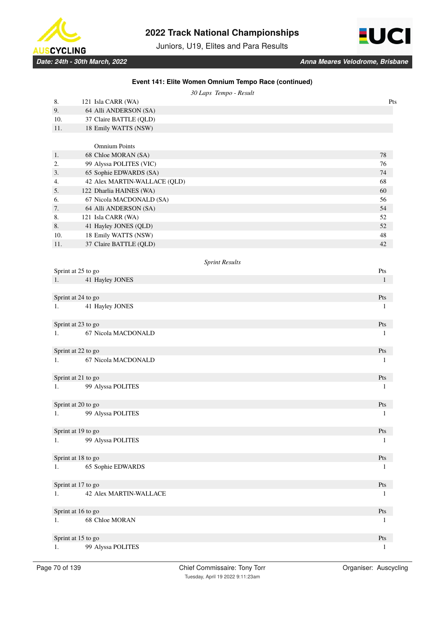

Juniors, U19, Elites and Para Results

**Event 141: Elite Women Omnium Tempo Race (continued)**



|     | 30 Laps Tempo - Result                    |                                  |
|-----|-------------------------------------------|----------------------------------|
| 8.  | 121 Isla CARR (WA)                        | Pts                              |
| 9.  | 64 Alli ANDERSON (SA)                     |                                  |
| 10. | 37 Claire BATTLE (QLD)                    |                                  |
| 11. | 18 Emily WATTS (NSW)                      |                                  |
|     |                                           |                                  |
|     | <b>Omnium Points</b>                      |                                  |
| 1.  | 68 Chloe MORAN (SA)                       | 78                               |
| 2.  | 99 Alyssa POLITES (VIC)                   | 76                               |
| 3.  | 65 Sophie EDWARDS (SA)                    | 74                               |
| 4.  | 42 Alex MARTIN-WALLACE (QLD)              | 68                               |
| 5.  | 122 Dharlia HAINES (WA)                   | 60                               |
| 6.  | 67 Nicola MACDONALD (SA)                  | 56                               |
| 7.  | 64 Alli ANDERSON (SA)                     | 54                               |
| 8.  | 121 Isla CARR (WA)                        | 52                               |
| 8.  | 41 Hayley JONES (QLD)                     | 52                               |
| 10. | 18 Emily WATTS (NSW)                      | 48                               |
| 11. | 37 Claire BATTLE (QLD)                    | 42                               |
|     |                                           |                                  |
|     | <b>Sprint Results</b>                     |                                  |
|     | Sprint at 25 to go                        | Pts                              |
| 1.  | 41 Hayley JONES                           | $\mathbf{1}$                     |
|     |                                           |                                  |
|     | Sprint at 24 to go                        | Pts                              |
| 1.  | 41 Hayley JONES                           | 1                                |
|     |                                           |                                  |
|     | Sprint at 23 to go                        | Pts                              |
| 1.  | 67 Nicola MACDONALD                       | 1                                |
|     |                                           | Pts                              |
| 1.  | Sprint at 22 to go<br>67 Nicola MACDONALD |                                  |
|     |                                           | 1                                |
|     | Sprint at 21 to go                        | Pts                              |
| 1.  | 99 Alyssa POLITES                         | 1                                |
|     |                                           |                                  |
|     | Sprint at 20 to go                        | Pts                              |
| 1.  | 99 Alyssa POLITES                         | 1                                |
|     |                                           |                                  |
|     | Sprint at 19 to go                        | Pts                              |
| 1.  | 99 Alyssa POLITES                         | 1                                |
|     |                                           |                                  |
|     | Sprint at 18 to go                        | $\mathbf{P}\mathbf{t}\mathbf{s}$ |
| 1.  | 65 Sophie EDWARDS                         | 1                                |
|     |                                           |                                  |
|     | Sprint at 17 to go                        | $\mathbf{P}\mathbf{t}\mathbf{s}$ |
| 1.  | <b>42 Alex MARTIN-WALLACE</b>             | 1                                |
|     |                                           |                                  |
|     | Sprint at 16 to go                        | Pts                              |
| 1.  | 68 Chloe MORAN                            | 1                                |
|     |                                           |                                  |
|     | Sprint at 15 to go                        | Pts                              |
| 1.  | 99 Alyssa POLITES                         | 1                                |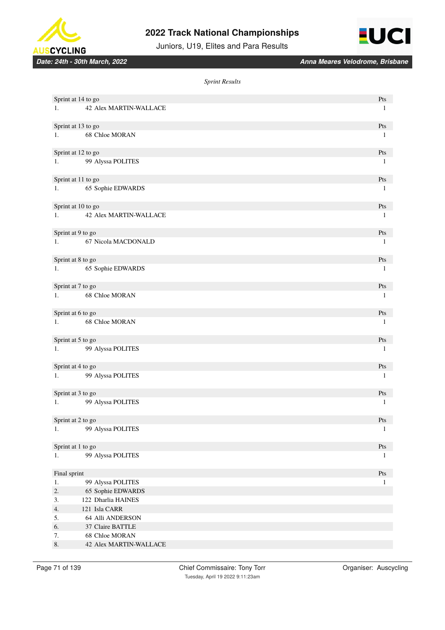





#### *Sprint Results*

|              | Sprint at 14 to go                              | Pts                              |
|--------------|-------------------------------------------------|----------------------------------|
|              | 1. 42 Alex MARTIN-WALLACE                       | $\mathbf{1}$                     |
|              |                                                 |                                  |
|              | Sprint at 13 to go                              | Pts                              |
|              | 1. 68 Chloe MORAN                               | -1                               |
|              |                                                 |                                  |
|              | Sprint at 12 to go                              | Pts                              |
|              | 1. 99 Alyssa POLITES                            | -1                               |
|              |                                                 |                                  |
|              | Sprint at 11 to go                              | Pts                              |
|              | 1. 65 Sophie EDWARDS                            | $\mathbf{1}$                     |
|              |                                                 |                                  |
|              |                                                 | Pts                              |
|              | Sprint at 10 to go<br>1. 42 Alex MARTIN-WALLACE | $\mathbf{1}$                     |
|              |                                                 |                                  |
|              |                                                 |                                  |
|              | Sprint at 9 to go                               | Pts                              |
|              | 1. 67 Nicola MACDONALD                          | $\mathbf{1}$                     |
|              |                                                 |                                  |
|              | Sprint at 8 to go                               | Pts                              |
|              | 1. 65 Sophie EDWARDS                            | $\mathbf{1}$                     |
|              |                                                 |                                  |
|              | Sprint at 7 to go                               | Pts                              |
|              | 1. 68 Chloe MORAN                               | $\mathbf{1}$                     |
|              |                                                 |                                  |
|              | Sprint at 6 to go                               | Pts                              |
|              | 1. 68 Chloe MORAN                               | $\mathbf{1}$                     |
|              |                                                 |                                  |
|              | Sprint at 5 to go                               | Pts                              |
|              | 1. 99 Alyssa POLITES                            | $\mathbf{1}$                     |
|              |                                                 |                                  |
|              | Sprint at 4 to go                               | Pts                              |
|              | 1. 99 Alyssa POLITES                            | -1                               |
|              |                                                 |                                  |
|              | Sprint at 3 to go                               | Pts                              |
|              | 1. 99 Alyssa POLITES                            | $\mathbf{1}$                     |
|              |                                                 |                                  |
|              | Sprint at 2 to go                               | Pts                              |
| 1.           | 99 Alyssa POLITES                               | $\mathbf{1}$                     |
|              |                                                 |                                  |
|              | Sprint at 1 to go                               | $\mathbf{P}\mathbf{t}\mathbf{s}$ |
| 1.           | 99 Alyssa POLITES                               | 1                                |
|              |                                                 |                                  |
| Final sprint |                                                 | $\mathbf{P}\mathbf{t}\mathbf{s}$ |
| 1.           | 99 Alyssa POLITES                               | $\mathbf{1}$                     |
| 2.           | 65 Sophie EDWARDS                               |                                  |
| 3.           | 122 Dharlia HAINES                              |                                  |
| 4.           | 121 Isla CARR                                   |                                  |
| 5.           | 64 Alli ANDERSON                                |                                  |
| 6.           | 37 Claire BATTLE                                |                                  |
| 7.           | 68 Chloe MORAN                                  |                                  |
| $\,8.$       | 42 Alex MARTIN-WALLACE                          |                                  |
|              |                                                 |                                  |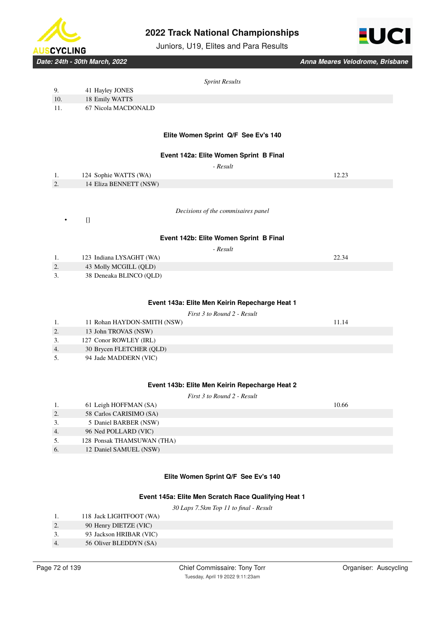





*Date: 24th - 30th March, 2022 Anna Meares Velodrome, Brisbane*

### *Sprint Results*

|     |                     | Sprint Results                      |
|-----|---------------------|-------------------------------------|
| 9.  | 41 Hayley JONES     |                                     |
| 10. | 18 Emily WATTS      |                                     |
| 11. | 67 Nicola MACDONALD |                                     |
|     |                     |                                     |
|     |                     | Flite Women Sprint O/F See Fy's 140 |

# **Elite Women Sprint Q/F See Ev's 140**

### **Event 142a: Elite Women Sprint B Final**

|          |                        | - Result |       |
|----------|------------------------|----------|-------|
| 1.       | 124 Sophie WATTS (WA)  |          | 12.23 |
| <u>.</u> | 14 Eliza BENNETT (NSW) |          |       |

*Decisions of the commisaires panel*

 $\Box$ 

# **Event 142b: Elite Women Sprint B Final**

 *- Result*

|    | 123 Indiana LYSAGHT (WA) | 22.34 |
|----|--------------------------|-------|
| 2. | 43 Molly MCGILL (QLD)    |       |
|    | 38 Deneaka BLINCO (OLD)  |       |

### **Event 143a: Elite Men Keirin Repecharge Heat 1**

### *First 3 to Round 2 - Result*

|    | 11 Rohan HAYDON-SMITH (NSW) | 11.14 |
|----|-----------------------------|-------|
|    | 13 John TROVAS (NSW)        |       |
| 3. | 127 Conor ROWLEY (IRL)      |       |
| 4. | 30 Brycen FLETCHER (QLD)    |       |
| 5. | 94 Jade MADDERN (VIC)       |       |

### **Event 143b: Elite Men Keirin Repecharge Heat 2**

*First 3 to Round 2 - Result*

|    | 61 Leigh HOFFMAN (SA)      | 10.66 |
|----|----------------------------|-------|
| 2. | 58 Carlos CARISIMO (SA)    |       |
| 3. | 5 Daniel BARBER (NSW)      |       |
| 4. | 96 Ned POLLARD (VIC)       |       |
| 5. | 128 Ponsak THAMSUWAN (THA) |       |
| 6. | 12 Daniel SAMUEL (NSW)     |       |
|    |                            |       |

### **Elite Women Sprint Q/F See Ev's 140**

### **Event 145a: Elite Men Scratch Race Qualifying Heat 1**

*30 Laps 7.5km Top 11 to final - Result*

| 1. | 118 Jack LIGHTFOOT (WA) |  |
|----|-------------------------|--|
|    |                         |  |

- 2. 90 Henry DIETZE (VIC)
- 3. 93 Jackson HRIBAR (VIC)
- 4. 56 Oliver BLEDDYN (SA)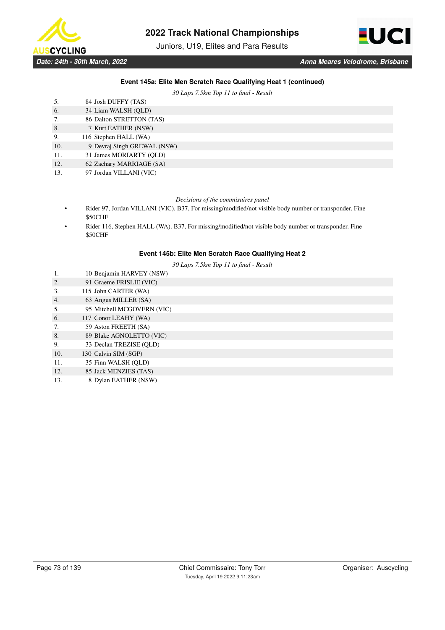

Juniors, U19, Elites and Para Results



## **Event 145a: Elite Men Scratch Race Qualifying Heat 1 (continued)**

*30 Laps 7.5km Top 11 to final - Result*

| 5.  | 84 Josh DUFFY (TAS)         |
|-----|-----------------------------|
| 6.  | 34 Liam WALSH (QLD)         |
| 7.  | 86 Dalton STRETTON (TAS)    |
| 8.  | 7 Kurt EATHER (NSW)         |
| 9.  | 116 Stephen HALL (WA)       |
| 10. | 9 Devraj Singh GREWAL (NSW) |
| 11. | 31 James MORIARTY (OLD)     |
| 12. | 62 Zachary MARRIAGE (SA)    |
| .   | ----------------            |

13. 97 Jordan VILLANI (VIC)

### *Decisions of the commisaires panel*

- Rider 97, Jordan VILLANI (VIC). B37, For missing/modified/not visible body number or transponder. Fine \$50CHF
- Rider 116, Stephen HALL (WA). B37, For missing/modified/not visible body number or transponder. Fine \$50CHF

### **Event 145b: Elite Men Scratch Race Qualifying Heat 2**

*30 Laps 7.5km Top 11 to final - Result*

- 1. 10 Benjamin HARVEY (NSW)
- 2. 91 Graeme FRISLIE (VIC)
- 3. 115 John CARTER (WA)
- 4. 63 Angus MILLER (SA)
- 5. 95 Mitchell MCGOVERN (VIC)
- 6. 117 Conor LEAHY (WA)
- 7. 59 Aston FREETH (SA)
- 8. 89 Blake AGNOLETTO (VIC)
- 9. 33 Declan TREZISE (QLD)
- 10. 130 Calvin SIM (SGP)
- 11. 35 Finn WALSH (QLD)
- 12. 85 Jack MENZIES (TAS)
- 13. 8 Dylan EATHER (NSW)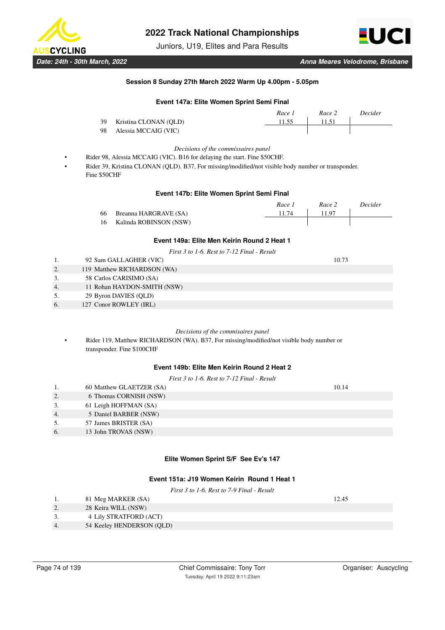

Juniors, U19, Elites and Para Results



### **Session 8 Sunday 27th March 2022 Warm Up 4.00pm - 5.05pm**

# **Event 147a: Elite Women Sprint Semi Final**

|      |                       | Race 1 | Race 2 | Decider |
|------|-----------------------|--------|--------|---------|
| - 39 | Kristina CLONAN (OLD) | 11.55  | 11.51  |         |
| -98  | Alessia MCCAIG (VIC)  |        |        |         |

#### *Decisions of the commissaires panel*

- Rider 98, Alessia MCCAIG (VIC). B16 for delaying the start. Fine \$50CHF.
- Rider 39, Kristina CLONAN (QLD). B37, For missing/modified/not visible body number or transponder. Fine \$50CHF

### **Event 147b: Elite Women Sprint Semi Final**

|    |                        | Race | Race 2 | Decider |
|----|------------------------|------|--------|---------|
| 66 | Breanna HARGRAVE (SA)  | 1.74 | 11 97  |         |
|    | Kalinda ROBINSON (NSW) |      |        |         |

# **Event 149a: Elite Men Keirin Round 2 Heat 1**

*First 3 to 1-6. Rest to 7-12 Final - Result*

|    | 92 Sam GALLAGHER (VIC)      | 10.73 |
|----|-----------------------------|-------|
| 2. | 119 Matthew RICHARDSON (WA) |       |
| 3. | 58 Carlos CARISIMO (SA)     |       |
| 4. | 11 Rohan HAYDON-SMITH (NSW) |       |
| 5. | 29 Byron DAVIES (QLD)       |       |
| 6. | 127 Conor ROWLEY (IRL)      |       |
|    |                             |       |

#### *Decisions of the commisaires panel*

• Rider 119, Matthew RICHARDSON (WA). B37, For missing/modified/not visible body number or transponder. Fine \$100CHF

## **Event 149b: Elite Men Keirin Round 2 Heat 2**

| First $3$ to 1-6. Rest to $7$ -12 Final - Result |                          |       |  |  |
|--------------------------------------------------|--------------------------|-------|--|--|
| 1.                                               | 60 Matthew GLAETZER (SA) | 10.14 |  |  |
| 2.                                               | 6 Thomas CORNISH (NSW)   |       |  |  |
| 3.                                               | 61 Leigh HOFFMAN (SA)    |       |  |  |
| 4.                                               | 5 Daniel BARBER (NSW)    |       |  |  |
| 5.                                               | 57 James BRISTER (SA)    |       |  |  |
| 6.                                               | 13 John TROVAS (NSW)     |       |  |  |
|                                                  |                          |       |  |  |

### **Elite Women Sprint S/F See Ev's 147**

# **Event 151a: J19 Women Keirin Round 1 Heat 1**

*First 3 to 1-6. Rest to 7-9 Final - Result*

|    | 81 Meg MARKER (SA)        | 12.45 |
|----|---------------------------|-------|
|    | 28 Keira WILL (NSW)       |       |
|    | 4 Lily STRATFORD (ACT)    |       |
| 4. | 54 Keeley HENDERSON (QLD) |       |
|    |                           |       |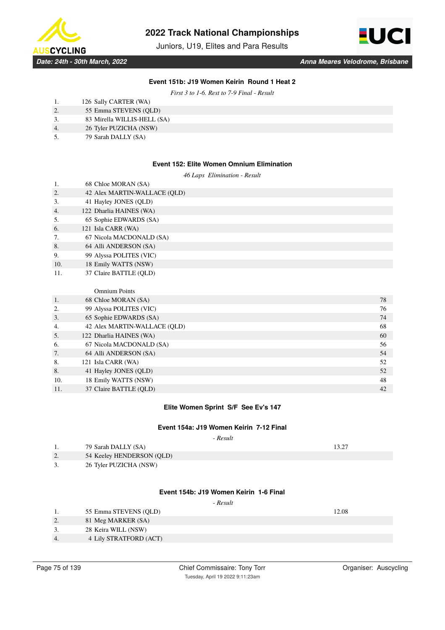

Juniors, U19, Elites and Para Results



## **Event 151b: J19 Women Keirin Round 1 Heat 2**

*First 3 to 1-6. Rest to 7-9 Final - Result*

| 126 Sally CARTER (WA) |
|-----------------------|
| 55 Emma STEVENS (QLD) |

- 3. 83 Mirella WILLIS-HELL (SA)
- 4. 26 Tyler PUZICHA (NSW)
- 5. 79 Sarah DALLY (SA)

### **Event 152: Elite Women Omnium Elimination**

*46 Laps Elimination - Result*

| 1.  | 68 Chloe MORAN (SA)           |    |
|-----|-------------------------------|----|
| 2.  | 42 Alex MARTIN-WALLACE (QLD)  |    |
| 3.  | 41 Hayley JONES (QLD)         |    |
| 4.  | 122 Dharlia HAINES (WA)       |    |
| 5.  | 65 Sophie EDWARDS (SA)        |    |
| 6.  | 121 Isla CARR (WA)            |    |
| 7.  | 67 Nicola MACDONALD (SA)      |    |
| 8.  | 64 Alli ANDERSON (SA)         |    |
| 9.  | 99 Alyssa POLITES (VIC)       |    |
| 10. | 18 Emily WATTS (NSW)          |    |
| 11. | 37 Claire BATTLE (QLD)        |    |
|     |                               |    |
|     | <b>Omnium Points</b>          |    |
| 1.  | 68 Chloe MORAN (SA)           | 78 |
| 2.  | 99 Alyssa POLITES (VIC)       | 76 |
| 3.  | 65 Sophie EDWARDS (SA)        | 74 |
| 4   | 42 Alex MARTIN-WAI LACE (OLD) | 68 |

| 4.  | 42 Alex MARTIN-WALLACE (OLD) | 68 |
|-----|------------------------------|----|
| 5.  | 122 Dharlia HAINES (WA)      | 60 |
| 6.  | 67 Nicola MACDONALD (SA)     | 56 |
| 7.  | 64 Alli ANDERSON (SA)        | 54 |
| 8.  | 121 Isla CARR (WA)           | 52 |
| 8.  | 41 Hayley JONES (QLD)        | 52 |
| 10. | 18 Emily WATTS (NSW)         | 48 |
|     | 37 Claire BATTLE (OLD)       | 42 |

### **Elite Women Sprint S/F See Ev's 147**

### **Event 154a: J19 Women Keirin 7-12 Final**

 *- Result*

|    | 79 Sarah DALLY (SA)       |  |
|----|---------------------------|--|
| 2. | 54 Keeley HENDERSON (QLD) |  |
|    | 26 Tyler PUZICHA (NSW)    |  |

### **Event 154b: J19 Women Keirin 1-6 Final**

 *- Result*

| ı. | 55 Emma STEVENS (OLD)  | 12.08 |
|----|------------------------|-------|
| 2. | 81 Meg MARKER (SA)     |       |
|    | 28 Keira WILL (NSW)    |       |
|    | 4 Lily STRATFORD (ACT) |       |
|    |                        |       |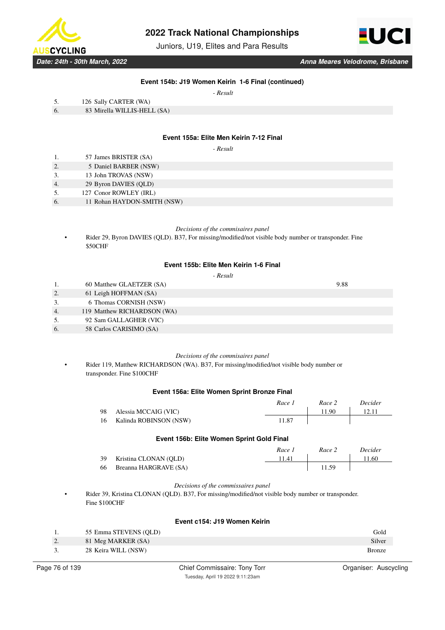

Juniors, U19, Elites and Para Results



*Date: 24th - 30th March, 2022 Anna Meares Velodrome, Brisbane*

## **Event 154b: J19 Women Keirin 1-6 Final (continued)**

 *- Result*

- 5. 126 Sally CARTER (WA)
- 6. 83 Mirella WILLIS-HELL (SA)

### **Event 155a: Elite Men Keirin 7-12 Final**

 *- Result*

- 1. 57 James BRISTER (SA)
- 2. 5 Daniel BARBER (NSW)
- 3. 13 John TROVAS (NSW)
- 4. 29 Byron DAVIES (QLD)
- 5. 127 Conor ROWLEY (IRL)
- 6. 11 Rohan HAYDON-SMITH (NSW)

#### *Decisions of the commisaires panel*

• Rider 29, Byron DAVIES (QLD). B37, For missing/modified/not visible body number or transponder. Fine \$50CHF

### **Event 155b: Elite Men Keirin 1-6 Final**

# *- Result*

1. 60 Matthew GLAETZER (SA) 9.88 2. 61 Leigh HOFFMAN (SA) 3. 6 Thomas CORNISH (NSW) 4. 119 Matthew RICHARDSON (WA) 5. 92 Sam GALLAGHER (VIC) 6. 58 Carlos CARISIMO (SA)

#### *Decisions of the commisaires panel*

• Rider 119, Matthew RICHARDSON (WA). B37, For missing/modified/not visible body number or transponder. Fine \$100CHF

### **Event 156a: Elite Women Sprint Bronze Final**

|                           | Race 1 | Race 2 | <i>Decider</i> |
|---------------------------|--------|--------|----------------|
| 98 Alessia MCCAIG (VIC)   |        | 11.90  |                |
| 16 Kalinda ROBINSON (NSW) | 11.87  |        |                |

### **Event 156b: Elite Women Sprint Gold Final**

|                          | Race: | Race 2 | Decider |
|--------------------------|-------|--------|---------|
| 39 Kristina CLONAN (OLD) | 11.41 |        | 11.60   |
| 66 Breanna HARGRAVE (SA) |       | 11.59  |         |

#### *Decisions of the commissaires panel*

• Rider 39, Kristina CLONAN (QLD). B37, For missing/modified/not visible body number or transponder. Fine \$100CHF

## **Event c154: J19 Women Keirin**

| Ι. | 55 Emma STEVENS (OLD) | Gold          |
|----|-----------------------|---------------|
| 2. | 81 Meg MARKER (SA)    | Silver        |
| 3. | 28 Keira WILL (NSW)   | <b>Bronze</b> |
|    |                       |               |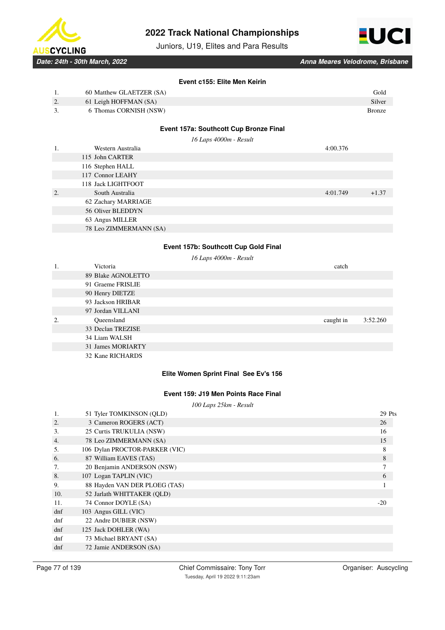

Juniors, U19, Elites and Para Results



*Date: 24th - 30th March, 2022 Anna Meares Velodrome, Brisbane*

## **Event c155: Elite Men Keirin**

| 1. | 60 Matthew GLAETZER (SA) |                                        | Gold          |
|----|--------------------------|----------------------------------------|---------------|
| 2. | 61 Leigh HOFFMAN (SA)    |                                        | Silver        |
| 3. | 6 Thomas CORNISH (NSW)   |                                        | <b>Bronze</b> |
|    |                          |                                        |               |
|    |                          | Event 157a: Southcott Cup Bronze Final |               |
|    |                          | 16 Laps 4000m - Result                 |               |
| 1. | Western Australia        | 4:00.376                               |               |
|    | 115 John CARTER          |                                        |               |
|    | 116 Stephen HALL         |                                        |               |
|    | 117 Connor LEAHY         |                                        |               |
|    | 118 Jack LIGHTFOOT       |                                        |               |
| 2. | South Australia          | 4:01.749                               | $+1.37$       |
|    | 62 Zachary MARRIAGE      |                                        |               |
|    | 56 Oliver BLEDDYN        |                                        |               |
|    | 63 Angus MILLER          |                                        |               |
|    | 78 Leo ZIMMERMANN (SA)   |                                        |               |
|    |                          |                                        |               |
|    |                          | Event 157b: Southcott Cup Gold Final   |               |
|    |                          | 16 Laps 4000m - Result                 |               |
| 1. | Victoria                 | catch                                  |               |
|    | 89 Blake AGNOLETTO       |                                        |               |
|    | 91 Graeme FRISLIE        |                                        |               |
|    | 90 Henry DIETZE          |                                        |               |
|    | 93 Jackson HRIBAR        |                                        |               |
|    | 97 Jordan VILLANI        |                                        |               |
| 2. | Oueensland               | caught in                              | 3:52.260      |

33 Declan TREZISE 34 Liam WALSH

> 31 James MORIARTY 32 Kane RICHARDS

# **Elite Women Sprint Final See Ev's 156**

# **Event 159: J19 Men Points Race Final**

|     |                                | 100 Laps 25km - Result |
|-----|--------------------------------|------------------------|
| 1.  | 51 Tyler TOMKINSON (QLD)       | 29 Pts                 |
| 2.  | 3 Cameron ROGERS (ACT)         | 26                     |
| 3.  | 25 Curtis TRUKULIA (NSW)       | 16                     |
| 4.  | 78 Leo ZIMMERMANN (SA)         | 15                     |
| .5. | 106 Dylan PROCTOR-PARKER (VIC) | 8                      |
| 6.  | 87 William EAVES (TAS)         | 8                      |
| 7.  | 20 Benjamin ANDERSON (NSW)     |                        |
| 8.  | 107 Logan TAPLIN (VIC)         | 6                      |
| 9.  | 88 Hayden VAN DER PLOEG (TAS)  |                        |
| 10. | 52 Jarlath WHITTAKER (OLD)     |                        |
| 11. | 74 Connor DOYLE (SA)           | $-20$                  |
| dnf | 103 Angus GILL (VIC)           |                        |
| dnf | 22 Andre DUBIER (NSW)          |                        |
| dnf | 125 Jack DOHLER (WA)           |                        |
| dnf | 73 Michael BRYANT (SA)         |                        |
| dnf | 72 Jamie ANDERSON (SA)         |                        |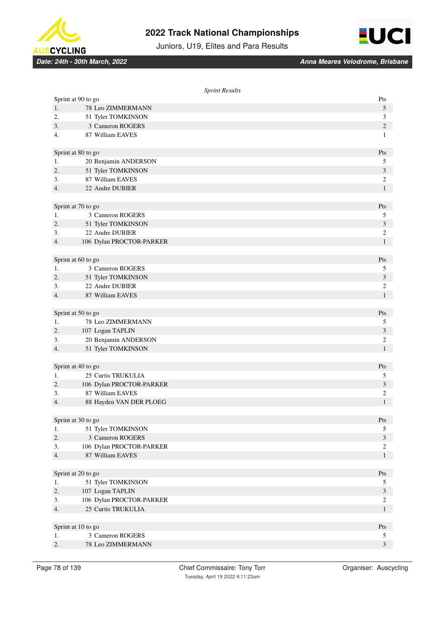



Juniors, U19, Elites and Para Results

|    | <b>Sprint Results</b>                  |                                |
|----|----------------------------------------|--------------------------------|
|    | Sprint at 90 to go                     | Pts                            |
| 1. | 78 Leo ZIMMERMANN                      | 5                              |
| 2. | 51 Tyler TOMKINSON                     | 3                              |
| 3. | 3 Cameron ROGERS                       | $\overline{c}$                 |
| 4. | 87 William EAVES                       | $\mathbf{1}$                   |
|    |                                        |                                |
|    | Sprint at 80 to go                     | Pts                            |
| 1. | 20 Benjamin ANDERSON                   | 5                              |
| 2. | 51 Tyler TOMKINSON                     | 3                              |
| 3. | 87 William EAVES                       | $\overline{c}$                 |
| 4. | 22 Andre DUBIER                        | $\mathbf{1}$                   |
|    |                                        |                                |
|    | Sprint at 70 to go                     | Pts                            |
| 1. | 3 Cameron ROGERS                       | 5                              |
| 2. | 51 Tyler TOMKINSON                     | 3                              |
| 3. | 22 Andre DUBIER                        | 2                              |
| 4. | 106 Dylan PROCTOR-PARKER               | $\mathbf{1}$                   |
|    |                                        |                                |
|    | Sprint at 60 to go                     | Pts                            |
| 1. | 3 Cameron ROGERS                       | 5                              |
| 2. | 51 Tyler TOMKINSON                     | 3                              |
| 3. | 22 Andre DUBIER                        | 2                              |
| 4. | 87 William EAVES                       | $\mathbf{1}$                   |
|    |                                        |                                |
|    | Sprint at 50 to go                     | Pts                            |
| 1. | 78 Leo ZIMMERMANN                      | 5                              |
| 2. | 107 Logan TAPLIN                       | 3                              |
| 3. | 20 Benjamin ANDERSON                   | 2                              |
| 4. | 51 Tyler TOMKINSON                     | $\mathbf{1}$                   |
|    |                                        |                                |
|    | Sprint at 40 to go                     | Pts                            |
| 1. | 25 Curtis TRUKULIA                     | 5                              |
| 2. | 106 Dylan PROCTOR-PARKER               | $\mathfrak{Z}$                 |
| 3. | 87 William EAVES                       | 2                              |
| 4. | 88 Hayden VAN DER PLOEG                | $\mathbf{1}$                   |
|    |                                        |                                |
|    | Sprint at 30 to go                     | Pts                            |
| 1. | 51 Tyler TOMKINSON<br>3 Cameron ROGERS | 5                              |
| 2. |                                        | $\mathfrak{Z}$                 |
| 3. | 106 Dylan PROCTOR-PARKER               | $\overline{c}$                 |
| 4. | 87 William EAVES                       | $\mathbf{1}$                   |
|    | Sprint at 20 to go                     | Pts                            |
| 1. |                                        |                                |
| 2. | 51 Tyler TOMKINSON<br>107 Logan TAPLIN | 5<br>$\mathfrak{Z}$            |
| 3. | 106 Dylan PROCTOR-PARKER               |                                |
| 4. | 25 Curtis TRUKULIA                     | $\overline{c}$<br>$\mathbf{1}$ |
|    |                                        |                                |
|    | Sprint at 10 to go                     | Pts                            |
| 1. | 3 Cameron ROGERS                       | 5                              |
| 2. | 78 Leo ZIMMERMANN                      | $\mathfrak{Z}$                 |
|    |                                        |                                |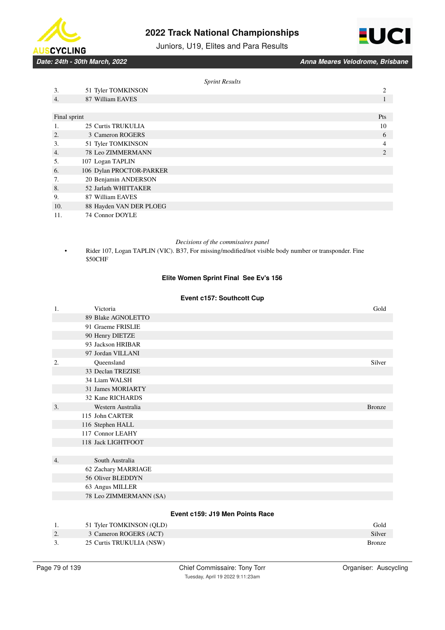





|              |                               | <b>Sprint Results</b> |     |
|--------------|-------------------------------|-----------------------|-----|
| 3.           | 51 Tyler TOMKINSON            |                       | 2   |
| 4.           | 87 William EAVES              |                       |     |
|              |                               |                       |     |
| Final sprint |                               |                       | Pts |
| 1.           | 25 Curtis TRUKULIA            |                       | 10  |
| 2.           | 3 Cameron ROGERS              |                       | 6   |
| 3.           | 51 Tyler TOMKINSON            |                       | 4   |
| 4.           | 78 Leo ZIMMERMANN             |                       | 2   |
| 5.           | 107 Logan TAPLIN              |                       |     |
| 6.           | 106 Dylan PROCTOR-PARKER      |                       |     |
| 7.           | 20 Benjamin ANDERSON          |                       |     |
| 8.           | 52 Jarlath WHITTAKER          |                       |     |
| 9.           | 87 William EAVES              |                       |     |
| 10.          | 88 Hayden VAN DER PLOEG       |                       |     |
| $-1$ $-1$    | <b>DOUTE</b><br>$\sim$ $\sim$ |                       |     |

11. 74 Connor DOYLE

### *Decisions of the commisaires panel*

• Rider 107, Logan TAPLIN (VIC). B37, For missing/modified/not visible body number or transponder. Fine \$50CHF

# **Elite Women Sprint Final See Ev's 156**

## **Event c157: Southcott Cup**

| 1.               | Victoria               | Gold          |
|------------------|------------------------|---------------|
|                  | 89 Blake AGNOLETTO     |               |
|                  | 91 Graeme FRISLIE      |               |
|                  | 90 Henry DIETZE        |               |
|                  | 93 Jackson HRIBAR      |               |
|                  | 97 Jordan VILLANI      |               |
| 2.               | Queensland             | Silver        |
|                  | 33 Declan TREZISE      |               |
|                  | 34 Liam WALSH          |               |
|                  | 31 James MORIARTY      |               |
|                  | 32 Kane RICHARDS       |               |
| $\overline{3}$ . | Western Australia      | <b>Bronze</b> |
|                  | 115 John CARTER        |               |
|                  | 116 Stephen HALL       |               |
|                  | 117 Connor LEAHY       |               |
|                  | 118 Jack LIGHTFOOT     |               |
|                  |                        |               |
| 4.               | South Australia        |               |
|                  | 62 Zachary MARRIAGE    |               |
|                  | 56 Oliver BLEDDYN      |               |
|                  | 63 Angus MILLER        |               |
|                  | 78 Leo ZIMMERMANN (SA) |               |
|                  |                        |               |

# **Event c159: J19 Men Points Race**

|           | 51 Tyler TOMKINSON (OLD) | Gold   |
|-----------|--------------------------|--------|
| <u>L.</u> | 3 Cameron ROGERS (ACT)   | Silver |
|           | 25 Curtis TRUKULIA (NSW) | Bronze |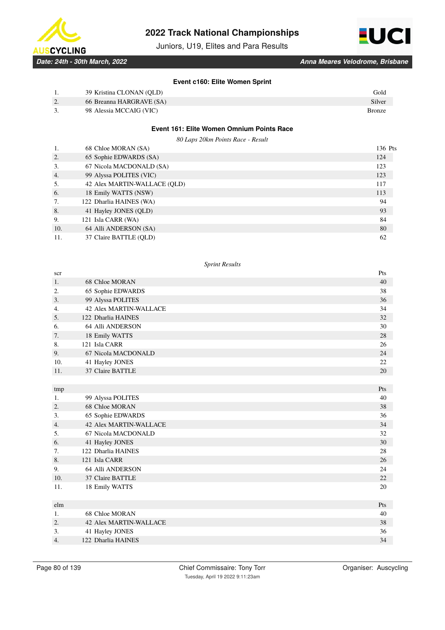





*Date: 24th - 30th March, 2022 Anna Meares Velodrome, Brisbane*

## **Event c160: Elite Women Sprint**

|    | 39 Kristina CLONAN (OLD) | Gold          |
|----|--------------------------|---------------|
|    |                          |               |
| 2. | 66 Breanna HARGRAVE (SA) | Silver        |
| 3. | 98 Alessia MCCAIG (VIC)  | <b>Bronze</b> |
|    |                          |               |
|    |                          |               |
|    |                          |               |

# **Event 161: Elite Women Omnium Points Race**

*80 Laps 20km Points Race - Result*

| 68 Chloe MORAN (SA)          | 136 Pts |
|------------------------------|---------|
| 65 Sophie EDWARDS (SA)       | 124     |
| 67 Nicola MACDONALD (SA)     | 123     |
| 99 Alyssa POLITES (VIC)      | 123     |
| 42 Alex MARTIN-WALLACE (OLD) | 117     |
| 18 Emily WATTS (NSW)         | 113     |
| 122 Dharlia HAINES (WA)      | 94      |
| 41 Hayley JONES (QLD)        | 93      |
| 121 Isla CARR (WA)           | 84      |
| 64 Alli ANDERSON (SA)        | 80      |
| 37 Claire BATTLE (OLD)       | 62      |
|                              |         |

### *Sprint Results*

| 40  |
|-----|
| 38  |
| 36  |
| 34  |
| 32  |
| 30  |
| 28  |
| 26  |
| 24  |
| 22  |
| 20  |
|     |
| Pts |
| 40  |
| 38  |
| 36  |
| 34  |
| 32  |
| 30  |
| 28  |
| 26  |
| 24  |
| 22  |
| 20  |
|     |
| Pts |
| 40  |
| 38  |
| 36  |
| 34  |
|     |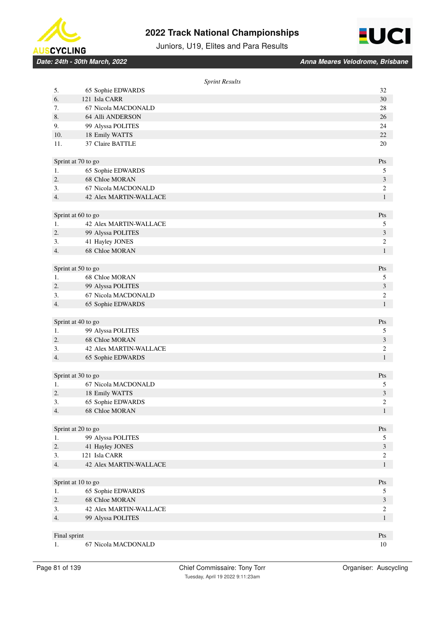



Juniors, U19, Elites and Para Results

*Date: 24th - 30th March, 2022 Anna Meares Velodrome, Brisbane*

|                    |                               | <b>Sprint Results</b> |
|--------------------|-------------------------------|-----------------------|
| 5.                 | 65 Sophie EDWARDS             | 32                    |
| 6.                 | 121 Isla CARR                 | 30                    |
| 7.                 | 67 Nicola MACDONALD           | 28                    |
| 8.                 | 64 Alli ANDERSON              | 26                    |
| 9.                 | 99 Alyssa POLITES             | 24                    |
| 10.                | 18 Emily WATTS                | 22                    |
| 11.                | 37 Claire BATTLE              | 20                    |
|                    | Sprint at 70 to go            | Pts                   |
| 1.                 | 65 Sophie EDWARDS             | 5                     |
| 2.                 | 68 Chloe MORAN                | $\mathfrak{Z}$        |
| 3.                 | 67 Nicola MACDONALD           | $\boldsymbol{2}$      |
| 4.                 | 42 Alex MARTIN-WALLACE        | $\mathbf{1}$          |
|                    | Sprint at 60 to go            | Pts                   |
| 1.                 | <b>42 Alex MARTIN-WALLACE</b> | 5                     |
| 2.                 | 99 Alyssa POLITES             | $\mathfrak{Z}$        |
| 3.                 | 41 Hayley JONES               | 2                     |
| 4.                 | 68 Chloe MORAN                | $\mathbf{1}$          |
|                    | Sprint at 50 to go            | Pts                   |
| 1.                 | 68 Chloe MORAN                | 5                     |
| 2.                 | 99 Alyssa POLITES             | $\mathfrak{Z}$        |
| 3.                 | 67 Nicola MACDONALD           | $\sqrt{2}$            |
| 4.                 | 65 Sophie EDWARDS             | $\mathbf{1}$          |
|                    | Sprint at 40 to go            | Pts                   |
| 1.                 | 99 Alyssa POLITES             | 5                     |
| 2.                 | 68 Chloe MORAN                | 3                     |
| 3.                 | <b>42 Alex MARTIN-WALLACE</b> | $\sqrt{2}$            |
| 4.                 | 65 Sophie EDWARDS             | $\mathbf{1}$          |
|                    | Sprint at 30 to go            | Pts                   |
| 1.                 | 67 Nicola MACDONALD           | 5                     |
| 2.                 | 18 Emily WATTS                | 3                     |
| 3.                 | 65 Sophie EDWARDS             | $\overline{c}$        |
| 4.                 | 68 Chloe MORAN                | $\mathbf{1}$          |
|                    | Sprint at 20 to go            | Pts                   |
| 1.                 | 99 Alyssa POLITES             | 5                     |
| 2.                 | 41 Hayley JONES               | $\mathfrak{Z}$        |
| 3.                 | 121 Isla CARR                 | $\boldsymbol{2}$      |
| 4.                 | <b>42 Alex MARTIN-WALLACE</b> | $\,1$                 |
|                    | Sprint at 10 to go            | Pts                   |
| 1.                 | 65 Sophie EDWARDS             | 5                     |
| 2.                 | 68 Chloe MORAN                | $\mathfrak{Z}$        |
| 3.                 | <b>42 Alex MARTIN-WALLACE</b> | $\overline{c}$        |
| 4.                 | 99 Alyssa POLITES             | $\mathbf{1}$          |
|                    |                               |                       |
| Final sprint<br>1. | 67 Nicola MACDONALD           | Pts<br>10             |
|                    |                               |                       |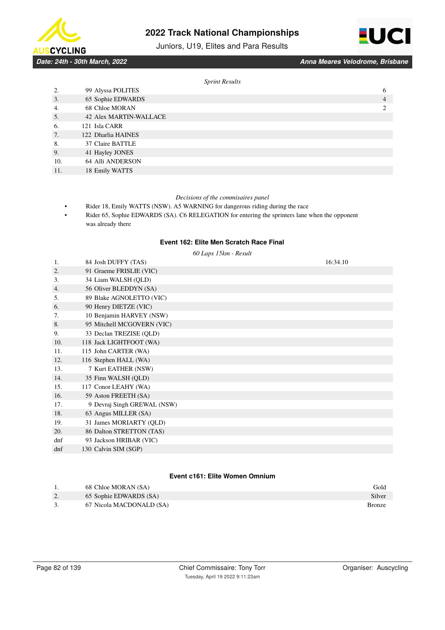

# Juniors, U19, Elites and Para Results



*Date: 24th - 30th March, 2022 Anna Meares Velodrome, Brisbane*

#### *Sprint Results*

|     | $\mathbf{r}$                  |   |
|-----|-------------------------------|---|
| 2.  | 99 Alyssa POLITES             | 6 |
| 3.  | 65 Sophie EDWARDS             | 4 |
| 4.  | 68 Chloe MORAN                |   |
| 5.  | <b>42 Alex MARTIN-WALLACE</b> |   |
| 6.  | 121 Isla CARR                 |   |
| 7.  | 122 Dharlia HAINES            |   |
| 8.  | 37 Claire BATTLE              |   |
| 9.  | 41 Hayley JONES               |   |
| 10. | 64 Alli ANDERSON              |   |
| 11. | 18 Emily WATTS                |   |

### *Decisions of the commisaires panel*

- Rider 18, Emily WATTS (NSW). A5 WARNING for dangerous riding during the race
- Rider 65, Sophie EDWARDS (SA). C6 RELEGATION for entering the sprinters lane when the opponent was already there

# **Event 162: Elite Men Scratch Race Final**

|     | 60 Laps 15km - Result       |          |
|-----|-----------------------------|----------|
| 1.  | 84 Josh DUFFY (TAS)         | 16:34.10 |
| 2.  | 91 Graeme FRISLIE (VIC)     |          |
| 3.  | 34 Liam WALSH (QLD)         |          |
| 4.  | 56 Oliver BLEDDYN (SA)      |          |
| 5.  | 89 Blake AGNOLETTO (VIC)    |          |
| 6.  | 90 Henry DIETZE (VIC)       |          |
| 7.  | 10 Benjamin HARVEY (NSW)    |          |
| 8.  | 95 Mitchell MCGOVERN (VIC)  |          |
| 9.  | 33 Declan TREZISE (QLD)     |          |
| 10. | 118 Jack LIGHTFOOT (WA)     |          |
| 11. | 115 John CARTER (WA)        |          |
| 12. | 116 Stephen HALL (WA)       |          |
| 13. | 7 Kurt EATHER (NSW)         |          |
| 14. | 35 Finn WALSH (QLD)         |          |
| 15. | 117 Conor LEAHY (WA)        |          |
| 16. | 59 Aston FREETH (SA)        |          |
| 17. | 9 Devraj Singh GREWAL (NSW) |          |
| 18. | 63 Angus MILLER (SA)        |          |
| 19. | 31 James MORIARTY (QLD)     |          |
| 20. | 86 Dalton STRETTON (TAS)    |          |
| dnf | 93 Jackson HRIBAR (VIC)     |          |
| dnf | 130 Calvin SIM (SGP)        |          |
|     |                             |          |

## **Event c161: Elite Women Omnium**

|    | 68 Chloe MORAN (SA)      | Gold          |
|----|--------------------------|---------------|
| 2. | 65 Sophie EDWARDS (SA)   | Silver        |
| 3. | 67 Nicola MACDONALD (SA) | <b>Bronze</b> |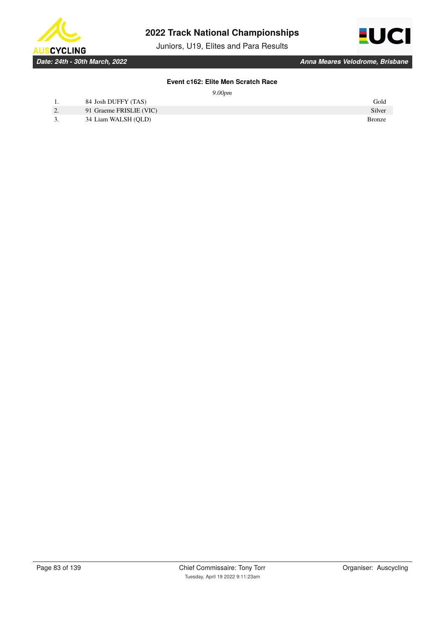

Juniors, U19, Elites and Para Results



# **Event c162: Elite Men Scratch Race**

*9.00pm*

|          | 84 Josh DUFFY (TAS)     | Gold          |
|----------|-------------------------|---------------|
| <u>.</u> | 91 Graeme FRISLIE (VIC) | Silver        |
|          | 34 Liam WALSH (QLD)     | <b>Bronze</b> |
|          |                         |               |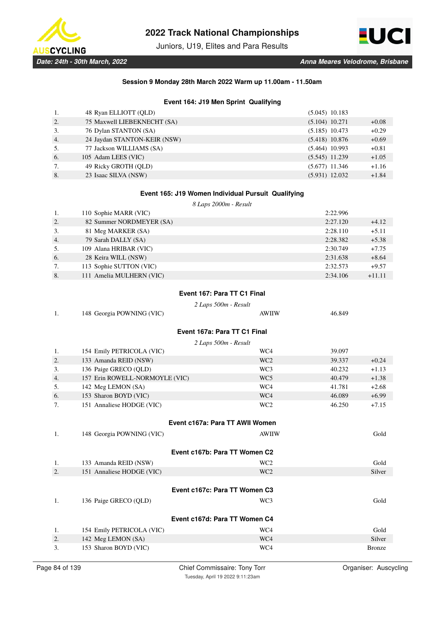

Juniors, U19, Elites and Para Results



# **Session 9 Monday 28th March 2022 Warm up 11.00am - 11.50am**

# **Event 164: J19 Men Sprint Qualifying**

| 1. | 48 Ryan ELLIOTT (QLD)        | $(5.045)$ 10.183 |         |
|----|------------------------------|------------------|---------|
| 2. | 75 Maxwell LIEBEKNECHT (SA)  | $(5.104)$ 10.271 | $+0.08$ |
| 3. | 76 Dylan STANTON (SA)        | $(5.185)$ 10.473 | $+0.29$ |
| 4. | 24 Jaydan STANTON-KEIR (NSW) | $(5.418)$ 10.876 | $+0.69$ |
| 5. | 77 Jackson WILLIAMS (SA)     | $(5.464)$ 10.993 | $+0.81$ |
| 6. | 105 Adam LEES (VIC)          | $(5.545)$ 11.239 | $+1.05$ |
| 7. | 49 Ricky GROTH (OLD)         | $(5.677)$ 11.346 | $+1.16$ |
| 8. | 23 Isaac SILVA (NSW)         | $(5.931)$ 12.032 | $+1.84$ |

# **Event 165: J19 Women Individual Pursuit Qualifying**

*8 Laps 2000m - Result*

| 1. | 110 Sophie MARR (VIC)    | 2:22.996 |          |
|----|--------------------------|----------|----------|
| 2. | 82 Summer NORDMEYER (SA) | 2:27.120 | $+4.12$  |
| 3. | 81 Meg MARKER (SA)       | 2:28.110 | $+5.11$  |
| 4. | 79 Sarah DALLY (SA)      | 2:28.382 | $+5.38$  |
| 5. | 109 Alana HRIBAR (VIC)   | 2:30.749 | $+7.75$  |
| 6. | 28 Keira WILL (NSW)      | 2:31.638 | $+8.64$  |
| 7. | 113 Sophie SUTTON (VIC)  | 2:32.573 | $+9.57$  |
| 8. | 111 Amelia MULHERN (VIC) | 2:34.106 | $+11.11$ |

# **Event 167: Para TT C1 Final**

*2 Laps 500m - Result*

| 148 Georgia POWNING (VIC)      | <b>AWIIW</b>    | 46.849                                                                                                                                                             |  |
|--------------------------------|-----------------|--------------------------------------------------------------------------------------------------------------------------------------------------------------------|--|
|                                |                 |                                                                                                                                                                    |  |
| 2 Laps 500m - Result           |                 |                                                                                                                                                                    |  |
| 154 Emily PETRICOLA (VIC)      | WC4             | 39.097                                                                                                                                                             |  |
| 133 Amanda REID (NSW)          | WC <sub>2</sub> | $+0.24$<br>39.337                                                                                                                                                  |  |
| 136 Paige GRECO (QLD)          | WC3             | 40.232<br>$+1.13$                                                                                                                                                  |  |
| 157 Erin ROWELL-NORMOYLE (VIC) | WC <sub>5</sub> | 40.479<br>$+1.38$                                                                                                                                                  |  |
| 142 Meg LEMON (SA)             | WC4             | $+2.68$<br>41.781                                                                                                                                                  |  |
| 153 Sharon BOYD (VIC)          | WC4             | 46.089<br>$+6.99$                                                                                                                                                  |  |
| 151 Annaliese HODGE (VIC)      | WC <sub>2</sub> | 46.250<br>$+7.15$                                                                                                                                                  |  |
|                                |                 |                                                                                                                                                                    |  |
|                                |                 |                                                                                                                                                                    |  |
| 148 Georgia POWNING (VIC)      | <b>AWIIW</b>    | Gold                                                                                                                                                               |  |
|                                |                 |                                                                                                                                                                    |  |
| 133 Amanda REID (NSW)          | WC <sub>2</sub> | Gold                                                                                                                                                               |  |
| 151 Annaliese HODGE (VIC)      | WC <sub>2</sub> | Silver                                                                                                                                                             |  |
|                                |                 |                                                                                                                                                                    |  |
|                                |                 |                                                                                                                                                                    |  |
| 136 Paige GRECO (QLD)          | WC3             | Gold                                                                                                                                                               |  |
|                                |                 |                                                                                                                                                                    |  |
|                                |                 |                                                                                                                                                                    |  |
| 154 Emily PETRICOLA (VIC)      | WC4             | Gold                                                                                                                                                               |  |
|                                |                 |                                                                                                                                                                    |  |
| 142 Meg LEMON (SA)             | WC4             | Silver                                                                                                                                                             |  |
|                                |                 | Event 167a: Para TT C1 Final<br>Event c167a: Para TT AWII Women<br>Event c167b: Para TT Women C2<br>Event c167c: Para TT Women C3<br>Event c167d: Para TT Women C4 |  |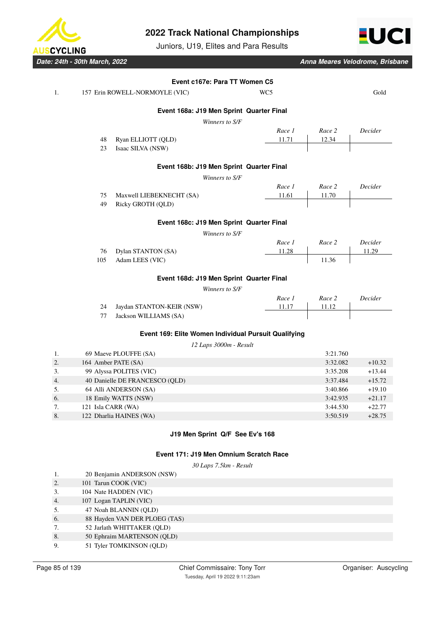

Juniors, U19, Elites and Para Results



*Date: 24th - 30th March, 2022 Anna Meares Velodrome, Brisbane*

| 1. |     | 157 Erin ROWELL-NORMOYLE (VIC)                       | WC5    |          | Gold     |
|----|-----|------------------------------------------------------|--------|----------|----------|
|    |     | Event 168a: J19 Men Sprint Quarter Final             |        |          |          |
|    |     | Winners to S/F                                       |        |          |          |
|    |     |                                                      | Race 1 | Race 2   | Decider  |
|    | 48  | Ryan ELLIOTT (QLD)                                   | 11.71  | 12.34    |          |
|    | 23  | Isaac SILVA (NSW)                                    |        |          |          |
|    |     | Event 168b: J19 Men Sprint Quarter Final             |        |          |          |
|    |     | Winners to S/F                                       |        |          |          |
|    |     |                                                      | Race 1 | Race 2   | Decider  |
|    | 75  | Maxwell LIEBEKNECHT (SA)                             | 11.61  | 11.70    |          |
|    | 49  | Ricky GROTH (QLD)                                    |        |          |          |
|    |     | Event 168c: J19 Men Sprint Quarter Final             |        |          |          |
|    |     | Winners to S/F                                       |        |          |          |
|    |     |                                                      | Race 1 | Race 2   | Decider  |
|    | 76  | Dylan STANTON (SA)                                   | 11.28  |          | 11.29    |
|    | 105 | Adam LEES (VIC)                                      |        | 11.36    |          |
|    |     | Event 168d: J19 Men Sprint Quarter Final             |        |          |          |
|    |     | Winners to S/F                                       |        |          |          |
|    |     |                                                      | Race 1 | Race 2   | Decider  |
|    | 24  | Jaydan STANTON-KEIR (NSW)                            | 11.17  | 11.12    |          |
|    | 77  | Jackson WILLIAMS (SA)                                |        |          |          |
|    |     | Event 169: Elite Women Individual Pursuit Qualifying |        |          |          |
|    |     | 12 Laps 3000m - Result                               |        |          |          |
| 1. |     | 69 Maeve PLOUFFE (SA)                                |        | 3:21.760 |          |
| 2. |     | 164 Amber PATE (SA)                                  |        | 3:32.082 | $+10.32$ |
| 3. |     | 99 Alyssa POLITES (VIC)                              |        | 3:35.208 | $+13.44$ |
| 4. |     | 40 Danielle DE FRANCESCO (QLD)                       |        | 3:37.484 | $+15.72$ |
| 5. |     | 64 Alli ANDERSON (SA)                                |        | 3:40.866 | $+19.10$ |
| 6. |     | 18 Emily WATTS (NSW)                                 |        | 3:42.935 | $+21.17$ |
| 7. |     | 121 Isla CARR (WA)                                   |        | 3:44.530 | $+22.77$ |
| 8. |     | 122 Dharlia HAINES (WA)                              |        | 3:50.519 | $+28.75$ |

## **Event 171: J19 Men Omnium Scratch Race**

*30 Laps 7.5km - Result*

- 1. 20 Benjamin ANDERSON (NSW)
- 2. 101 Tarun COOK (VIC)
- 3. 104 Nate HADDEN (VIC)
- 4. 107 Logan TAPLIN (VIC)
- 5. 47 Noah BLANNIN (QLD)
- 6. 88 Hayden VAN DER PLOEG (TAS)
- 7. 52 Jarlath WHITTAKER (QLD)
- 8. 50 Ephraim MARTENSON (QLD)
- 9. 51 Tyler TOMKINSON (QLD)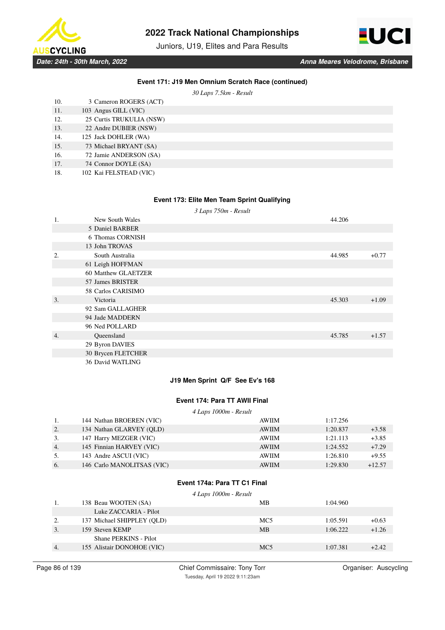

Juniors, U19, Elites and Para Results



**Event 171: J19 Men Omnium Scratch Race (continued)**

*30 Laps 7.5km - Result*

| 10. | 3 Cameron ROGERS (ACT)   |
|-----|--------------------------|
| 11. | 103 Angus GILL (VIC)     |
| 12. | 25 Curtis TRUKULIA (NSW) |
| 13. | 22 Andre DUBIER (NSW)    |
| 14. | 125 Jack DOHLER (WA)     |
| 15. | 73 Michael BRYANT (SA)   |
| 16. | 72 Jamie ANDERSON (SA)   |
| 17. | 74 Connor DOYLE (SA)     |
|     |                          |

18. 102 Kai FELSTEAD (VIC)

## **Event 173: Elite Men Team Sprint Qualifying**

*3 Laps 750m - Result*

| 1. | New South Wales     | 44.206 |         |
|----|---------------------|--------|---------|
|    | 5 Daniel BARBER     |        |         |
|    | 6 Thomas CORNISH    |        |         |
|    | 13 John TROVAS      |        |         |
| 2. | South Australia     | 44.985 | $+0.77$ |
|    | 61 Leigh HOFFMAN    |        |         |
|    | 60 Matthew GLAETZER |        |         |
|    | 57 James BRISTER    |        |         |
|    | 58 Carlos CARISIMO  |        |         |
| 3. | Victoria            | 45.303 | $+1.09$ |
|    | 92 Sam GALLAGHER    |        |         |
|    | 94 Jade MADDERN     |        |         |
|    | 96 Ned POLLARD      |        |         |
| 4. | Oueensland          | 45.785 | $+1.57$ |
|    | 29 Byron DAVIES     |        |         |
|    | 30 Brycen FLETCHER  |        |         |
|    | 36 David WATLING    |        |         |

# **J19 Men Sprint Q/F See Ev's 168**

# **Event 174: Para TT AWII Final**

|    | 4 Laps 1000m - Result      |              |          |          |
|----|----------------------------|--------------|----------|----------|
| 1. | 144 Nathan BROEREN (VIC)   | AWIIM        | 1:17.256 |          |
| 2. | 134 Nathan GLARVEY (OLD)   | <b>AWIIM</b> | 1:20.837 | $+3.58$  |
| 3. | 147 Harry MEZGER (VIC)     | <b>AWIIM</b> | 1:21.113 | $+3.85$  |
| 4. | 145 Finnian HARVEY (VIC)   | <b>AWIIM</b> | 1:24.552 | $+7.29$  |
| 5. | 143 Andre ASCUI (VIC)      | <b>AWIIM</b> | 1:26.810 | $+9.55$  |
| 6. | 146 Carlo MANOLITSAS (VIC) | <b>AWIIM</b> | 1:29.830 | $+12.57$ |

# **Event 174a: Para TT C1 Final**

*4 Laps 1000m - Result*

|    | 138 Beau WOOTEN (SA)       | MВ              | 1:04.960 |         |
|----|----------------------------|-----------------|----------|---------|
|    | Luke ZACCARIA - Pilot      |                 |          |         |
| 2. | 137 Michael SHIPPLEY (OLD) | MC <sub>5</sub> | 1:05.591 | $+0.63$ |
| 3. | 159 Steven KEMP            | <b>MB</b>       | 1:06.222 | $+1.26$ |
|    | Shane PERKINS - Pilot      |                 |          |         |
| 4. | 155 Alistair DONOHOE (VIC) | MC <sub>5</sub> | 1:07.381 | $+2.42$ |
|    |                            |                 |          |         |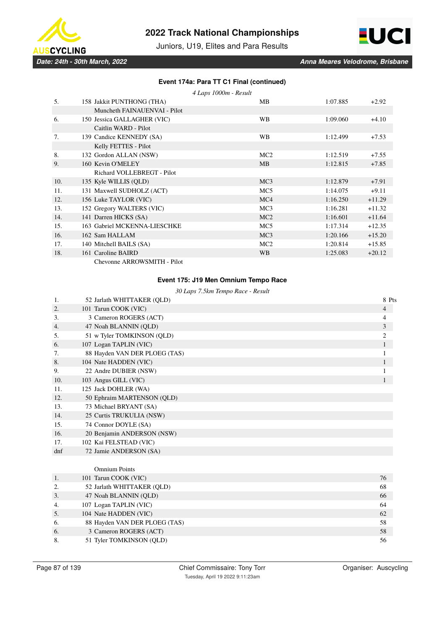



Juniors, U19, Elites and Para Results

# **Event 174a: Para TT C1 Final (continued)**

|     | 4 Laps 1000m - Result        |                 |          |          |
|-----|------------------------------|-----------------|----------|----------|
| 5.  | 158 Jakkit PUNTHONG (THA)    | MВ              | 1:07.885 | $+2.92$  |
|     | Muncheth FAINAUENVAI - Pilot |                 |          |          |
| 6.  | 150 Jessica GALLAGHER (VIC)  | <b>WB</b>       | 1:09.060 | $+4.10$  |
|     | Caitlin WARD - Pilot         |                 |          |          |
| 7.  | 139 Candice KENNEDY (SA)     | <b>WB</b>       | 1:12.499 | $+7.53$  |
|     | Kelly FETTES - Pilot         |                 |          |          |
| 8.  | 132 Gordon ALLAN (NSW)       | MC2             | 1:12.519 | $+7.55$  |
| 9.  | 160 Kevin O'MELEY            | <b>MB</b>       | 1:12.815 | $+7.85$  |
|     | Richard VOLLEBREGT - Pilot   |                 |          |          |
| 10. | 135 Kyle WILLIS (QLD)        | MC <sub>3</sub> | 1:12.879 | $+7.91$  |
| 11. | 131 Maxwell SUDHOLZ (ACT)    | MC <sub>5</sub> | 1:14.075 | $+9.11$  |
| 12. | 156 Luke TAYLOR (VIC)        | MC4             | 1:16.250 | $+11.29$ |
| 13. | 152 Gregory WALTERS (VIC)    | MC <sub>3</sub> | 1:16.281 | $+11.32$ |
| 14. | 141 Darren HICKS (SA)        | MC2             | 1:16.601 | $+11.64$ |
| 15. | 163 Gabriel MCKENNA-LIESCHKE | MC <sub>5</sub> | 1:17.314 | $+12.35$ |
| 16. | 162 Sam HALLAM               | MC <sub>3</sub> | 1:20.166 | $+15.20$ |
| 17. | 140 Mitchell BAILS (SA)      | MC <sub>2</sub> | 1:20.814 | $+15.85$ |
| 18. | 161 Caroline BAIRD           | <b>WB</b>       | 1:25.083 | $+20.12$ |
|     | $\overline{1}$               |                 |          |          |

Chevonne ARROWSMITH - Pilot

## **Event 175: J19 Men Omnium Tempo Race**

|     | 30 Laps 7.5km Tempo Race - Result |                |  |  |  |
|-----|-----------------------------------|----------------|--|--|--|
| 1.  | 52 Jarlath WHITTAKER (OLD)        | 8 Pts          |  |  |  |
| 2.  | 101 Tarun COOK (VIC)              | $\overline{4}$ |  |  |  |
| 3.  | 3 Cameron ROGERS (ACT)            | 4              |  |  |  |
| 4.  | 47 Noah BLANNIN (QLD)             | 3              |  |  |  |
| 5.  | 51 w Tyler TOMKINSON (QLD)        | $\overline{c}$ |  |  |  |
| 6.  | 107 Logan TAPLIN (VIC)            | $\mathbf{1}$   |  |  |  |
| 7.  | 88 Hayden VAN DER PLOEG (TAS)     | 1              |  |  |  |
| 8.  | 104 Nate HADDEN (VIC)             | 1              |  |  |  |
| 9.  | 22 Andre DUBIER (NSW)             | 1              |  |  |  |
| 10. | 103 Angus GILL (VIC)              | 1              |  |  |  |
| 11. | 125 Jack DOHLER (WA)              |                |  |  |  |
| 12. | 50 Ephraim MARTENSON (QLD)        |                |  |  |  |
| 13. | 73 Michael BRYANT (SA)            |                |  |  |  |
| 14. | 25 Curtis TRUKULIA (NSW)          |                |  |  |  |
| 15. | 74 Connor DOYLE (SA)              |                |  |  |  |
| 16. | 20 Benjamin ANDERSON (NSW)        |                |  |  |  |
| 17. | 102 Kai FELSTEAD (VIC)            |                |  |  |  |
| dnf | 72 Jamie ANDERSON (SA)            |                |  |  |  |
|     |                                   |                |  |  |  |
|     | <b>Omnium Points</b>              |                |  |  |  |
| 1.  | 101 Tarun COOK (VIC)              | 76             |  |  |  |
| 2.  | 52 Jarlath WHITTAKER (QLD)        | 68             |  |  |  |
| 3.  | 47 Noah BLANNIN (QLD)             | 66             |  |  |  |
| 4.  | 107 Logan TAPLIN (VIC)            | 64             |  |  |  |
| 5.  | 104 Nate HADDEN (VIC)             | 62             |  |  |  |
| 6.  | 88 Hayden VAN DER PLOEG (TAS)     | 58             |  |  |  |
| 6.  | 3 Cameron ROGERS (ACT)            | 58             |  |  |  |

8. 51 Tyler TOMKINSON (QLD) 56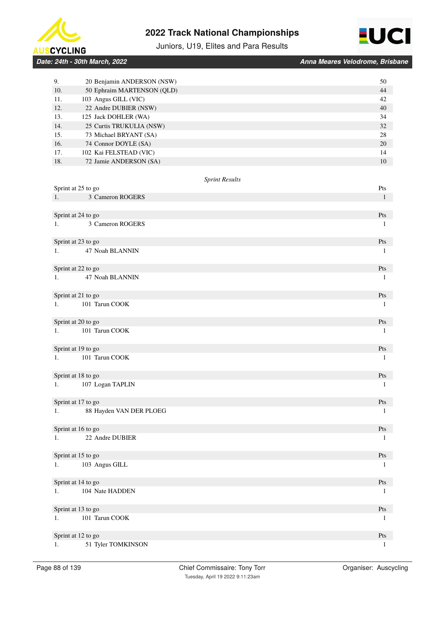



# Juniors, U19, Elites and Para Results

| <b>Date: 24th - 30th March. 2022</b> |  |  |
|--------------------------------------|--|--|

*Date: 24th - 30th March, 2022 Anna Meares Velodrome, Brisbane*

| 9.  | 20 Benjamin ANDERSON (NSW) | 50           |
|-----|----------------------------|--------------|
| 10. | 50 Ephraim MARTENSON (QLD) | 44           |
| 11. | 103 Angus GILL (VIC)       | 42           |
| 12. | 22 Andre DUBIER (NSW)      | 40           |
| 13. | 125 Jack DOHLER (WA)       | 34           |
| 14. | 25 Curtis TRUKULIA (NSW)   | 32           |
| 15. | 73 Michael BRYANT (SA)     | 28           |
| 16. | 74 Connor DOYLE (SA)       | 20           |
| 17. | 102 Kai FELSTEAD (VIC)     | 14           |
| 18. | 72 Jamie ANDERSON (SA)     | 10           |
|     | <b>Sprint Results</b>      |              |
|     | Sprint at 25 to go         | Pts          |
| 1.  | 3 Cameron ROGERS           | $\mathbf{1}$ |
|     |                            |              |
|     | Sprint at 24 to go         | Pts          |
| 1.  | 3 Cameron ROGERS           | $\mathbf{1}$ |
|     |                            |              |
|     | Sprint at 23 to go         | Pts          |
| 1.  | 47 Noah BLANNIN            | $\mathbf{1}$ |
|     | Sprint at 22 to go         | Pts          |
| 1.  | 47 Noah BLANNIN            | $\mathbf{1}$ |
|     |                            |              |
|     | Sprint at 21 to go         | Pts          |
| 1.  | 101 Tarun COOK             | 1            |
|     |                            |              |
|     | Sprint at 20 to go         | Pts          |
| 1.  | 101 Tarun COOK             | 1            |
|     |                            |              |
|     | Sprint at 19 to go         | Pts          |
| 1.  | 101 Tarun COOK             | 1            |
|     |                            |              |
|     | Sprint at 18 to go         | Pts          |
| 1.  | 107 Logan TAPLIN           | 1            |
|     |                            |              |
|     | Sprint at 17 to go         | Pts          |
| 1.  | 88 Hayden VAN DER PLOEG    | $\mathbf{1}$ |
|     | Sprint at 16 to go         | Pts          |
| 1.  | 22 Andre DUBIER            | 1            |
|     |                            |              |
|     | Sprint at 15 to go         | Pts          |
| 1.  | 103 Angus GILL             | 1            |
|     |                            |              |
|     | Sprint at 14 to go         | Pts          |
| 1.  | 104 Nate HADDEN            | $\mathbf{1}$ |
|     |                            |              |
|     | Sprint at 13 to go         | Pts          |
| 1.  | 101 Tarun COOK             | 1            |
|     |                            |              |
|     | Sprint at 12 to go         | Pts          |
| 1.  | 51 Tyler TOMKINSON         | $\mathbf{1}$ |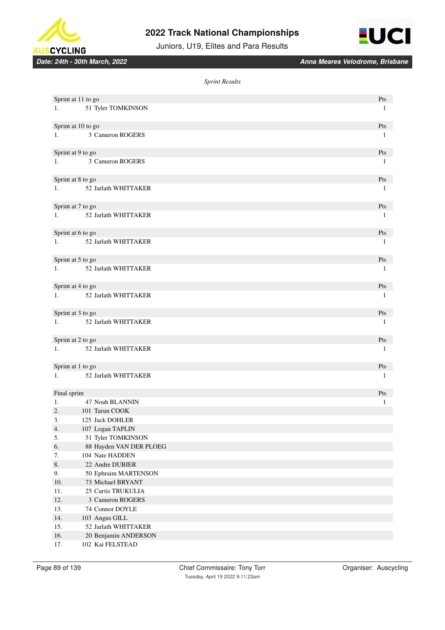





*Date: 24th - 30th March, 2022 Anna Meares Velodrome, Brisbane*

*Sprint Results*

| Sprint at 11 to go |                         | Pts          |
|--------------------|-------------------------|--------------|
| 1.                 | 51 Tyler TOMKINSON      | $\mathbf{1}$ |
|                    |                         |              |
| Sprint at 10 to go |                         | Pts          |
| 1.                 | 3 Cameron ROGERS        | $\mathbf{1}$ |
|                    |                         |              |
| Sprint at 9 to go  |                         | Pts          |
| 1.                 | 3 Cameron ROGERS        | $\mathbf{1}$ |
|                    |                         |              |
| Sprint at 8 to go  |                         | Pts          |
| 1.                 | 52 Jarlath WHITTAKER    | $\mathbf{1}$ |
|                    |                         |              |
| Sprint at 7 to go  |                         | Pts          |
| 1.                 | 52 Jarlath WHITTAKER    | $\mathbf{1}$ |
|                    |                         |              |
| Sprint at 6 to go  |                         | Pts          |
| 1.                 | 52 Jarlath WHITTAKER    | $\mathbf{1}$ |
|                    |                         |              |
| Sprint at 5 to go  |                         | Pts          |
| 1.                 | 52 Jarlath WHITTAKER    | 1            |
|                    |                         |              |
| Sprint at 4 to go  |                         | Pts          |
| 1.                 | 52 Jarlath WHITTAKER    | 1            |
|                    |                         |              |
| Sprint at 3 to go  |                         | Pts          |
| 1.                 | 52 Jarlath WHITTAKER    | $\mathbf{1}$ |
|                    |                         |              |
| Sprint at 2 to go  |                         | Pts          |
| 1.                 | 52 Jarlath WHITTAKER    | $\mathbf{1}$ |
|                    |                         |              |
| Sprint at 1 to go  |                         | Pts          |
| 1.                 | 52 Jarlath WHITTAKER    | $\mathbf{1}$ |
|                    |                         |              |
| Final sprint       |                         | Pts          |
| 1.                 | 47 Noah BLANNIN         | $\mathbf{1}$ |
| 2.                 | 101 Tarun COOK          |              |
| 3.                 | 125 Jack DOHLER         |              |
| 4.                 | 107 Logan TAPLIN        |              |
| 5.                 | 51 Tyler TOMKINSON      |              |
| 6.                 | 88 Hayden VAN DER PLOEG |              |
| 7.                 | 104 Nate HADDEN         |              |
| 8.                 | 22 Andre DUBIER         |              |
| 9.                 | 50 Ephraim MARTENSON    |              |
| $10.$              | 73 Michael BRYANT       |              |
| 11.                | 25 Curtis TRUKULIA      |              |
| 12.                | 3 Cameron ROGERS        |              |
| 13.                | 74 Connor DOYLE         |              |
| 14.                | 103 Angus GILL          |              |
| 15.                | 52 Jarlath WHITTAKER    |              |
| 16.                | 20 Benjamin ANDERSON    |              |
| 17.                | 102 Kai FELSTEAD        |              |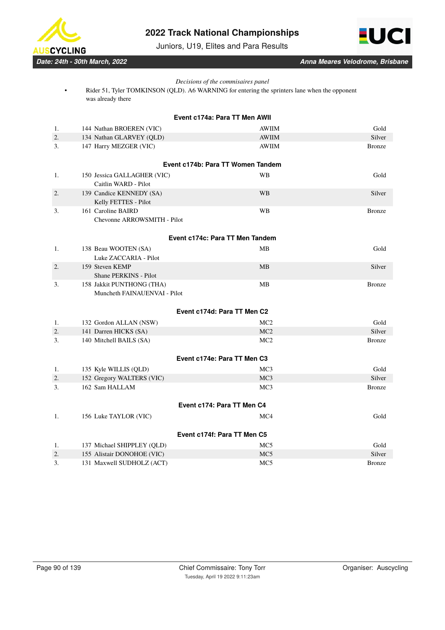

Juniors, U19, Elites and Para Results



*Date: 24th - 30th March, 2022 Anna Meares Velodrome, Brisbane*

# *Decisions of the commisaires panel*

• Rider 51, Tyler TOMKINSON (QLD). A6 WARNING for entering the sprinters lane when the opponent was already there

|                | Event c174a: Para TT Men AWII                       |                                    |                |  |  |  |
|----------------|-----------------------------------------------------|------------------------------------|----------------|--|--|--|
| 1.             | 144 Nathan BROEREN (VIC)                            | <b>AWIIM</b>                       | Gold           |  |  |  |
| 2.             | 134 Nathan GLARVEY (QLD)                            | <b>AWIIM</b>                       | Silver         |  |  |  |
| 3.             | 147 Harry MEZGER (VIC)                              | AWIIM                              | <b>Bronze</b>  |  |  |  |
|                |                                                     |                                    |                |  |  |  |
|                |                                                     | Event c174b: Para TT Women Tandem  |                |  |  |  |
| 1.             | 150 Jessica GALLAGHER (VIC)<br>Caitlin WARD - Pilot | <b>WB</b>                          | Gold           |  |  |  |
| 2.             | 139 Candice KENNEDY (SA)<br>Kelly FETTES - Pilot    | WB                                 | Silver         |  |  |  |
| 3.             | 161 Caroline BAIRD                                  | WB                                 | <b>Bronze</b>  |  |  |  |
|                | Chevonne ARROWSMITH - Pilot                         |                                    |                |  |  |  |
|                |                                                     | Event c174c: Para TT Men Tandem    |                |  |  |  |
| 1.             | 138 Beau WOOTEN (SA)                                | <b>MB</b>                          | Gold           |  |  |  |
|                | Luke ZACCARIA - Pilot                               |                                    |                |  |  |  |
| 2.             | 159 Steven KEMP                                     | MB                                 | Silver         |  |  |  |
|                | <b>Shane PERKINS - Pilot</b>                        |                                    |                |  |  |  |
| 3.             | 158 Jakkit PUNTHONG (THA)                           | MB                                 | <b>Bronze</b>  |  |  |  |
|                | Muncheth FAINAUENVAI - Pilot                        |                                    |                |  |  |  |
|                |                                                     | Event c174d: Para TT Men C2        |                |  |  |  |
| 1.             | 132 Gordon ALLAN (NSW)                              | MC <sub>2</sub>                    | Gold           |  |  |  |
| $\mathbf{2}$ . | 141 Darren HICKS (SA)                               | MC2                                | Silver         |  |  |  |
| 3.             | 140 Mitchell BAILS (SA)                             | MC <sub>2</sub>                    | <b>Bronze</b>  |  |  |  |
|                |                                                     | Event c174e: Para TT Men C3        |                |  |  |  |
|                |                                                     |                                    |                |  |  |  |
| 1.<br>2.       | 135 Kyle WILLIS (QLD)                               | MC <sub>3</sub><br>MC <sub>3</sub> | Gold<br>Silver |  |  |  |
| 3.             | 152 Gregory WALTERS (VIC)<br>162 Sam HALLAM         | MC <sub>3</sub>                    | <b>Bronze</b>  |  |  |  |
|                |                                                     |                                    |                |  |  |  |
|                |                                                     | Event c174: Para TT Men C4         |                |  |  |  |
| 1.             | 156 Luke TAYLOR (VIC)                               | MC4                                | Gold           |  |  |  |
|                |                                                     | Event c174f: Para TT Men C5        |                |  |  |  |
| 1.             | 137 Michael SHIPPLEY (QLD)                          | MC <sub>5</sub>                    | Gold           |  |  |  |
| 2.             | 155 Alistair DONOHOE (VIC)                          | MC5                                | Silver         |  |  |  |
| 3.             | 131 Maxwell SUDHOLZ (ACT)                           | MC <sub>5</sub>                    | <b>Bronze</b>  |  |  |  |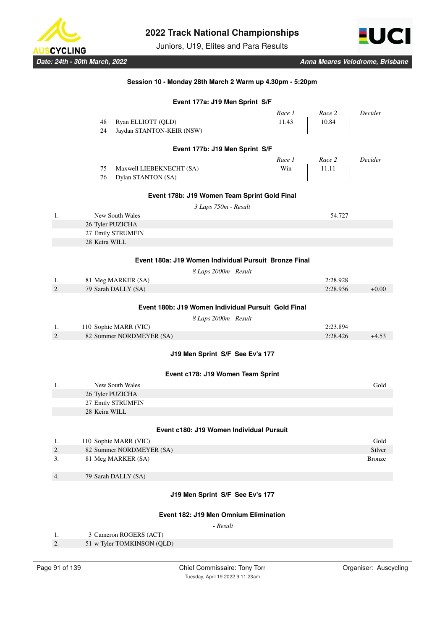

Juniors, U19, Elites and Para Results



# **Session 10 - Monday 28th March 2 Warm up 4.30pm - 5:20pm**

|    | Event 177a: J19 Men Sprint S/F |                            |                                                       |                       |        |          |               |
|----|--------------------------------|----------------------------|-------------------------------------------------------|-----------------------|--------|----------|---------------|
|    |                                |                            |                                                       |                       | Race 1 | Race 2   | Decider       |
|    | 48                             | Ryan ELLIOTT (QLD)         |                                                       |                       | 11.43  | 10.84    |               |
|    | 24                             | Jaydan STANTON-KEIR (NSW)  |                                                       |                       |        |          |               |
|    |                                |                            | Event 177b: J19 Men Sprint S/F                        |                       |        |          |               |
|    |                                |                            |                                                       |                       | Race 1 | Race 2   | Decider       |
|    | 75                             | Maxwell LIEBEKNECHT (SA)   |                                                       |                       | Win    | 11.11    |               |
|    | 76                             | Dylan STANTON (SA)         |                                                       |                       |        |          |               |
|    |                                |                            | Event 178b: J19 Women Team Sprint Gold Final          |                       |        |          |               |
|    |                                |                            |                                                       | 3 Laps 750m - Result  |        |          |               |
| 1. |                                | New South Wales            |                                                       |                       |        | 54.727   |               |
|    |                                | 26 Tyler PUZICHA           |                                                       |                       |        |          |               |
|    |                                | 27 Emily STRUMFIN          |                                                       |                       |        |          |               |
|    | 28 Keira WILL                  |                            |                                                       |                       |        |          |               |
|    |                                |                            | Event 180a: J19 Women Individual Pursuit Bronze Final |                       |        |          |               |
|    |                                |                            |                                                       |                       |        |          |               |
| 1. |                                | 81 Meg MARKER (SA)         |                                                       | 8 Laps 2000m - Result |        | 2:28.928 |               |
| 2. |                                | 79 Sarah DALLY (SA)        |                                                       |                       |        | 2:28.936 | $+0.00$       |
|    |                                |                            |                                                       |                       |        |          |               |
|    |                                |                            | Event 180b: J19 Women Individual Pursuit Gold Final   |                       |        |          |               |
|    |                                |                            |                                                       | 8 Laps 2000m - Result |        |          |               |
| 1. |                                | 110 Sophie MARR (VIC)      |                                                       |                       |        | 2:23.894 |               |
| 2. |                                | 82 Summer NORDMEYER (SA)   |                                                       |                       |        | 2:28.426 | $+4.53$       |
|    |                                |                            | J19 Men Sprint S/F See Ev's 177                       |                       |        |          |               |
|    |                                |                            | Event c178: J19 Women Team Sprint                     |                       |        |          |               |
| 1. |                                | New South Wales            |                                                       |                       |        |          | Gold          |
|    |                                | 26 Tyler PUZICHA           |                                                       |                       |        |          |               |
|    |                                | 27 Emily STRUMFIN          |                                                       |                       |        |          |               |
|    | 28 Keira WILL                  |                            |                                                       |                       |        |          |               |
|    |                                |                            | Event c180: J19 Women Individual Pursuit              |                       |        |          |               |
| 1. |                                | 110 Sophie MARR (VIC)      |                                                       |                       |        |          | Gold          |
| 2. |                                | 82 Summer NORDMEYER (SA)   |                                                       |                       |        |          | Silver        |
| 3. |                                | 81 Meg MARKER (SA)         |                                                       |                       |        |          | <b>Bronze</b> |
| 4. |                                | 79 Sarah DALLY (SA)        |                                                       |                       |        |          |               |
|    |                                |                            |                                                       |                       |        |          |               |
|    |                                |                            | J19 Men Sprint S/F See Ev's 177                       |                       |        |          |               |
|    |                                |                            | Event 182: J19 Men Omnium Elimination                 |                       |        |          |               |
|    |                                |                            |                                                       | - Result              |        |          |               |
| 1. |                                | 3 Cameron ROGERS (ACT)     |                                                       |                       |        |          |               |
| 2. |                                | 51 w Tyler TOMKINSON (QLD) |                                                       |                       |        |          |               |
|    |                                |                            |                                                       |                       |        |          |               |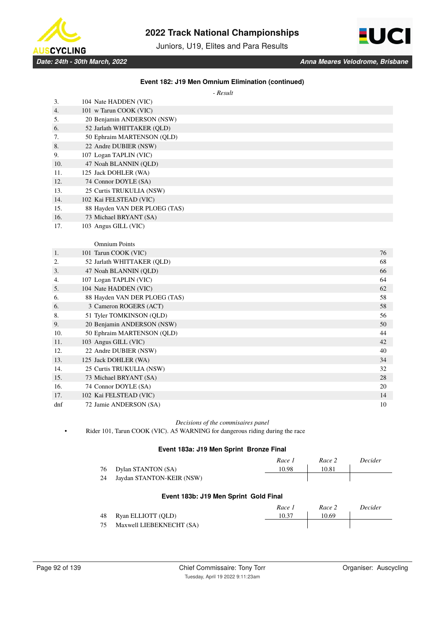

Juniors, U19, Elites and Para Results



## **Event 182: J19 Men Omnium Elimination (continued)**

 *- Result*

| 3.  | 104 Nate HADDEN (VIC)         |    |
|-----|-------------------------------|----|
| 4.  | 101 w Tarun COOK (VIC)        |    |
| 5.  | 20 Benjamin ANDERSON (NSW)    |    |
| 6.  | 52 Jarlath WHITTAKER (QLD)    |    |
| 7.  | 50 Ephraim MARTENSON (QLD)    |    |
| 8.  | 22 Andre DUBIER (NSW)         |    |
| 9.  | 107 Logan TAPLIN (VIC)        |    |
| 10. | 47 Noah BLANNIN (QLD)         |    |
| 11. | 125 Jack DOHLER (WA)          |    |
| 12. | 74 Connor DOYLE (SA)          |    |
| 13. | 25 Curtis TRUKULIA (NSW)      |    |
| 14. | 102 Kai FELSTEAD (VIC)        |    |
| 15. | 88 Hayden VAN DER PLOEG (TAS) |    |
| 16. | 73 Michael BRYANT (SA)        |    |
| 17. | 103 Angus GILL (VIC)          |    |
|     |                               |    |
|     | <b>Omnium Points</b>          |    |
| 1.  | 101 Tarun COOK (VIC)          | 76 |
| 2.  | 52 Jarlath WHITTAKER (QLD)    | 68 |
| 3.  | 47 Noah BLANNIN (QLD)         | 66 |
| 4.  | 107 Logan TAPLIN (VIC)        | 64 |
| 5.  | 104 Nate HADDEN (VIC)         | 62 |
| 6.  | 88 Hayden VAN DER PLOEG (TAS) | 58 |
| 6.  | 3 Cameron ROGERS (ACT)        | 58 |
| 8.  | 51 Tyler TOMKINSON (QLD)      | 56 |
| 9.  | 20 Benjamin ANDERSON (NSW)    | 50 |
| 10. | 50 Ephraim MARTENSON (QLD)    | 44 |
| 11. | 103 Angus GILL (VIC)          | 42 |
| 12. | 22 Andre DUBIER (NSW)         | 40 |
| 13. | 125 Jack DOHLER (WA)          | 34 |
| 14. | 25 Curtis TRUKULIA (NSW)      | 32 |
| 15. | 73 Michael BRYANT (SA)        | 28 |
| 16. | 74 Connor DOYLE (SA)          | 20 |
| 17. | 102 Kai FELSTEAD (VIC)        | 14 |

dnf 72 Jamie ANDERSON (SA) 10

*Decisions of the commisaires panel*

• Rider 101, Tarun COOK (VIC). A5 WARNING for dangerous riding during the race

## **Event 183a: J19 Men Sprint Bronze Final**

|                                       |                           | Race 1 | Race 2 | Decider |  |  |
|---------------------------------------|---------------------------|--------|--------|---------|--|--|
| 76                                    | Dylan STANTON (SA)        | 10.98  | 10.81  |         |  |  |
| 24                                    | Jaydan STANTON-KEIR (NSW) |        |        |         |  |  |
| Event 183b: J19 Men Sprint Gold Final |                           |        |        |         |  |  |
|                                       |                           | Race 1 | Race 2 | Decider |  |  |
| 48                                    | Ryan ELLIOTT (QLD)        | 10.37  | 10.69  |         |  |  |

75 Maxwell LIEBEKNECHT (SA)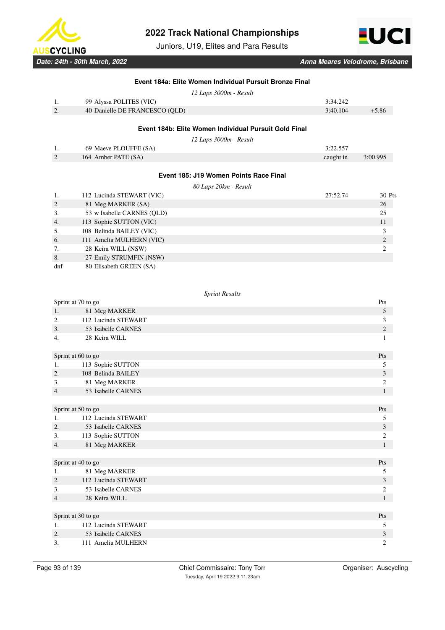

Juniors, U19, Elites and Para Results



|          | Event 184a: Elite Women Individual Pursuit Bronze Final |           |                                  |
|----------|---------------------------------------------------------|-----------|----------------------------------|
|          | 12 Laps 3000m - Result                                  |           |                                  |
| 1.       | 99 Alyssa POLITES (VIC)                                 | 3:34.242  |                                  |
| 2.       | 40 Danielle DE FRANCESCO (QLD)                          | 3:40.104  | $+5.86$                          |
|          | Event 184b: Elite Women Individual Pursuit Gold Final   |           |                                  |
|          | 12 Laps 3000m - Result                                  |           |                                  |
| 1.       | 69 Maeve PLOUFFE (SA)                                   | 3:22.557  |                                  |
| 2.       | 164 Amber PATE (SA)                                     | caught in | 3:00.995                         |
|          | Event 185: J19 Women Points Race Final                  |           |                                  |
|          | 80 Laps 20km - Result                                   |           |                                  |
| 1.       | 112 Lucinda STEWART (VIC)                               | 27:52.74  | 30 Pts                           |
| 2.       | 81 Meg MARKER (SA)                                      |           | 26                               |
| 3.       | 53 w Isabelle CARNES (QLD)                              |           | 25                               |
| 4.       | 113 Sophie SUTTON (VIC)                                 |           | 11                               |
| 5.       | 108 Belinda BAILEY (VIC)                                |           | 3                                |
| 6.       | 111 Amelia MULHERN (VIC)                                |           | $\sqrt{2}$                       |
| 7.       | 28 Keira WILL (NSW)                                     |           | $\sqrt{2}$                       |
| 8.       | 27 Emily STRUMFIN (NSW)                                 |           |                                  |
| dnf      | 80 Elisabeth GREEN (SA)                                 |           |                                  |
|          |                                                         |           |                                  |
|          | <b>Sprint Results</b>                                   |           |                                  |
|          | Sprint at 70 to go                                      |           | Pts                              |
| 1.       | 81 Meg MARKER                                           |           | $\mathfrak s$                    |
| 2.       | 112 Lucinda STEWART                                     |           | 3                                |
| 3.       | 53 Isabelle CARNES                                      |           | $\sqrt{2}$                       |
| 4.       | 28 Keira WILL                                           |           | $\mathbf{1}$                     |
|          | Sprint at 60 to go                                      |           | Pts                              |
| 1.       | 113 Sophie SUTTON                                       |           | 5                                |
| 2.       | 108 Belinda BAILEY                                      |           | $\mathfrak{Z}$                   |
| 3.       | 81 Meg MARKER                                           |           | 2                                |
| 4.       | 53 Isabelle CARNES                                      |           | $\mathbf{1}$                     |
|          | Sprint at 50 to go                                      |           | Pts                              |
| 1.       | 112 Lucinda STEWART                                     |           | 5                                |
| 2.       | 53 Isabelle CARNES                                      |           | $\overline{\mathbf{3}}$          |
| 3.       | 113 Sophie SUTTON                                       |           | 2                                |
| 4.       | 81 Meg MARKER                                           |           | $\mathbf{1}$                     |
|          |                                                         |           |                                  |
|          | Sprint at 40 to go                                      |           | Pts                              |
| 1.       | 81 Meg MARKER                                           |           | 5                                |
| 2.       | 112 Lucinda STEWART                                     |           | $\mathfrak{Z}$                   |
| 3.<br>4. | 53 Isabelle CARNES<br>28 Keira WILL                     |           | $\boldsymbol{2}$<br>$\mathbf{1}$ |
|          |                                                         |           |                                  |
|          | Sprint at 30 to go                                      |           | Pts                              |
| 1.       | 112 Lucinda STEWART                                     |           | 5                                |
| 2.       | 53 Isabelle CARNES                                      |           | $\overline{\mathbf{3}}$          |
| 3.       | 111 Amelia MULHERN                                      |           | $\boldsymbol{2}$                 |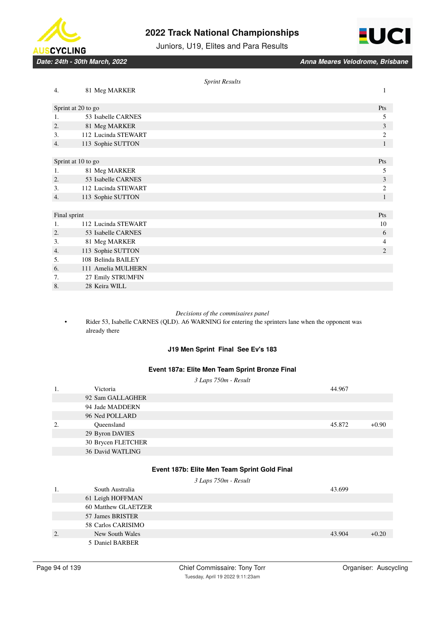

8. 28 Keira WILL

# **2022 Track National Championships**





|    |                     | <b>Sprint Results</b> |                |
|----|---------------------|-----------------------|----------------|
| 4. | 81 Meg MARKER       |                       | 1              |
|    | Sprint at 20 to go  |                       | Pts            |
| 1. | 53 Isabelle CARNES  |                       | 5              |
| 2. | 81 Meg MARKER       |                       | 3              |
| 3. | 112 Lucinda STEWART |                       | $\overline{c}$ |
| 4. | 113 Sophie SUTTON   |                       | 1              |
|    |                     |                       |                |
|    | Sprint at 10 to go  |                       | Pts            |
| 1. | 81 Meg MARKER       |                       | 5              |
| 2. | 53 Isabelle CARNES  |                       | 3              |
| 3. | 112 Lucinda STEWART |                       | $\overline{c}$ |
| 4. | 113 Sophie SUTTON   |                       | 1              |
|    |                     |                       |                |
|    | Final sprint        |                       | Pts            |
| 1. | 112 Lucinda STEWART |                       | 10             |
| 2. | 53 Isabelle CARNES  |                       | 6              |
| 3. | 81 Meg MARKER       |                       | $\overline{4}$ |
| 4. | 113 Sophie SUTTON   |                       | $\overline{2}$ |
| 5. | 108 Belinda BAILEY  |                       |                |
| 6. | 111 Amelia MULHERN  |                       |                |
| 7. | 27 Emily STRUMFIN   |                       |                |

## *Decisions of the commisaires panel*

• Rider 53, Isabelle CARNES (QLD). A6 WARNING for entering the sprinters lane when the opponent was already there

# **J19 Men Sprint Final See Ev's 183**

## **Event 187a: Elite Men Team Sprint Bronze Final**

*3 Laps 750m - Result*

| 1. | Victoria           | 44.967 |         |
|----|--------------------|--------|---------|
|    | 92 Sam GALLAGHER   |        |         |
|    | 94 Jade MADDERN    |        |         |
|    | 96 Ned POLLARD     |        |         |
| 2. | Oueensland         | 45.872 | $+0.90$ |
|    | 29 Byron DAVIES    |        |         |
|    | 30 Brycen FLETCHER |        |         |
|    | 36 David WATLING   |        |         |

## **Event 187b: Elite Men Team Sprint Gold Final**

|    |                     | 3 Laps 750m - Result |        |         |
|----|---------------------|----------------------|--------|---------|
|    | South Australia     |                      | 43.699 |         |
|    | 61 Leigh HOFFMAN    |                      |        |         |
|    | 60 Matthew GLAETZER |                      |        |         |
|    | 57 James BRISTER    |                      |        |         |
|    | 58 Carlos CARISIMO  |                      |        |         |
| 2. | New South Wales     |                      | 43.904 | $+0.20$ |
|    | 5 Daniel BARBER     |                      |        |         |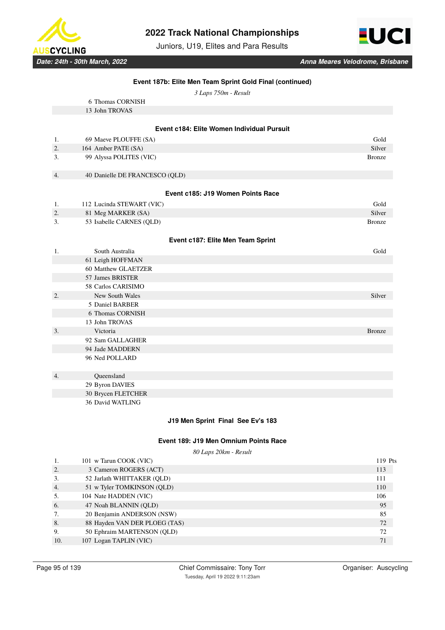

Juniors, U19, Elites and Para Results



*3 Laps 750m - Result*

|    | 6 Thomas CORNISH                           |               |
|----|--------------------------------------------|---------------|
|    | 13 John TROVAS                             |               |
|    |                                            |               |
|    | Event c184: Elite Women Individual Pursuit |               |
| 1. | 69 Maeve PLOUFFE (SA)                      | Gold          |
| 2. | 164 Amber PATE (SA)                        | Silver        |
| 3. | 99 Alyssa POLITES (VIC)                    | <b>Bronze</b> |
|    |                                            |               |
| 4. | 40 Danielle DE FRANCESCO (QLD)             |               |
|    |                                            |               |
|    | Event c185: J19 Women Points Race          |               |
| 1. | 112 Lucinda STEWART (VIC)                  | Gold          |
| 2. | 81 Meg MARKER (SA)                         | Silver        |
| 3. | 53 Isabelle CARNES (QLD)                   | <b>Bronze</b> |
|    |                                            |               |
|    | Event c187: Elite Men Team Sprint          |               |
| 1. | South Australia                            | Gold          |
|    | 61 Leigh HOFFMAN                           |               |
|    | 60 Matthew GLAETZER                        |               |
|    | 57 James BRISTER                           |               |
|    | 58 Carlos CARISIMO                         |               |
| 2. | <b>New South Wales</b>                     | Silver        |
|    | 5 Daniel BARBER                            |               |
|    | 6 Thomas CORNISH                           |               |
|    | 13 John TROVAS                             |               |
| 3. | Victoria                                   | <b>Bronze</b> |
|    | 92 Sam GALLAGHER                           |               |
|    | 94 Jade MADDERN                            |               |
|    | 96 Ned POLLARD                             |               |
|    |                                            |               |
| 4. | Queensland                                 |               |
|    | 29 Byron DAVIES                            |               |
|    | 30 Brycen FLETCHER                         |               |
|    | 36 David WATLING                           |               |

## **J19 Men Sprint Final See Ev's 183**

### **Event 189: J19 Men Omnium Points Race**

*80 Laps 20km - Result*

| 1.  | 101 w Tarun COOK (VIC)        | 119 Pts |
|-----|-------------------------------|---------|
| 2.  | 3 Cameron ROGERS (ACT)        | 113     |
| 3.  | 52 Jarlath WHITTAKER (OLD)    | 111     |
| 4.  | 51 w Tyler TOMKINSON (QLD)    | 110     |
| 5.  | 104 Nate HADDEN (VIC)         | 106     |
| 6.  | 47 Noah BLANNIN (OLD)         | 95      |
| 7.  | 20 Benjamin ANDERSON (NSW)    | 85      |
| 8.  | 88 Hayden VAN DER PLOEG (TAS) | 72      |
| 9.  | 50 Ephraim MARTENSON (QLD)    | 72      |
| 10. | 107 Logan TAPLIN (VIC)        | 71      |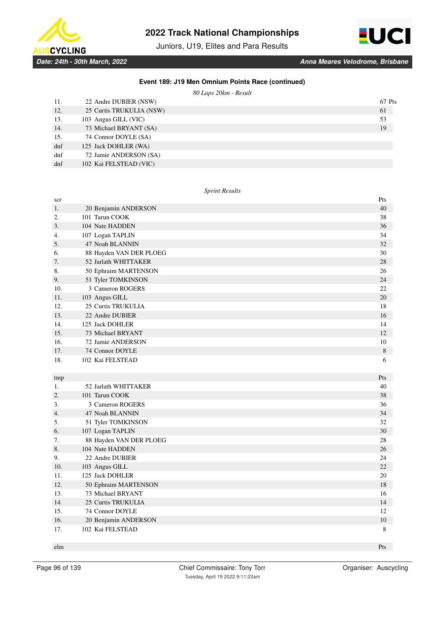

Juniors, U19, Elites and Para Results



## **Event 189: J19 Men Omnium Points Race (continued)**

*80 Laps 20km - Result*

| 11. | 22 Andre DUBIER (NSW)    | 67 Pts |
|-----|--------------------------|--------|
| 12. | 25 Curtis TRUKULIA (NSW) | 61     |
| 13. | 103 Angus GILL (VIC)     | 53     |
| 14. | 73 Michael BRYANT (SA)   | 19     |
| 15. | 74 Connor DOYLE (SA)     |        |
| dnf | 125 Jack DOHLER (WA)     |        |
| dnf | 72 Jamie ANDERSON (SA)   |        |
| dnf | 102 Kai FELSTEAD (VIC)   |        |

### *Sprint Results*

| scr              |                         | Pts         |
|------------------|-------------------------|-------------|
| 1.               | 20 Benjamin ANDERSON    | 40          |
| 2.               | 101 Tarun COOK          | 38          |
| 3.               | 104 Nate HADDEN         | 36          |
| 4.               | 107 Logan TAPLIN        | 34          |
| 5.               | 47 Noah BLANNIN         | 32          |
| 6.               | 88 Hayden VAN DER PLOEG | 30          |
| 7.               | 52 Jarlath WHITTAKER    | 28          |
| 8.               | 50 Ephraim MARTENSON    | 26          |
| 9.               | 51 Tyler TOMKINSON      | 24          |
| 10.              | 3 Cameron ROGERS        | 22          |
| 11.              | 103 Angus GILL          | 20          |
| 12.              | 25 Curtis TRUKULIA      | 18          |
| 13.              | 22 Andre DUBIER         | 16          |
| 14.              | 125 Jack DOHLER         | 14          |
| 15.              | 73 Michael BRYANT       | 12          |
| 16.              | 72 Jamie ANDERSON       | 10          |
| 17.              | 74 Connor DOYLE         | $\,$ 8 $\,$ |
| 18.              | 102 Kai FELSTEAD        | 6           |
|                  |                         |             |
| tmp              |                         | Pts         |
| 1.               | 52 Jarlath WHITTAKER    | 40          |
| $\overline{2}$ . | 101 Tarun COOK          | 38          |
| 3.               | 3 Cameron ROGERS        | 36          |
| $\overline{4}$ . | 47 Noah BLANNIN         | 34          |
| 5.               | 51 Tyler TOMKINSON      | 32          |
| 6.               | 107 Logan TAPLIN        | 30          |
| 7.               | 88 Hayden VAN DER PLOEG | 28          |
| 8.               | 104 Nate HADDEN         | 26          |
| 9.               | 22 Andre DUBIER         | 24          |
| 10.              |                         |             |
|                  | 103 Angus GILL          | 22          |
| 11.              | 125 Jack DOHLER         | 20          |
| 12.              | 50 Ephraim MARTENSON    | 18          |
| 13.              | 73 Michael BRYANT       | 16          |
| 14.              | 25 Curtis TRUKULIA      | 14          |
| 15.              | 74 Connor DOYLE         | 12          |
| 16.              | 20 Benjamin ANDERSON    | 10          |
| 17.              | 102 Kai FELSTEAD        | 8           |

elm **Pts** and the contract of the contract of the contract of the contract of the contract of the contract of the contract of the contract of the contract of the contract of the contract of the contract of the contract of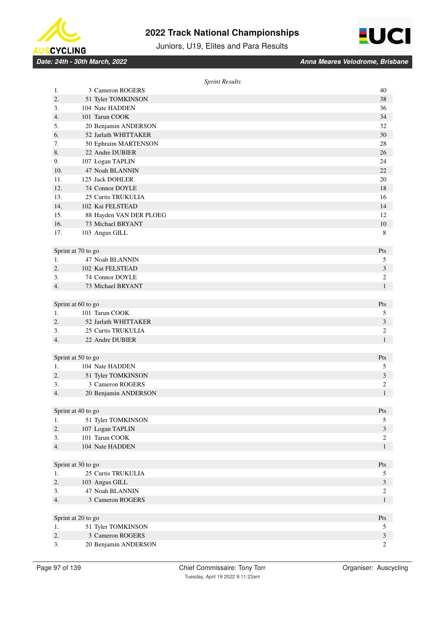



Juniors, U19, Elites and Para Results

*Date: 24th - 30th March, 2022 Anna Meares Velodrome, Brisbane*

|     |                         | <b>Sprint Results</b> |                                  |
|-----|-------------------------|-----------------------|----------------------------------|
| 1.  | 3 Cameron ROGERS        |                       | 40                               |
| 2.  | 51 Tyler TOMKINSON      |                       | 38                               |
| 3.  | 104 Nate HADDEN         |                       | 36                               |
| 4.  | 101 Tarun COOK          |                       | 34                               |
| 5.  | 20 Benjamin ANDERSON    |                       | 32                               |
| 6.  | 52 Jarlath WHITTAKER    |                       | 30                               |
| 7.  | 50 Ephraim MARTENSON    |                       | 28                               |
| 8.  | 22 Andre DUBIER         |                       | 26                               |
| 9.  | 107 Logan TAPLIN        |                       | 24                               |
| 10. | 47 Noah BLANNIN         |                       | 22                               |
| 11. | 125 Jack DOHLER         |                       | 20                               |
| 12. | 74 Connor DOYLE         |                       | 18                               |
| 13. | 25 Curtis TRUKULIA      |                       | 16                               |
| 14. | 102 Kai FELSTEAD        |                       | 14                               |
| 15. | 88 Hayden VAN DER PLOEG |                       | 12                               |
| 16. | 73 Michael BRYANT       |                       | 10                               |
| 17. | 103 Angus GILL          |                       | 8                                |
|     |                         |                       |                                  |
|     | Sprint at 70 to go      |                       | Pts                              |
| 1.  | 47 Noah BLANNIN         |                       | 5                                |
| 2.  | 102 Kai FELSTEAD        |                       | 3                                |
| 3.  | 74 Connor DOYLE         |                       | $\overline{c}$                   |
| 4.  | 73 Michael BRYANT       |                       | $\mathbf{1}$                     |
|     |                         |                       |                                  |
|     | Sprint at 60 to go      |                       | Pts                              |
| 1.  | 101 Tarun COOK          |                       | 5                                |
| 2.  | 52 Jarlath WHITTAKER    |                       | $\mathfrak{Z}$                   |
| 3.  | 25 Curtis TRUKULIA      |                       | $\overline{c}$                   |
| 4.  | 22 Andre DUBIER         |                       | $\mathbf{1}$                     |
|     |                         |                       |                                  |
|     | Sprint at 50 to go      |                       | Pts                              |
| 1.  | 104 Nate HADDEN         |                       | 5                                |
| 2.  | 51 Tyler TOMKINSON      |                       | 3                                |
| 3.  | 3 Cameron ROGERS        |                       | $\overline{c}$                   |
| 4.  | 20 Benjamin ANDERSON    |                       | $\mathbf{1}$                     |
|     |                         |                       |                                  |
|     | Sprint at 40 to go      |                       | Pts                              |
| 1.  | 51 Tyler TOMKINSON      |                       | 5                                |
| 2.  | 107 Logan TAPLIN        |                       | $\mathfrak{Z}$                   |
| 3.  | 101 Tarun COOK          |                       | $\overline{c}$                   |
| 4.  | 104 Nate HADDEN         |                       | $\mathbf{1}$                     |
|     |                         |                       |                                  |
|     | Sprint at 30 to go      |                       | Pts                              |
| 1.  | 25 Curtis TRUKULIA      |                       | 5                                |
| 2.  | 103 Angus GILL          |                       | $\mathfrak{Z}$                   |
| 3.  | 47 Noah BLANNIN         |                       | $\sqrt{2}$                       |
| 4.  | 3 Cameron ROGERS        |                       | $\mathbf{1}$                     |
|     |                         |                       |                                  |
|     | Sprint at 20 to go      |                       | $\mathbf{P}\mathsf{t}\mathbf{s}$ |
| 1.  | 51 Tyler TOMKINSON      |                       | 5                                |
| 2.  | 3 Cameron ROGERS        |                       | $\mathfrak{Z}$                   |
| 3.  | 20 Benjamin ANDERSON    |                       | $\overline{c}$                   |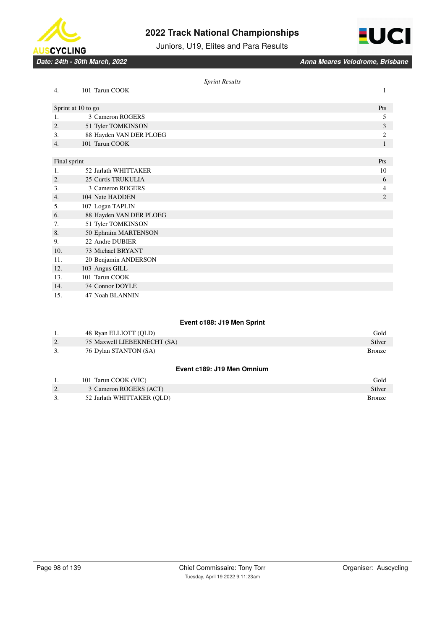





|              |                         | <b>Sprint Results</b> |                |
|--------------|-------------------------|-----------------------|----------------|
| 4.           | 101 Tarun COOK          |                       | 1              |
|              | Sprint at 10 to go      |                       | Pts            |
| 1.           | 3 Cameron ROGERS        |                       | 5              |
| 2.           | 51 Tyler TOMKINSON      |                       | 3              |
| 3.           | 88 Hayden VAN DER PLOEG |                       | $\overline{c}$ |
| 4.           | 101 Tarun COOK          |                       | 1              |
|              |                         |                       |                |
| Final sprint |                         |                       | Pts            |
| 1.           | 52 Jarlath WHITTAKER    |                       | 10             |
| 2.           | 25 Curtis TRUKULIA      |                       | 6              |
| 3.           | 3 Cameron ROGERS        |                       | 4              |
| 4.           | 104 Nate HADDEN         |                       | $\mathfrak{2}$ |
| 5.           | 107 Logan TAPLIN        |                       |                |
| 6.           | 88 Hayden VAN DER PLOEG |                       |                |
| 7.           | 51 Tyler TOMKINSON      |                       |                |
| 8.           | 50 Ephraim MARTENSON    |                       |                |
| 9.           | 22 Andre DUBIER         |                       |                |
| 10.          | 73 Michael BRYANT       |                       |                |
| 11.          | 20 Benjamin ANDERSON    |                       |                |
| 12.          | 103 Angus GILL          |                       |                |
| 13.          | 101 Tarun COOK          |                       |                |
| 14.          | 74 Connor DOYLE         |                       |                |
| 15.          | 47 Noah BLANNIN         |                       |                |

## **Event c188: J19 Men Sprint**

|    | 48 Ryan ELLIOTT (OLD)       | Gold          |
|----|-----------------------------|---------------|
| 2. | 75 Maxwell LIEBEKNECHT (SA) | Silver        |
| 3. | 76 Dylan STANTON (SA)       | <b>Bronze</b> |
|    |                             |               |

# **Event c189: J19 Men Omnium**

|           | 101 Tarun COOK (VIC)       | Gold          |
|-----------|----------------------------|---------------|
| <u>L.</u> | 3 Cameron ROGERS (ACT)     | Silver        |
|           | 52 Jarlath WHITTAKER (OLD) | <b>Bronze</b> |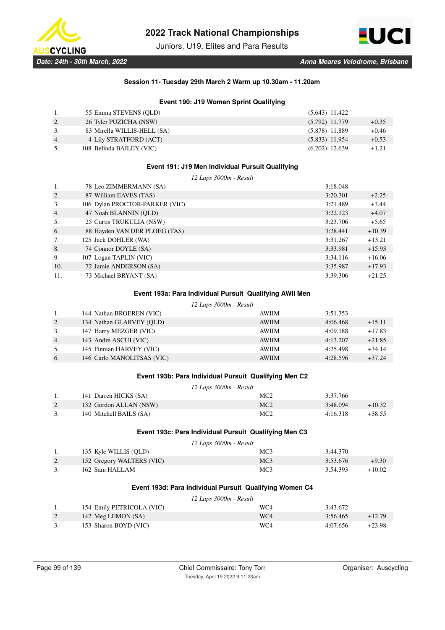

Juniors, U19, Elites and Para Results



## **Session 11- Tuesday 29th March 2 Warm up 10.30am - 11.20am**

## **Event 190: J19 Women Sprint Qualifying**

|    | 55 Emma STEVENS (OLD)       | $(5.643)$ 11.422 |         |
|----|-----------------------------|------------------|---------|
| 2. | 26 Tyler PUZICHA (NSW)      | $(5.792)$ 11.779 | $+0.35$ |
| 3. | 83 Mirella WILLIS-HELL (SA) | $(5.878)$ 11.889 | $+0.46$ |
| 4. | 4 Lily STRATFORD (ACT)      | $(5.833)$ 11.954 | $+0.53$ |
| 5. | 108 Belinda BAILEY (VIC)    | $(6.202)$ 12.639 | $+1.21$ |

## **Event 191: J19 Men Individual Pursuit Qualifying**

*12 Laps 3000m - Result*

|     | 78 Leo ZIMMERMANN (SA)         | 3:18.048 |          |
|-----|--------------------------------|----------|----------|
| 2.  | 87 William EAVES (TAS)         | 3:20.301 | $+2.25$  |
| 3.  | 106 Dylan PROCTOR-PARKER (VIC) | 3:21.489 | $+3.44$  |
| 4.  | 47 Noah BLANNIN (OLD)          | 3:22.123 | $+4.07$  |
| 5.  | 25 Curtis TRUKULIA (NSW)       | 3:23.706 | $+5.65$  |
| 6.  | 88 Hayden VAN DER PLOEG (TAS)  | 3:28.441 | $+10.39$ |
| 7.  | 125 Jack DOHLER (WA)           | 3:31.267 | $+13.21$ |
| 8.  | 74 Connor DOYLE (SA)           | 3:33.981 | $+15.93$ |
| 9.  | 107 Logan TAPLIN (VIC)         | 3:34.116 | $+16.06$ |
| 10. | 72 Jamie ANDERSON (SA)         | 3:35.987 | $+17.93$ |
| 11. | 73 Michael BRYANT (SA)         | 3:39.306 | $+21.25$ |

### **Event 193a: Para Individual Pursuit Qualifying AWII Men**

|    | 12 Laps 3000m - Result     |              |          |          |
|----|----------------------------|--------------|----------|----------|
| 1. | 144 Nathan BROEREN (VIC)   | <b>AWIIM</b> | 3:51.353 |          |
| 2. | 134 Nathan GLARVEY (OLD)   | <b>AWIIM</b> | 4:06.468 | $+15.11$ |
| 3. | 147 Harry MEZGER (VIC)     | <b>AWIIM</b> | 4:09.188 | $+17.83$ |
| 4. | 143 Andre ASCUI (VIC)      | <b>AWIIM</b> | 4:13.207 | $+21.85$ |
| 5. | 145 Finnian HARVEY (VIC)   | <b>AWIIM</b> | 4:25.498 | $+34.14$ |
| 6. | 146 Carlo MANOLITSAS (VIC) | <b>AWIIM</b> | 4:28.596 | $+37.24$ |
|    |                            |              |          |          |

## **Event 193b: Para Individual Pursuit Qualifying Men C2**

| 12 Laps 3000m - Result |                         |     |          |          |
|------------------------|-------------------------|-----|----------|----------|
|                        | 141 Darren HICKS (SA)   | MC2 | 3:37.766 |          |
|                        | 132 Gordon ALLAN (NSW)  | MC2 | 3:48.094 | $+10.32$ |
|                        | 140 Mitchell BAILS (SA) | MC2 | 4:16.318 | +38.55   |

## **Event 193c: Para Individual Pursuit Qualifying Men C3**

|    |                           | 12 Laps 3000m - Result |          |          |
|----|---------------------------|------------------------|----------|----------|
|    | 135 Kyle WILLIS (QLD)     | MC <sub>3</sub>        | 3:44.370 |          |
| 2. | 152 Gregory WALTERS (VIC) | MC <sub>3</sub>        | 3:53.676 | $+9.30$  |
|    | 162 Sam HALLAM            | MC <sub>3</sub>        | 3:54.393 | $+10.02$ |

# **Event 193d: Para Individual Pursuit Qualifying Women C4**

*12 Laps 3000m - Result*

|    | 154 Emily PETRICOLA (VIC) | WC4             | 3:43.672 |          |
|----|---------------------------|-----------------|----------|----------|
| 2. | 142 Meg LEMON (SA)        | WC <sub>4</sub> | 3:56.465 | $+12.79$ |
|    | 153 Sharon BOYD (VIC)     | WC4             | 4:07.656 | $+23.98$ |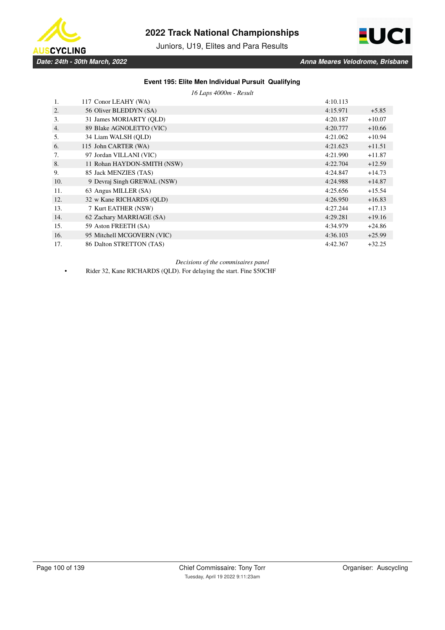

Juniors, U19, Elites and Para Results



# **Event 195: Elite Men Individual Pursuit Qualifying**

*16 Laps 4000m - Result*

| 1.  | 117 Conor LEAHY (WA)        | 4:10.113 |          |
|-----|-----------------------------|----------|----------|
| 2.  | 56 Oliver BLEDDYN (SA)      | 4:15.971 | $+5.85$  |
| 3.  | 31 James MORIARTY (OLD)     | 4:20.187 | $+10.07$ |
| 4.  | 89 Blake AGNOLETTO (VIC)    | 4:20.777 | $+10.66$ |
| 5.  | 34 Liam WALSH (OLD)         | 4:21.062 | $+10.94$ |
| 6.  | 115 John CARTER (WA)        | 4:21.623 | $+11.51$ |
| 7.  | 97 Jordan VILLANI (VIC)     | 4:21.990 | $+11.87$ |
| 8.  | 11 Rohan HAYDON-SMITH (NSW) | 4:22.704 | $+12.59$ |
| 9.  | 85 Jack MENZIES (TAS)       | 4:24.847 | $+14.73$ |
| 10. | 9 Devraj Singh GREWAL (NSW) | 4:24.988 | $+14.87$ |
| 11. | 63 Angus MILLER (SA)        | 4:25.656 | $+15.54$ |
| 12. | 32 w Kane RICHARDS (OLD)    | 4:26.950 | $+16.83$ |
| 13. | 7 Kurt EATHER (NSW)         | 4:27.244 | $+17.13$ |
| 14. | 62 Zachary MARRIAGE (SA)    | 4:29.281 | $+19.16$ |
| 15. | 59 Aston FREETH (SA)        | 4:34.979 | $+24.86$ |
| 16. | 95 Mitchell MCGOVERN (VIC)  | 4:36.103 | $+25.99$ |
| 17. | 86 Dalton STRETTON (TAS)    | 4:42.367 | $+32.25$ |

*Decisions of the commisaires panel*

• Rider 32, Kane RICHARDS (QLD). For delaying the start. Fine \$50CHF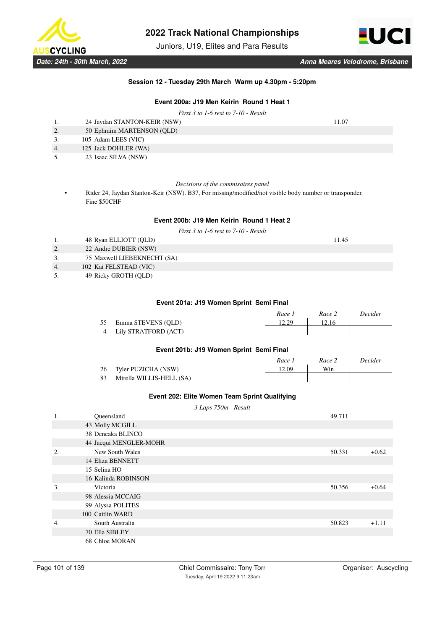

Juniors, U19, Elites and Para Results



### **Session 12 - Tuesday 29th March Warm up 4.30pm - 5:20pm**

# **Event 200a: J19 Men Keirin Round 1 Heat 1**

*First 3 to 1-6 rest to 7-10 - Result*

|                  | 24 Jaydan STANTON-KEIR (NSW) | 11.07 |
|------------------|------------------------------|-------|
| 2.               | 50 Ephraim MARTENSON (QLD)   |       |
|                  | 105 Adam LEES (VIC)          |       |
| $\overline{4}$ . | 125 Jack DOHLER (WA)         |       |
| 5.               | 23 Isaac SILVA (NSW)         |       |

*Decisions of the commisaires panel*

• Rider 24, Jaydan Stanton-Keir (NSW). B37, For missing/modified/not visible body number or transponder. Fine \$50CHF

## **Event 200b: J19 Men Keirin Round 1 Heat 2**

*First 3 to 1-6 rest to 7-10 - Result*

1. 48 Ryan ELLIOTT (QLD) 11.45

- 2. 22 Andre DUBIER (NSW) 3. 75 Maxwell LIEBEKNECHT (SA)
- 4. 102 Kai FELSTEAD (VIC)
- 5. 49 Ricky GROTH (QLD)

### **Event 201a: J19 Women Sprint Semi Final**

|                        | Race 1 | Race 2 | Decider |
|------------------------|--------|--------|---------|
| 55 Emma STEVENS (QLD)  | 12.29  | 12.16  |         |
| 4 Lily STRATFORD (ACT) |        |        |         |
|                        |        |        |         |

## **Event 201b: J19 Women Sprint Semi Final**

|    |                          | Race 1 | Race 2 | Decider |
|----|--------------------------|--------|--------|---------|
| 26 | Tyler PUZICHA (NSW)      | 12.09  | Win    |         |
| 83 | Mirella WILLIS-HELL (SA) |        |        |         |

## **Event 202: Elite Women Team Sprint Qualifying**

*3 Laps 750m - Result*

| 1. | Queensland             | 49.711 |         |
|----|------------------------|--------|---------|
|    | 43 Molly MCGILL        |        |         |
|    | 38 Deneaka BLINCO      |        |         |
|    | 44 Jacqui MENGLER-MOHR |        |         |
| 2. | New South Wales        | 50.331 | $+0.62$ |
|    | 14 Eliza BENNETT       |        |         |
|    | 15 Selina HO           |        |         |
|    | 16 Kalinda ROBINSON    |        |         |
| 3. | Victoria               | 50.356 | $+0.64$ |
|    | 98 Alessia MCCAIG      |        |         |
|    | 99 Alyssa POLITES      |        |         |
|    | 100 Caitlin WARD       |        |         |
| 4. | South Australia        | 50.823 | $+1.11$ |
|    | 70 Ella SIBLEY         |        |         |
|    | 68 Chloe MORAN         |        |         |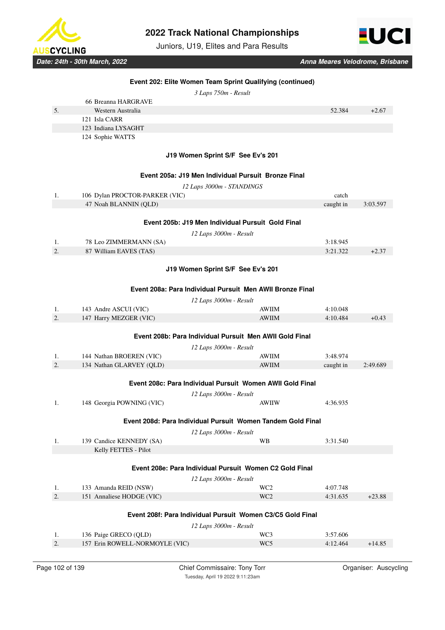

Juniors, U19, Elites and Para Results

**Event 202: Elite Women Team Sprint Qualifying (continued)**



|                | 3 Laps 750m - Result                                      |              |           |          |  |  |
|----------------|-----------------------------------------------------------|--------------|-----------|----------|--|--|
|                | 66 Breanna HARGRAVE                                       |              |           |          |  |  |
| 5 <sub>1</sub> | Western Australia                                         |              | 52.384    | $+2.67$  |  |  |
|                | 121 Isla CARR                                             |              |           |          |  |  |
|                | 123 Indiana LYSAGHT                                       |              |           |          |  |  |
|                | 124 Sophie WATTS                                          |              |           |          |  |  |
|                |                                                           |              |           |          |  |  |
|                | J19 Women Sprint S/F See Ev's 201                         |              |           |          |  |  |
|                | Event 205a: J19 Men Individual Pursuit Bronze Final       |              |           |          |  |  |
|                | 12 Laps 3000m - STANDINGS                                 |              |           |          |  |  |
| 1.             | 106 Dylan PROCTOR-PARKER (VIC)                            |              | catch     |          |  |  |
|                | 47 Noah BLANNIN (OLD)                                     |              | caught in | 3:03.597 |  |  |
|                |                                                           |              |           |          |  |  |
|                | Event 205b: J19 Men Individual Pursuit Gold Final         |              |           |          |  |  |
|                | 12 Laps 3000m - Result                                    |              |           |          |  |  |
| 1.             | 78 Leo ZIMMERMANN (SA)                                    |              | 3:18.945  |          |  |  |
| 2.             | 87 William EAVES (TAS)                                    |              | 3:21.322  | $+2.37$  |  |  |
|                |                                                           |              |           |          |  |  |
|                | J19 Women Sprint S/F See Ev's 201                         |              |           |          |  |  |
|                | Event 208a: Para Individual Pursuit Men AWII Bronze Final |              |           |          |  |  |
|                |                                                           |              |           |          |  |  |
| 1.             | 12 Laps 3000m - Result<br>143 Andre ASCUI (VIC)           | <b>AWIIM</b> | 4:10.048  |          |  |  |
| 2.             | 147 Harry MEZGER (VIC)                                    | <b>AWIIM</b> | 4:10.484  | $+0.43$  |  |  |
|                |                                                           |              |           |          |  |  |
|                | Event 208b: Para Individual Pursuit Men AWII Gold Final   |              |           |          |  |  |
|                |                                                           |              |           |          |  |  |

|                          | 12 Laps 3000m - Result |           |          |
|--------------------------|------------------------|-----------|----------|
| 144 Nathan BROEREN (VIC) | AWIIM                  | 3:48.974  |          |
| 134 Nathan GLARVEY (OLD) | <b>AWIIM</b>           | caught in | 2:49.689 |

|                                                            | Event 208c: Para Individual Pursuit Women AWII Gold Final |                                                             |          |          |  |
|------------------------------------------------------------|-----------------------------------------------------------|-------------------------------------------------------------|----------|----------|--|
|                                                            |                                                           | 12 Laps 3000m - Result                                      |          |          |  |
| 1.                                                         | 148 Georgia POWNING (VIC)                                 | <b>AWIIW</b>                                                | 4:36.935 |          |  |
|                                                            |                                                           | Event 208d: Para Individual Pursuit Women Tandem Gold Final |          |          |  |
|                                                            |                                                           | 12 Laps 3000m - Result                                      |          |          |  |
| 1.                                                         | 139 Candice KENNEDY (SA)                                  | <b>WB</b>                                                   | 3:31.540 |          |  |
|                                                            | Kelly FETTES - Pilot                                      |                                                             |          |          |  |
|                                                            |                                                           |                                                             |          |          |  |
|                                                            |                                                           | Event 208e: Para Individual Pursuit Women C2 Gold Final     |          |          |  |
|                                                            |                                                           | 12 Laps 3000m - Result                                      |          |          |  |
| 1.                                                         | 133 Amanda REID (NSW)                                     | WC <sub>2</sub>                                             | 4:07.748 |          |  |
| 2.                                                         | 151 Annaliese HODGE (VIC)                                 | WC <sub>2</sub>                                             | 4:31.635 | $+23.88$ |  |
|                                                            |                                                           |                                                             |          |          |  |
| Event 208f: Para Individual Pursuit Women C3/C5 Gold Final |                                                           |                                                             |          |          |  |
|                                                            |                                                           | 12 Laps 3000m - Result                                      |          |          |  |
| 1.                                                         | 136 Paige GRECO (QLD)                                     | WC3                                                         | 3:57.606 |          |  |
| 2.                                                         | 157 Erin ROWELL-NORMOYLE (VIC)                            | WC <sub>5</sub>                                             | 4:12.464 | $+14.85$ |  |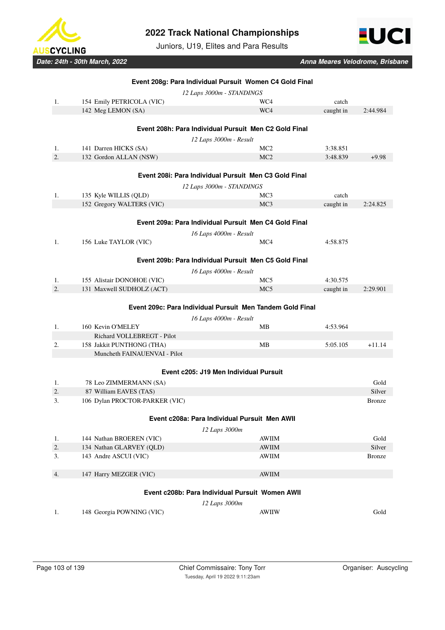

Juniors, U19, Elites and Para Results



| Event 208g: Para Individual Pursuit Women C4 Gold Final |                                |                                                           |           |               |  |
|---------------------------------------------------------|--------------------------------|-----------------------------------------------------------|-----------|---------------|--|
|                                                         |                                | 12 Laps 3000m - STANDINGS                                 |           |               |  |
| 1.                                                      | 154 Emily PETRICOLA (VIC)      | WC4                                                       | catch     |               |  |
|                                                         | 142 Meg LEMON (SA)             | WC4                                                       | caught in | 2:44.984      |  |
|                                                         |                                |                                                           |           |               |  |
|                                                         |                                | Event 208h: Para Individual Pursuit Men C2 Gold Final     |           |               |  |
|                                                         |                                | 12 Laps 3000m - Result                                    |           |               |  |
| 1.                                                      | 141 Darren HICKS (SA)          | MC2                                                       | 3:38.851  |               |  |
| 2.                                                      | 132 Gordon ALLAN (NSW)         | MC <sub>2</sub>                                           | 3:48.839  | $+9.98$       |  |
|                                                         |                                |                                                           |           |               |  |
|                                                         |                                | Event 208i: Para Individual Pursuit Men C3 Gold Final     |           |               |  |
|                                                         |                                | 12 Laps 3000m - STANDINGS                                 |           |               |  |
| 1.                                                      | 135 Kyle WILLIS (QLD)          | MC <sub>3</sub>                                           | catch     |               |  |
|                                                         | 152 Gregory WALTERS (VIC)      | MC <sub>3</sub>                                           | caught in | 2:24.825      |  |
|                                                         |                                |                                                           |           |               |  |
|                                                         |                                | Event 209a: Para Individual Pursuit Men C4 Gold Final     |           |               |  |
|                                                         |                                | 16 Laps 4000m - Result                                    |           |               |  |
| 1.                                                      | 156 Luke TAYLOR (VIC)          | MC4                                                       | 4:58.875  |               |  |
|                                                         |                                |                                                           |           |               |  |
|                                                         |                                | Event 209b: Para Individual Pursuit Men C5 Gold Final     |           |               |  |
|                                                         |                                | 16 Laps 4000m - Result                                    |           |               |  |
| 1.                                                      | 155 Alistair DONOHOE (VIC)     | MC <sub>5</sub>                                           | 4:30.575  |               |  |
| 2.                                                      | 131 Maxwell SUDHOLZ (ACT)      | MC <sub>5</sub>                                           | caught in | 2:29.901      |  |
|                                                         |                                |                                                           |           |               |  |
|                                                         |                                | Event 209c: Para Individual Pursuit Men Tandem Gold Final |           |               |  |
|                                                         |                                | 16 Laps 4000m - Result                                    |           |               |  |
| 1.                                                      | 160 Kevin O'MELEY              | MB                                                        | 4:53.964  |               |  |
|                                                         | Richard VOLLEBREGT - Pilot     |                                                           |           |               |  |
| 2.                                                      | 158 Jakkit PUNTHONG (THA)      | <b>MB</b>                                                 | 5:05.105  | $+11.14$      |  |
|                                                         | Muncheth FAINAUENVAI - Pilot   |                                                           |           |               |  |
|                                                         |                                |                                                           |           |               |  |
|                                                         |                                | Event c205: J19 Men Individual Pursuit                    |           |               |  |
| 1.                                                      | 78 Leo ZIMMERMANN (SA)         |                                                           |           | Gold          |  |
| 2.                                                      | 87 William EAVES (TAS)         |                                                           |           | Silver        |  |
| 3.                                                      | 106 Dylan PROCTOR-PARKER (VIC) |                                                           |           | <b>Bronze</b> |  |
|                                                         |                                |                                                           |           |               |  |
|                                                         |                                | Event c208a: Para Individual Pursuit Men AWII             |           |               |  |
|                                                         |                                | 12 Laps 3000m                                             |           |               |  |
| 1.                                                      | 144 Nathan BROEREN (VIC)       | <b>AWIIM</b>                                              |           | Gold          |  |
| 2.                                                      | 134 Nathan GLARVEY (OLD)       | <b>AWIIM</b>                                              |           | Silver        |  |
| 3.                                                      | 143 Andre ASCUI (VIC)          | AWIIM                                                     |           | <b>Bronze</b> |  |
|                                                         |                                |                                                           |           |               |  |
| 4.                                                      | 147 Harry MEZGER (VIC)         | <b>AWIIM</b>                                              |           |               |  |
|                                                         |                                |                                                           |           |               |  |
| Event c208b: Para Individual Pursuit Women AWII         |                                |                                                           |           |               |  |
|                                                         |                                | 12 Laps 3000m                                             |           |               |  |
| 1.                                                      | 148 Georgia POWNING (VIC)      | <b>AWIIW</b>                                              |           | Gold          |  |
|                                                         |                                |                                                           |           |               |  |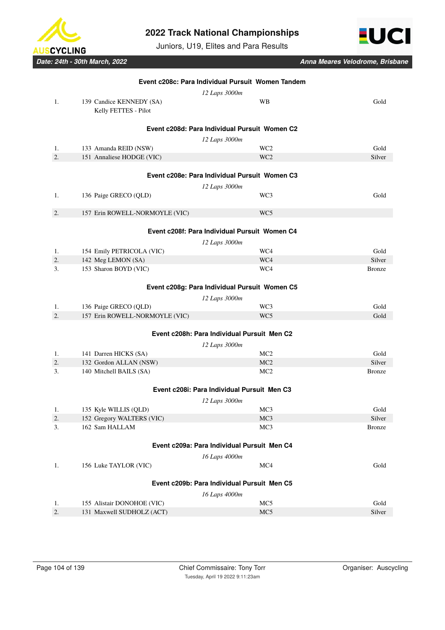

Juniors, U19, Elites and Para Results



| Event c208c: Para Individual Pursuit Women Tandem |                                                   |                                               |                         |  |  |
|---------------------------------------------------|---------------------------------------------------|-----------------------------------------------|-------------------------|--|--|
|                                                   |                                                   | 12 Laps 3000m                                 |                         |  |  |
| 1.                                                | 139 Candice KENNEDY (SA)                          | <b>WB</b>                                     | Gold                    |  |  |
|                                                   | Kelly FETTES - Pilot                              |                                               |                         |  |  |
|                                                   |                                                   |                                               |                         |  |  |
|                                                   |                                                   | Event c208d: Para Individual Pursuit Women C2 |                         |  |  |
|                                                   |                                                   | 12 Laps 3000m                                 |                         |  |  |
| 1.                                                | 133 Amanda REID (NSW)                             | WC <sub>2</sub>                               | Gold                    |  |  |
| 2.                                                | 151 Annaliese HODGE (VIC)                         | WC <sub>2</sub>                               | Silver                  |  |  |
|                                                   |                                                   | Event c208e: Para Individual Pursuit Women C3 |                         |  |  |
|                                                   |                                                   |                                               |                         |  |  |
|                                                   |                                                   | 12 Laps 3000m                                 |                         |  |  |
| 1.                                                | 136 Paige GRECO (QLD)                             | WC3                                           | Gold                    |  |  |
| 2.                                                | 157 Erin ROWELL-NORMOYLE (VIC)                    | WC <sub>5</sub>                               |                         |  |  |
|                                                   |                                                   |                                               |                         |  |  |
|                                                   |                                                   | Event c208f: Para Individual Pursuit Women C4 |                         |  |  |
|                                                   |                                                   | 12 Laps 3000m                                 |                         |  |  |
| 1.                                                | 154 Emily PETRICOLA (VIC)                         | WC4                                           | Gold                    |  |  |
| 2.                                                | 142 Meg LEMON (SA)                                | WC4                                           | Silver                  |  |  |
| 3.                                                | 153 Sharon BOYD (VIC)                             | WC4                                           | <b>Bronze</b>           |  |  |
|                                                   |                                                   |                                               |                         |  |  |
|                                                   |                                                   | Event c208g: Para Individual Pursuit Women C5 |                         |  |  |
|                                                   |                                                   | 12 Laps 3000m                                 |                         |  |  |
| 1.                                                | 136 Paige GRECO (QLD)                             | WC3                                           | Gold                    |  |  |
| 2.                                                | 157 Erin ROWELL-NORMOYLE (VIC)                    | WC5                                           | Gold                    |  |  |
|                                                   |                                                   |                                               |                         |  |  |
|                                                   |                                                   | Event c208h: Para Individual Pursuit Men C2   |                         |  |  |
|                                                   |                                                   | 12 Laps 3000m                                 |                         |  |  |
| 1.                                                | 141 Darren HICKS (SA)                             | MC2                                           | Gold                    |  |  |
| 2.<br>3.                                          | 132 Gordon ALLAN (NSW)<br>140 Mitchell BAILS (SA) | MC <sub>2</sub><br>MC <sub>2</sub>            | Silver<br><b>Bronze</b> |  |  |
|                                                   |                                                   |                                               |                         |  |  |
|                                                   |                                                   | Event c208i: Para Individual Pursuit Men C3   |                         |  |  |
|                                                   |                                                   | 12 Laps 3000m                                 |                         |  |  |
| 1.                                                | 135 Kyle WILLIS (QLD)                             | MC <sub>3</sub>                               | Gold                    |  |  |
| 2.                                                | 152 Gregory WALTERS (VIC)                         | MC3                                           | Silver                  |  |  |
| 3.                                                | 162 Sam HALLAM                                    | MC <sub>3</sub>                               | <b>Bronze</b>           |  |  |
|                                                   |                                                   |                                               |                         |  |  |
| Event c209a: Para Individual Pursuit Men C4       |                                                   |                                               |                         |  |  |
|                                                   |                                                   | 16 Laps 4000m                                 |                         |  |  |
| 1.                                                | 156 Luke TAYLOR (VIC)                             | MC4                                           | Gold                    |  |  |
|                                                   |                                                   |                                               |                         |  |  |
| Event c209b: Para Individual Pursuit Men C5       |                                                   |                                               |                         |  |  |
|                                                   |                                                   | 16 Laps 4000m                                 |                         |  |  |
| 1.                                                | 155 Alistair DONOHOE (VIC)                        | MC5                                           | Gold                    |  |  |
| 2.                                                | 131 Maxwell SUDHOLZ (ACT)                         | MC5                                           | Silver                  |  |  |
|                                                   |                                                   |                                               |                         |  |  |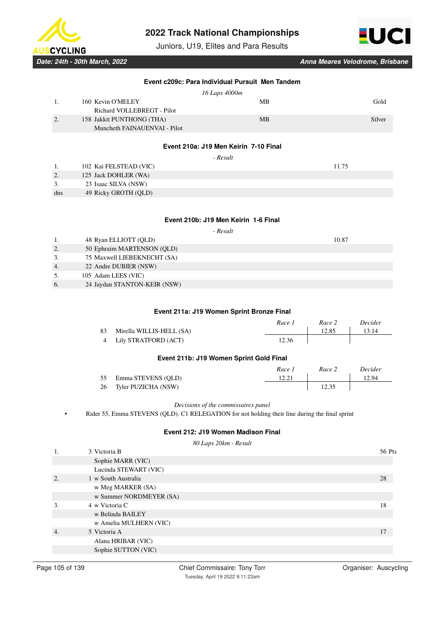

Juniors, U19, Elites and Para Results

**Event c209c: Para Individual Pursuit Men Tandem**



*Date: 24th - 30th March, 2022 Anna Meares Velodrome, Brisbane*

*16 Laps 4000m* 1. 160 Kevin O'MELEY MB Gold Richard VOLLEBREGT - Pilot 2. 158 Jakkit PUNTHONG (THA) MB MB Silver Muncheth FAINAUENVAI - Pilot **Event 210a: J19 Men Keirin 7-10 Final**  *- Result* 1. 102 Kai FELSTEAD (VIC) 11.75 2. 125 Jack DOHLER (WA) 3. 23 Isaac SILVA (NSW) dns 49 Ricky GROTH (QLD)

### **Event 210b: J19 Men Keirin 1-6 Final**

 *- Result*

1. 48 Ryan ELLIOTT (QLD) 10.87

- 2. 50 Ephraim MARTENSON (QLD)
- 3. 75 Maxwell LIEBEKNECHT (SA) 4. 22 Andre DUBIER (NSW)
- 5. 105 Adam LEES (VIC)
- 6. 24 Jaydan STANTON-KEIR (NSW)

# **Event 211a: J19 Women Sprint Bronze Final**

|    |                          | Race 1 | Race 2 | Decider |
|----|--------------------------|--------|--------|---------|
| 83 | Mirella WILLIS-HELL (SA) |        | 12.85  | 13.14   |
|    | 4 Lily STRATFORD (ACT)   | 12.36  |        |         |

### **Event 211b: J19 Women Sprint Gold Final**

|    |                        | Race 1 | Race 2 | Decider |
|----|------------------------|--------|--------|---------|
| 55 | Emma STEVENS (OLD)     |        |        | 12.94   |
|    | 26 Tyler PUZICHA (NSW) |        | 12.35  |         |

# *Decisions of the commissaires panel*

• Rider 55, Emma STEVENS (QLD). C1 RELEGATION for not holding their line during the final sprint

### **Event 212: J19 Women Madison Final**

*80 Laps 20km - Result* 1. 3 Victoria B 56 Pts Sophie MARR (VIC) Lucinda STEWART (VIC) 2. 1 w South Australia 28 w Meg MARKER (SA) w Summer NORDMEYER (SA) 3.  $4 \text{ w Victoria } C$  18 w Belinda BAILEY w Amelia MULHERN (VIC) 4. 5 Victoria A 17 Alana HRIBAR (VIC) Sophie SUTTON (VIC)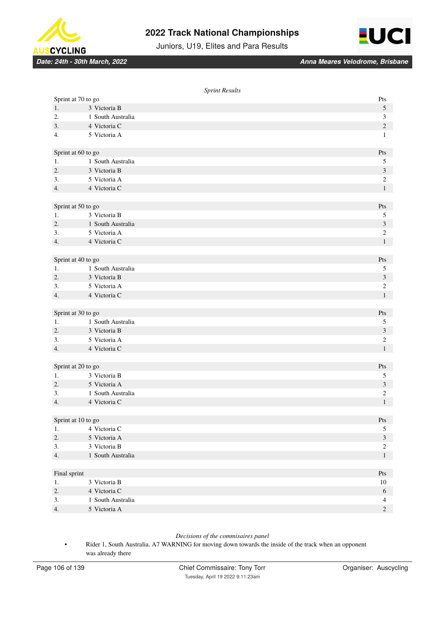



Juniors, U19, Elites and Para Results

*Date: 24th - 30th March, 2022 Anna Meares Velodrome, Brisbane*

|                    | <b>Sprint Results</b>        |                                  |
|--------------------|------------------------------|----------------------------------|
| Sprint at 70 to go |                              | Pts                              |
| 1.                 | 3 Victoria B                 | $\sqrt{5}$                       |
| 2.                 | 1 South Australia            | $\mathfrak{Z}$                   |
| 3.                 | 4 Victoria C                 | $\overline{c}$                   |
| 4.                 | 5 Victoria A                 | $\mathbf{1}$                     |
|                    |                              |                                  |
| Sprint at 60 to go |                              | Pts                              |
| 1.                 | 1 South Australia            | 5                                |
| 2.                 | 3 Victoria B                 | $\mathfrak{Z}$                   |
| 3.                 | 5 Victoria A                 | $\overline{c}$                   |
| 4.                 | 4 Victoria C                 | $\mathbf{1}$                     |
|                    |                              |                                  |
| Sprint at 50 to go |                              | Pts                              |
| 1.                 | 3 Victoria B                 | 5                                |
| 2.                 | 1 South Australia            | $\mathfrak{Z}$                   |
| 3.                 | 5 Victoria A                 | $\overline{c}$                   |
| 4.                 | 4 Victoria C                 | $\mathbf{1}$                     |
|                    |                              |                                  |
| Sprint at 40 to go |                              | Pts                              |
| 1.                 | 1 South Australia            | 5                                |
| 2.                 | 3 Victoria B                 | $\mathfrak{Z}$                   |
| 3.                 | 5 Victoria A                 | $\boldsymbol{2}$                 |
| 4.                 | 4 Victoria C                 | $\mathbf{1}$                     |
|                    |                              |                                  |
| Sprint at 30 to go |                              | Pts                              |
| 1.                 | 1 South Australia            | $\mathfrak s$                    |
| 2.                 | 3 Victoria B                 | $\ensuremath{\mathfrak{Z}}$      |
| 3.                 | 5 Victoria A                 | $\sqrt{2}$                       |
| 4.                 | 4 Victoria C                 | $\mathbf{1}$                     |
|                    |                              |                                  |
| Sprint at 20 to go |                              | Pts                              |
| 1.                 | 3 Victoria B                 | 5                                |
| 2.                 | 5 Victoria A                 | $\ensuremath{\mathfrak{Z}}$      |
| 3.                 | 1 South Australia            | $\mathfrak{2}$                   |
| 4.                 | 4 Victoria C                 | $\mathbf{1}$                     |
|                    |                              |                                  |
| Sprint at 10 to go |                              | $\mathbf{P}\mathbf{t}\mathbf{s}$ |
| 1.<br>2.           | 4 Victoria C<br>5 Victoria A | $\sqrt{5}$<br>$\mathfrak{Z}$     |
| 3.                 | 3 Victoria B                 | $\sqrt{2}$                       |
|                    | 1 South Australia            | $\mathbf{1}$                     |
| 4.                 |                              |                                  |
| Final sprint       |                              | Pts                              |
| 1.                 | 3 Victoria B                 | $10\,$                           |
| 2.                 | 4 Victoria C                 | 6                                |
| 3.                 | 1 South Australia            | $\overline{4}$                   |
| 4.                 | 5 Victoria A                 | $\sqrt{2}$                       |
|                    |                              |                                  |

# *Decisions of the commisaires panel*

• Rider 1, South Australia. A7 WARNING for moving down towards the inside of the track when an opponent was already there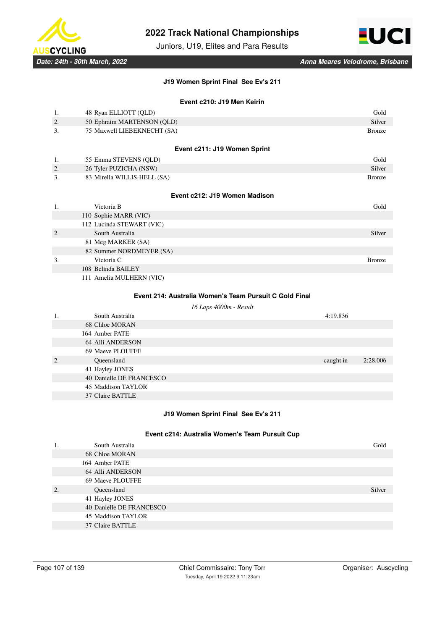

Juniors, U19, Elites and Para Results



### **J19 Women Sprint Final See Ev's 211**

## **Event c210: J19 Men Keirin**

| 1.                                                     | 48 Ryan ELLIOTT (QLD)         | Gold          |  |
|--------------------------------------------------------|-------------------------------|---------------|--|
| 2.                                                     | 50 Ephraim MARTENSON (QLD)    | Silver        |  |
| 3.                                                     | 75 Maxwell LIEBEKNECHT (SA)   | <b>Bronze</b> |  |
|                                                        |                               |               |  |
|                                                        | Event c211: J19 Women Sprint  |               |  |
| 1.                                                     | 55 Emma STEVENS (QLD)         | Gold          |  |
| 2.                                                     | 26 Tyler PUZICHA (NSW)        | Silver        |  |
| 3.                                                     | 83 Mirella WILLIS-HELL (SA)   | <b>Bronze</b> |  |
|                                                        |                               |               |  |
|                                                        | Event c212: J19 Women Madison |               |  |
| 1.                                                     | Victoria B                    | Gold          |  |
|                                                        | 110 Sophie MARR (VIC)         |               |  |
|                                                        | 112 Lucinda STEWART (VIC)     |               |  |
| $\overline{2}$ .                                       | South Australia               | Silver        |  |
|                                                        | 81 Meg MARKER (SA)            |               |  |
|                                                        | 82 Summer NORDMEYER (SA)      |               |  |
| 3.                                                     | Victoria C                    | <b>Bronze</b> |  |
|                                                        | 108 Belinda BAILEY            |               |  |
|                                                        | 111 Amelia MULHERN (VIC)      |               |  |
|                                                        |                               |               |  |
| Event 214: Australia Women's Team Pursuit C Gold Final |                               |               |  |

## *16 Laps 4000m - Result*

| 1. | South Australia          | 4:19.836  |          |
|----|--------------------------|-----------|----------|
|    | 68 Chloe MORAN           |           |          |
|    | 164 Amber PATE           |           |          |
|    | 64 Alli ANDERSON         |           |          |
|    | 69 Maeve PLOUFFE         |           |          |
| 2. | Queensland               | caught in | 2:28.006 |
|    | 41 Hayley JONES          |           |          |
|    | 40 Danielle DE FRANCESCO |           |          |
|    | 45 Maddison TAYLOR       |           |          |
|    | 37 Claire BATTLE         |           |          |
|    |                          |           |          |

# **J19 Women Sprint Final See Ev's 211**

## **Event c214: Australia Women's Team Pursuit Cup**

| 1. | South Australia          | Gold   |
|----|--------------------------|--------|
|    | 68 Chloe MORAN           |        |
|    | 164 Amber PATE           |        |
|    | 64 Alli ANDERSON         |        |
|    | 69 Maeve PLOUFFE         |        |
| 2. | Queensland               | Silver |
|    | 41 Hayley JONES          |        |
|    | 40 Danielle DE FRANCESCO |        |
|    | 45 Maddison TAYLOR       |        |
|    | 37 Claire BATTLE         |        |
|    |                          |        |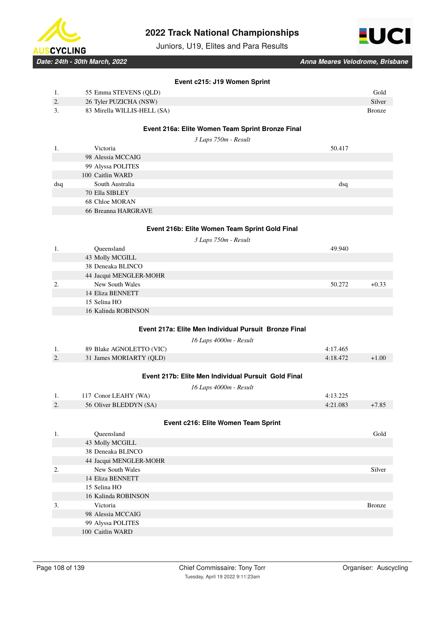

Juniors, U19, Elites and Para Results



*Date: 24th - 30th March, 2022 Anna Meares Velodrome, Brisbane*

|     | Event c215: J19 Women Sprint                          |          |               |
|-----|-------------------------------------------------------|----------|---------------|
| 1.  | 55 Emma STEVENS (QLD)                                 |          | Gold          |
| 2.  | 26 Tyler PUZICHA (NSW)                                |          | <b>Silver</b> |
| 3.  | 83 Mirella WILLIS-HELL (SA)                           |          | <b>Bronze</b> |
|     |                                                       |          |               |
|     | Event 216a: Elite Women Team Sprint Bronze Final      |          |               |
|     | 3 Laps 750m - Result                                  |          |               |
| 1.  | Victoria                                              | 50.417   |               |
|     | 98 Alessia MCCAIG                                     |          |               |
|     | 99 Alyssa POLITES                                     |          |               |
|     | 100 Caitlin WARD                                      |          |               |
| dsq | South Australia                                       | dsq      |               |
|     | 70 Ella SIBLEY                                        |          |               |
|     | 68 Chloe MORAN                                        |          |               |
|     | 66 Breanna HARGRAVE                                   |          |               |
|     |                                                       |          |               |
|     | Event 216b: Elite Women Team Sprint Gold Final        |          |               |
|     |                                                       |          |               |
| 1.  | 3 Laps 750m - Result<br>Queensland                    | 49.940   |               |
|     | 43 Molly MCGILL                                       |          |               |
|     | 38 Deneaka BLINCO                                     |          |               |
|     | 44 Jacqui MENGLER-MOHR                                |          |               |
| 2.  | New South Wales                                       | 50.272   | $+0.33$       |
|     | 14 Eliza BENNETT                                      |          |               |
|     | 15 Selina HO                                          |          |               |
|     | 16 Kalinda ROBINSON                                   |          |               |
|     |                                                       |          |               |
|     | Event 217a: Elite Men Individual Pursuit Bronze Final |          |               |
|     |                                                       |          |               |
|     | 16 Laps 4000m - Result                                |          |               |
| 1.  | 89 Blake AGNOLETTO (VIC)                              | 4:17.465 |               |
| 2.  | 31 James MORIARTY (QLD)                               | 4:18.472 | $+1.00$       |
|     |                                                       |          |               |
|     | Event 217b: Elite Men Individual Pursuit Gold Final   |          |               |
|     | 16 Laps 4000m - Result                                |          |               |
| 1.  | 117 Conor LEAHY (WA)                                  | 4:13.225 |               |
| 2.  | 56 Oliver BLEDDYN (SA)                                | 4:21.083 | $+7.85$       |
|     |                                                       |          |               |
|     | Event c216: Elite Women Team Sprint                   |          |               |
| 1.  | Queensland                                            |          | Gold          |
|     | 43 Molly MCGILL                                       |          |               |
|     | 38 Deneaka BLINCO                                     |          |               |
|     | 44 Jacqui MENGLER-MOHR                                |          |               |
| 2.  | New South Wales                                       |          | Silver        |
|     | 14 Eliza BENNETT                                      |          |               |
|     | 15 Selina HO                                          |          |               |
|     | 16 Kalinda ROBINSON                                   |          |               |
| 3.  | Victoria                                              |          | <b>Bronze</b> |
|     | 98 Alessia MCCAIG                                     |          |               |
|     | 99 Alyssa POLITES                                     |          |               |
|     | 100 Caitlin WARD                                      |          |               |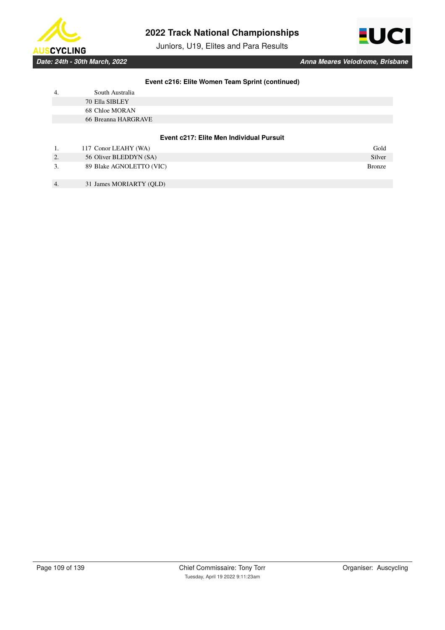

Juniors, U19, Elites and Para Results



### **Event c216: Elite Women Team Sprint (continued)**

| 4. | South Australia     |                                          |  |
|----|---------------------|------------------------------------------|--|
|    | 70 Ella SIBLEY      |                                          |  |
|    | 68 Chloe MORAN      |                                          |  |
|    | 66 Breanna HARGRAVE |                                          |  |
|    |                     |                                          |  |
|    |                     | Event c217: Elite Men Individual Pursuit |  |

|    | 117 Conor LEAHY (WA)     | Gold          |
|----|--------------------------|---------------|
| 2. | 56 Oliver BLEDDYN (SA)   | Silver        |
|    | 89 Blake AGNOLETTO (VIC) | <b>Bronze</b> |

4. 31 James MORIARTY (QLD)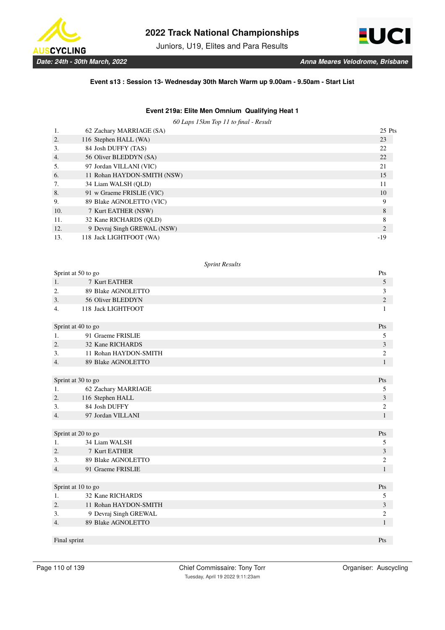

Juniors, U19, Elites and Para Results



### **Event s13 : Session 13- Wednesday 30th March Warm up 9.00am - 9.50am - Start List**

# **Event 219a: Elite Men Omnium Qualifying Heat 1**

*60 Laps 15km Top 11 to final - Result*

|                  | 62 Zachary MARRIAGE (SA)    | 25 Pts |
|------------------|-----------------------------|--------|
| 2.               | 116 Stephen HALL (WA)       | 23     |
| 3.               | 84 Josh DUFFY (TAS)         | 22     |
| $\overline{4}$ . | 56 Oliver BLEDDYN (SA)      | 22     |
| .5.              | 97 Jordan VILLANI (VIC)     | 21     |
| 6.               | 11 Rohan HAYDON-SMITH (NSW) | 15     |
| 7.               | 34 Liam WALSH (OLD)         | 11     |
| 8.               | 91 w Graeme FRISLIE (VIC)   | 10     |
| 9.               | 89 Blake AGNOLETTO (VIC)    | 9      |
| 10.              | 7 Kurt EATHER (NSW)         | 8      |
| 11.              | 32 Kane RICHARDS (OLD)      | 8      |
| 12.              | 9 Devraj Singh GREWAL (NSW) | 2      |
| 13.              | 118 Jack LIGHTFOOT (WA)     | -19    |

|              | Sprint at 50 to go    | Pts            |
|--------------|-----------------------|----------------|
| 1.           | 7 Kurt EATHER         | 5              |
| 2.           | 89 Blake AGNOLETTO    | 3              |
| 3.           | 56 Oliver BLEDDYN     | $\mathbf{2}$   |
| 4.           | 118 Jack LIGHTFOOT    | 1              |
|              | Sprint at 40 to go    |                |
| 1.           | 91 Graeme FRISLIE     | 5              |
| 2.           | 32 Kane RICHARDS      | 3              |
| 3.           | 11 Rohan HAYDON-SMITH | 2              |
| 4.           | 89 Blake AGNOLETTO    | $\mathbf{1}$   |
|              |                       |                |
|              | Sprint at 30 to go    | Pts            |
| 1.           | 62 Zachary MARRIAGE   | 5              |
| 2.           | 116 Stephen HALL      | 3              |
| 3.           | 84 Josh DUFFY         | 2              |
| 4.           | 97 Jordan VILLANI     | $\mathbf{1}$   |
|              |                       |                |
|              | Sprint at 20 to go    | Pts            |
| 1.           | 34 Liam WALSH         | 5              |
| 2.           | 7 Kurt EATHER         | 3              |
| 3.           | 89 Blake AGNOLETTO    | 2              |
| 4.           | 91 Graeme FRISLIE     | $\mathbf{1}$   |
|              |                       |                |
|              | Sprint at 10 to go    | Pts            |
| 1.           | 32 Kane RICHARDS      | 5              |
| 2.           | 11 Rohan HAYDON-SMITH | 3              |
| 3.           | 9 Devraj Singh GREWAL | $\overline{c}$ |
| 4.           | 89 Blake AGNOLETTO    | $\mathbf{1}$   |
| Final sprint |                       | Pts            |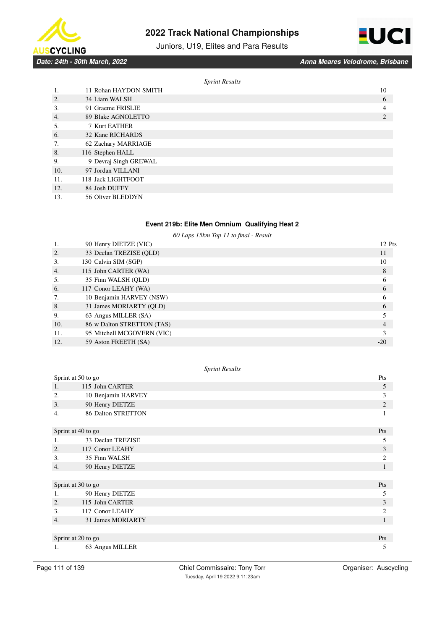





*Date: 24th - 30th March, 2022 Anna Meares Velodrome, Brisbane*

|     |                       | <b>Sprint Results</b> |    |
|-----|-----------------------|-----------------------|----|
| 1.  | 11 Rohan HAYDON-SMITH |                       | 10 |
| 2.  | 34 Liam WALSH         |                       | 6  |
| 3.  | 91 Graeme FRISLIE     |                       | 4  |
| 4.  | 89 Blake AGNOLETTO    |                       | 2  |
| 5.  | 7 Kurt EATHER         |                       |    |
| 6.  | 32 Kane RICHARDS      |                       |    |
| 7.  | 62 Zachary MARRIAGE   |                       |    |
| 8.  | 116 Stephen HALL      |                       |    |
| 9.  | 9 Devraj Singh GREWAL |                       |    |
| 10. | 97 Jordan VILLANI     |                       |    |
| 11. | 118 Jack LIGHTFOOT    |                       |    |
| 12. | 84 Josh DUFFY         |                       |    |
| 13. | 56 Oliver BLEDDYN     |                       |    |

### **Event 219b: Elite Men Omnium Qualifying Heat 2**

*60 Laps 15km Top 11 to final - Result*

| 1.               | 90 Henry DIETZE (VIC)      | 12 Pts |
|------------------|----------------------------|--------|
| 2.               | 33 Declan TREZISE (OLD)    | 11     |
| 3.               | 130 Calvin SIM (SGP)       | 10     |
| $\overline{4}$ . | 115 John CARTER (WA)       | 8      |
| 5.               | 35 Finn WALSH (QLD)        | 6      |
| 6.               | 117 Conor LEAHY (WA)       | 6      |
| 7.               | 10 Benjamin HARVEY (NSW)   | 6      |
| 8.               | 31 James MORIARTY (QLD)    | 6      |
| 9.               | 63 Angus MILLER (SA)       |        |
| 10.              | 86 w Dalton STRETTON (TAS) | 4      |
| 11.              | 95 Mitchell MCGOVERN (VIC) |        |
| 12.              | 59 Aston FREETH (SA)       | $-20$  |

| Sprint at 50 to go |                           | Pts            |
|--------------------|---------------------------|----------------|
| 1.                 | 115 John CARTER           | 5              |
| 2.                 | 10 Benjamin HARVEY        | 3              |
| 3.                 | 90 Henry DIETZE           | 2              |
| 4.                 | <b>86 Dalton STRETTON</b> | 1              |
| Sprint at 40 to go |                           | Pts            |
| 1.                 | 33 Declan TREZISE         | 5              |
| 2.                 | 117 Conor LEAHY           | 3              |
| 3.                 | 35 Finn WALSH             | $\overline{c}$ |
| 4.                 | 90 Henry DIETZE           | 1              |
|                    |                           |                |
| Sprint at 30 to go |                           | Pts            |
| 1.                 | 90 Henry DIETZE           | 5              |
| 2.                 | 115 John CARTER           | 3              |
| 3.                 | 117 Conor LEAHY           | $\overline{2}$ |
| 4.                 | 31 James MORIARTY         | 1              |
|                    |                           |                |
|                    | Sprint at 20 to go        |                |
| 1.                 | 63 Angus MILLER           | 5              |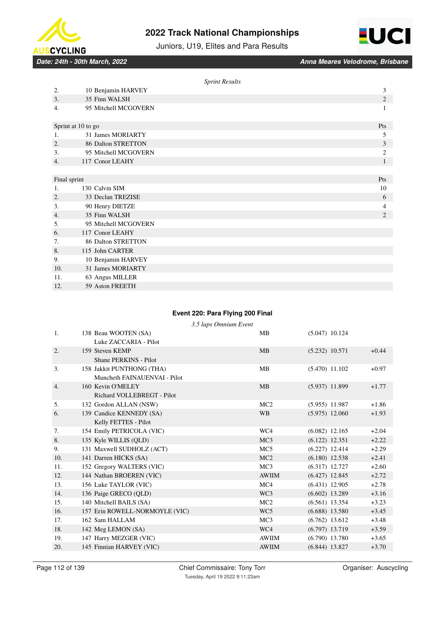



Juniors, U19, Elites and Para Results

|                  |                           | <b>Sprint Results</b> |                |
|------------------|---------------------------|-----------------------|----------------|
| 2.               | 10 Benjamin HARVEY        |                       | 3              |
| 3.               | 35 Finn WALSH             |                       | $\mathbf{2}$   |
| 4.               | 95 Mitchell MCGOVERN      |                       | 1              |
|                  | Sprint at 10 to go        |                       | Pts            |
| 1.               | 31 James MORIARTY         |                       | 5              |
| 2.               | <b>86 Dalton STRETTON</b> |                       | 3              |
| 3.               | 95 Mitchell MCGOVERN      |                       | $\overline{2}$ |
| $\overline{4}$ . | 117 Conor LEAHY           |                       | 1              |
|                  |                           |                       |                |
| Final sprint     |                           |                       | Pts            |
| 1.               | 130 Calvin SIM            |                       | 10             |
| 2.               | 33 Declan TREZISE         |                       | 6              |
| 3.               | 90 Henry DIETZE           |                       | 4              |
| 4.               | 35 Finn WALSH             |                       | $\overline{2}$ |
| 5.               | 95 Mitchell MCGOVERN      |                       |                |
| 6.               | 117 Conor LEAHY           |                       |                |
| 7.               | <b>86 Dalton STRETTON</b> |                       |                |
| 8.               | 115 John CARTER           |                       |                |
| 9.               | 10 Benjamin HARVEY        |                       |                |
| 10.              | 31 James MORIARTY         |                       |                |
| 11.              | 63 Angus MILLER           |                       |                |
| 12.              | 59 Aston FREETH           |                       |                |

## **Event 220: Para Flying 200 Final**

|     |                                | 3.5 laps Omnium Event |                 |                  |         |
|-----|--------------------------------|-----------------------|-----------------|------------------|---------|
| 1.  | 138 Beau WOOTEN (SA)           |                       | MB              | $(5.047)$ 10.124 |         |
|     | Luke ZACCARIA - Pilot          |                       |                 |                  |         |
| 2.  | 159 Steven KEMP                |                       | MB              | $(5.232)$ 10.571 | $+0.44$ |
|     | Shane PERKINS - Pilot          |                       |                 |                  |         |
| 3.  | 158 Jakkit PUNTHONG (THA)      |                       | MB              | $(5.470)$ 11.102 | $+0.97$ |
|     | Muncheth FAINAUENVAI - Pilot   |                       |                 |                  |         |
| 4.  | 160 Kevin O'MELEY              |                       | MB              | $(5.937)$ 11.899 | $+1.77$ |
|     | Richard VOLLEBREGT - Pilot     |                       |                 |                  |         |
| 5.  | 132 Gordon ALLAN (NSW)         |                       | MC2             | $(5.955)$ 11.987 | $+1.86$ |
| 6.  | 139 Candice KENNEDY (SA)       |                       | <b>WB</b>       | $(5.975)$ 12.060 | $+1.93$ |
|     | Kelly FETTES - Pilot           |                       |                 |                  |         |
| 7.  | 154 Emily PETRICOLA (VIC)      |                       | WC4             | $(6.082)$ 12.165 | $+2.04$ |
| 8.  | 135 Kyle WILLIS (QLD)          |                       | MC <sub>3</sub> | $(6.122)$ 12.351 | $+2.22$ |
| 9.  | 131 Maxwell SUDHOLZ (ACT)      |                       | MC <sub>5</sub> | $(6.227)$ 12.414 | $+2.29$ |
| 10. | 141 Darren HICKS (SA)          |                       | MC2             | $(6.180)$ 12.538 | $+2.41$ |
| 11. | 152 Gregory WALTERS (VIC)      |                       | MC <sub>3</sub> | $(6.317)$ 12.727 | $+2.60$ |
| 12. | 144 Nathan BROEREN (VIC)       |                       | <b>AWIIM</b>    | $(6.427)$ 12.845 | $+2.72$ |
| 13. | 156 Luke TAYLOR (VIC)          |                       | MC4             | $(6.431)$ 12.905 | $+2.78$ |
| 14. | 136 Paige GRECO (OLD)          |                       | WC3             | $(6.602)$ 13.289 | $+3.16$ |
| 15. | 140 Mitchell BAILS (SA)        |                       | MC2             | $(6.561)$ 13.354 | $+3.23$ |
| 16. | 157 Erin ROWELL-NORMOYLE (VIC) |                       | WC <sub>5</sub> | $(6.688)$ 13.580 | $+3.45$ |
| 17. | 162 Sam HALLAM                 |                       | MC <sub>3</sub> | $(6.762)$ 13.612 | $+3.48$ |
| 18. | 142 Meg LEMON (SA)             |                       | WC4             | $(6.797)$ 13.719 | $+3.59$ |
| 19. | 147 Harry MEZGER (VIC)         |                       | <b>AWIIM</b>    | $(6.790)$ 13.780 | $+3.65$ |
| 20. | 145 Finnian HARVEY (VIC)       |                       | <b>AWIIM</b>    | $(6.844)$ 13.827 | $+3.70$ |
|     |                                |                       |                 |                  |         |

Chief Commissaire: Tony Torr **Chief Commissaire: Tony Torr** Organiser: Auscycling Tuesday, April 19 2022 9:11:23am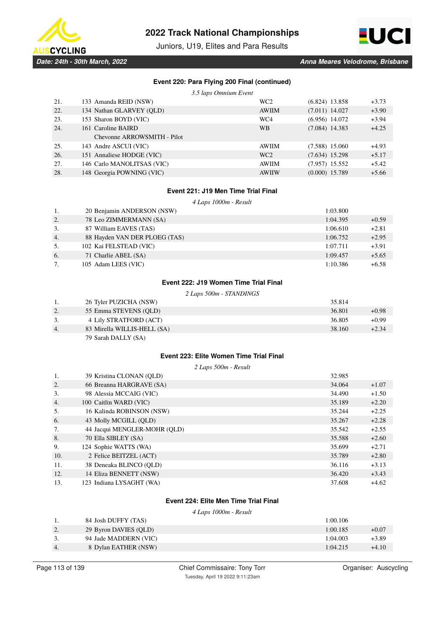

Juniors, U19, Elites and Para Results



### **Event 220: Para Flying 200 Final (continued)**

*3.5 laps Omnium Event*

| 21. | 133 Amanda REID (NSW)       | WC <sub>2</sub> | $(6.824)$ 13.858 | $+3.73$ |
|-----|-----------------------------|-----------------|------------------|---------|
| 22. | 134 Nathan GLARVEY (OLD)    | <b>AWIIM</b>    | $(7.011)$ 14.027 | $+3.90$ |
| 23. | 153 Sharon BOYD (VIC)       | WC4             | $(6.956)$ 14.072 | $+3.94$ |
| 24. | 161 Caroline BAIRD          | <b>WB</b>       | $(7.084)$ 14.383 | $+4.25$ |
|     | Chevonne ARROWSMITH - Pilot |                 |                  |         |
| 25. | 143 Andre ASCUI (VIC)       | <b>AWIIM</b>    | $(7.588)$ 15.060 | $+4.93$ |
| 26. | 151 Annaliese HODGE (VIC)   | WC <sub>2</sub> | $(7.634)$ 15.298 | $+5.17$ |
| 27. | 146 Carlo MANOLITSAS (VIC)  | <b>AWIIM</b>    | $(7.957)$ 15.552 | $+5.42$ |
| 28. | 148 Georgia POWNING (VIC)   | <b>AWIIW</b>    | $(0.000)$ 15.789 | $+5.66$ |

### **Event 221: J19 Men Time Trial Final**

*4 Laps 1000m - Result*

| 1. | 20 Benjamin ANDERSON (NSW)    | 1:03.800 |         |
|----|-------------------------------|----------|---------|
| 2. | 78 Leo ZIMMERMANN (SA)        | 1:04.395 | $+0.59$ |
| 3. | 87 William EAVES (TAS)        | 1:06.610 | $+2.81$ |
| 4. | 88 Hayden VAN DER PLOEG (TAS) | 1:06.752 | $+2.95$ |
| 5. | 102 Kai FELSTEAD (VIC)        | 1:07.711 | $+3.91$ |
| 6. | 71 Charlie ABEL (SA)          | 1:09.457 | $+5.65$ |
| 7. | 105 Adam LEES (VIC)           | 1:10.386 | $+6.58$ |

### **Event 222: J19 Women Time Trial Final**

*2 Laps 500m - STANDINGS*

|                  | 26 Tyler PUZICHA (NSW)      | 35.814 |         |
|------------------|-----------------------------|--------|---------|
| 2.               | 55 Emma STEVENS (OLD)       | 36.801 | $+0.98$ |
| 3.               | 4 Lily STRATFORD (ACT)      | 36.805 | $+0.99$ |
| $\overline{4}$ . | 83 Mirella WILLIS-HELL (SA) | 38.160 | $+2.34$ |
|                  | 79 Sarah DALLY (SA)         |        |         |

# **Event 223: Elite Women Time Trial Final**

*2 Laps 500m - Result*

| 1.  | 39 Kristina CLONAN (OLD)     | 32.985 |         |
|-----|------------------------------|--------|---------|
| 2.  | 66 Breanna HARGRAVE (SA)     | 34.064 | $+1.07$ |
| 3.  | 98 Alessia MCCAIG (VIC)      | 34.490 | $+1.50$ |
| 4.  | 100 Caitlin WARD (VIC)       | 35.189 | $+2.20$ |
| 5.  | 16 Kalinda ROBINSON (NSW)    | 35.244 | $+2.25$ |
| 6.  | 43 Molly MCGILL (QLD)        | 35.267 | $+2.28$ |
| 7.  | 44 Jacqui MENGLER-MOHR (QLD) | 35.542 | $+2.55$ |
| 8.  | 70 Ella SIBLEY (SA)          | 35.588 | $+2.60$ |
| 9.  | 124 Sophie WATTS (WA)        | 35.699 | $+2.71$ |
| 10. | 2 Felice BEITZEL (ACT)       | 35.789 | $+2.80$ |
| 11. | 38 Deneaka BLINCO (OLD)      | 36.116 | $+3.13$ |
| 12. | 14 Eliza BENNETT (NSW)       | 36.420 | $+3.43$ |
| 13. | 123 Indiana LYSAGHT (WA)     | 37.608 | $+4.62$ |

# **Event 224: Elite Men Time Trial Final**

*4 Laps 1000m - Result*

|           | 84 Josh DUFFY (TAS)   | 1:00.106 |         |
|-----------|-----------------------|----------|---------|
| <u>L.</u> | 29 Byron DAVIES (QLD) | 1:00.185 | $+0.07$ |
| <u>.</u>  | 94 Jade MADDERN (VIC) | 1:04.003 | $+3.89$ |
| 4.        | 8 Dylan EATHER (NSW)  | 1:04.215 | $+4.10$ |
|           |                       |          |         |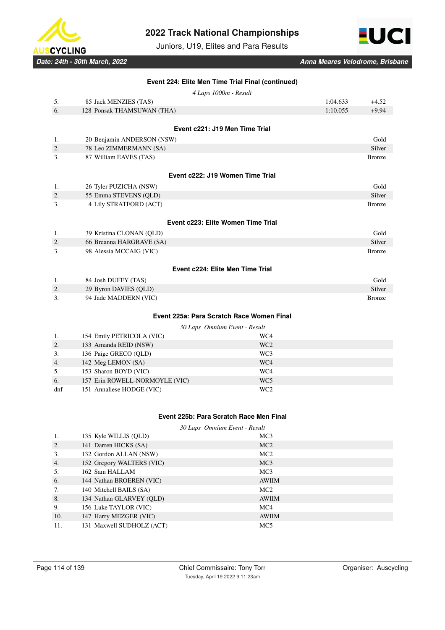

Juniors, U19, Elites and Para Results



| 5.<br>6.       | 4 Laps 1000m - Result              |                                           |               |
|----------------|------------------------------------|-------------------------------------------|---------------|
|                |                                    |                                           |               |
|                | 85 Jack MENZIES (TAS)              | 1:04.633                                  | $+4.52$       |
|                | 128 Ponsak THAMSUWAN (THA)         | 1:10.055                                  | $+9.94$       |
|                |                                    |                                           |               |
|                |                                    | Event c221: J19 Men Time Trial            |               |
| 1.             | 20 Benjamin ANDERSON (NSW)         |                                           | Gold          |
| 2.             | 78 Leo ZIMMERMANN (SA)             |                                           | Silver        |
| 3.             | 87 William EAVES (TAS)             |                                           | <b>Bronze</b> |
|                | Event c222: J19 Women Time Trial   |                                           |               |
| 1.             | 26 Tyler PUZICHA (NSW)             |                                           | Gold          |
| 2.             | 55 Emma STEVENS (QLD)              |                                           | Silver        |
| 3.             | 4 Lily STRATFORD (ACT)             |                                           | <b>Bronze</b> |
|                | Event c223: Elite Women Time Trial |                                           |               |
|                |                                    |                                           |               |
| $\mathbf{1}$ . | 39 Kristina CLONAN (QLD)           |                                           | Gold          |
| 2.             | 66 Breanna HARGRAVE (SA)           |                                           | Silver        |
| 3.             | 98 Alessia MCCAIG (VIC)            |                                           | <b>Bronze</b> |
|                |                                    | Event c224: Elite Men Time Trial          |               |
| 1.             | 84 Josh DUFFY (TAS)                |                                           | Gold          |
| 2.             | 29 Byron DAVIES (QLD)              |                                           | Silver        |
| 3.             | 94 Jade MADDERN (VIC)              |                                           | <b>Bronze</b> |
|                |                                    | Event 225a: Para Scratch Race Women Final |               |
|                |                                    | 30 Laps Omnium Event - Result             |               |
| 1.             | 154 Emily PETRICOLA (VIC)          | WC4                                       |               |
| 2.             | 133 Amanda REID (NSW)              | WC <sub>2</sub>                           |               |
| 3.             | 136 Paige GRECO (QLD)              | WC <sub>3</sub>                           |               |
| 4.             | 142 Meg LEMON (SA)                 | WC4                                       |               |
| 5.             | 153 Sharon BOYD (VIC)              | WC4                                       |               |
| 6.             | 157 Erin ROWELL-NORMOYLE (VIC)     | WC5                                       |               |
| dnf            | 151 Annaliese HODGE (VIC)          | WC <sub>2</sub>                           |               |

# **Event 225b: Para Scratch Race Men Final**

*30 Laps Omnium Event - Result*

|     | 135 Kyle WILLIS (QLD)     | MC <sub>3</sub> |
|-----|---------------------------|-----------------|
| 2.  | 141 Darren HICKS (SA)     | MC2             |
| 3.  | 132 Gordon ALLAN (NSW)    | MC <sub>2</sub> |
| 4.  | 152 Gregory WALTERS (VIC) | MC <sub>3</sub> |
| 5.  | 162 Sam HALLAM            | MC <sub>3</sub> |
| 6.  | 144 Nathan BROEREN (VIC)  | <b>AWIIM</b>    |
| 7.  | 140 Mitchell BAILS (SA)   | MC <sub>2</sub> |
| 8.  | 134 Nathan GLARVEY (OLD)  | <b>AWIIM</b>    |
| 9.  | 156 Luke TAYLOR (VIC)     | MC <sub>4</sub> |
| 10. | 147 Harry MEZGER (VIC)    | <b>AWIIM</b>    |
| 11. | 131 Maxwell SUDHOLZ (ACT) | MC <sub>5</sub> |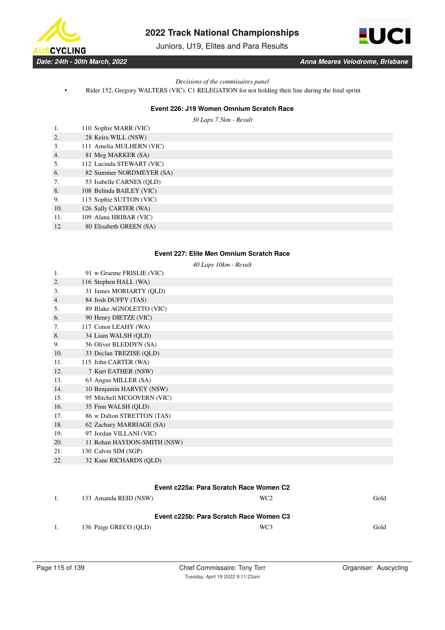

Juniors, U19, Elites and Para Results



### *Decisions of the commisaires panel*

• Rider 152, Gregory WALTERS (VIC). C1 RELEGATION for not holding their line during the final sprint

#### **Event 226: J19 Women Omnium Scratch Race**

*30 Laps 7.5km - Result*

| 1.               | 110 Sophie MARR (VIC)     |
|------------------|---------------------------|
| 2.               | 28 Keira WILL (NSW)       |
| 3.               | 111 Amelia MULHERN (VIC)  |
| $\overline{4}$ . | 81 Meg MARKER (SA)        |
| 5.               | 112 Lucinda STEWART (VIC) |
| 6.               | 82 Summer NORDMEYER (SA)  |
| 7.               | 53 Isabelle CARNES (OLD)  |
| 8.               | 108 Belinda BAILEY (VIC)  |
| 9.               | 113 Sophie SUTTON (VIC)   |
| 10.              | 126 Sally CARTER (WA)     |
| 11.              | 109 Alana HRIBAR (VIC)    |
| 12.              | 80 Elisabeth GREEN (SA)   |

# **Event 227: Elite Men Omnium Scratch Race**

*40 Laps 10km - Result*

| 1.  | 91 w Graeme FRISLIE (VIC)                            |                 |      |
|-----|------------------------------------------------------|-----------------|------|
| 2.  | 116 Stephen HALL (WA)                                |                 |      |
| 3.  | 31 James MORIARTY (QLD)                              |                 |      |
| 4.  | 84 Josh DUFFY (TAS)                                  |                 |      |
| 5.  | 89 Blake AGNOLETTO (VIC)                             |                 |      |
| 6.  | 90 Henry DIETZE (VIC)                                |                 |      |
| 7.  | 117 Conor LEAHY (WA)                                 |                 |      |
| 8.  | 34 Liam WALSH (OLD)                                  |                 |      |
| 9.  | 56 Oliver BLEDDYN (SA)                               |                 |      |
| 10. | 33 Declan TREZISE (OLD)                              |                 |      |
| 11. | 115 John CARTER (WA)                                 |                 |      |
| 12. | 7 Kurt EATHER (NSW)                                  |                 |      |
| 13. | 63 Angus MILLER (SA)                                 |                 |      |
| 14. | 10 Benjamin HARVEY (NSW)                             |                 |      |
| 15. | 95 Mitchell MCGOVERN (VIC)                           |                 |      |
| 16. | 35 Finn WALSH (QLD)                                  |                 |      |
| 17. | 86 w Dalton STRETTON (TAS)                           |                 |      |
| 18. | 62 Zachary MARRIAGE (SA)                             |                 |      |
| 19. | 97 Jordan VILLANI (VIC)                              |                 |      |
| 20. | 11 Rohan HAYDON-SMITH (NSW)                          |                 |      |
| 21. | 130 Calvin SIM (SGP)                                 |                 |      |
| 22. | 32 Kane RICHARDS (QLD)                               |                 |      |
|     |                                                      |                 |      |
|     |                                                      |                 |      |
|     | Event c225a: Para Scratch Race Women C2              |                 |      |
| 1.  | 133 Amanda REID (NSW)                                | WC <sub>2</sub> | Gold |
|     |                                                      |                 |      |
|     | Euent e <sup>005</sup> b: Dere Cerateb Beeg Wemen C2 |                 |      |

#### **Event c225b: Para Scratch Race Women C3**

1. 136 Paige GRECO (QLD) WC3 Gold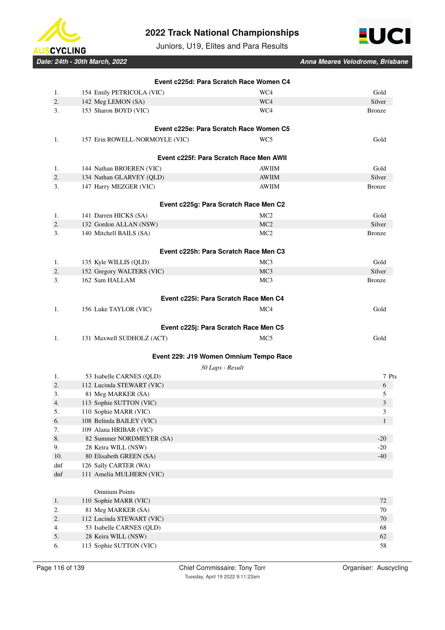



Juniors, U19, Elites and Para Results

| Date: 24th - 30th March, 2022 |  |
|-------------------------------|--|
|-------------------------------|--|

|         |                                                    | Event c225d: Para Scratch Race Women C4 |                |
|---------|----------------------------------------------------|-----------------------------------------|----------------|
| 1.      | 154 Emily PETRICOLA (VIC)                          | WC4                                     | Gold           |
| $2. \,$ | 142 Meg LEMON (SA)                                 | WC4                                     | Silver         |
| 3.      | 153 Sharon BOYD (VIC)                              | WC4                                     | <b>Bronze</b>  |
|         |                                                    | Event c225e: Para Scratch Race Women C5 |                |
| 1.      | 157 Erin ROWELL-NORMOYLE (VIC)                     | WC5                                     | Gold           |
|         |                                                    | Event c225f: Para Scratch Race Men AWII |                |
| 1.      | 144 Nathan BROEREN (VIC)                           | <b>AWIIM</b>                            | Gold           |
| 2.      | 134 Nathan GLARVEY (QLD)                           | <b>AWIIM</b>                            | Silver         |
| 3.      | 147 Harry MEZGER (VIC)                             | <b>AWIIM</b>                            | <b>Bronze</b>  |
|         |                                                    | Event c225g: Para Scratch Race Men C2   |                |
| 1.      | 141 Darren HICKS (SA)                              | MC <sub>2</sub>                         | Gold           |
| 2.      | 132 Gordon ALLAN (NSW)                             | MC <sub>2</sub>                         | Silver         |
| 3.      | 140 Mitchell BAILS (SA)                            | MC <sub>2</sub>                         | <b>Bronze</b>  |
|         |                                                    | Event c225h: Para Scratch Race Men C3   |                |
| 1.      |                                                    | MC <sub>3</sub>                         | Gold           |
| 2.      | 135 Kyle WILLIS (QLD)<br>152 Gregory WALTERS (VIC) | MC <sub>3</sub>                         | Silver         |
| 3.      | 162 Sam HALLAM                                     | MC <sub>3</sub>                         | <b>Bronze</b>  |
|         |                                                    |                                         |                |
|         |                                                    | Event c225i: Para Scratch Race Men C4   |                |
| 1.      | 156 Luke TAYLOR (VIC)                              | MC4                                     | Gold           |
|         |                                                    | Event c225j: Para Scratch Race Men C5   |                |
| 1.      | 131 Maxwell SUDHOLZ (ACT)                          | MC <sub>5</sub>                         | Gold           |
|         |                                                    | Event 229: J19 Women Omnium Tempo Race  |                |
|         |                                                    | 30 Laps - Result                        |                |
| 1.      | 53 Isabelle CARNES (QLD)                           |                                         | 7 Pts          |
| 2.      | 112 Lucinda STEWART (VIC)                          |                                         | 6              |
| 3.      | 81 Meg MARKER (SA)                                 |                                         | 5              |
| 4.      | 113 Sophie SUTTON (VIC)                            |                                         | $\mathfrak{Z}$ |
| 5.      | 110 Sophie MARR (VIC)                              |                                         | 3              |
| 6.      | 108 Belinda BAILEY (VIC)                           |                                         | $\mathbf{1}$   |
| 7.      | 109 Alana HRIBAR (VIC)                             |                                         |                |
| 8.      | 82 Summer NORDMEYER (SA)                           |                                         | $-20$          |
| 9.      | 28 Keira WILL (NSW)                                |                                         | $-20$          |
| 10.     | 80 Elisabeth GREEN (SA)                            |                                         | $-40$          |
| dnf     | 126 Sally CARTER (WA)                              |                                         |                |
| dnf     | 111 Amelia MULHERN (VIC)                           |                                         |                |
|         | <b>Omnium Points</b>                               |                                         |                |
| 1.      | 110 Sophie MARR (VIC)                              |                                         | 72             |
| 2.      | 81 Meg MARKER (SA)                                 |                                         | 70             |
| 2.      | 112 Lucinda STEWART (VIC)                          |                                         | $70\,$         |
| 4.      | 53 Isabelle CARNES (QLD)                           |                                         | 68             |
| 5.      | 28 Keira WILL (NSW)                                |                                         | 62             |
| 6.      | 113 Sophie SUTTON (VIC)                            |                                         | 58             |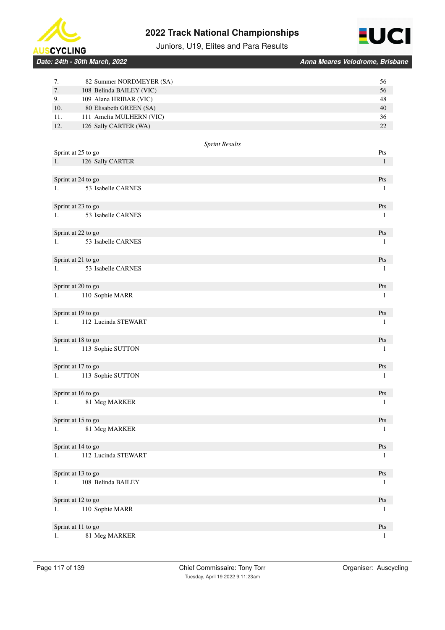



Juniors, U19, Elites and Para Results

|  | Date: 24th - 30th March. 2022 |  |
|--|-------------------------------|--|
|  |                               |  |

| 7.        | 82 Summer NORDMEYER (SA)                          | 56           |
|-----------|---------------------------------------------------|--------------|
| 7.        | 108 Belinda BAILEY (VIC)                          | 56           |
| 9.<br>10. | 109 Alana HRIBAR (VIC)<br>80 Elisabeth GREEN (SA) | 48<br>40     |
| 11.       | 111 Amelia MULHERN (VIC)                          | 36           |
| 12.       | 126 Sally CARTER (WA)                             | 22           |
|           |                                                   |              |
|           | <b>Sprint Results</b>                             |              |
|           | Sprint at 25 to go                                | Pts          |
| 1.        | 126 Sally CARTER                                  | $\mathbf{1}$ |
|           |                                                   |              |
|           | Sprint at 24 to go                                | Pts          |
| 1.        | 53 Isabelle CARNES                                | $\mathbf{1}$ |
|           | Sprint at 23 to go                                | Pts          |
| 1.        | 53 Isabelle CARNES                                | 1            |
|           |                                                   |              |
|           | Sprint at 22 to go                                | Pts          |
| 1.        | 53 Isabelle CARNES                                | 1            |
|           |                                                   |              |
|           | Sprint at 21 to go                                | Pts          |
| 1.        | 53 Isabelle CARNES                                | 1            |
|           |                                                   |              |
|           | Sprint at 20 to go                                | Pts          |
| 1.        | 110 Sophie MARR                                   | 1            |
|           | Sprint at 19 to go                                | Pts          |
| 1.        | 112 Lucinda STEWART                               | 1            |
|           |                                                   |              |
|           | Sprint at 18 to go                                | Pts          |
| 1.        | 113 Sophie SUTTON                                 | $\mathbf{1}$ |
|           |                                                   |              |
|           | Sprint at 17 to go                                | Pts          |
| 1.        | 113 Sophie SUTTON                                 | $\mathbf{1}$ |
|           |                                                   |              |
|           | Sprint at 16 to go                                | Pts          |
| 1.        | 81 Meg MARKER                                     | 1            |
|           | Sprint at 15 to go                                | Pts          |
| 1.        | 81 Meg MARKER                                     | $\mathbf{1}$ |
|           |                                                   |              |
|           | Sprint at 14 to go                                | Pts          |
| 1.        | 112 Lucinda STEWART                               | $\mathbf{1}$ |
|           |                                                   |              |
|           | Sprint at 13 to go                                | Pts          |
| 1.        | 108 Belinda BAILEY                                | $\mathbf{1}$ |
|           |                                                   |              |
|           | Sprint at 12 to go                                | Pts          |
| 1.        | 110 Sophie MARR                                   | $\mathbf{1}$ |
|           | Sprint at 11 to go                                | Pts          |
| 1.        | 81 Meg MARKER                                     | $\mathbf{1}$ |
|           |                                                   |              |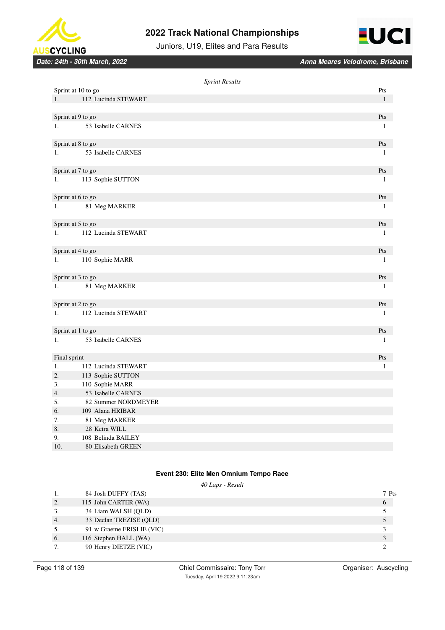



Juniors, U19, Elites and Para Results

*Date: 24th - 30th March, 2022 Anna Meares Velodrome, Brisbane*

|              |                     | <b>Sprint Results</b> |                                  |
|--------------|---------------------|-----------------------|----------------------------------|
|              | Sprint at 10 to go  |                       | $\mathbf{P}\mathbf{t}\mathbf{s}$ |
| 1.           | 112 Lucinda STEWART |                       | $\mathbf{1}$                     |
|              |                     |                       |                                  |
|              | Sprint at 9 to go   |                       | Pts                              |
| 1.           | 53 Isabelle CARNES  |                       | $\mathbf{1}$                     |
|              | Sprint at 8 to go   |                       | Pts                              |
| 1.           | 53 Isabelle CARNES  |                       | $\mathbf{1}$                     |
|              | Sprint at 7 to go   |                       | Pts                              |
| 1.           | 113 Sophie SUTTON   |                       | 1                                |
|              |                     |                       |                                  |
|              | Sprint at 6 to go   |                       | Pts                              |
| 1.           | 81 Meg MARKER       |                       | $\mathbf{1}$                     |
|              | Sprint at 5 to go   |                       | Pts                              |
| 1.           | 112 Lucinda STEWART |                       | $\mathbf{1}$                     |
|              |                     |                       |                                  |
|              | Sprint at 4 to go   |                       | Pts                              |
| 1.           | 110 Sophie MARR     |                       | $\mathbf{1}$                     |
|              | Sprint at 3 to go   |                       | Pts                              |
| 1.           | 81 Meg MARKER       |                       | $\mathbf{1}$                     |
|              | Sprint at 2 to go   |                       | Pts                              |
| 1.           | 112 Lucinda STEWART |                       | $\mathbf{1}$                     |
|              |                     |                       |                                  |
|              | Sprint at 1 to go   |                       | Pts                              |
| 1.           | 53 Isabelle CARNES  |                       | 1                                |
|              |                     |                       |                                  |
| Final sprint |                     |                       | Pts                              |
| 1.           | 112 Lucinda STEWART |                       | 1                                |
| 2.           | 113 Sophie SUTTON   |                       |                                  |
| 3.           | 110 Sophie MARR     |                       |                                  |
| 4.           | 53 Isabelle CARNES  |                       |                                  |
| 5.           | 82 Summer NORDMEYER |                       |                                  |
| 6.           | 109 Alana HRIBAR    |                       |                                  |
| 7.           | 81 Meg MARKER       |                       |                                  |
| 8.           | 28 Keira WILL       |                       |                                  |
| 9.           | 108 Belinda BAILEY  |                       |                                  |
| 10.          | 80 Elisabeth GREEN  |                       |                                  |

# **Event 230: Elite Men Omnium Tempo Race**

|    | 40 Laps - Result          |  |       |  |
|----|---------------------------|--|-------|--|
| 1. | 84 Josh DUFFY (TAS)       |  | 7 Pts |  |
| 2. | 115 John CARTER (WA)      |  | 6     |  |
| 3. | 34 Liam WALSH (OLD)       |  |       |  |
| 4. | 33 Declan TREZISE (OLD)   |  |       |  |
| 5. | 91 w Graeme FRISLIE (VIC) |  |       |  |
| 6. | 116 Stephen HALL (WA)     |  | 3     |  |
| 7. | 90 Henry DIETZE (VIC)     |  |       |  |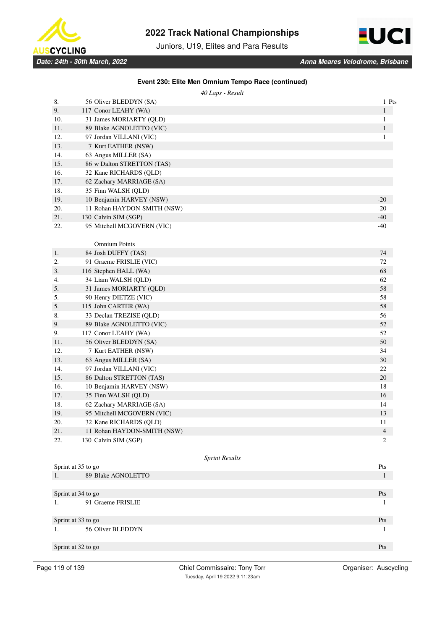

Juniors, U19, Elites and Para Results



| Event 230: Elite Men Omnium Tempo Race (continued) |  |  |
|----------------------------------------------------|--|--|
|----------------------------------------------------|--|--|

|     | 40 Laps - Result            |              |
|-----|-----------------------------|--------------|
| 8.  | 56 Oliver BLEDDYN (SA)      | 1 Pts        |
| 9.  | 117 Conor LEAHY (WA)        | $\mathbf{1}$ |
| 10. | 31 James MORIARTY (QLD)     | 1            |
| 11. | 89 Blake AGNOLETTO (VIC)    | $\mathbf{1}$ |
| 12. | 97 Jordan VILLANI (VIC)     | 1            |
| 13. | 7 Kurt EATHER (NSW)         |              |
| 14. | 63 Angus MILLER (SA)        |              |
| 15. | 86 w Dalton STRETTON (TAS)  |              |
| 16. | 32 Kane RICHARDS (QLD)      |              |
| 17. | 62 Zachary MARRIAGE (SA)    |              |
| 18. | 35 Finn WALSH (QLD)         |              |
| 19. | 10 Benjamin HARVEY (NSW)    | $-20$        |
| 20. | 11 Rohan HAYDON-SMITH (NSW) | $-20$        |
| 21. | 130 Calvin SIM (SGP)        | $-40$        |
| 22. | 95 Mitchell MCGOVERN (VIC)  | $-40$        |
|     |                             |              |
|     | <b>Omnium Points</b>        |              |
| 1.  | 84 Josh DUFFY (TAS)         | 74           |
| 2.  | 91 Graeme FRISLIE (VIC)     | 72           |
| 3.  | 116 Stephen HALL (WA)       | 68           |
| 4.  | 34 Liam WALSH (QLD)         | 62           |
| 5.  | 31 James MORIARTY (QLD)     | 58           |
| 5.  | 90 Henry DIETZE (VIC)       | 58           |
| 5.  | 115 John CARTER (WA)        | 58           |
| 8.  | 33 Declan TREZISE (QLD)     | 56           |
| 9.  | 89 Blake AGNOLETTO (VIC)    | 52           |
| 9.  | 117 Conor LEAHY (WA)        | 52           |
| 11. | 56 Oliver BLEDDYN (SA)      | 50           |
| 12. | 7 Kurt EATHER (NSW)         | 34           |
| 13. | 63 Angus MILLER (SA)        | 30           |
| 14. | 97 Jordan VILLANI (VIC)     | 22           |
| 15. | 86 Dalton STRETTON (TAS)    | 20           |
| 16. | 10 Benjamin HARVEY (NSW)    | 18           |
| 17. | 35 Finn WALSH (QLD)         | 16           |
| 18. | 62 Zachary MARRIAGE (SA)    | 14           |
| 19. | 95 Mitchell MCGOVERN (VIC)  | 13           |
| 20. | 32 Kane RICHARDS (QLD)      | 11           |
| 21. | 11 Rohan HAYDON-SMITH (NSW) | 4            |
| 22. | 130 Calvin SIM (SGP)        | 2            |

| Pts |
|-----|
|     |
|     |
| Pts |
|     |
|     |
| Pts |
|     |
|     |
| Pts |
|     |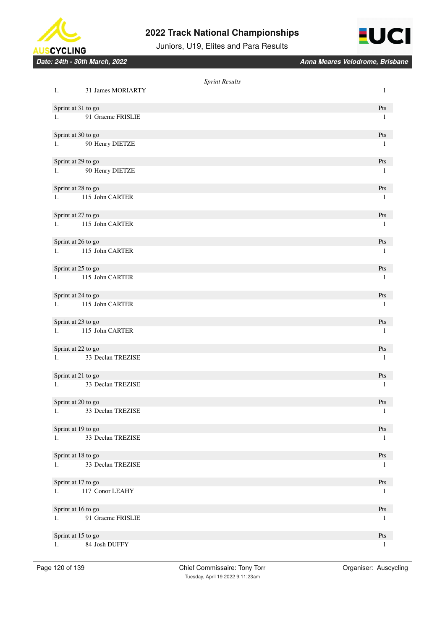



Juniors, U19, Elites and Para Results

|    |                      | <b>Sprint Results</b> |              |
|----|----------------------|-----------------------|--------------|
| 1. | 31 James MORIARTY    |                       | $\mathbf{1}$ |
|    | Sprint at 31 to go   |                       | Pts          |
| 1. | 91 Graeme FRISLIE    |                       | -1           |
|    | Sprint at 30 to go   |                       | Pts          |
| 1. | 90 Henry DIETZE      |                       | 1            |
|    | Sprint at 29 to go   |                       | Pts          |
| 1. | 90 Henry DIETZE      |                       | 1            |
|    | Sprint at 28 to go   |                       | Pts          |
| 1. | 115 John CARTER      |                       | 1            |
|    | Sprint at 27 to go   |                       | Pts          |
| 1. | 115 John CARTER      |                       | $\mathbf{1}$ |
|    | Sprint at 26 to go   |                       | Pts          |
| 1. | 115 John CARTER      |                       | 1            |
|    | Sprint at 25 to go   |                       | Pts          |
| 1. | 115 John CARTER      |                       | $\mathbf{1}$ |
|    | Sprint at 24 to go   |                       | Pts          |
| 1. | 115 John CARTER      |                       | 1            |
|    | Sprint at 23 to go   |                       | Pts          |
| 1. | 115 John CARTER      |                       | 1            |
|    | Sprint at 22 to go   |                       | Pts          |
| 1. | 33 Declan TREZISE    |                       | 1            |
|    | Sprint at 21 to go   |                       | Pts          |
| 1. | 33 Declan TREZISE    |                       | $\mathbf{1}$ |
|    | Sprint at 20 to go   |                       | Pts          |
|    | 1. 33 Declan TREZISE |                       | $\mathbf{1}$ |
|    | Sprint at 19 to go   |                       | Pts          |
| 1. | 33 Declan TREZISE    |                       | $\mathbf{1}$ |
|    | Sprint at 18 to go   |                       | Pts          |
| 1. | 33 Declan TREZISE    |                       | 1            |
|    | Sprint at 17 to go   |                       | Pts          |
| 1. | 117 Conor LEAHY      |                       | $\mathbf{1}$ |
|    | Sprint at 16 to go   |                       | Pts          |
| 1. | 91 Graeme FRISLIE    |                       | $\mathbf{1}$ |
|    | Sprint at 15 to go   |                       | Pts          |
| 1. | 84 Josh DUFFY        |                       | 1            |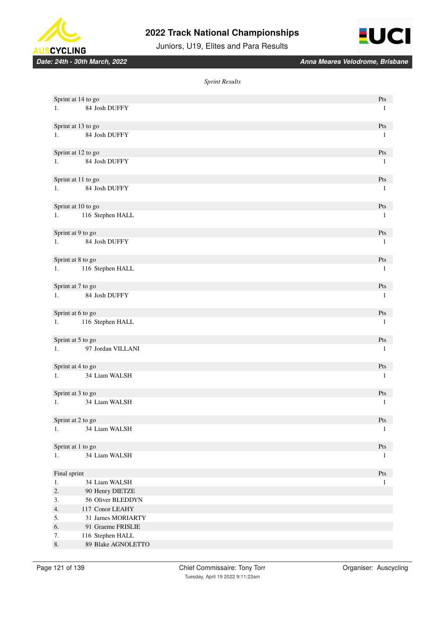



Juniors, U19, Elites and Para Results

|              | Sprint at 14 to go   | Pts                              |
|--------------|----------------------|----------------------------------|
| 1.           | 84 Josh DUFFY        | $\mathbf{1}$                     |
|              |                      |                                  |
|              | Sprint at 13 to go   | Pts                              |
| 1.           | 84 Josh DUFFY        | $\mathbf{1}$                     |
|              |                      |                                  |
|              | Sprint at 12 to go   | Pts                              |
| 1.           | 84 Josh DUFFY        | 1                                |
|              |                      |                                  |
|              | Sprint at 11 to go   | Pts                              |
| 1.           | 84 Josh DUFFY        |                                  |
|              |                      | 1                                |
|              |                      |                                  |
|              | Sprint at 10 to go   | Pts                              |
| 1.           | 116 Stephen HALL     | 1                                |
|              |                      |                                  |
|              | Sprint at 9 to go    | Pts                              |
| 1.           | 84 Josh DUFFY        | 1                                |
|              |                      |                                  |
|              | Sprint at 8 to go    | Pts                              |
| 1.           | 116 Stephen HALL     | $\mathbf{1}$                     |
|              |                      |                                  |
|              | Sprint at 7 to go    | Pts                              |
| 1.           | 84 Josh DUFFY        | $\mathbf{1}$                     |
|              |                      |                                  |
|              | Sprint at 6 to go    | Pts                              |
|              | 116 Stephen HALL     | $\mathbf{1}$                     |
|              |                      |                                  |
|              | Sprint at 5 to go    | Pts                              |
|              | 1. 97 Jordan VILLANI | $\mathbf{1}$                     |
|              |                      |                                  |
|              |                      |                                  |
|              | Sprint at 4 to go    | Pts                              |
|              | 1. 34 Liam WALSH     | $\mathbf{1}$                     |
|              |                      |                                  |
|              | Sprint at 3 to go    | Pts                              |
|              | 1. 34 Liam WALSH     | $\mathbf{1}$                     |
|              |                      |                                  |
|              | Sprint at 2 to go    | Pts                              |
| 1.           | 34 Liam WALSH        | $\mathbf{1}$                     |
|              |                      |                                  |
|              | Sprint at 1 to go    | $\mathbf{P}\mathbf{t}\mathbf{s}$ |
| 1.           | 34 Liam WALSH        | 1                                |
|              |                      |                                  |
| Final sprint |                      | $\mathbf{P}\mathbf{t}\mathbf{s}$ |
| $1.$         | 34 Liam WALSH        | 1                                |
| 2.           | 90 Henry DIETZE      |                                  |
| 3.           | 56 Oliver BLEDDYN    |                                  |
| 4.           | 117 Conor LEAHY      |                                  |
| 5.           | 31 James MORIARTY    |                                  |
| 6.           | 91 Graeme FRISLIE    |                                  |
| 7.           | 116 Stephen HALL     |                                  |
| 8.           | 89 Blake AGNOLETTO   |                                  |
|              |                      |                                  |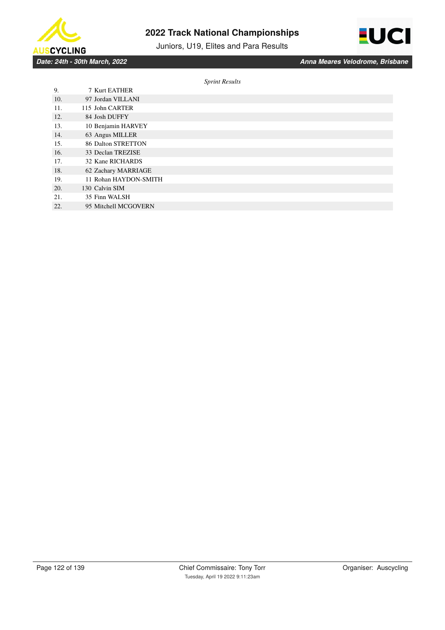

Juniors, U19, Elites and Para Results



*Date: 24th - 30th March, 2022 Anna Meares Velodrome, Brisbane*

| 9.  | 7 Kurt EATHER         |
|-----|-----------------------|
| 10. | 97 Jordan VILLANI     |
| 11. | 115 John CARTER       |
| 12. | 84 Josh DUFFY         |
| 13. | 10 Benjamin HARVEY    |
| 14. | 63 Angus MILLER       |
| 15. | 86 Dalton STRETTON    |
| 16. | 33 Declan TREZISE     |
| 17. | 32 Kane RICHARDS      |
| 18. | 62 Zachary MARRIAGE   |
| 19. | 11 Rohan HAYDON-SMITH |
| 20. | 130 Calvin SIM        |
| 21. | 35 Finn WALSH         |
| 22. | 95 Mitchell MCGOVERN  |
|     |                       |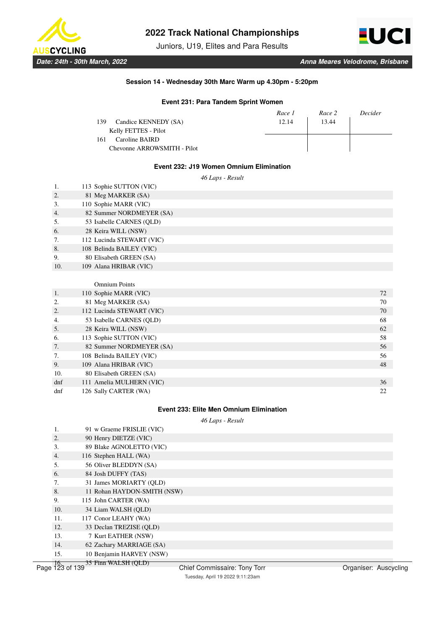

Juniors, U19, Elites and Para Results



### **Session 14 - Wednesday 30th Marc Warm up 4.30pm - 5:20pm**

### **Event 231: Para Tandem Sprint Women**

| Race 1 | Race 2 | Decider |
|--------|--------|---------|
| 12.14  | 13.44  |         |
|        |        |         |
|        |        |         |
|        |        |         |
|        |        |         |

### **Event 232: J19 Women Omnium Elimination**

*46 Laps - Result*

| 1.               | 113 Sophie SUTTON (VIC)   |    |
|------------------|---------------------------|----|
| 2.               | 81 Meg MARKER (SA)        |    |
| 3.               | 110 Sophie MARR (VIC)     |    |
| $\overline{4}$ . | 82 Summer NORDMEYER (SA)  |    |
| 5.               | 53 Isabelle CARNES (QLD)  |    |
| 6.               | 28 Keira WILL (NSW)       |    |
| 7.               | 112 Lucinda STEWART (VIC) |    |
| 8.               | 108 Belinda BAILEY (VIC)  |    |
| 9.               | 80 Elisabeth GREEN (SA)   |    |
| 10.              | 109 Alana HRIBAR (VIC)    |    |
|                  |                           |    |
|                  | <b>Omnium Points</b>      |    |
| 1.               | 110 Sophie MARR (VIC)     | 72 |
| 2.               | 81 Meg MARKER (SA)        | 70 |
| 2.               | 112 Lucinda STEWART (VIC) | 70 |
| 4.               | 53 Isabelle CARNES (QLD)  | 68 |
| 5.               | 28 Keira WILL (NSW)       | 62 |
| 6.               | 113 Sophie SUTTON (VIC)   | 58 |
| 7.               | 82 Summer NORDMEYER (SA)  | 56 |
| 7.               | 108 Belinda BAILEY (VIC)  | 56 |
| 9.               | 109 Alana HRIBAR (VIC)    | 48 |
| 10.              | 80 Elisabeth GREEN (SA)   |    |
| dnf              | 111 Amelia MULHERN (VIC)  | 36 |
| dnf              | 126 Sally CARTER (WA)     | 22 |
|                  |                           |    |

### **Event 233: Elite Men Omnium Elimination**

*46 Laps - Result*

|                  | 91 w Graeme FRISLIE (VIC)   |
|------------------|-----------------------------|
| 2.               | 90 Henry DIETZE (VIC)       |
| 3.               | 89 Blake AGNOLETTO (VIC)    |
| $\overline{4}$ . | 116 Stephen HALL (WA)       |
| .5.              | 56 Oliver BLEDDYN (SA)      |
| 6.               | 84 Josh DUFFY (TAS)         |
| 7.               | 31 James MORIARTY (OLD)     |
| 8.               | 11 Rohan HAYDON-SMITH (NSW) |
| 9.               | 115 John CARTER (WA)        |
| 10.              | 34 Liam WALSH (OLD)         |
| 11.              | 117 Conor LEAHY (WA)        |
| 12.              | 33 Declan TREZISE (OLD)     |
| 13.              | 7 Kurt EATHER (NSW)         |
| 14.              | 62 Zachary MARRIAGE (SA)    |
| 15.              | 10 Benjamin HARVEY (NSW)    |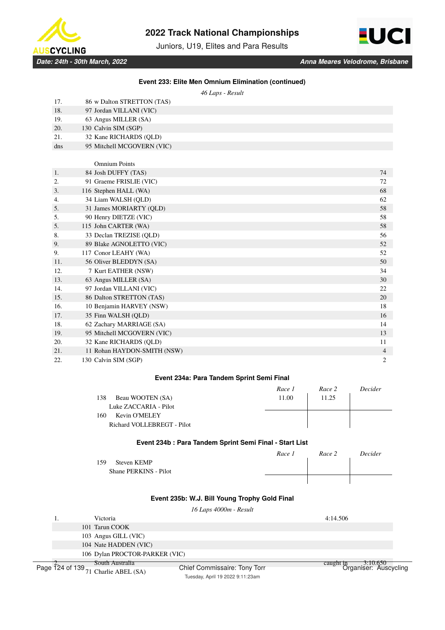

Juniors, U19, Elites and Para Results



*46 Laps - Result*

| 17. | 86 w Dalton STRETTON (TAS)  |    |
|-----|-----------------------------|----|
| 18. | 97 Jordan VILLANI (VIC)     |    |
| 19. | 63 Angus MILLER (SA)        |    |
| 20. | 130 Calvin SIM (SGP)        |    |
| 21. | 32 Kane RICHARDS (OLD)      |    |
| dns | 95 Mitchell MCGOVERN (VIC)  |    |
|     |                             |    |
|     | <b>Omnium Points</b>        |    |
| 1.  | 84 Josh DUFFY (TAS)         | 74 |
| 2.  | 91 Graeme FRISLIE (VIC)     | 72 |
| 3.  | 116 Stephen HALL (WA)       | 68 |
| 4.  | 34 Liam WALSH (QLD)         | 62 |
| 5.  | 31 James MORIARTY (OLD)     | 58 |
| 5.  | 90 Henry DIETZE (VIC)       | 58 |
| 5.  | 115 John CARTER (WA)        | 58 |
| 8.  | 33 Declan TREZISE (OLD)     | 56 |
| 9.  | 89 Blake AGNOLETTO (VIC)    | 52 |
| 9.  | 117 Conor LEAHY (WA)        | 52 |
| 11. | 56 Oliver BLEDDYN (SA)      | 50 |
| 12. | 7 Kurt EATHER (NSW)         | 34 |
| 13. | 63 Angus MILLER (SA)        | 30 |
| 14. | 97 Jordan VILLANI (VIC)     | 22 |
| 15. | 86 Dalton STRETTON (TAS)    | 20 |
| 16. | 10 Benjamin HARVEY (NSW)    | 18 |
| 17. | 35 Finn WALSH (OLD)         | 16 |
| 18. | 62 Zachary MARRIAGE (SA)    | 14 |
| 19. | 95 Mitchell MCGOVERN (VIC)  | 13 |
| 20. | 32 Kane RICHARDS (QLD)      | 11 |
| 21. | 11 Rohan HAYDON-SMITH (NSW) | 4  |
| 22. | 130 Calvin SIM (SGP)        | 2  |

### **Event 234a: Para Tandem Sprint Semi Final**

|                            | Race 1 | Race 2 | Decider |
|----------------------------|--------|--------|---------|
| Beau WOOTEN (SA)<br>138    | 11.00  | 11.25  |         |
| Luke ZACCARIA - Pilot      |        |        |         |
| Kevin O'MELEY<br>160       |        |        |         |
| Richard VOLLEBREGT - Pilot |        |        |         |
|                            |        |        |         |

### **Event 234b : Para Tandem Sprint Semi Final - Start List**

|                       | Race 1 | Race 2 | Decider |
|-----------------------|--------|--------|---------|
| Steven KEMP<br>159    |        |        |         |
| Shane PERKINS - Pilot |        |        |         |
|                       |        |        |         |

# **Event 235b: W.J. Bill Young Trophy Gold Final**

*16 Laps 4000m - Result*

|  | Victoria                                              |                              | 4:14.506                                           |  |
|--|-------------------------------------------------------|------------------------------|----------------------------------------------------|--|
|  | 101 Tarun COOK                                        |                              |                                                    |  |
|  | 103 Angus GILL (VIC)                                  |                              |                                                    |  |
|  | 104 Nate HADDEN (VIC)                                 |                              |                                                    |  |
|  | 106 Dylan PROCTOR-PARKER (VIC)                        |                              |                                                    |  |
|  | South Australia                                       |                              | in - 3:10.650<br>Organiser: Auscyclin<br>caught in |  |
|  | Page $\overline{1}24$ of $139_{71}$ Charlie APEL (SA) | Chief Commissaire: Tony Torr |                                                    |  |

71 Charlie ABEL (SA)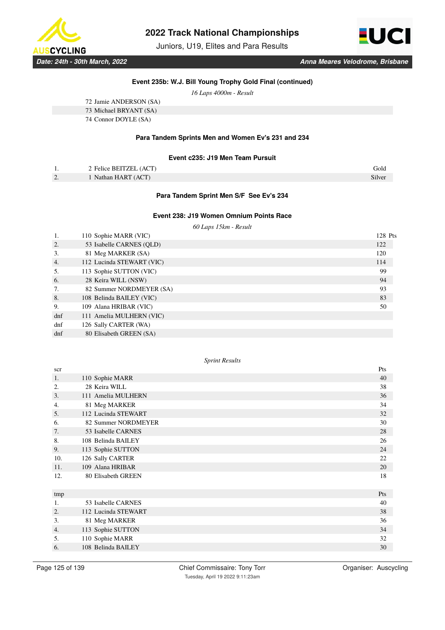

Juniors, U19, Elites and Para Results



# **Event 235b: W.J. Bill Young Trophy Gold Final (continued)**

*16 Laps 4000m - Result*

| 72 Jamie ANDERSON (SA) |
|------------------------|
| 73 Michael BRYANT (SA) |
| 74 Connor DOYLE (SA)   |

## **Para Tandem Sprints Men and Women Ev's 231 and 234**

#### **Event c235: J19 Men Team Pursuit**

| . .                | 2 Felice BEITZEL (ACT) | Gold   |
|--------------------|------------------------|--------|
| $\sim$<br><u>.</u> | Nathan HART (ACT)      | Silver |

### **Para Tandem Sprint Men S/F See Ev's 234**

#### **Event 238: J19 Women Omnium Points Race**

*60 Laps 15km - Result*

|        | 110 Sophie MARR (VIC)     | 128 Pts |
|--------|---------------------------|---------|
| 2.     | 53 Isabelle CARNES (OLD)  | 122     |
| 3.     | 81 Meg MARKER (SA)        | 120     |
| 4.     | 112 Lucinda STEWART (VIC) | 114     |
| 5.     | 113 Sophie SUTTON (VIC)   | 99      |
| 6.     | 28 Keira WILL (NSW)       | 94      |
| 7.     | 82 Summer NORDMEYER (SA)  | 93      |
| 8.     | 108 Belinda BAILEY (VIC)  | 83      |
| 9.     | 109 Alana HRIBAR (VIC)    | 50      |
| dnf    | 111 Amelia MULHERN (VIC)  |         |
| dnf    | 126 Sally CARTER (WA)     |         |
| $d$ nf | 80 Elisabeth GREEN (SA)   |         |

| scr |                     | Pts |
|-----|---------------------|-----|
| 1.  | 110 Sophie MARR     | 40  |
| 2.  | 28 Keira WILL       | 38  |
| 3.  | 111 Amelia MULHERN  | 36  |
| 4.  | 81 Meg MARKER       | 34  |
| 5.  | 112 Lucinda STEWART | 32  |
| 6.  | 82 Summer NORDMEYER | 30  |
| 7.  | 53 Isabelle CARNES  | 28  |
| 8.  | 108 Belinda BAILEY  | 26  |
| 9.  | 113 Sophie SUTTON   | 24  |
| 10. | 126 Sally CARTER    | 22  |
| 11. | 109 Alana HRIBAR    | 20  |
| 12. | 80 Elisabeth GREEN  | 18  |
|     |                     |     |
| tmp |                     | Pts |
| 1.  | 53 Isabelle CARNES  | 40  |
| 2.  | 112 Lucinda STEWART | 38  |
| 3.  | 81 Meg MARKER       | 36  |
| 4.  | 113 Sophie SUTTON   | 34  |
| 5.  | 110 Sophie MARR     | 32  |
| 6.  | 108 Belinda BAILEY  | 30  |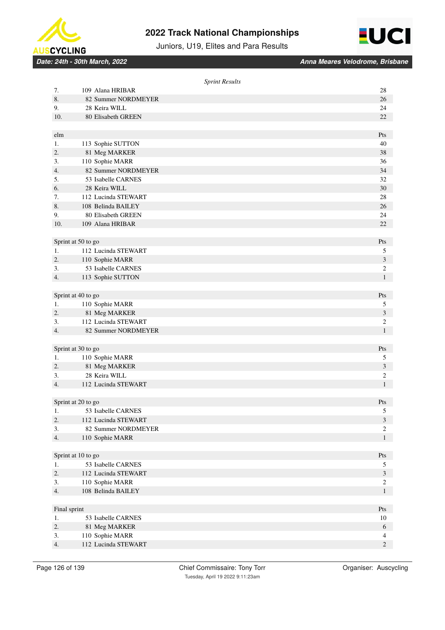



Juniors, U19, Elites and Para Results

|              | <b>Sprint Results</b>                     |                              |
|--------------|-------------------------------------------|------------------------------|
| 7.           | 109 Alana HRIBAR                          | 28                           |
| 8.           | 82 Summer NORDMEYER                       | 26                           |
| 9.           | 28 Keira WILL                             | 24                           |
| 10.          | 80 Elisabeth GREEN                        | 22                           |
|              |                                           |                              |
| elm          |                                           | Pts                          |
| 1.           | 113 Sophie SUTTON                         | 40                           |
| 2.           | 81 Meg MARKER                             | 38                           |
| 3.           | 110 Sophie MARR                           | 36                           |
| 4.           | 82 Summer NORDMEYER                       | 34                           |
| 5.           | 53 Isabelle CARNES                        | 32                           |
| 6.           | 28 Keira WILL                             | 30                           |
| 7.           | 112 Lucinda STEWART                       | 28                           |
| 8.           | 108 Belinda BAILEY                        | 26                           |
| 9.           | 80 Elisabeth GREEN                        | 24                           |
| 10.          | 109 Alana HRIBAR                          | 22                           |
|              |                                           |                              |
|              | Sprint at 50 to go                        | Pts                          |
| 1.           | 112 Lucinda STEWART                       | 5                            |
| 2.           | 110 Sophie MARR                           | $\mathfrak{Z}$               |
| 3.           | 53 Isabelle CARNES                        | $\sqrt{2}$                   |
| 4.           | 113 Sophie SUTTON                         | $\mathbf{1}$                 |
|              |                                           |                              |
|              | Sprint at 40 to go                        | Pts                          |
| 1.           | 110 Sophie MARR                           | 5                            |
| 2.           | 81 Meg MARKER                             | $\mathfrak{Z}$               |
| 3.           | 112 Lucinda STEWART                       | $\boldsymbol{2}$             |
| 4.           | 82 Summer NORDMEYER                       | $\mathbf{1}$                 |
|              |                                           |                              |
|              | Sprint at 30 to go                        | Pts                          |
| 1.           | 110 Sophie MARR                           | 5                            |
| 2.           | 81 Meg MARKER                             | 3                            |
| 3.           | 28 Keira WILL                             | $\sqrt{2}$                   |
| 4.           | 112 Lucinda STEWART                       | $\mathbf{1}$                 |
|              |                                           |                              |
|              | Sprint at 20 to go                        | Pts                          |
| 1.<br>2.     | 53 Isabelle CARNES<br>112 Lucinda STEWART | $\sqrt{5}$<br>$\mathfrak{Z}$ |
| 3.           | 82 Summer NORDMEYER                       | $\sqrt{2}$                   |
| 4.           | 110 Sophie MARR                           | $\mathbf{1}$                 |
|              |                                           |                              |
|              | Sprint at 10 to go                        | Pts                          |
| 1.           | 53 Isabelle CARNES                        | 5                            |
| 2.           | 112 Lucinda STEWART                       | $\mathfrak{Z}$               |
| 3.           | 110 Sophie MARR                           | $\sqrt{2}$                   |
| 4.           | 108 Belinda BAILEY                        | $\mathbf{1}$                 |
|              |                                           |                              |
| Final sprint |                                           | Pts                          |
| 1.           | 53 Isabelle CARNES                        | 10                           |
| 2.           | 81 Meg MARKER                             | $\sqrt{6}$                   |
| 3.           | 110 Sophie MARR                           | 4                            |
| 4.           | 112 Lucinda STEWART                       | $\overline{c}$               |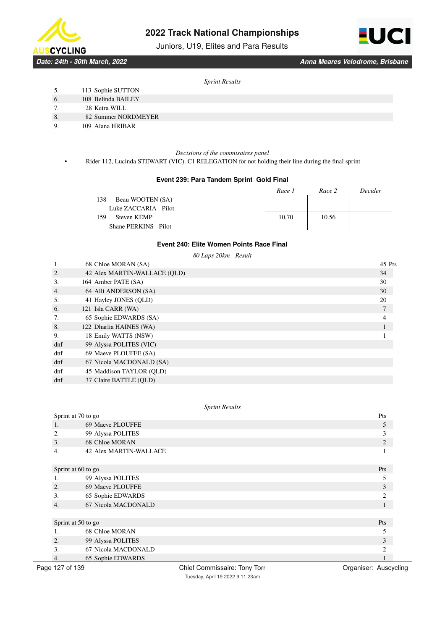

Juniors, U19, Elites and Para Results



*Date: 24th - 30th March, 2022 Anna Meares Velodrome, Brisbane*

#### *Sprint Results*

- 5. 113 Sophie SUTTON
- 6. 108 Belinda BAILEY
- 7. 28 Keira WILL
- 8. 82 Summer NORDMEYER
- 9. 109 Alana HRIBAR

#### *Decisions of the commisaires panel*

• Rider 112, Lucinda STEWART (VIC). C1 RELEGATION for not holding their line during the final sprint

#### **Event 239: Para Tandem Sprint Gold Final**

|                         | Race 1 | Race 2 | Decider |
|-------------------------|--------|--------|---------|
| Beau WOOTEN (SA)<br>138 |        |        |         |
| Luke ZACCARIA - Pilot   |        |        |         |
| Steven KEMP<br>159      | 10.70  | 10.56  |         |
| Shane PERKINS - Pilot   |        |        |         |

### **Event 240: Elite Women Points Race Final**

|                  | 80 Laps 20km - Result        |        |
|------------------|------------------------------|--------|
|                  | 68 Chloe MORAN (SA)          | 45 Pts |
| 2.               | 42 Alex MARTIN-WALLACE (OLD) | 34     |
| 3.               | 164 Amber PATE (SA)          | 30     |
| $\overline{4}$ . | 64 Alli ANDERSON (SA)        | 30     |
| 5.               | 41 Hayley JONES (QLD)        | 20     |
| 6.               | 121 Isla CARR (WA)           | 7      |
| 7.               | 65 Sophie EDWARDS (SA)       | 4      |
| 8.               | 122 Dharlia HAINES (WA)      |        |
| 9.               | 18 Emily WATTS (NSW)         |        |
| $d$ nf           | 99 Alyssa POLITES (VIC)      |        |
| dnf              | 69 Maeve PLOUFFE (SA)        |        |
| $d$ nf           | 67 Nicola MACDONALD (SA)     |        |
| dnf              | 45 Maddison TAYLOR (OLD)     |        |
| dnf              | 37 Claire BATTLE (OLD)       |        |

|                  | Sprint at 70 to go            | Pts                         |
|------------------|-------------------------------|-----------------------------|
| 1.               | 69 Maeve PLOUFFE              | 5                           |
| 2.               | 99 Alyssa POLITES             | 3                           |
| 3.               | 68 Chloe MORAN                | $\overline{2}$              |
| 4.               | <b>42 Alex MARTIN-WALLACE</b> |                             |
|                  |                               |                             |
|                  | Sprint at 60 to go            | Pts                         |
| 1.               | 99 Alyssa POLITES             | 5                           |
| 2.               | 69 Maeve PLOUFFE              | 3                           |
| 3.               | 65 Sophie EDWARDS             | $\mathcal{D}_{\mathcal{A}}$ |
| $\overline{4}$ . | 67 Nicola MACDONALD           |                             |
|                  |                               |                             |
|                  | Sprint at 50 to go            | Pts                         |
| 1.               | 68 Chloe MORAN                |                             |
| 2.               | 99 Alyssa POLITES             | 3                           |
| 3.               | 67 Nicola MACDONALD           | C                           |
| 4.               | 65 Sophie EDWARDS             |                             |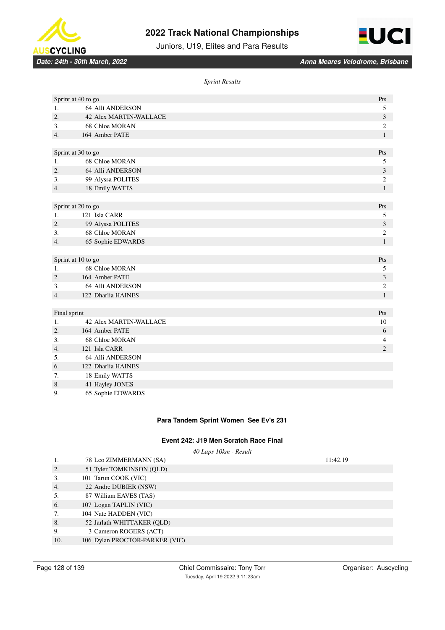

Juniors, U19, Elites and Para Results



8. 41 Hayley JONES 9. 65 Sophie EDWARDS

*Sprint Results*

|                  | Sprint at 40 to go            | Pts            |
|------------------|-------------------------------|----------------|
| 1.               | 64 Alli ANDERSON              | 5              |
| $\overline{2}$ . | <b>42 Alex MARTIN-WALLACE</b> | 3              |
| 3.               | 68 Chloe MORAN                | 2              |
| $\overline{4}$ . | 164 Amber PATE                | $\mathbf{1}$   |
|                  |                               |                |
|                  | Sprint at 30 to go            | Pts            |
| 1.               | 68 Chloe MORAN                | 5              |
| 2.               | 64 Alli ANDERSON              | 3              |
| 3.               | 99 Alyssa POLITES             | $\overline{c}$ |
| 4.               | 18 Emily WATTS                | $\mathbf{1}$   |
|                  |                               |                |
|                  | Sprint at 20 to go            | Pts            |
| 1.               | 121 Isla CARR                 | 5              |
| 2.               | 99 Alyssa POLITES             | 3              |
| 3.               | 68 Chloe MORAN                | $\overline{c}$ |
| 4.               | 65 Sophie EDWARDS             | $\mathbf{1}$   |
|                  |                               |                |
|                  | Sprint at 10 to go            | Pts            |
| 1.               | 68 Chloe MORAN                | 5              |
| 2.               | 164 Amber PATE                | 3              |
| 3.               | 64 Alli ANDERSON              | 2              |
| 4.               | 122 Dharlia HAINES            | $\mathbf{1}$   |
|                  |                               |                |
| Final sprint     |                               | Pts            |
| 1.               | <b>42 Alex MARTIN-WALLACE</b> | 10             |
| 2.               | 164 Amber PATE                | 6              |
| 3.               | 68 Chloe MORAN                | 4              |
| 4.               | 121 Isla CARR                 | $\overline{2}$ |
| 5.               | 64 Alli ANDERSON              |                |
| 6.               | 122 Dharlia HAINES            |                |
| 7.               | 18 Emily WATTS                |                |

### **Para Tandem Sprint Women See Ev's 231**

### **Event 242: J19 Men Scratch Race Final**

*40 Laps 10km - Result*

| 1.  | 78 Leo ZIMMERMANN (SA)         | 11:42.19 |
|-----|--------------------------------|----------|
| 2.  | 51 Tyler TOMKINSON (QLD)       |          |
| 3.  | 101 Tarun COOK (VIC)           |          |
| 4.  | 22 Andre DUBIER (NSW)          |          |
| 5.  | 87 William EAVES (TAS)         |          |
| 6.  | 107 Logan TAPLIN (VIC)         |          |
| 7.  | 104 Nate HADDEN (VIC)          |          |
| 8.  | 52 Jarlath WHITTAKER (QLD)     |          |
| 9.  | 3 Cameron ROGERS (ACT)         |          |
| 10. | 106 Dylan PROCTOR-PARKER (VIC) |          |
|     |                                |          |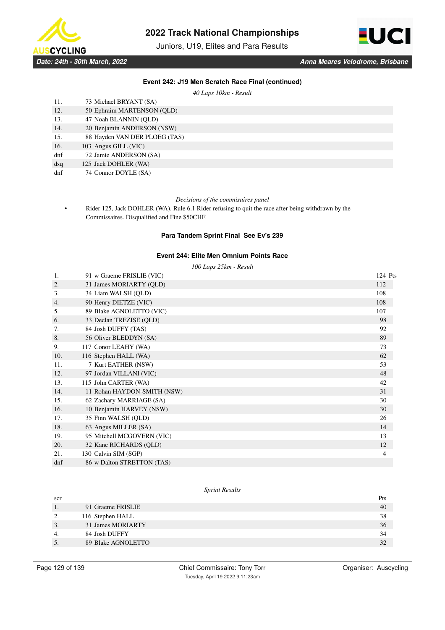

Juniors, U19, Elites and Para Results



### **Event 242: J19 Men Scratch Race Final (continued)**

*40 Laps 10km - Result*

| 11. | 73 Michael BRYANT (SA)        |
|-----|-------------------------------|
| 12. | 50 Ephraim MARTENSON (QLD)    |
| 13. | 47 Noah BLANNIN (OLD)         |
| 14. | 20 Benjamin ANDERSON (NSW)    |
| 15. | 88 Hayden VAN DER PLOEG (TAS) |
| 16. | 103 Angus GILL (VIC)          |
| dnf | 72 Jamie ANDERSON (SA)        |
| dsq | 125 Jack DOHLER (WA)          |
| dnf | 74 Connor DOYLE (SA)          |

#### *Decisions of the commisaires panel*

• Rider 125, Jack DOHLER (WA). Rule 6.1 Rider refusing to quit the race after being withdrawn by the Commissaires. Disqualified and Fine \$50CHF.

### **Para Tandem Sprint Final See Ev's 239**

#### **Event 244: Elite Men Omnium Points Race**

*100 Laps 25km - Result*

| 1.              | 91 w Graeme FRISLIE (VIC)   | 124 Pts |
|-----------------|-----------------------------|---------|
| 2.              | 31 James MORIARTY (OLD)     | 112     |
| 3.              | 34 Liam WALSH (OLD)         | 108     |
| 4.              | 90 Henry DIETZE (VIC)       | 108     |
| 5.              | 89 Blake AGNOLETTO (VIC)    | 107     |
| 6.              | 33 Declan TREZISE (QLD)     | 98      |
| 7.              | 84 Josh DUFFY (TAS)         | 92      |
| 8.              | 56 Oliver BLEDDYN (SA)      | 89      |
| 9.              | 117 Conor LEAHY (WA)        | 73      |
| 10.             | 116 Stephen HALL (WA)       | 62      |
| 11.             | 7 Kurt EATHER (NSW)         | 53      |
| 12.             | 97 Jordan VILLANI (VIC)     | 48      |
| 13.             | 115 John CARTER (WA)        | 42      |
| 14.             | 11 Rohan HAYDON-SMITH (NSW) | 31      |
| 15.             | 62 Zachary MARRIAGE (SA)    | 30      |
| 16.             | 10 Benjamin HARVEY (NSW)    | 30      |
| 17.             | 35 Finn WALSH (OLD)         | 26      |
| 18.             | 63 Angus MILLER (SA)        | 14      |
| 19.             | 95 Mitchell MCGOVERN (VIC)  | 13      |
| 20.             | 32 Kane RICHARDS (QLD)      | 12      |
| 21.             | 130 Calvin SIM (SGP)        | 4       |
| d <sub>nf</sub> | 86 w Dalton STRETTON (TAS)  |         |

| scr |                    | Pts |
|-----|--------------------|-----|
|     | 91 Graeme FRISLIE  | 40  |
| ٠.  | 116 Stephen HALL   | 38  |
|     | 31 James MORIARTY  | 36  |
|     | 84 Josh DUFFY      | 34  |
|     | 89 Blake AGNOLETTO | 32  |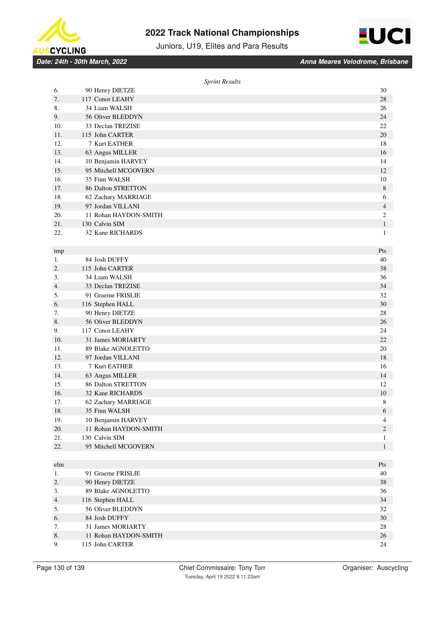



Juniors, U19, Elites and Para Results

|     | <b>Sprint Results</b> |                |
|-----|-----------------------|----------------|
| 6.  | 90 Henry DIETZE       | 30             |
| 7.  | 117 Conor LEAHY       | 28             |
| 8.  | 34 Liam WALSH         | 26             |
| 9.  | 56 Oliver BLEDDYN     | 24             |
| 10. | 33 Declan TREZISE     | 22             |
| 11. | 115 John CARTER       | 20             |
| 12. | 7 Kurt EATHER         | 18             |
| 13. | 63 Angus MILLER       | 16             |
| 14. | 10 Benjamin HARVEY    | 14             |
| 15. | 95 Mitchell MCGOVERN  | 12             |
| 16. | 35 Finn WALSH         | 10             |
| 17. | 86 Dalton STRETTON    | 8              |
| 18. | 62 Zachary MARRIAGE   | 6              |
| 19. | 97 Jordan VILLANI     | 4              |
| 20. | 11 Rohan HAYDON-SMITH | $\overline{c}$ |
| 21. | 130 Calvin SIM        | $\mathbf{1}$   |
| 22. | 32 Kane RICHARDS      | 1              |
|     |                       |                |
| tmp |                       | Pts            |
| 1.  | 84 Josh DUFFY         | 40             |
| 2.  | 115 John CARTER       | 38             |
| 3.  | 34 Liam WALSH         | 36             |
| 4.  | 33 Declan TREZISE     | 34             |
| 5.  | 91 Graeme FRISLIE     | 32             |
| 6.  | 116 Stephen HALL      | 30             |
| 7.  | 90 Henry DIETZE       | 28             |
| 8.  | 56 Oliver BLEDDYN     | 26             |
| 9.  | 117 Conor LEAHY       | 24             |
| 10. | 31 James MORIARTY     | 22             |
| 11. | 89 Blake AGNOLETTO    | 20             |
| 12. | 97 Jordan VILLANI     | 18             |
| 13. | 7 Kurt EATHER         | 16             |
| 14. | 63 Angus MILLER       | 14             |
| 15. | 86 Dalton STRETTON    | 12             |
| 16. | 32 Kane RICHARDS      | 10             |
| 17. | 62 Zachary MARRIAGE   | 8              |
| 18. | 35 Finn WALSH         | $\sqrt{6}$     |
| 19. | 10 Benjamin HARVEY    | $\overline{4}$ |
| 20. | 11 Rohan HAYDON-SMITH | $\sqrt{2}$     |
| 21. | 130 Calvin SIM        | 1              |
| 22. | 95 Mitchell MCGOVERN  | $\mathbf{1}$   |
|     |                       |                |
| elm |                       | Pts            |
| 1.  | 91 Graeme FRISLIE     | 40             |
| 2.  | 90 Henry DIETZE       | 38             |
| 3.  | 89 Blake AGNOLETTO    | 36             |
| 4.  | 116 Stephen HALL      | 34             |
| 5.  | 56 Oliver BLEDDYN     | 32             |
| 6.  | 84 Josh DUFFY         | 30             |
| 7.  | 31 James MORIARTY     | 28             |
| 8.  | 11 Rohan HAYDON-SMITH | 26             |
| 9.  | 115 John CARTER       | 24             |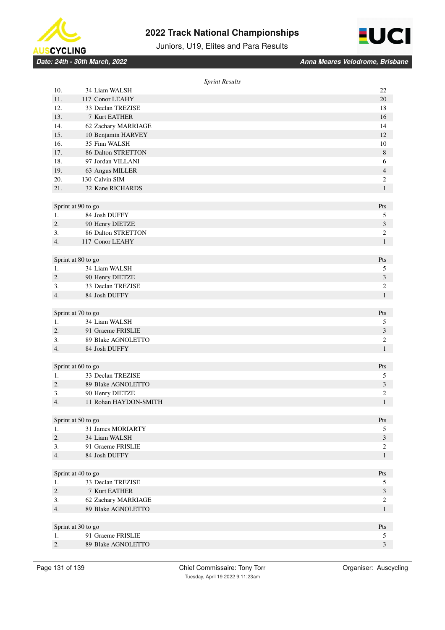



Juniors, U19, Elites and Para Results

|     |                           | <b>Sprint Results</b>   |  |
|-----|---------------------------|-------------------------|--|
| 10. | 34 Liam WALSH             | 22                      |  |
| 11. | 117 Conor LEAHY           | 20                      |  |
| 12. | 33 Declan TREZISE         | 18                      |  |
| 13. | 7 Kurt EATHER             | 16                      |  |
| 14. | 62 Zachary MARRIAGE       | 14                      |  |
| 15. | 10 Benjamin HARVEY        | 12                      |  |
| 16. | 35 Finn WALSH             | 10                      |  |
| 17. | <b>86 Dalton STRETTON</b> | $\,8$                   |  |
| 18. | 97 Jordan VILLANI         | 6                       |  |
| 19. | 63 Angus MILLER           | $\overline{4}$          |  |
| 20. | 130 Calvin SIM            | $\boldsymbol{2}$        |  |
| 21. | 32 Kane RICHARDS          | $\mathbf{1}$            |  |
|     |                           |                         |  |
|     | Sprint at 90 to go        | Pts                     |  |
| 1.  | 84 Josh DUFFY             | 5                       |  |
| 2.  | 90 Henry DIETZE           | 3                       |  |
| 3.  | <b>86 Dalton STRETTON</b> | $\mathbf{2}$            |  |
| 4.  | 117 Conor LEAHY           | $\mathbf{1}$            |  |
|     | Sprint at 80 to go        | Pts                     |  |
| 1.  | 34 Liam WALSH             | 5                       |  |
| 2.  | 90 Henry DIETZE           | 3                       |  |
| 3.  | 33 Declan TREZISE         | $\mathbf{2}$            |  |
| 4.  | 84 Josh DUFFY             | $\mathbf{1}$            |  |
|     |                           |                         |  |
|     | Sprint at 70 to go        | Pts                     |  |
| 1.  | 34 Liam WALSH             | 5                       |  |
| 2.  | 91 Graeme FRISLIE         | $\mathfrak{Z}$          |  |
| 3.  | 89 Blake AGNOLETTO        | $\mathfrak{2}$          |  |
| 4.  | 84 Josh DUFFY             | $\mathbf{1}$            |  |
|     |                           |                         |  |
|     | Sprint at 60 to go        | Pts                     |  |
| 1.  | 33 Declan TREZISE         | 5                       |  |
| 2.  | 89 Blake AGNOLETTO        | $\mathfrak{Z}$          |  |
| 3.  | 90 Henry DIETZE           | $\overline{c}$          |  |
| 4.  | 11 Rohan HAYDON-SMITH     | $\mathbf{1}$            |  |
|     | Sprint at 50 to go        | Pts                     |  |
| 1.  | 31 James MORIARTY         | 5                       |  |
| 2.  | 34 Liam WALSH             | $\mathfrak{Z}$          |  |
| 3.  | 91 Graeme FRISLIE         | $\sqrt{2}$              |  |
| 4.  | 84 Josh DUFFY             | $\mathbf{1}$            |  |
|     |                           |                         |  |
|     | Sprint at 40 to go        | Pts                     |  |
| 1.  | 33 Declan TREZISE         | 5                       |  |
| 2.  | 7 Kurt EATHER             | $\mathfrak{Z}$          |  |
| 3.  | 62 Zachary MARRIAGE       | $\sqrt{2}$              |  |
| 4.  | 89 Blake AGNOLETTO        | $\mathbf{1}$            |  |
|     | Sprint at 30 to go        | Pts                     |  |
| 1.  | 91 Graeme FRISLIE         | 5                       |  |
| 2.  | 89 Blake AGNOLETTO        | $\overline{\mathbf{3}}$ |  |
|     |                           |                         |  |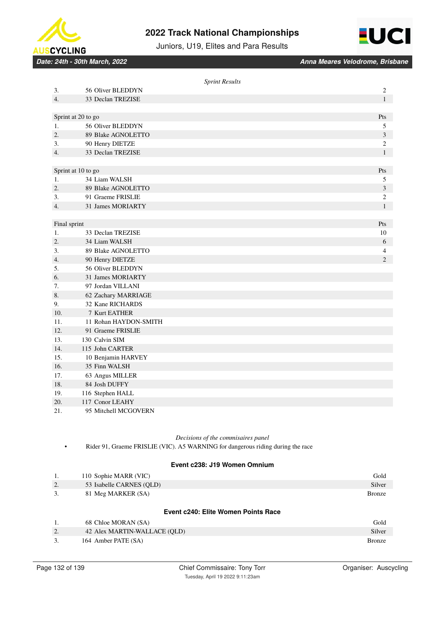



Juniors, U19, Elites and Para Results

*Date: 24th - 30th March, 2022 Anna Meares Velodrome, Brisbane*

|                  |                       | <b>Sprint Results</b> |                         |
|------------------|-----------------------|-----------------------|-------------------------|
| 3.               | 56 Oliver BLEDDYN     |                       | 2                       |
| 4.               | 33 Declan TREZISE     |                       | $\mathbf{1}$            |
|                  |                       |                       |                         |
|                  | Sprint at 20 to go    |                       | Pts                     |
| 1.               | 56 Oliver BLEDDYN     |                       | 5                       |
| 2.               | 89 Blake AGNOLETTO    |                       | 3                       |
| 3.               | 90 Henry DIETZE       |                       | $\overline{\mathbf{c}}$ |
| 4.               | 33 Declan TREZISE     |                       | $\mathbf{1}$            |
|                  |                       |                       |                         |
|                  | Sprint at 10 to go    |                       | Pts                     |
| 1.               | 34 Liam WALSH         |                       | 5                       |
| $\overline{2}$ . | 89 Blake AGNOLETTO    |                       | 3                       |
| 3.               | 91 Graeme FRISLIE     |                       | 2                       |
| 4.               | 31 James MORIARTY     |                       | $\mathbf{1}$            |
|                  |                       |                       |                         |
| Final sprint     |                       |                       | Pts                     |
| 1.               | 33 Declan TREZISE     |                       | 10                      |
| 2.               | 34 Liam WALSH         |                       | 6                       |
| 3.               | 89 Blake AGNOLETTO    |                       | 4                       |
| 4.               | 90 Henry DIETZE       |                       | $\overline{2}$          |
| 5.               | 56 Oliver BLEDDYN     |                       |                         |
| 6.               | 31 James MORIARTY     |                       |                         |
| 7.               | 97 Jordan VILLANI     |                       |                         |
| 8.               | 62 Zachary MARRIAGE   |                       |                         |
| 9.               | 32 Kane RICHARDS      |                       |                         |
| 10.              | 7 Kurt EATHER         |                       |                         |
| 11.              | 11 Rohan HAYDON-SMITH |                       |                         |
| 12.              | 91 Graeme FRISLIE     |                       |                         |
| 13.              | 130 Calvin SIM        |                       |                         |
| 14.              | 115 John CARTER       |                       |                         |
| 15.              | 10 Benjamin HARVEY    |                       |                         |
| 16.              | 35 Finn WALSH         |                       |                         |
| 17.              | 63 Angus MILLER       |                       |                         |
| 18.              | 84 Josh DUFFY         |                       |                         |
| 19.              | 116 Stephen HALL      |                       |                         |
| 20.              | 117 Conor LEAHY       |                       |                         |
| 21.              | 95 Mitchell MCGOVERN  |                       |                         |

### *Decisions of the commisaires panel*

• Rider 91, Graeme FRISLIE (VIC). A5 WARNING for dangerous riding during the race

# **Event c238: J19 Women Omnium**

| 1. | 110 Sophie MARR (VIC)               | Gold          |
|----|-------------------------------------|---------------|
| 2. | 53 Isabelle CARNES (OLD)            | Silver        |
| 3. | 81 Meg MARKER (SA)                  | <b>Bronze</b> |
|    |                                     |               |
|    | Event c240: Elite Women Points Race |               |
| 1. | 68 Chloe MORAN (SA)                 | Gold          |
| 2. | 42 Alex MARTIN-WALLACE (OLD)        | Silver        |
| 3. | 164 Amber PATE (SA)                 | <b>Bronze</b> |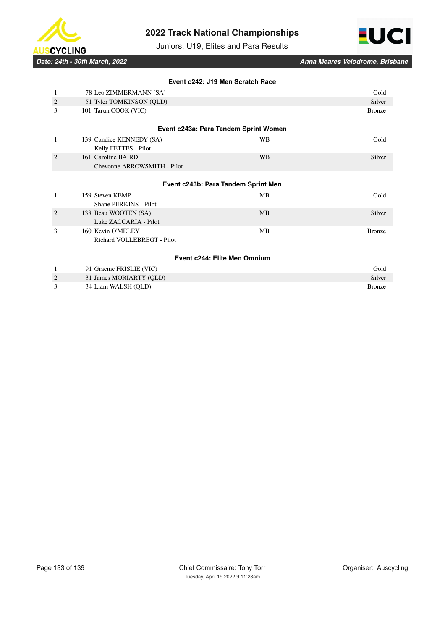



Juniors, U19, Elites and Para Results

|    |                             | Event c242: J19 Men Scratch Race      |               |
|----|-----------------------------|---------------------------------------|---------------|
| 1. | 78 Leo ZIMMERMANN (SA)      |                                       | Gold          |
| 2. | 51 Tyler TOMKINSON (QLD)    |                                       | Silver        |
| 3. | 101 Tarun COOK (VIC)        |                                       | <b>Bronze</b> |
|    |                             | Event c243a: Para Tandem Sprint Women |               |
| 1. | 139 Candice KENNEDY (SA)    | <b>WB</b>                             | Gold          |
|    | Kelly FETTES - Pilot        |                                       |               |
| 2. | 161 Caroline BAIRD          | <b>WB</b>                             | Silver        |
|    | Chevonne ARROWSMITH - Pilot |                                       |               |
|    |                             |                                       |               |
|    |                             | Event c243b: Para Tandem Sprint Men   |               |
| 1. | 159 Steven KEMP             | <b>MB</b>                             | Gold          |
|    | Shane PERKINS - Pilot       |                                       |               |
| 2. | 138 Beau WOOTEN (SA)        | <b>MB</b>                             | Silver        |
|    | Luke ZACCARIA - Pilot       |                                       |               |
| 3. | 160 Kevin O'MELEY           | <b>MB</b>                             | <b>Bronze</b> |
|    | Richard VOLLEBREGT - Pilot  |                                       |               |
|    |                             |                                       |               |
|    |                             | Event c244: Elite Men Omnium          |               |
| 1. | 91 Graeme FRISLIE (VIC)     |                                       | Gold          |
| 2. | 31 James MORIARTY (QLD)     |                                       | Silver        |
| 3. | 34 Liam WALSH (QLD)         |                                       | <b>Bronze</b> |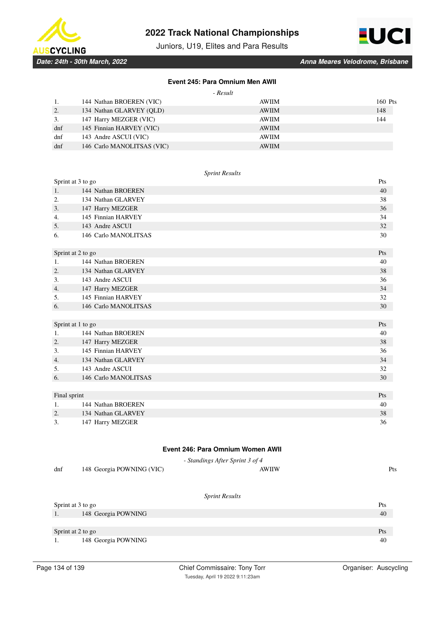



Juniors, U19, Elites and Para Results

*Date: 24th - 30th March, 2022 Anna Meares Velodrome, Brisbane*

### **Event 245: Para Omnium Men AWII**

| $\overline{\rho}$ sult<br>π. |
|------------------------------|
|------------------------------|

|        | 144 Nathan BROEREN (VIC)   | AWIIM        | 160 Pts |
|--------|----------------------------|--------------|---------|
| 2.     | 134 Nathan GLARVEY (OLD)   | <b>AWIIM</b> | 148     |
| 3.     | 147 Harry MEZGER (VIC)     | AWIIM        | 144     |
| $d$ nf | 145 Finnian HARVEY (VIC)   | <b>AWIIM</b> |         |
| dnf    | 143 Andre ASCUI (VIC)      | <b>AWIIM</b> |         |
| dnf    | 146 Carlo MANOLITSAS (VIC) | <b>AWIIM</b> |         |

### *Sprint Results*

| Sprint at 3 to go |                      | Pts |
|-------------------|----------------------|-----|
| 1.                | 144 Nathan BROEREN   | 40  |
| 2.                | 134 Nathan GLARVEY   | 38  |
| 3.                | 147 Harry MEZGER     | 36  |
| 4.                | 145 Finnian HARVEY   | 34  |
| 5.                | 143 Andre ASCUI      | 32  |
| 6.                | 146 Carlo MANOLITSAS | 30  |
| Sprint at 2 to go |                      | Pts |
| 1.                | 144 Nathan BROEREN   | 40  |
| 2.                | 134 Nathan GLARVEY   | 38  |
| 3.                | 143 Andre ASCUI      | 36  |
| 4.                | 147 Harry MEZGER     | 34  |
| 5.                | 145 Finnian HARVEY   | 32  |
| 6.                | 146 Carlo MANOLITSAS | 30  |
|                   |                      |     |
| Sprint at 1 to go |                      | Pts |
| 1.                | 144 Nathan BROEREN   | 40  |
| 2.                | 147 Harry MEZGER     | 38  |
| 3.                | 145 Finnian HARVEY   | 36  |
| 4.                | 134 Nathan GLARVEY   | 34  |
| 5.                | 143 Andre ASCUI      | 32  |
| 6.                | 146 Carlo MANOLITSAS | 30  |
|                   |                      |     |
| Final sprint      |                      | Pts |
| 1.                | 144 Nathan BROEREN   | 40  |
| 2.                | 134 Nathan GLARVEY   | 38  |
| 3.                | 147 Harry MEZGER     | 36  |

# **Event 246: Para Omnium Women AWII**

|     |                           | - Standings After Sprint 3 of 4 |            |
|-----|---------------------------|---------------------------------|------------|
| dnf | 148 Georgia POWNING (VIC) | <b>AWIIW</b>                    | <b>Pts</b> |
|     |                           |                                 |            |

| Sprint at 3 to go         |     |
|---------------------------|-----|
| 148 Georgia POWNING<br>., | 40  |
|                           |     |
| Sprint at 2 to go         | Pts |
| 148 Georgia POWNING       | 40  |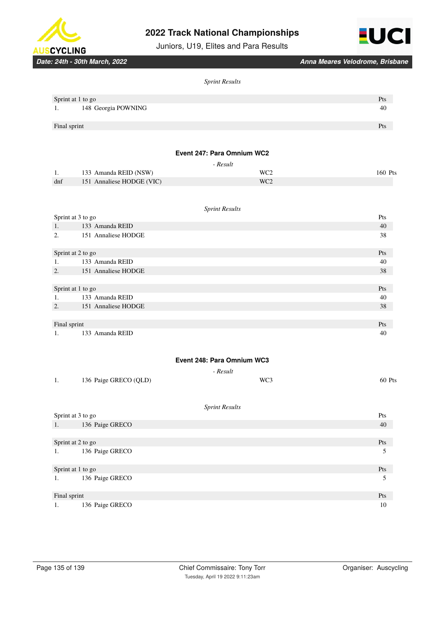

Juniors, U19, Elites and Para Results



*Date: 24th - 30th March, 2022 Anna Meares Velodrome, Brisbane*

#### *Sprint Results*

| Sprint at 1 to go         | Pts |
|---------------------------|-----|
| 148 Georgia POWNING<br>1. | 40  |
|                           |     |
| Final sprint              | Pts |
|                           |     |

### **Event 247: Para Omnium WC2**

|     |                           | - Result        |         |
|-----|---------------------------|-----------------|---------|
| -1. | 133 Amanda REID (NSW)     | WC <sub>2</sub> | 160 Pts |
| dnf | 151 Annaliese HODGE (VIC) | WC <sub>2</sub> |         |

# *Sprint Results* Sprint at 3 to go Pts 1. 133 Amanda REID 40 2. 151 Annaliese HODGE 38 Sprint at 2 to go Pts 1. 133 Amanda REID 40 2. 151 Annaliese HODGE 38 Sprint at 1 to go Pts 1. 133 Amanda REID 40 2. 151 Annaliese HODGE 38 Final sprint Pts and the Community of the Community of the Community of the Community of the Community of the Community of the Community of the Community of the Community of the Community of the Community of the Community 1. 133 Amanda REID 40

# **Event 248: Para Omnium WC3**

#### *- Result*

| 1. | 136 Paige GRECO (QLD) | .<br>WC3 | 60 Pts |
|----|-----------------------|----------|--------|
|    |                       |          |        |

| Sprint at 3 to go |                 | Pts |
|-------------------|-----------------|-----|
| 1.                | 136 Paige GRECO | 40  |
|                   |                 |     |
| Sprint at 2 to go |                 | Pts |
| 1.                | 136 Paige GRECO | 5   |
| Sprint at 1 to go |                 | Pts |
| 1.                | 136 Paige GRECO | 5   |
| Final sprint      |                 | Pts |
| 1.                | 136 Paige GRECO | 10  |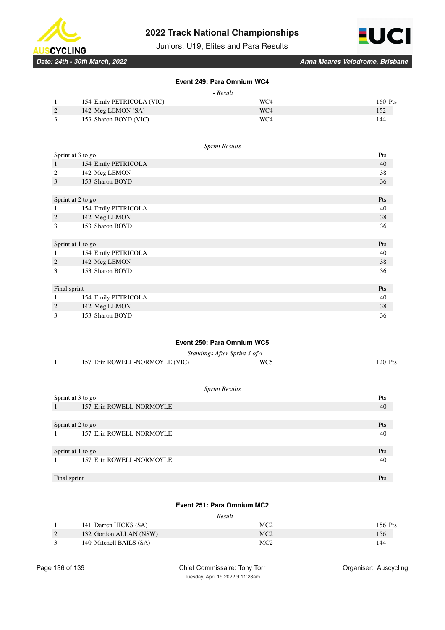





*Date: 24th - 30th March, 2022 Anna Meares Velodrome, Brisbane*

# **Event 249: Para Omnium WC4**

| 87.LI |  |
|-------|--|

|      |                           | .   |         |
|------|---------------------------|-----|---------|
| - 1. | 154 Emily PETRICOLA (VIC) | WC4 | 160 Pts |
| 2.   | 142 Meg LEMON (SA)        | WC4 | 152     |
|      | 153 Sharon BOYD (VIC)     | WC4 | 144     |
|      |                           |     |         |

#### *Sprint Results*

| Sprint at 3 to go |                     | Pts |
|-------------------|---------------------|-----|
| 1.                | 154 Emily PETRICOLA | 40  |
| 2.                | 142 Meg LEMON       | 38  |
| 3.                | 153 Sharon BOYD     | 36  |
|                   |                     |     |
|                   | Sprint at 2 to go   | Pts |
| 1.                | 154 Emily PETRICOLA | 40  |
| 2.                | 142 Meg LEMON       | 38  |
| 3.                | 153 Sharon BOYD     | 36  |
|                   |                     |     |
|                   | Sprint at 1 to go   | Pts |
| 1.                | 154 Emily PETRICOLA | 40  |
| 2.                | 142 Meg LEMON       | 38  |
| 3.                | 153 Sharon BOYD     | 36  |
|                   |                     |     |
| Final sprint      |                     | Pts |
| 1.                | 154 Emily PETRICOLA | 40  |
| 2.                | 142 Meg LEMON       | 38  |
| 3.                | 153 Sharon BOYD     | 36  |

### **Event 250: Para Omnium WC5**

|                                | - Standings After Sprint 3 of 4 |         |
|--------------------------------|---------------------------------|---------|
| 157 Erin ROWELL-NORMOYLE (VIC) | WC <sub>5</sub>                 | 120 Pts |

#### *Sprint Results*

| Sprint at 3 to go              | Pts |
|--------------------------------|-----|
| 157 Erin ROWELL-NORMOYLE<br>1. | 40  |
|                                |     |
| Sprint at 2 to go              | Pts |
| 157 Erin ROWELL-NORMOYLE<br>1. | 40  |
| Sprint at 1 to go              | Pts |
| 157 Erin ROWELL-NORMOYLE       | 40  |
| Final sprint                   | Pts |

## **Event 251: Para Omnium MC2**

#### *- Result*

| . .       | 141 Darren HICKS (SA)   | MC2             | 156 Pts |
|-----------|-------------------------|-----------------|---------|
| <u>L.</u> | 132 Gordon ALLAN (NSW)  | MC2             | 156     |
| <u>.</u>  | 140 Mitchell BAILS (SA) | MC <sub>2</sub> | 144     |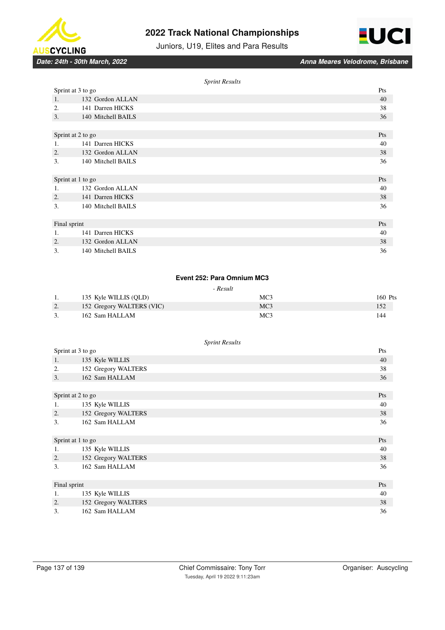



Juniors, U19, Elites and Para Results

|                   | <b>Sprint Results</b> |     |
|-------------------|-----------------------|-----|
| Sprint at 3 to go |                       | Pts |
| 1.                | 132 Gordon ALLAN      | 40  |
| 2.                | 141 Darren HICKS      | 38  |
| 3.                | 140 Mitchell BAILS    | 36  |
|                   |                       |     |
| Sprint at 2 to go |                       | Pts |
| 1.                | 141 Darren HICKS      | 40  |
| 2.                | 132 Gordon ALLAN      | 38  |
| 3.                | 140 Mitchell BAILS    | 36  |
|                   |                       |     |
| Sprint at 1 to go |                       | Pts |
| 1.                | 132 Gordon ALLAN      | 40  |
| 2.                | 141 Darren HICKS      | 38  |
| 3.                | 140 Mitchell BAILS    | 36  |
|                   |                       |     |
| Final sprint      |                       | Pts |
| 1.                | 141 Darren HICKS      | 40  |
| 2.                | 132 Gordon ALLAN      | 38  |
| 3.                | 140 Mitchell BAILS    | 36  |

### **Event 252: Para Omnium MC3**

#### *- Result*

| 1. | 135 Kyle WILLIS (OLD)     | MC <sub>3</sub> | 160 Pts |
|----|---------------------------|-----------------|---------|
| 2. | 152 Gregory WALTERS (VIC) | MC <sub>3</sub> | 152     |
|    | 162 Sam HALLAM            | MC <sub>3</sub> | 144     |

| Sprint at 3 to go |                     | Pts |
|-------------------|---------------------|-----|
| 1.                | 135 Kyle WILLIS     | 40  |
| 2.                | 152 Gregory WALTERS | 38  |
| 3.                | 162 Sam HALLAM      | 36  |
|                   |                     |     |
| Sprint at 2 to go |                     | Pts |
| 1.                | 135 Kyle WILLIS     | 40  |
| 2.                | 152 Gregory WALTERS | 38  |
| 3.                | 162 Sam HALLAM      | 36  |
| Sprint at 1 to go |                     | Pts |
| 1.                | 135 Kyle WILLIS     | 40  |
| 2.                | 152 Gregory WALTERS | 38  |
| 3.                | 162 Sam HALLAM      | 36  |
| Final sprint      |                     | Pts |
| 1.                | 135 Kyle WILLIS     | 40  |
| 2.                | 152 Gregory WALTERS | 38  |
| 3.                | 162 Sam HALLAM      | 36  |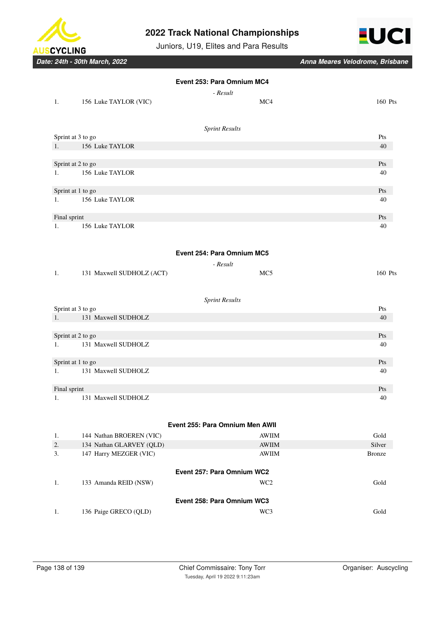

Juniors, U19, Elites and Para Results



|              |                           | Event 253: Para Omnium MC4      |               |
|--------------|---------------------------|---------------------------------|---------------|
|              |                           | - Result                        |               |
| 1.           | 156 Luke TAYLOR (VIC)     | MC4                             | 160 Pts       |
|              |                           | <b>Sprint Results</b>           |               |
|              | Sprint at 3 to go         |                                 | Pts           |
| 1.           | 156 Luke TAYLOR           |                                 | 40            |
|              | Sprint at 2 to go         |                                 | Pts           |
| 1.           | 156 Luke TAYLOR           |                                 | 40            |
|              | Sprint at 1 to go         |                                 | Pts           |
| 1.           | 156 Luke TAYLOR           |                                 | 40            |
| Final sprint |                           |                                 | Pts           |
| 1.           | 156 Luke TAYLOR           |                                 | 40            |
|              |                           | Event 254: Para Omnium MC5      |               |
|              |                           |                                 |               |
| 1.           | 131 Maxwell SUDHOLZ (ACT) | - Result<br>MC <sub>5</sub>     | 160 Pts       |
|              |                           | <b>Sprint Results</b>           |               |
|              | Sprint at 3 to go         |                                 | Pts           |
| 1.           | 131 Maxwell SUDHOLZ       |                                 | 40            |
|              | Sprint at 2 to go         |                                 | Pts           |
| 1.           | 131 Maxwell SUDHOLZ       |                                 | 40            |
|              | Sprint at 1 to go         |                                 | Pts           |
| 1.           | 131 Maxwell SUDHOLZ       |                                 | 40            |
| Final sprint |                           |                                 | Pts           |
| 1.           | 131 Maxwell SUDHOLZ       |                                 | 40            |
|              |                           | Event 255: Para Omnium Men AWII |               |
| 1.           | 144 Nathan BROEREN (VIC)  | <b>AWIIM</b>                    | Gold          |
| 2.           | 134 Nathan GLARVEY (QLD)  | <b>AWIIM</b>                    | Silver        |
| 3.           | 147 Harry MEZGER (VIC)    | <b>AWIIM</b>                    | <b>Bronze</b> |
|              |                           | Event 257: Para Omnium WC2      |               |
| 1.           | 133 Amanda REID (NSW)     | WC <sub>2</sub>                 | Gold          |
|              |                           | Event 258: Para Omnium WC3      |               |
| 1.           | 136 Paige GRECO (QLD)     | WC3                             | Gold          |